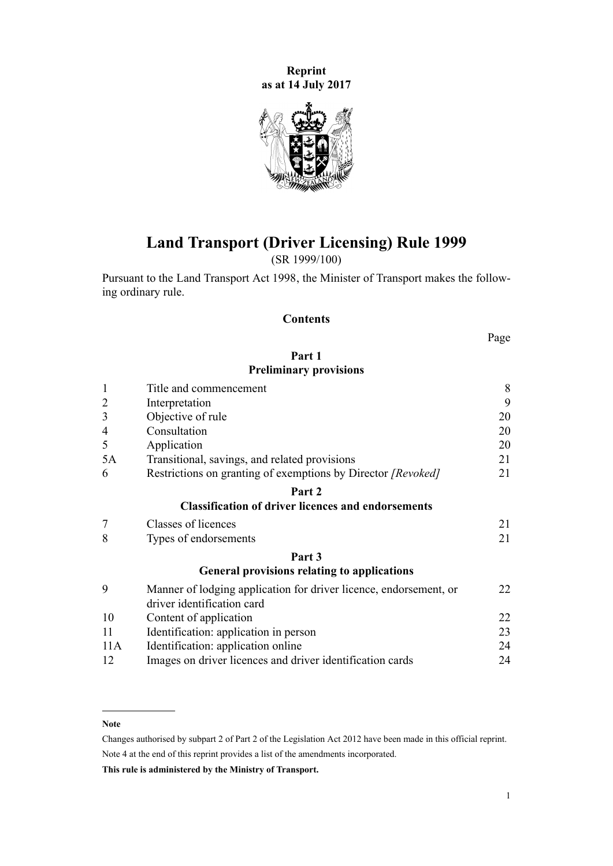**Reprint as at 14 July 2017**



**Land Transport (Driver Licensing) Rule 1999**

(SR 1999/100)

Pursuant to the [Land Transport Act 1998,](http://prd-lgnz-nlb.prd.pco.net.nz/pdflink.aspx?id=DLM433612) the Minister of Transport makes the following ordinary rule.

# **Contents**

Page

# **[Part 1](#page-7-0) [Preliminary provisions](#page-7-0)**

| $\mathbf{1}$   | Title and commencement                                                                          |    |  |  |
|----------------|-------------------------------------------------------------------------------------------------|----|--|--|
| $\overline{2}$ | Interpretation                                                                                  | 9  |  |  |
| 3              | Objective of rule                                                                               | 20 |  |  |
| 4              | Consultation                                                                                    | 20 |  |  |
| 5              | Application                                                                                     | 20 |  |  |
| 5A             | Transitional, savings, and related provisions                                                   | 21 |  |  |
| 6              | Restrictions on granting of exemptions by Director [Revoked]                                    | 21 |  |  |
|                | Part 2                                                                                          |    |  |  |
|                | <b>Classification of driver licences and endorsements</b>                                       |    |  |  |
| $\overline{7}$ | Classes of licences                                                                             | 21 |  |  |
| 8              | Types of endorsements                                                                           | 21 |  |  |
|                | Part 3                                                                                          |    |  |  |
|                | <b>General provisions relating to applications</b>                                              |    |  |  |
| 9              | Manner of lodging application for driver licence, endorsement, or<br>driver identification card | 22 |  |  |
| 10             | Content of application                                                                          | 22 |  |  |
| 11             | Identification: application in person                                                           | 23 |  |  |
| 11A            | Identification: application online                                                              | 24 |  |  |
| 12             | Images on driver licences and driver identification cards                                       | 24 |  |  |

#### **Note**

Changes authorised by [subpart 2](http://prd-lgnz-nlb.prd.pco.net.nz/pdflink.aspx?id=DLM2998524) of Part 2 of the Legislation Act 2012 have been made in this official reprint. Note 4 at the end of this reprint provides a list of the amendments incorporated.

**This rule is administered by the Ministry of Transport.**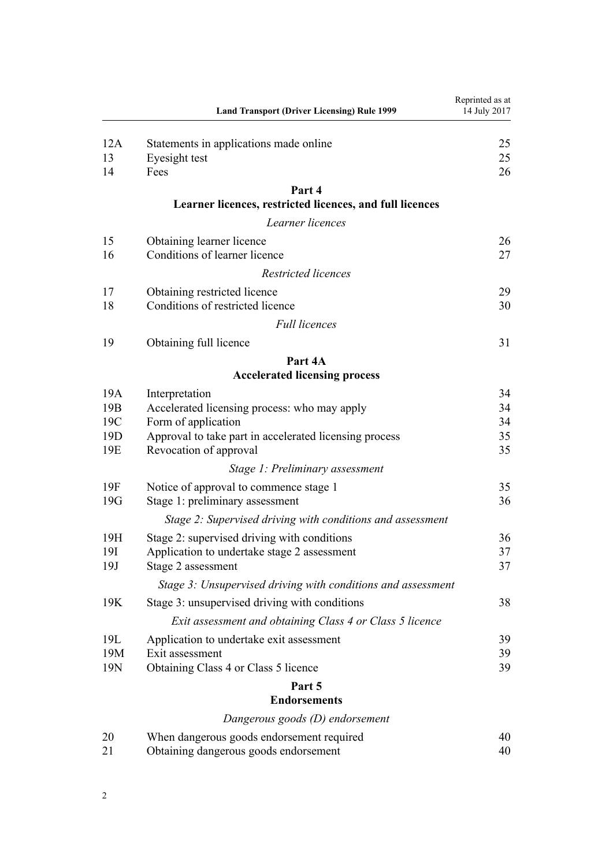| 12A<br>Statements in applications made online<br>13<br>Eyesight test<br>14<br>Fees<br>Part 4<br>Learner licences, restricted licences, and full licences<br>Learner licences<br>15<br>Obtaining learner licence<br>Conditions of learner licence<br>16<br>Restricted licences<br>17<br>Obtaining restricted licence<br>Conditions of restricted licence<br>18<br><b>Full licences</b><br>19<br>Obtaining full licence<br>Part 4A<br><b>Accelerated licensing process</b><br>19A<br>Interpretation<br>19 <sub>B</sub><br>Accelerated licensing process: who may apply<br>19C<br>Form of application<br>19 <sub>D</sub><br>Approval to take part in accelerated licensing process<br>19E<br>Revocation of approval<br>35<br>Stage 1: Preliminary assessment<br>19F<br>Notice of approval to commence stage 1<br>19G<br>Stage 1: preliminary assessment<br>36<br>Stage 2: Supervised driving with conditions and assessment<br>19H<br>Stage 2: supervised driving with conditions<br>19I<br>Application to undertake stage 2 assessment<br>19J<br>37<br>Stage 2 assessment<br>Stage 3: Unsupervised driving with conditions and assessment<br>19K<br>Stage 3: unsupervised driving with conditions<br>38<br>Exit assessment and obtaining Class 4 or Class 5 licence<br>19L<br>Application to undertake exit assessment<br>19M<br>Exit assessment<br>19N<br>Obtaining Class 4 or Class 5 licence<br>39<br>Part 5<br><b>Endorsements</b><br>Dangerous goods (D) endorsement<br>20<br>When dangerous goods endorsement required<br>40<br>Obtaining dangerous goods endorsement<br>21 | <b>Land Transport (Driver Licensing) Rule 1999</b> | Reprinted as at<br>14 July 2017 |
|---------------------------------------------------------------------------------------------------------------------------------------------------------------------------------------------------------------------------------------------------------------------------------------------------------------------------------------------------------------------------------------------------------------------------------------------------------------------------------------------------------------------------------------------------------------------------------------------------------------------------------------------------------------------------------------------------------------------------------------------------------------------------------------------------------------------------------------------------------------------------------------------------------------------------------------------------------------------------------------------------------------------------------------------------------------------------------------------------------------------------------------------------------------------------------------------------------------------------------------------------------------------------------------------------------------------------------------------------------------------------------------------------------------------------------------------------------------------------------------------------------------------------------------------------------------------------------|----------------------------------------------------|---------------------------------|
|                                                                                                                                                                                                                                                                                                                                                                                                                                                                                                                                                                                                                                                                                                                                                                                                                                                                                                                                                                                                                                                                                                                                                                                                                                                                                                                                                                                                                                                                                                                                                                                 |                                                    | 25                              |
|                                                                                                                                                                                                                                                                                                                                                                                                                                                                                                                                                                                                                                                                                                                                                                                                                                                                                                                                                                                                                                                                                                                                                                                                                                                                                                                                                                                                                                                                                                                                                                                 |                                                    | 25                              |
|                                                                                                                                                                                                                                                                                                                                                                                                                                                                                                                                                                                                                                                                                                                                                                                                                                                                                                                                                                                                                                                                                                                                                                                                                                                                                                                                                                                                                                                                                                                                                                                 |                                                    | 26                              |
|                                                                                                                                                                                                                                                                                                                                                                                                                                                                                                                                                                                                                                                                                                                                                                                                                                                                                                                                                                                                                                                                                                                                                                                                                                                                                                                                                                                                                                                                                                                                                                                 |                                                    |                                 |
|                                                                                                                                                                                                                                                                                                                                                                                                                                                                                                                                                                                                                                                                                                                                                                                                                                                                                                                                                                                                                                                                                                                                                                                                                                                                                                                                                                                                                                                                                                                                                                                 |                                                    |                                 |
|                                                                                                                                                                                                                                                                                                                                                                                                                                                                                                                                                                                                                                                                                                                                                                                                                                                                                                                                                                                                                                                                                                                                                                                                                                                                                                                                                                                                                                                                                                                                                                                 |                                                    |                                 |
|                                                                                                                                                                                                                                                                                                                                                                                                                                                                                                                                                                                                                                                                                                                                                                                                                                                                                                                                                                                                                                                                                                                                                                                                                                                                                                                                                                                                                                                                                                                                                                                 |                                                    | 26                              |
|                                                                                                                                                                                                                                                                                                                                                                                                                                                                                                                                                                                                                                                                                                                                                                                                                                                                                                                                                                                                                                                                                                                                                                                                                                                                                                                                                                                                                                                                                                                                                                                 |                                                    | 27                              |
|                                                                                                                                                                                                                                                                                                                                                                                                                                                                                                                                                                                                                                                                                                                                                                                                                                                                                                                                                                                                                                                                                                                                                                                                                                                                                                                                                                                                                                                                                                                                                                                 |                                                    |                                 |
|                                                                                                                                                                                                                                                                                                                                                                                                                                                                                                                                                                                                                                                                                                                                                                                                                                                                                                                                                                                                                                                                                                                                                                                                                                                                                                                                                                                                                                                                                                                                                                                 |                                                    | 29                              |
|                                                                                                                                                                                                                                                                                                                                                                                                                                                                                                                                                                                                                                                                                                                                                                                                                                                                                                                                                                                                                                                                                                                                                                                                                                                                                                                                                                                                                                                                                                                                                                                 |                                                    | 30                              |
|                                                                                                                                                                                                                                                                                                                                                                                                                                                                                                                                                                                                                                                                                                                                                                                                                                                                                                                                                                                                                                                                                                                                                                                                                                                                                                                                                                                                                                                                                                                                                                                 |                                                    |                                 |
|                                                                                                                                                                                                                                                                                                                                                                                                                                                                                                                                                                                                                                                                                                                                                                                                                                                                                                                                                                                                                                                                                                                                                                                                                                                                                                                                                                                                                                                                                                                                                                                 |                                                    | 31                              |
|                                                                                                                                                                                                                                                                                                                                                                                                                                                                                                                                                                                                                                                                                                                                                                                                                                                                                                                                                                                                                                                                                                                                                                                                                                                                                                                                                                                                                                                                                                                                                                                 |                                                    |                                 |
|                                                                                                                                                                                                                                                                                                                                                                                                                                                                                                                                                                                                                                                                                                                                                                                                                                                                                                                                                                                                                                                                                                                                                                                                                                                                                                                                                                                                                                                                                                                                                                                 |                                                    |                                 |
|                                                                                                                                                                                                                                                                                                                                                                                                                                                                                                                                                                                                                                                                                                                                                                                                                                                                                                                                                                                                                                                                                                                                                                                                                                                                                                                                                                                                                                                                                                                                                                                 |                                                    | 34                              |
|                                                                                                                                                                                                                                                                                                                                                                                                                                                                                                                                                                                                                                                                                                                                                                                                                                                                                                                                                                                                                                                                                                                                                                                                                                                                                                                                                                                                                                                                                                                                                                                 |                                                    | 34                              |
|                                                                                                                                                                                                                                                                                                                                                                                                                                                                                                                                                                                                                                                                                                                                                                                                                                                                                                                                                                                                                                                                                                                                                                                                                                                                                                                                                                                                                                                                                                                                                                                 |                                                    | 34                              |
|                                                                                                                                                                                                                                                                                                                                                                                                                                                                                                                                                                                                                                                                                                                                                                                                                                                                                                                                                                                                                                                                                                                                                                                                                                                                                                                                                                                                                                                                                                                                                                                 |                                                    | 35                              |
|                                                                                                                                                                                                                                                                                                                                                                                                                                                                                                                                                                                                                                                                                                                                                                                                                                                                                                                                                                                                                                                                                                                                                                                                                                                                                                                                                                                                                                                                                                                                                                                 |                                                    |                                 |
|                                                                                                                                                                                                                                                                                                                                                                                                                                                                                                                                                                                                                                                                                                                                                                                                                                                                                                                                                                                                                                                                                                                                                                                                                                                                                                                                                                                                                                                                                                                                                                                 |                                                    |                                 |
|                                                                                                                                                                                                                                                                                                                                                                                                                                                                                                                                                                                                                                                                                                                                                                                                                                                                                                                                                                                                                                                                                                                                                                                                                                                                                                                                                                                                                                                                                                                                                                                 |                                                    | 35                              |
|                                                                                                                                                                                                                                                                                                                                                                                                                                                                                                                                                                                                                                                                                                                                                                                                                                                                                                                                                                                                                                                                                                                                                                                                                                                                                                                                                                                                                                                                                                                                                                                 |                                                    |                                 |
|                                                                                                                                                                                                                                                                                                                                                                                                                                                                                                                                                                                                                                                                                                                                                                                                                                                                                                                                                                                                                                                                                                                                                                                                                                                                                                                                                                                                                                                                                                                                                                                 |                                                    |                                 |
|                                                                                                                                                                                                                                                                                                                                                                                                                                                                                                                                                                                                                                                                                                                                                                                                                                                                                                                                                                                                                                                                                                                                                                                                                                                                                                                                                                                                                                                                                                                                                                                 |                                                    | 36                              |
|                                                                                                                                                                                                                                                                                                                                                                                                                                                                                                                                                                                                                                                                                                                                                                                                                                                                                                                                                                                                                                                                                                                                                                                                                                                                                                                                                                                                                                                                                                                                                                                 |                                                    | 37                              |
|                                                                                                                                                                                                                                                                                                                                                                                                                                                                                                                                                                                                                                                                                                                                                                                                                                                                                                                                                                                                                                                                                                                                                                                                                                                                                                                                                                                                                                                                                                                                                                                 |                                                    |                                 |
|                                                                                                                                                                                                                                                                                                                                                                                                                                                                                                                                                                                                                                                                                                                                                                                                                                                                                                                                                                                                                                                                                                                                                                                                                                                                                                                                                                                                                                                                                                                                                                                 |                                                    |                                 |
|                                                                                                                                                                                                                                                                                                                                                                                                                                                                                                                                                                                                                                                                                                                                                                                                                                                                                                                                                                                                                                                                                                                                                                                                                                                                                                                                                                                                                                                                                                                                                                                 |                                                    |                                 |
|                                                                                                                                                                                                                                                                                                                                                                                                                                                                                                                                                                                                                                                                                                                                                                                                                                                                                                                                                                                                                                                                                                                                                                                                                                                                                                                                                                                                                                                                                                                                                                                 |                                                    |                                 |
|                                                                                                                                                                                                                                                                                                                                                                                                                                                                                                                                                                                                                                                                                                                                                                                                                                                                                                                                                                                                                                                                                                                                                                                                                                                                                                                                                                                                                                                                                                                                                                                 |                                                    | 39                              |
|                                                                                                                                                                                                                                                                                                                                                                                                                                                                                                                                                                                                                                                                                                                                                                                                                                                                                                                                                                                                                                                                                                                                                                                                                                                                                                                                                                                                                                                                                                                                                                                 |                                                    | 39                              |
|                                                                                                                                                                                                                                                                                                                                                                                                                                                                                                                                                                                                                                                                                                                                                                                                                                                                                                                                                                                                                                                                                                                                                                                                                                                                                                                                                                                                                                                                                                                                                                                 |                                                    |                                 |
|                                                                                                                                                                                                                                                                                                                                                                                                                                                                                                                                                                                                                                                                                                                                                                                                                                                                                                                                                                                                                                                                                                                                                                                                                                                                                                                                                                                                                                                                                                                                                                                 |                                                    |                                 |
|                                                                                                                                                                                                                                                                                                                                                                                                                                                                                                                                                                                                                                                                                                                                                                                                                                                                                                                                                                                                                                                                                                                                                                                                                                                                                                                                                                                                                                                                                                                                                                                 |                                                    |                                 |
|                                                                                                                                                                                                                                                                                                                                                                                                                                                                                                                                                                                                                                                                                                                                                                                                                                                                                                                                                                                                                                                                                                                                                                                                                                                                                                                                                                                                                                                                                                                                                                                 |                                                    |                                 |
|                                                                                                                                                                                                                                                                                                                                                                                                                                                                                                                                                                                                                                                                                                                                                                                                                                                                                                                                                                                                                                                                                                                                                                                                                                                                                                                                                                                                                                                                                                                                                                                 |                                                    | 40                              |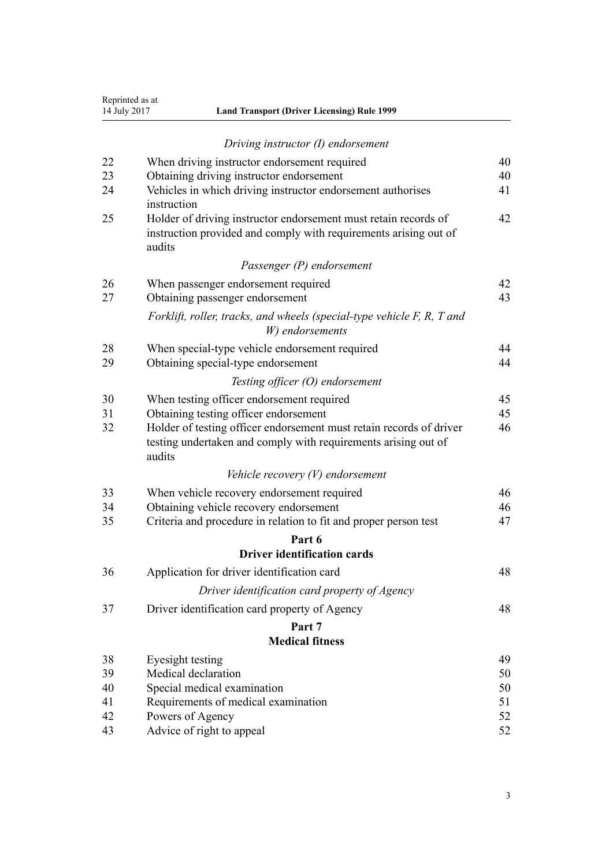| 14 July 2017 | Reprinted as at<br><b>Land Transport (Driver Licensing) Rule 1999</b>                                                                               |    |  |  |  |  |
|--------------|-----------------------------------------------------------------------------------------------------------------------------------------------------|----|--|--|--|--|
|              | Driving instructor (I) endorsement                                                                                                                  |    |  |  |  |  |
| 22           | When driving instructor endorsement required                                                                                                        | 40 |  |  |  |  |
| 23           | Obtaining driving instructor endorsement                                                                                                            | 40 |  |  |  |  |
| 24           | Vehicles in which driving instructor endorsement authorises<br>instruction                                                                          | 41 |  |  |  |  |
| 25           | Holder of driving instructor endorsement must retain records of<br>42<br>instruction provided and comply with requirements arising out of<br>audits |    |  |  |  |  |
|              | Passenger (P) endorsement                                                                                                                           |    |  |  |  |  |
| 26           | When passenger endorsement required                                                                                                                 | 42 |  |  |  |  |
| 27           | Obtaining passenger endorsement                                                                                                                     | 43 |  |  |  |  |
|              | Forklift, roller, tracks, and wheels (special-type vehicle F, R, T and<br>W) endorsements                                                           |    |  |  |  |  |
| 28           | When special-type vehicle endorsement required                                                                                                      | 44 |  |  |  |  |
| 29           | Obtaining special-type endorsement                                                                                                                  | 44 |  |  |  |  |
|              | Testing officer (O) endorsement                                                                                                                     |    |  |  |  |  |
| 30           | When testing officer endorsement required                                                                                                           | 45 |  |  |  |  |
| 31           | Obtaining testing officer endorsement                                                                                                               | 45 |  |  |  |  |
| 32           | Holder of testing officer endorsement must retain records of driver<br>testing undertaken and comply with requirements arising out of<br>audits     | 46 |  |  |  |  |
|              | Vehicle recovery $(V)$ endorsement                                                                                                                  |    |  |  |  |  |
| 33           | When vehicle recovery endorsement required                                                                                                          | 46 |  |  |  |  |
| 34           | Obtaining vehicle recovery endorsement                                                                                                              | 46 |  |  |  |  |
| 35           | Criteria and procedure in relation to fit and proper person test                                                                                    |    |  |  |  |  |
|              | Part 6                                                                                                                                              |    |  |  |  |  |
|              | <b>Driver identification cards</b>                                                                                                                  |    |  |  |  |  |
| 36           | Application for driver identification card                                                                                                          | 48 |  |  |  |  |
|              | Driver identification card property of Agency                                                                                                       |    |  |  |  |  |
| 37           | Driver identification card property of Agency                                                                                                       | 48 |  |  |  |  |
|              | Part 7                                                                                                                                              |    |  |  |  |  |
|              | <b>Medical fitness</b>                                                                                                                              |    |  |  |  |  |
| 38           | Eyesight testing                                                                                                                                    | 49 |  |  |  |  |
| 39           | Medical declaration                                                                                                                                 | 50 |  |  |  |  |
| 40           | Special medical examination                                                                                                                         | 50 |  |  |  |  |
| 41           | Requirements of medical examination                                                                                                                 | 51 |  |  |  |  |
| 42<br>43     | Powers of Agency                                                                                                                                    | 52 |  |  |  |  |
|              | Advice of right to appeal                                                                                                                           | 52 |  |  |  |  |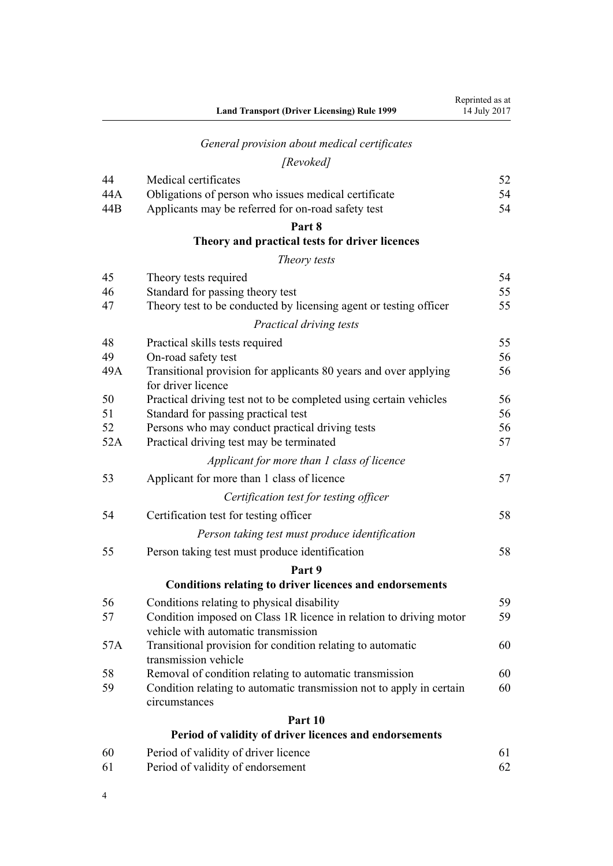|     | <b>Land Transport (Driver Licensing) Rule 1999</b>                                                        | Reprinted as at<br>14 July 2017 |
|-----|-----------------------------------------------------------------------------------------------------------|---------------------------------|
|     | General provision about medical certificates                                                              |                                 |
|     | [Revoked]                                                                                                 |                                 |
| 44  | Medical certificates                                                                                      | 52                              |
| 44A | Obligations of person who issues medical certificate                                                      | 54                              |
| 44B | Applicants may be referred for on-road safety test                                                        | 54                              |
|     | Part 8                                                                                                    |                                 |
|     | Theory and practical tests for driver licences                                                            |                                 |
|     | Theory tests                                                                                              |                                 |
| 45  | Theory tests required                                                                                     | 54                              |
| 46  | Standard for passing theory test                                                                          | 55                              |
| 47  | Theory test to be conducted by licensing agent or testing officer                                         | 55                              |
|     | Practical driving tests                                                                                   |                                 |
| 48  | Practical skills tests required                                                                           | 55                              |
| 49  | On-road safety test                                                                                       | 56                              |
| 49A | Transitional provision for applicants 80 years and over applying<br>for driver licence                    | 56                              |
| 50  | Practical driving test not to be completed using certain vehicles                                         | 56                              |
| 51  | Standard for passing practical test                                                                       | 56                              |
| 52  | Persons who may conduct practical driving tests                                                           | 56                              |
| 52A | Practical driving test may be terminated                                                                  | 57                              |
|     | Applicant for more than 1 class of licence                                                                |                                 |
| 53  | Applicant for more than 1 class of licence                                                                | 57                              |
|     | Certification test for testing officer                                                                    |                                 |
| 54  | Certification test for testing officer                                                                    | 58                              |
|     | Person taking test must produce identification                                                            |                                 |
| 55  | Person taking test must produce identification                                                            | 58                              |
|     | Part 9                                                                                                    |                                 |
|     | <b>Conditions relating to driver licences and endorsements</b>                                            |                                 |
| 56  | Conditions relating to physical disability                                                                | 59                              |
| 57  | Condition imposed on Class 1R licence in relation to driving motor<br>vehicle with automatic transmission | 59                              |
| 57A | Transitional provision for condition relating to automatic<br>transmission vehicle                        | 60                              |
| 58  | Removal of condition relating to automatic transmission                                                   | 60                              |
| 59  | Condition relating to automatic transmission not to apply in certain<br>circumstances                     | 60                              |
|     | Part 10                                                                                                   |                                 |
|     | Period of validity of driver licences and endorsements                                                    |                                 |
| 60  | Period of validity of driver licence                                                                      | 61                              |
| 61  | Period of validity of endorsement                                                                         | 62                              |

4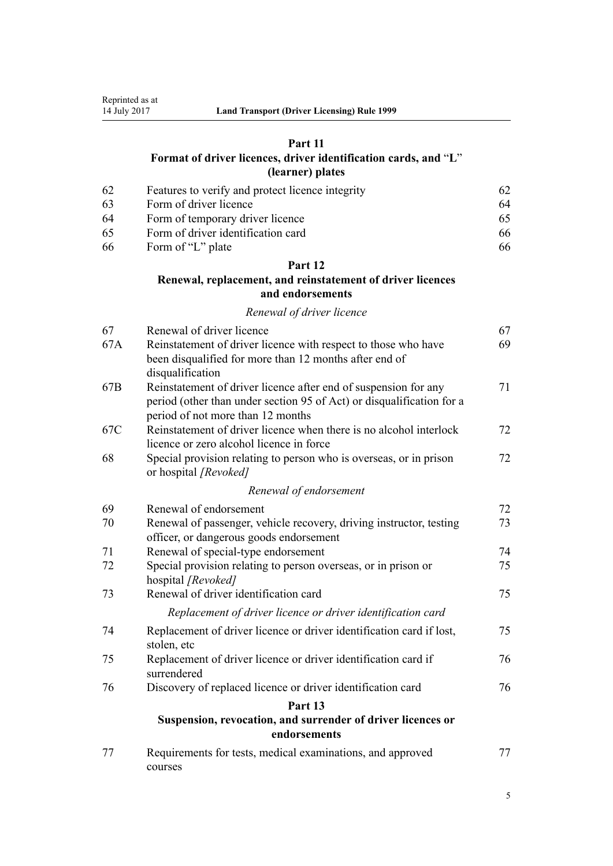# **[Part 11](#page-61-0)**

# **[Format of driver licences, driver identification cards, and](#page-61-0)** "**[L](#page-61-0)**" **[\(learner\) plates](#page-61-0)**

| -62 | Features to verify and protect licence integrity | 62  |
|-----|--------------------------------------------------|-----|
| -63 | Form of driver licence                           | 64  |
| -64 | Form of temporary driver licence                 | 65. |
| -65 | Form of driver identification card               | 66  |
| -66 | Form of "L" plate                                | 66  |

# **[Part 12](#page-66-0)**

# **[Renewal, replacement, and reinstatement of driver licences](#page-66-0) [and endorsements](#page-66-0)**

# *[Renewal of driver licence](#page-66-0)*

| 67              | Renewal of driver licence                                                                                                | 67 |
|-----------------|--------------------------------------------------------------------------------------------------------------------------|----|
| 67A             | Reinstatement of driver licence with respect to those who have<br>been disqualified for more than 12 months after end of | 69 |
|                 | disqualification                                                                                                         |    |
| 67 <sub>B</sub> | Reinstatement of driver licence after end of suspension for any                                                          | 71 |
|                 | period (other than under section 95 of Act) or disqualification for a<br>period of not more than 12 months               |    |
| 67C             | Reinstatement of driver licence when there is no alcohol interlock                                                       | 72 |
|                 | licence or zero alcohol licence in force                                                                                 |    |
| 68              | Special provision relating to person who is overseas, or in prison<br>or hospital [Revoked]                              | 72 |
|                 | Renewal of endorsement                                                                                                   |    |
| 69              | Renewal of endorsement                                                                                                   | 72 |
| 70              | Renewal of passenger, vehicle recovery, driving instructor, testing                                                      | 73 |
|                 | officer, or dangerous goods endorsement                                                                                  |    |
| 71              | Renewal of special-type endorsement                                                                                      | 74 |
| 72              | Special provision relating to person overseas, or in prison or<br>hospital [Revoked]                                     | 75 |
| 73              | Renewal of driver identification card                                                                                    | 75 |
|                 | Replacement of driver licence or driver identification card                                                              |    |
| 74              | Replacement of driver licence or driver identification card if lost,<br>stolen, etc                                      | 75 |
| 75              | Replacement of driver licence or driver identification card if<br>surrendered                                            | 76 |
| 76              | Discovery of replaced licence or driver identification card                                                              | 76 |
|                 | Part 13                                                                                                                  |    |
|                 | Suspension, revocation, and surrender of driver licences or<br>endorsements                                              |    |
| 77              | Requirements for tests, medical examinations, and approved<br>courses                                                    | 77 |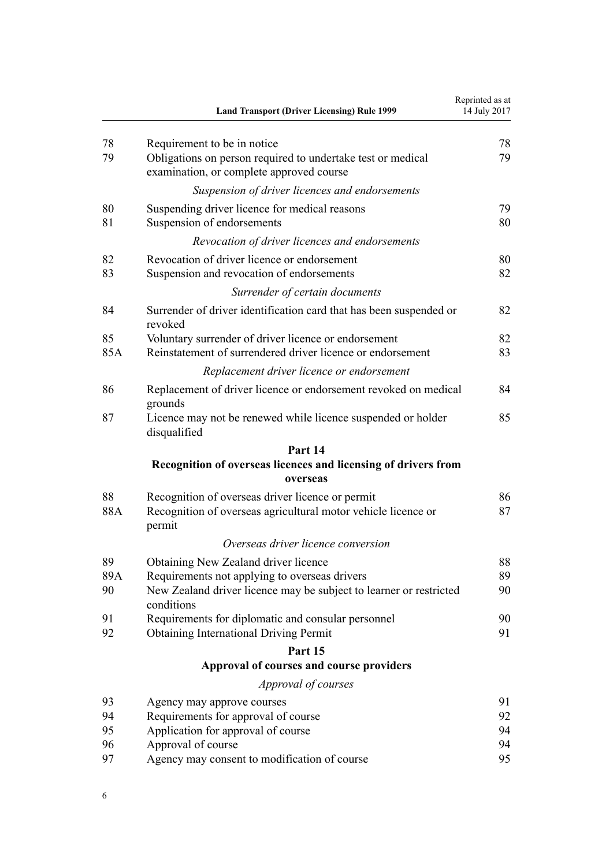|           | <b>Land Transport (Driver Licensing) Rule 1999</b>                                                                                     | Reprinted as at<br>14 July 2017 |
|-----------|----------------------------------------------------------------------------------------------------------------------------------------|---------------------------------|
| 78<br>79  | Requirement to be in notice<br>Obligations on person required to undertake test or medical<br>examination, or complete approved course | 78<br>79                        |
|           | Suspension of driver licences and endorsements                                                                                         |                                 |
| 80<br>81  | Suspending driver licence for medical reasons<br>Suspension of endorsements                                                            | 79<br>80                        |
|           | Revocation of driver licences and endorsements                                                                                         |                                 |
| 82<br>83  | Revocation of driver licence or endorsement<br>Suspension and revocation of endorsements                                               | 80<br>82                        |
|           | Surrender of certain documents                                                                                                         |                                 |
| 84        | Surrender of driver identification card that has been suspended or<br>revoked                                                          | 82                              |
| 85<br>85A | Voluntary surrender of driver licence or endorsement<br>Reinstatement of surrendered driver licence or endorsement                     | 82<br>83                        |
|           | Replacement driver licence or endorsement                                                                                              |                                 |
| 86        | Replacement of driver licence or endorsement revoked on medical<br>grounds                                                             | 84                              |
| 87        | Licence may not be renewed while licence suspended or holder<br>disqualified                                                           | 85                              |
|           | Part 14                                                                                                                                |                                 |
|           | Recognition of overseas licences and licensing of drivers from                                                                         |                                 |
|           | overseas                                                                                                                               |                                 |
| 88<br>88A | Recognition of overseas driver licence or permit<br>Recognition of overseas agricultural motor vehicle licence or<br>permit            | 86<br>87                        |
|           | Overseas driver licence conversion                                                                                                     |                                 |
| 89        | Obtaining New Zealand driver licence                                                                                                   | 88                              |
| 89A<br>90 | Requirements not applying to overseas drivers<br>New Zealand driver licence may be subject to learner or restricted<br>conditions      | 89<br>90                        |
| 91        | Requirements for diplomatic and consular personnel                                                                                     | 90                              |
| 92        | <b>Obtaining International Driving Permit</b>                                                                                          | 91                              |
|           | Part 15                                                                                                                                |                                 |
|           | Approval of courses and course providers                                                                                               |                                 |
|           | Approval of courses                                                                                                                    |                                 |
| 93        | Agency may approve courses                                                                                                             | 91                              |
| 94        | Requirements for approval of course                                                                                                    | 92                              |
| 95        | Application for approval of course                                                                                                     | 94                              |
| 96<br>97  | Approval of course<br>Agency may consent to modification of course                                                                     | 94<br>95                        |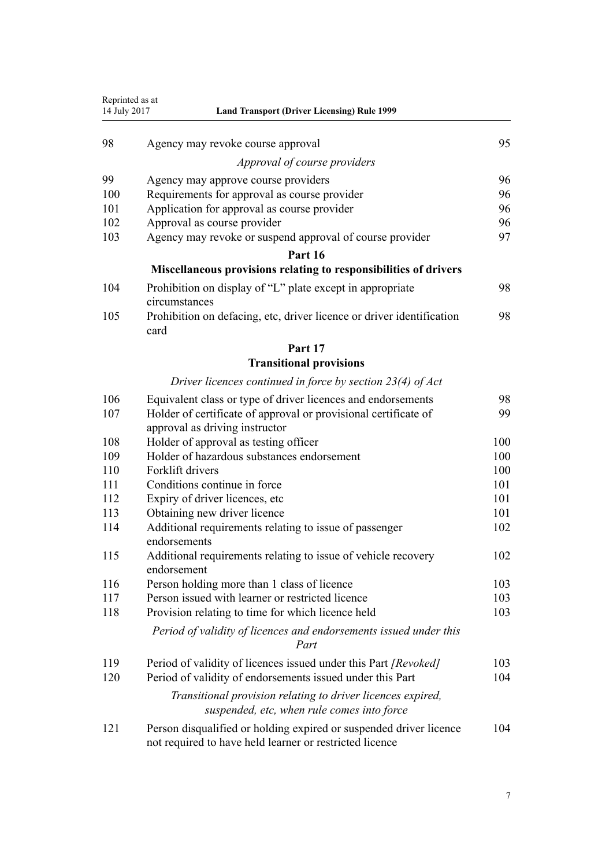| Reprinted as at<br>14 July 2017 | <b>Land Transport (Driver Licensing) Rule 1999</b>                                                                            |     |  |  |  |
|---------------------------------|-------------------------------------------------------------------------------------------------------------------------------|-----|--|--|--|
| 98                              | Agency may revoke course approval                                                                                             | 95  |  |  |  |
|                                 | Approval of course providers                                                                                                  |     |  |  |  |
| 99                              |                                                                                                                               | 96  |  |  |  |
| 100                             | Agency may approve course providers<br>Requirements for approval as course provider                                           | 96  |  |  |  |
| 101                             | Application for approval as course provider                                                                                   | 96  |  |  |  |
| 102                             | Approval as course provider                                                                                                   | 96  |  |  |  |
| 103                             | Agency may revoke or suspend approval of course provider                                                                      | 97  |  |  |  |
|                                 | Part 16                                                                                                                       |     |  |  |  |
|                                 | Miscellaneous provisions relating to responsibilities of drivers                                                              |     |  |  |  |
| 104                             | Prohibition on display of "L" plate except in appropriate<br>circumstances                                                    | 98  |  |  |  |
| 105                             | Prohibition on defacing, etc, driver licence or driver identification<br>card                                                 | 98  |  |  |  |
|                                 | Part 17                                                                                                                       |     |  |  |  |
|                                 | <b>Transitional provisions</b>                                                                                                |     |  |  |  |
|                                 | Driver licences continued in force by section $23(4)$ of Act                                                                  |     |  |  |  |
| 106                             | Equivalent class or type of driver licences and endorsements                                                                  | 98  |  |  |  |
| 107                             | Holder of certificate of approval or provisional certificate of<br>approval as driving instructor                             | 99  |  |  |  |
| 108                             | Holder of approval as testing officer                                                                                         | 100 |  |  |  |
| 109                             | Holder of hazardous substances endorsement<br>100                                                                             |     |  |  |  |
| 110                             | Forklift drivers                                                                                                              | 100 |  |  |  |
| 111                             | Conditions continue in force                                                                                                  | 101 |  |  |  |
| 112                             | Expiry of driver licences, etc                                                                                                | 101 |  |  |  |
| 113                             | Obtaining new driver licence                                                                                                  | 101 |  |  |  |
| 114                             | Additional requirements relating to issue of passenger<br>endorsements                                                        | 102 |  |  |  |
| 115                             | Additional requirements relating to issue of vehicle recovery<br>endorsement                                                  | 102 |  |  |  |
| 116                             | Person holding more than 1 class of licence                                                                                   | 103 |  |  |  |
| 117                             | Person issued with learner or restricted licence                                                                              | 103 |  |  |  |
| 118                             | Provision relating to time for which licence held                                                                             | 103 |  |  |  |
|                                 | Period of validity of licences and endorsements issued under this<br>Part                                                     |     |  |  |  |
| 119                             | Period of validity of licences issued under this Part [Revoked]                                                               | 103 |  |  |  |
| 120                             | Period of validity of endorsements issued under this Part                                                                     | 104 |  |  |  |
|                                 | Transitional provision relating to driver licences expired,<br>suspended, etc, when rule comes into force                     |     |  |  |  |
| 121                             | Person disqualified or holding expired or suspended driver licence<br>not required to have held learner or restricted licence | 104 |  |  |  |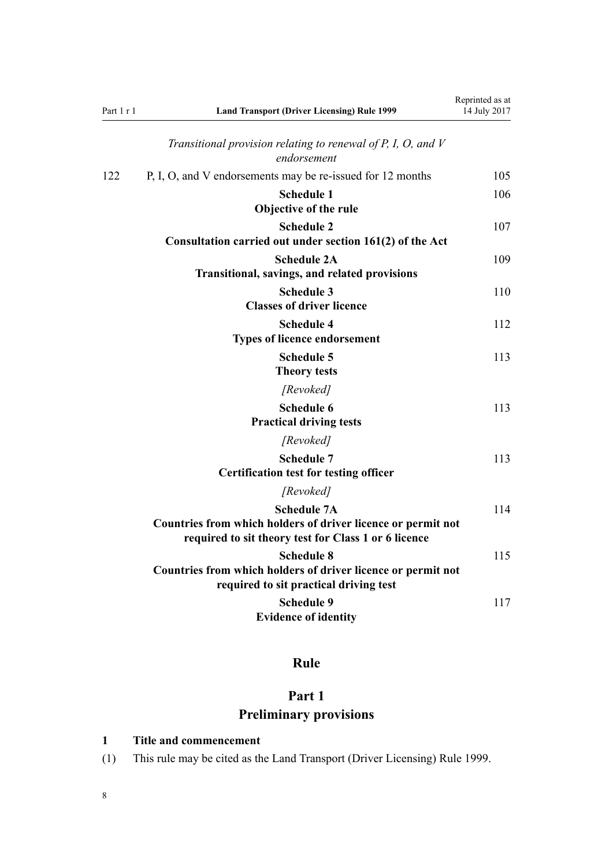<span id="page-7-0"></span>

| Part 1 r 1 | <b>Land Transport (Driver Licensing) Rule 1999</b>                                                                                         | Reprinted as at<br>14 July 2017 |
|------------|--------------------------------------------------------------------------------------------------------------------------------------------|---------------------------------|
|            | Transitional provision relating to renewal of $P$ , $I$ , $O$ , and $V$<br>endorsement                                                     |                                 |
| 122        | P, I, O, and V endorsements may be re-issued for 12 months                                                                                 | 105                             |
|            | <b>Schedule 1</b><br>Objective of the rule                                                                                                 | 106                             |
|            | <b>Schedule 2</b><br>Consultation carried out under section 161(2) of the Act                                                              | 107                             |
|            | <b>Schedule 2A</b><br><b>Transitional, savings, and related provisions</b>                                                                 | 109                             |
|            | <b>Schedule 3</b><br><b>Classes of driver licence</b>                                                                                      | 110                             |
|            | <b>Schedule 4</b><br><b>Types of licence endorsement</b>                                                                                   | 112                             |
|            | <b>Schedule 5</b><br><b>Theory tests</b>                                                                                                   | 113                             |
|            | [Revoked]                                                                                                                                  |                                 |
|            | <b>Schedule 6</b><br><b>Practical driving tests</b>                                                                                        | 113                             |
|            | [Revoked]                                                                                                                                  |                                 |
|            | <b>Schedule 7</b><br><b>Certification test for testing officer</b>                                                                         | 113                             |
|            | [Revoked]                                                                                                                                  |                                 |
|            | <b>Schedule 7A</b><br>Countries from which holders of driver licence or permit not<br>required to sit theory test for Class 1 or 6 licence | 114                             |
|            | <b>Schedule 8</b><br>Countries from which holders of driver licence or permit not<br>required to sit practical driving test                | 115                             |
|            | <b>Schedule 9</b><br><b>Evidence of identity</b>                                                                                           | 117                             |

# **Rule**

# **Part 1 Preliminary provisions**

# **1 Title and commencement**

(1) This rule may be cited as the Land Transport (Driver Licensing) Rule 1999.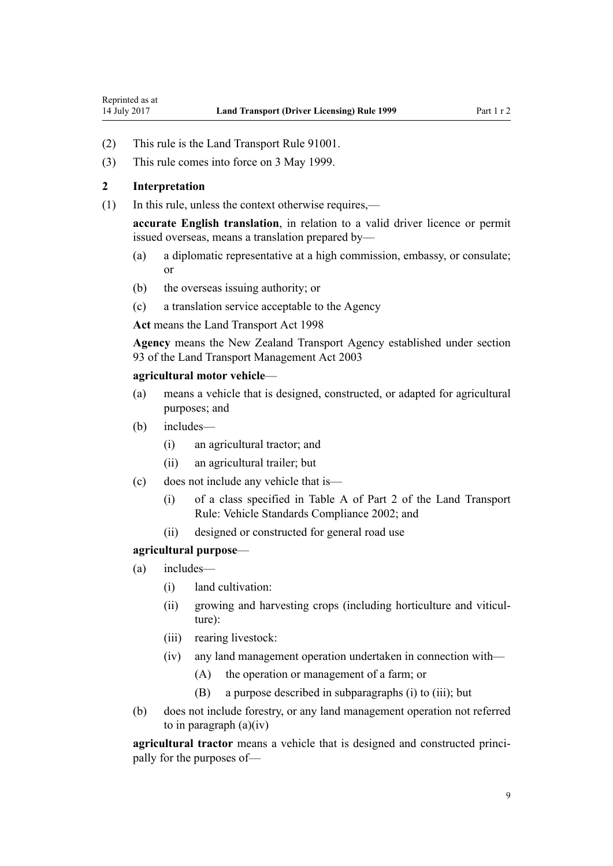- <span id="page-8-0"></span>(2) This rule is the Land Transport Rule 91001.
- (3) This rule comes into force on 3 May 1999.

# **2 Interpretation**

(1) In this rule, unless the context otherwise requires,—

**accurate English translation**, in relation to a valid driver licence or permit issued overseas, means a translation prepared by—

- (a) a diplomatic representative at a high commission, embassy, or consulate; or
- (b) the overseas issuing authority; or
- (c) a translation service acceptable to the Agency

**Act** means the [Land Transport Act 1998](http://prd-lgnz-nlb.prd.pco.net.nz/pdflink.aspx?id=DLM433612)

**Agency** means the New Zealand Transport Agency established under [section](http://prd-lgnz-nlb.prd.pco.net.nz/pdflink.aspx?id=DLM228044) [93](http://prd-lgnz-nlb.prd.pco.net.nz/pdflink.aspx?id=DLM228044) of the Land Transport Management Act 2003

#### **agricultural motor vehicle**—

- (a) means a vehicle that is designed, constructed, or adapted for agricultural purposes; and
- (b) includes—
	- (i) an agricultural tractor; and
	- (ii) an agricultural trailer; but
- (c) does not include any vehicle that is—
	- (i) of a class specified in Table A of Part 2 of the Land Transport Rule: Vehicle Standards Compliance 2002; and
	- (ii) designed or constructed for general road use

#### **agricultural purpose**—

- (a) includes—
	- (i) land cultivation:
	- (ii) growing and harvesting crops (including horticulture and viticulture):
	- (iii) rearing livestock:
	- (iv) any land management operation undertaken in connection with—
		- (A) the operation or management of a farm; or
		- (B) a purpose described in subparagraphs (i) to (iii); but
- (b) does not include forestry, or any land management operation not referred to in paragraph  $(a)(iv)$

**agricultural tractor** means a vehicle that is designed and constructed principally for the purposes of—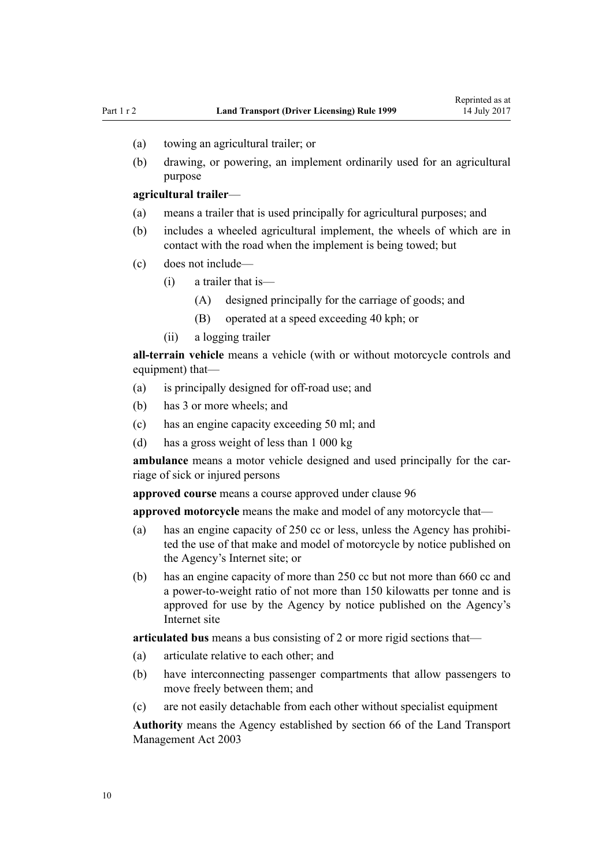- (a) towing an agricultural trailer; or
- (b) drawing, or powering, an implement ordinarily used for an agricultural purpose

#### **agricultural trailer**—

- (a) means a trailer that is used principally for agricultural purposes; and
- (b) includes a wheeled agricultural implement, the wheels of which are in contact with the road when the implement is being towed; but
- (c) does not include—
	- (i) a trailer that is—
		- (A) designed principally for the carriage of goods; and
		- (B) operated at a speed exceeding 40 kph; or
	- (ii) a logging trailer

**all-terrain vehicle** means a vehicle (with or without motorcycle controls and equipment) that—

- (a) is principally designed for off-road use; and
- (b) has 3 or more wheels; and
- (c) has an engine capacity exceeding 50 ml; and
- (d) has a gross weight of less than 1 000 kg

**ambulance** means a motor vehicle designed and used principally for the carriage of sick or injured persons

**approved course** means a course approved under [clause 96](#page-93-0)

**approved motorcycle** means the make and model of any motorcycle that—

- (a) has an engine capacity of 250 cc or less, unless the Agency has prohibited the use of that make and model of motorcycle by notice published on the Agency's Internet site; or
- (b) has an engine capacity of more than 250 cc but not more than 660 cc and a power-to-weight ratio of not more than 150 kilowatts per tonne and is approved for use by the Agency by notice published on the Agency's Internet site

**articulated bus** means a bus consisting of 2 or more rigid sections that—

- (a) articulate relative to each other; and
- (b) have interconnecting passenger compartments that allow passengers to move freely between them; and
- (c) are not easily detachable from each other without specialist equipment

**Authority** means the Agency established by [section 66](http://prd-lgnz-nlb.prd.pco.net.nz/pdflink.aspx?id=DLM227581) of the Land Transport Management Act 2003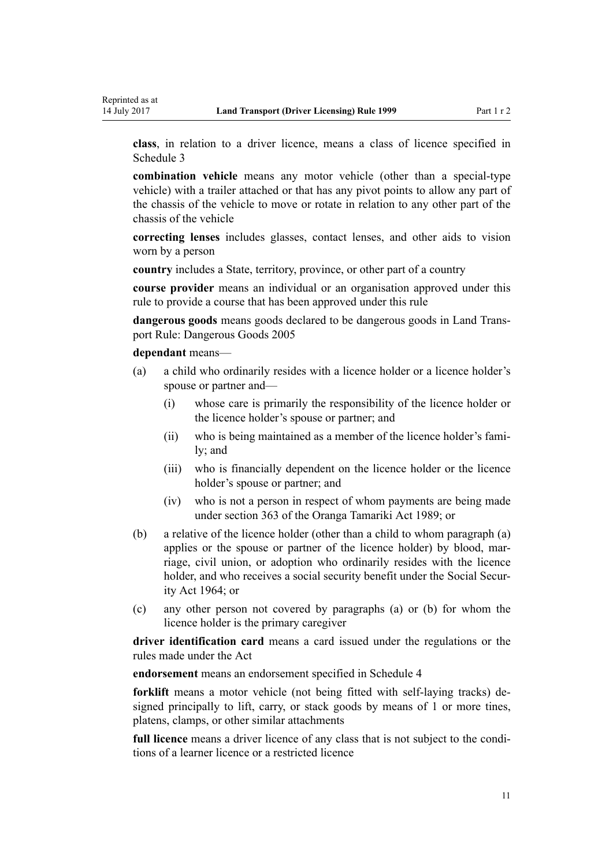**class**, in relation to a driver licence, means a class of licence specified in [Schedule 3](#page-109-0)

**combination vehicle** means any motor vehicle (other than a special-type vehicle) with a trailer attached or that has any pivot points to allow any part of the chassis of the vehicle to move or rotate in relation to any other part of the chassis of the vehicle

**correcting lenses** includes glasses, contact lenses, and other aids to vision worn by a person

**country** includes a State, territory, province, or other part of a country

**course provider** means an individual or an organisation approved under this rule to provide a course that has been approved under this rule

**dangerous goods** means goods declared to be dangerous goods in Land Transport Rule: Dangerous Goods 2005

**dependant** means—

- (a) a child who ordinarily resides with a licence holder or a licence holder's spouse or partner and—
	- (i) whose care is primarily the responsibility of the licence holder or the licence holder's spouse or partner; and
	- (ii) who is being maintained as a member of the licence holder's family; and
	- (iii) who is financially dependent on the licence holder or the licence holder's spouse or partner; and
	- (iv) who is not a person in respect of whom payments are being made under [section 363](http://prd-lgnz-nlb.prd.pco.net.nz/pdflink.aspx?id=DLM154316) of the Oranga Tamariki Act 1989; or
- (b) a relative of the licence holder (other than a child to whom paragraph (a) applies or the spouse or partner of the licence holder) by blood, marriage, civil union, or adoption who ordinarily resides with the licence holder, and who receives a social security benefit under the [Social Secur](http://prd-lgnz-nlb.prd.pco.net.nz/pdflink.aspx?id=DLM359106)[ity Act 1964;](http://prd-lgnz-nlb.prd.pco.net.nz/pdflink.aspx?id=DLM359106) or
- (c) any other person not covered by paragraphs (a) or (b) for whom the licence holder is the primary caregiver

**driver identification card** means a card issued under the regulations or the rules made under the Act

**endorsement** means an endorsement specified in [Schedule 4](#page-111-0)

**forklift** means a motor vehicle (not being fitted with self-laying tracks) designed principally to lift, carry, or stack goods by means of 1 or more tines, platens, clamps, or other similar attachments

**full licence** means a driver licence of any class that is not subject to the conditions of a learner licence or a restricted licence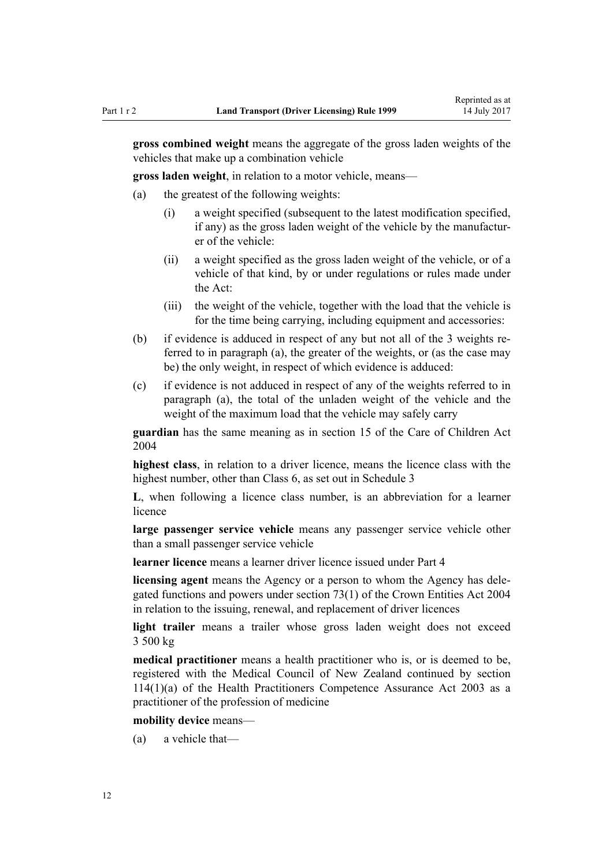**gross combined weight** means the aggregate of the gross laden weights of the vehicles that make up a combination vehicle

**gross laden weight**, in relation to a motor vehicle, means—

- (a) the greatest of the following weights:
	- (i) a weight specified (subsequent to the latest modification specified, if any) as the gross laden weight of the vehicle by the manufacturer of the vehicle:
	- (ii) a weight specified as the gross laden weight of the vehicle, or of a vehicle of that kind, by or under regulations or rules made under the Act:
	- (iii) the weight of the vehicle, together with the load that the vehicle is for the time being carrying, including equipment and accessories:
- (b) if evidence is adduced in respect of any but not all of the 3 weights referred to in paragraph (a), the greater of the weights, or (as the case may be) the only weight, in respect of which evidence is adduced:
- (c) if evidence is not adduced in respect of any of the weights referred to in paragraph (a), the total of the unladen weight of the vehicle and the weight of the maximum load that the vehicle may safely carry

**guardian** has the same meaning as in [section 15](http://prd-lgnz-nlb.prd.pco.net.nz/pdflink.aspx?id=DLM317411) of the Care of Children Act 2004

**highest class**, in relation to a driver licence, means the licence class with the highest number, other than Class 6, as set out in [Schedule 3](#page-109-0)

**L**, when following a licence class number, is an abbreviation for a learner licence

**large passenger service vehicle** means any passenger service vehicle other than a small passenger service vehicle

**learner licence** means a learner driver licence issued under [Part 4](#page-25-0)

**licensing agent** means the Agency or a person to whom the Agency has delegated functions and powers under [section 73\(1\)](http://prd-lgnz-nlb.prd.pco.net.nz/pdflink.aspx?id=DLM330308) of the Crown Entities Act 2004 in relation to the issuing, renewal, and replacement of driver licences

**light trailer** means a trailer whose gross laden weight does not exceed 3 500 kg

**medical practitioner** means a health practitioner who is, or is deemed to be, registered with the Medical Council of New Zealand continued by [section](http://prd-lgnz-nlb.prd.pco.net.nz/pdflink.aspx?id=DLM204329) [114\(1\)\(a\)](http://prd-lgnz-nlb.prd.pco.net.nz/pdflink.aspx?id=DLM204329) of the Health Practitioners Competence Assurance Act 2003 as a practitioner of the profession of medicine

#### **mobility device** means—

(a) a vehicle that—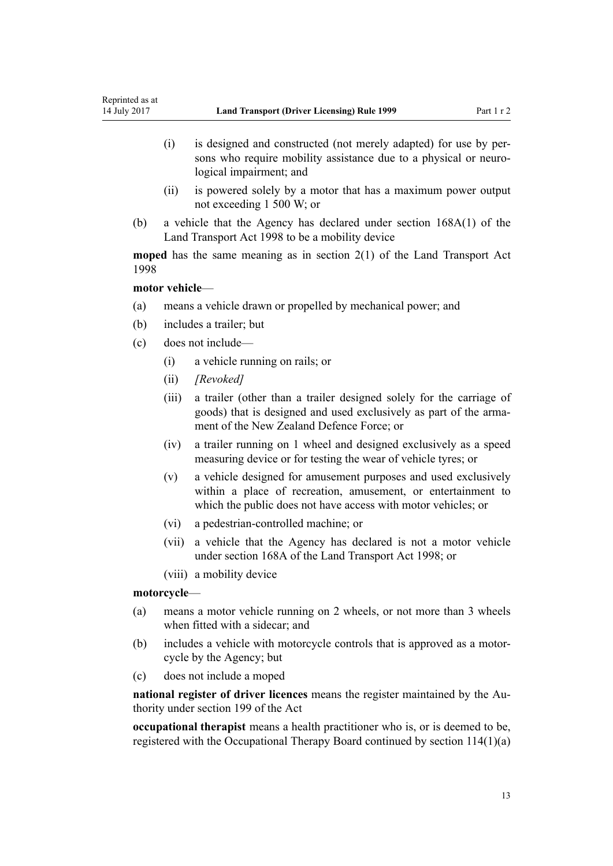- (i) is designed and constructed (not merely adapted) for use by persons who require mobility assistance due to a physical or neurological impairment; and
- (ii) is powered solely by a motor that has a maximum power output not exceeding 1 500 W; or
- (b) a vehicle that the Agency has declared under [section 168A\(1\)](http://prd-lgnz-nlb.prd.pco.net.nz/pdflink.aspx?id=DLM435415) of the Land Transport Act 1998 to be a mobility device

**moped** has the same meaning as in [section 2\(1\)](http://prd-lgnz-nlb.prd.pco.net.nz/pdflink.aspx?id=DLM433619) of the Land Transport Act 1998

# **motor vehicle**—

- (a) means a vehicle drawn or propelled by mechanical power; and
- (b) includes a trailer; but
- (c) does not include—
	- (i) a vehicle running on rails; or
	- (ii) *[Revoked]*
	- (iii) a trailer (other than a trailer designed solely for the carriage of goods) that is designed and used exclusively as part of the armament of the New Zealand Defence Force; or
	- (iv) a trailer running on 1 wheel and designed exclusively as a speed measuring device or for testing the wear of vehicle tyres; or
	- (v) a vehicle designed for amusement purposes and used exclusively within a place of recreation, amusement, or entertainment to which the public does not have access with motor vehicles; or
	- (vi) a pedestrian-controlled machine; or
	- (vii) a vehicle that the Agency has declared is not a motor vehicle under [section 168A](http://prd-lgnz-nlb.prd.pco.net.nz/pdflink.aspx?id=DLM435415) of the Land Transport Act 1998; or
	- (viii) a mobility device

# **motorcycle**—

- (a) means a motor vehicle running on 2 wheels, or not more than 3 wheels when fitted with a sidecar; and
- (b) includes a vehicle with motorcycle controls that is approved as a motorcycle by the Agency; but
- (c) does not include a moped

**national register of driver licences** means the register maintained by the Authority under [section 199](http://prd-lgnz-nlb.prd.pco.net.nz/pdflink.aspx?id=DLM435603) of the Act

**occupational therapist** means a health practitioner who is, or is deemed to be, registered with the Occupational Therapy Board continued by [section 114\(1\)\(a\)](http://prd-lgnz-nlb.prd.pco.net.nz/pdflink.aspx?id=DLM204329)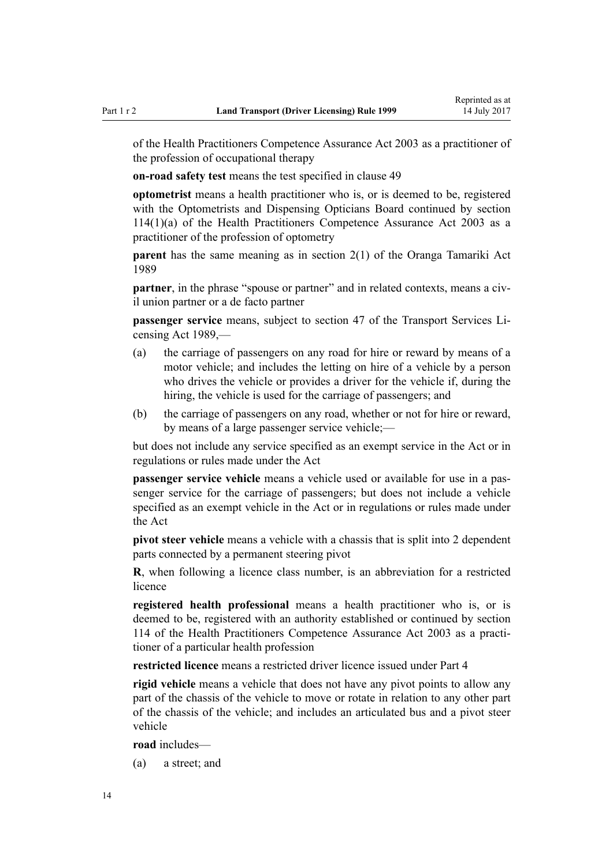of the Health Practitioners Competence Assurance Act 2003 as a practitioner of the profession of occupational therapy

**on-road safety test** means the test specified in [clause 49](#page-55-0)

**optometrist** means a health practitioner who is, or is deemed to be, registered with the Optometrists and Dispensing Opticians Board continued by [section](http://prd-lgnz-nlb.prd.pco.net.nz/pdflink.aspx?id=DLM204329) [114\(1\)\(a\)](http://prd-lgnz-nlb.prd.pco.net.nz/pdflink.aspx?id=DLM204329) of the Health Practitioners Competence Assurance Act 2003 as a practitioner of the profession of optometry

**parent** has the same meaning as in [section 2\(1\)](http://prd-lgnz-nlb.prd.pco.net.nz/pdflink.aspx?id=DLM147094) of the Oranga Tamariki Act 1989

**partner**, in the phrase "spouse or partner" and in related contexts, means a civil union partner or a de facto partner

**passenger service** means, subject to [section 47](http://prd-lgnz-nlb.prd.pco.net.nz/pdflink.aspx?id=DLM172644) of the Transport Services Licensing Act 1989,—

- (a) the carriage of passengers on any road for hire or reward by means of a motor vehicle; and includes the letting on hire of a vehicle by a person who drives the vehicle or provides a driver for the vehicle if, during the hiring, the vehicle is used for the carriage of passengers; and
- (b) the carriage of passengers on any road, whether or not for hire or reward, by means of a large passenger service vehicle;—

but does not include any service specified as an exempt service in the Act or in regulations or rules made under the Act

**passenger service vehicle** means a vehicle used or available for use in a passenger service for the carriage of passengers; but does not include a vehicle specified as an exempt vehicle in the Act or in regulations or rules made under the Act

**pivot steer vehicle** means a vehicle with a chassis that is split into 2 dependent parts connected by a permanent steering pivot

**R**, when following a licence class number, is an abbreviation for a restricted licence

**registered health professional** means a health practitioner who is, or is deemed to be, registered with an authority established or continued by [section](http://prd-lgnz-nlb.prd.pco.net.nz/pdflink.aspx?id=DLM204329) [114](http://prd-lgnz-nlb.prd.pco.net.nz/pdflink.aspx?id=DLM204329) of the Health Practitioners Competence Assurance Act 2003 as a practitioner of a particular health profession

**restricted licence** means a restricted driver licence issued under [Part 4](#page-25-0)

**rigid vehicle** means a vehicle that does not have any pivot points to allow any part of the chassis of the vehicle to move or rotate in relation to any other part of the chassis of the vehicle; and includes an articulated bus and a pivot steer vehicle

**road** includes—

(a) a street; and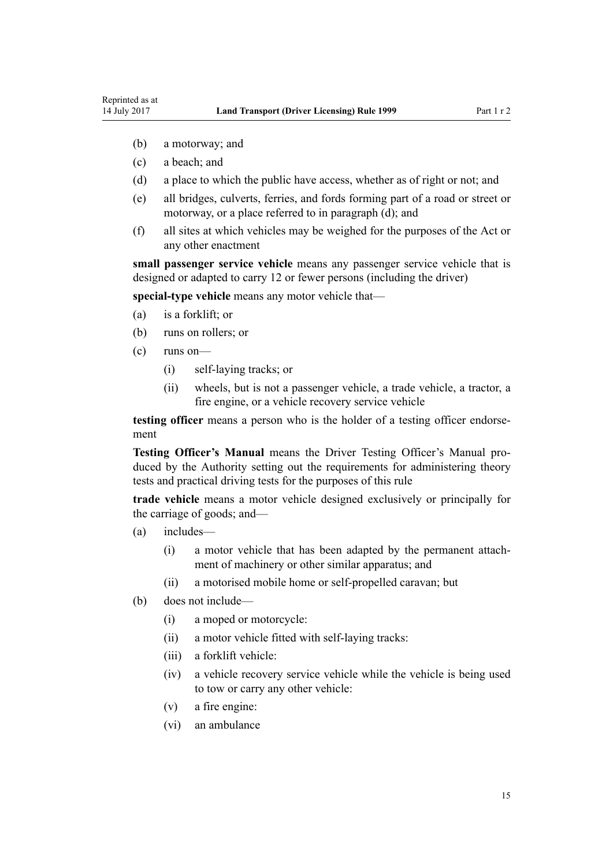- (b) a motorway; and
- (c) a beach; and
- (d) a place to which the public have access, whether as of right or not; and
- (e) all bridges, culverts, ferries, and fords forming part of a road or street or motorway, or a place referred to in paragraph (d); and
- (f) all sites at which vehicles may be weighed for the purposes of the Act or any other enactment

**small passenger service vehicle** means any passenger service vehicle that is designed or adapted to carry 12 or fewer persons (including the driver)

**special-type vehicle** means any motor vehicle that—

- (a) is a forklift; or
- (b) runs on rollers; or
- (c) runs on—
	- (i) self-laying tracks; or
	- (ii) wheels, but is not a passenger vehicle, a trade vehicle, a tractor, a fire engine, or a vehicle recovery service vehicle

**testing officer** means a person who is the holder of a testing officer endorsement

**Testing Officer's Manual** means the Driver Testing Officer's Manual produced by the Authority setting out the requirements for administering theory tests and practical driving tests for the purposes of this rule

**trade vehicle** means a motor vehicle designed exclusively or principally for the carriage of goods; and—

- (a) includes—
	- (i) a motor vehicle that has been adapted by the permanent attachment of machinery or other similar apparatus; and
	- (ii) a motorised mobile home or self-propelled caravan; but
- (b) does not include—
	- (i) a moped or motorcycle:
	- (ii) a motor vehicle fitted with self-laying tracks:
	- (iii) a forklift vehicle:
	- (iv) a vehicle recovery service vehicle while the vehicle is being used to tow or carry any other vehicle:
	- (v) a fire engine:
	- (vi) an ambulance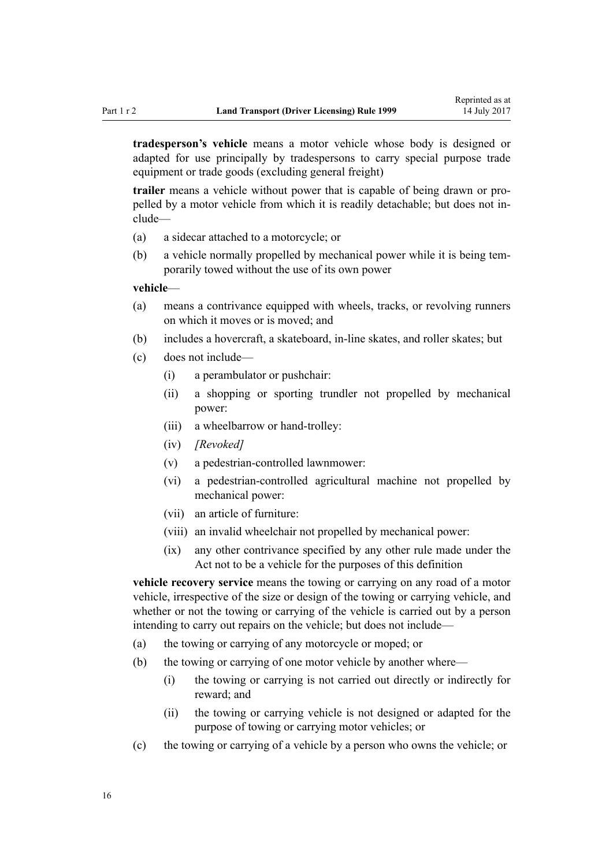**tradesperson's vehicle** means a motor vehicle whose body is designed or adapted for use principally by tradespersons to carry special purpose trade equipment or trade goods (excluding general freight)

**trailer** means a vehicle without power that is capable of being drawn or propelled by a motor vehicle from which it is readily detachable; but does not include—

- (a) a sidecar attached to a motorcycle; or
- (b) a vehicle normally propelled by mechanical power while it is being temporarily towed without the use of its own power

#### **vehicle**—

- (a) means a contrivance equipped with wheels, tracks, or revolving runners on which it moves or is moved; and
- (b) includes a hovercraft, a skateboard, in-line skates, and roller skates; but
- (c) does not include—
	- (i) a perambulator or pushchair:
	- (ii) a shopping or sporting trundler not propelled by mechanical power:
	- (iii) a wheelbarrow or hand-trolley:
	- (iv) *[Revoked]*
	- (v) a pedestrian-controlled lawnmower:
	- (vi) a pedestrian-controlled agricultural machine not propelled by mechanical power:
	- (vii) an article of furniture:
	- (viii) an invalid wheelchair not propelled by mechanical power:
	- (ix) any other contrivance specified by any other rule made under the Act not to be a vehicle for the purposes of this definition

**vehicle recovery service** means the towing or carrying on any road of a motor vehicle, irrespective of the size or design of the towing or carrying vehicle, and whether or not the towing or carrying of the vehicle is carried out by a person intending to carry out repairs on the vehicle; but does not include—

- (a) the towing or carrying of any motorcycle or moped; or
- (b) the towing or carrying of one motor vehicle by another where—
	- (i) the towing or carrying is not carried out directly or indirectly for reward; and
	- (ii) the towing or carrying vehicle is not designed or adapted for the purpose of towing or carrying motor vehicles; or
- (c) the towing or carrying of a vehicle by a person who owns the vehicle; or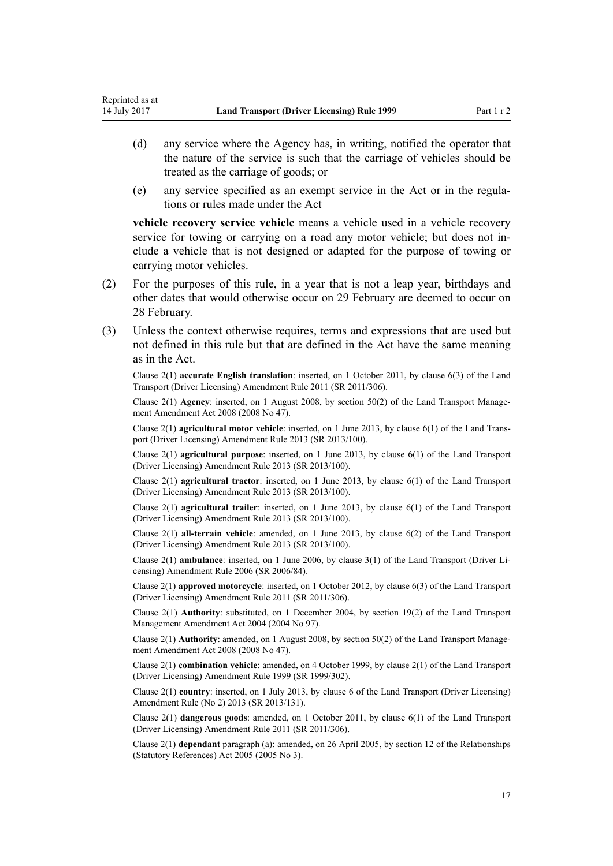- (d) any service where the Agency has, in writing, notified the operator that the nature of the service is such that the carriage of vehicles should be treated as the carriage of goods; or
- (e) any service specified as an exempt service in the Act or in the regulations or rules made under the Act

**vehicle recovery service vehicle** means a vehicle used in a vehicle recovery service for towing or carrying on a road any motor vehicle; but does not include a vehicle that is not designed or adapted for the purpose of towing or carrying motor vehicles.

- (2) For the purposes of this rule, in a year that is not a leap year, birthdays and other dates that would otherwise occur on 29 February are deemed to occur on 28 February.
- (3) Unless the context otherwise requires, terms and expressions that are used but not defined in this rule but that are defined in the Act have the same meaning as in the Act.

Clause 2(1) **accurate English translation**: inserted, on 1 October 2011, by [clause 6\(3\)](http://prd-lgnz-nlb.prd.pco.net.nz/pdflink.aspx?id=DLM3956501) of the Land Transport (Driver Licensing) Amendment Rule 2011 (SR 2011/306).

Clause 2(1) **Agency**: inserted, on 1 August 2008, by [section 50\(2\)](http://prd-lgnz-nlb.prd.pco.net.nz/pdflink.aspx?id=DLM1313622) of the Land Transport Management Amendment Act 2008 (2008 No 47).

Clause 2(1) **agricultural motor vehicle**: inserted, on 1 June 2013, by [clause 6\(1\)](http://prd-lgnz-nlb.prd.pco.net.nz/pdflink.aspx?id=DLM5102233) of the Land Transport (Driver Licensing) Amendment Rule 2013 (SR 2013/100).

Clause 2(1) **agricultural purpose**: inserted, on 1 June 2013, by [clause 6\(1\)](http://prd-lgnz-nlb.prd.pco.net.nz/pdflink.aspx?id=DLM5102233) of the Land Transport (Driver Licensing) Amendment Rule 2013 (SR 2013/100).

Clause 2(1) **agricultural tractor**: inserted, on 1 June 2013, by [clause 6\(1\)](http://prd-lgnz-nlb.prd.pco.net.nz/pdflink.aspx?id=DLM5102233) of the Land Transport (Driver Licensing) Amendment Rule 2013 (SR 2013/100).

Clause 2(1) **agricultural trailer**: inserted, on 1 June 2013, by [clause 6\(1\)](http://prd-lgnz-nlb.prd.pco.net.nz/pdflink.aspx?id=DLM5102233) of the Land Transport (Driver Licensing) Amendment Rule 2013 (SR 2013/100).

Clause 2(1) **all-terrain vehicle**: amended, on 1 June 2013, by [clause 6\(2\)](http://prd-lgnz-nlb.prd.pco.net.nz/pdflink.aspx?id=DLM5102233) of the Land Transport (Driver Licensing) Amendment Rule 2013 (SR 2013/100).

Clause 2(1) **ambulance**: inserted, on 1 June 2006, by [clause 3\(1\)](http://prd-lgnz-nlb.prd.pco.net.nz/pdflink.aspx?id=DLM375678) of the Land Transport (Driver Licensing) Amendment Rule 2006 (SR 2006/84).

Clause 2(1) **approved motorcycle**: inserted, on 1 October 2012, by [clause 6\(3\)](http://prd-lgnz-nlb.prd.pco.net.nz/pdflink.aspx?id=DLM3956501) of the Land Transport (Driver Licensing) Amendment Rule 2011 (SR 2011/306).

Clause 2(1) **Authority**: substituted, on 1 December 2004, by [section 19\(2\)](http://prd-lgnz-nlb.prd.pco.net.nz/pdflink.aspx?id=DLM321838) of the Land Transport Management Amendment Act 2004 (2004 No 97).

Clause 2(1) **Authority**: amended, on 1 August 2008, by [section 50\(2\)](http://prd-lgnz-nlb.prd.pco.net.nz/pdflink.aspx?id=DLM1313622) of the Land Transport Management Amendment Act 2008 (2008 No 47).

Clause 2(1) **combination vehicle**: amended, on 4 October 1999, by [clause 2\(1\)](http://prd-lgnz-nlb.prd.pco.net.nz/pdflink.aspx?id=DLM293670) of the Land Transport (Driver Licensing) Amendment Rule 1999 (SR 1999/302).

Clause 2(1) **country**: inserted, on 1 July 2013, by [clause 6](http://prd-lgnz-nlb.prd.pco.net.nz/pdflink.aspx?id=DLM5159809) of the Land Transport (Driver Licensing) Amendment Rule (No 2) 2013 (SR 2013/131).

Clause 2(1) **dangerous goods**: amended, on 1 October 2011, by [clause 6\(1\)](http://prd-lgnz-nlb.prd.pco.net.nz/pdflink.aspx?id=DLM3956501) of the Land Transport (Driver Licensing) Amendment Rule 2011 (SR 2011/306).

Clause 2(1) **dependant** paragraph (a): amended, on 26 April 2005, by [section 12](http://prd-lgnz-nlb.prd.pco.net.nz/pdflink.aspx?id=DLM334004) of the Relationships (Statutory References) Act 2005 (2005 No 3).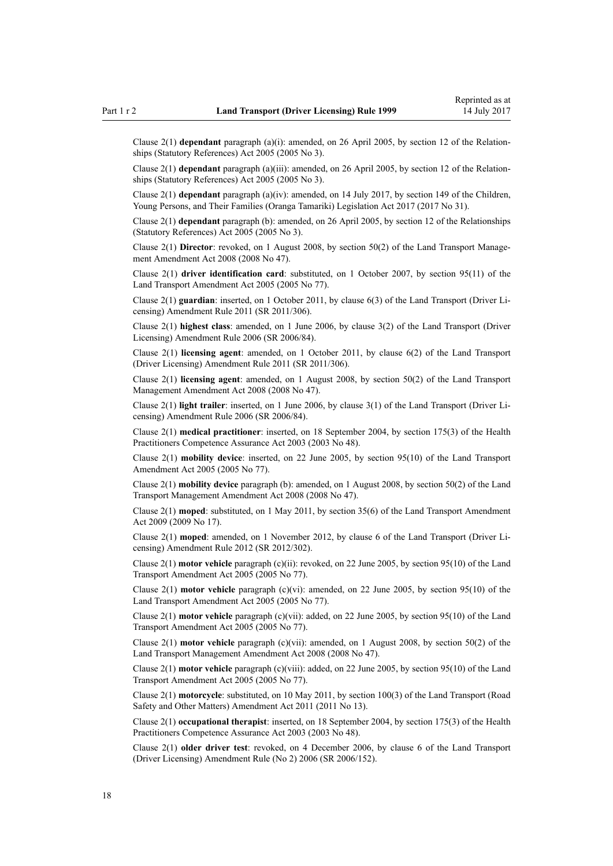Clause 2(1) **dependant** paragraph (a)(i): amended, on 26 April 2005, by [section 12](http://prd-lgnz-nlb.prd.pco.net.nz/pdflink.aspx?id=DLM334004) of the Relationships (Statutory References) Act 2005 (2005 No 3).

Clause 2(1) **dependant** paragraph (a)(iii): amended, on 26 April 2005, by [section 12](http://prd-lgnz-nlb.prd.pco.net.nz/pdflink.aspx?id=DLM334004) of the Relationships (Statutory References) Act 2005 (2005 No 3).

Clause 2(1) **dependant** paragraph (a)(iv): amended, on 14 July 2017, by [section 149](http://prd-lgnz-nlb.prd.pco.net.nz/pdflink.aspx?id=DLM7287401) of the Children, Young Persons, and Their Families (Oranga Tamariki) Legislation Act 2017 (2017 No 31).

Clause 2(1) **dependant** paragraph (b): amended, on 26 April 2005, by [section 12](http://prd-lgnz-nlb.prd.pco.net.nz/pdflink.aspx?id=DLM334004) of the Relationships (Statutory References) Act 2005 (2005 No 3).

Clause 2(1) **Director**: revoked, on 1 August 2008, by [section 50\(2\)](http://prd-lgnz-nlb.prd.pco.net.nz/pdflink.aspx?id=DLM1313622) of the Land Transport Management Amendment Act 2008 (2008 No 47).

Clause 2(1) **driver identification card**: substituted, on 1 October 2007, by [section 95\(11\)](http://prd-lgnz-nlb.prd.pco.net.nz/pdflink.aspx?id=DLM353501) of the Land Transport Amendment Act 2005 (2005 No 77).

Clause 2(1) **guardian**: inserted, on 1 October 2011, by [clause 6\(3\)](http://prd-lgnz-nlb.prd.pco.net.nz/pdflink.aspx?id=DLM3956501) of the Land Transport (Driver Licensing) Amendment Rule 2011 (SR 2011/306).

Clause 2(1) **highest class**: amended, on 1 June 2006, by [clause 3\(2\)](http://prd-lgnz-nlb.prd.pco.net.nz/pdflink.aspx?id=DLM375678) of the Land Transport (Driver Licensing) Amendment Rule 2006 (SR 2006/84).

Clause 2(1) **licensing agent**: amended, on 1 October 2011, by [clause 6\(2\)](http://prd-lgnz-nlb.prd.pco.net.nz/pdflink.aspx?id=DLM3956501) of the Land Transport (Driver Licensing) Amendment Rule 2011 (SR 2011/306).

Clause 2(1) **licensing agent**: amended, on 1 August 2008, by [section 50\(2\)](http://prd-lgnz-nlb.prd.pco.net.nz/pdflink.aspx?id=DLM1313622) of the Land Transport Management Amendment Act 2008 (2008 No 47).

Clause 2(1) **light trailer**: inserted, on 1 June 2006, by [clause 3\(1\)](http://prd-lgnz-nlb.prd.pco.net.nz/pdflink.aspx?id=DLM375678) of the Land Transport (Driver Licensing) Amendment Rule 2006 (SR 2006/84).

Clause 2(1) **medical practitioner**: inserted, on 18 September 2004, by [section 175\(3\)](http://prd-lgnz-nlb.prd.pco.net.nz/pdflink.aspx?id=DLM205009) of the Health Practitioners Competence Assurance Act 2003 (2003 No 48).

Clause 2(1) **mobility device**: inserted, on 22 June 2005, by [section 95\(10\)](http://prd-lgnz-nlb.prd.pco.net.nz/pdflink.aspx?id=DLM353501) of the Land Transport Amendment Act 2005 (2005 No 77).

Clause 2(1) **mobility device** paragraph (b): amended, on 1 August 2008, by [section 50\(2\)](http://prd-lgnz-nlb.prd.pco.net.nz/pdflink.aspx?id=DLM1313622) of the Land Transport Management Amendment Act 2008 (2008 No 47).

Clause 2(1) **moped**: substituted, on 1 May 2011, by [section 35\(6\)](http://prd-lgnz-nlb.prd.pco.net.nz/pdflink.aspx?id=DLM2015063) of the Land Transport Amendment Act 2009 (2009 No 17).

Clause 2(1) **moped**: amended, on 1 November 2012, by [clause 6](http://prd-lgnz-nlb.prd.pco.net.nz/pdflink.aspx?id=DLM4773435) of the Land Transport (Driver Licensing) Amendment Rule 2012 (SR 2012/302).

Clause 2(1) **motor vehicle** paragraph (c)(ii): revoked, on 22 June 2005, by [section 95\(10\)](http://prd-lgnz-nlb.prd.pco.net.nz/pdflink.aspx?id=DLM353501) of the Land Transport Amendment Act 2005 (2005 No 77).

Clause 2(1) **motor vehicle** paragraph (c)(vi): amended, on 22 June 2005, by [section 95\(10\)](http://prd-lgnz-nlb.prd.pco.net.nz/pdflink.aspx?id=DLM353501) of the Land Transport Amendment Act 2005 (2005 No 77).

Clause 2(1) **motor vehicle** paragraph (c)(vii): added, on 22 June 2005, by [section 95\(10\)](http://prd-lgnz-nlb.prd.pco.net.nz/pdflink.aspx?id=DLM353501) of the Land Transport Amendment Act 2005 (2005 No 77).

Clause 2(1) **motor vehicle** paragraph (c)(vii): amended, on 1 August 2008, by [section 50\(2\)](http://prd-lgnz-nlb.prd.pco.net.nz/pdflink.aspx?id=DLM1313622) of the Land Transport Management Amendment Act 2008 (2008 No 47).

Clause 2(1) **motor vehicle** paragraph (c)(viii): added, on 22 June 2005, by [section 95\(10\)](http://prd-lgnz-nlb.prd.pco.net.nz/pdflink.aspx?id=DLM353501) of the Land Transport Amendment Act 2005 (2005 No 77).

Clause 2(1) **motorcycle**: substituted, on 10 May 2011, by [section 100\(3\)](http://prd-lgnz-nlb.prd.pco.net.nz/pdflink.aspx?id=DLM3231293) of the Land Transport (Road Safety and Other Matters) Amendment Act 2011 (2011 No 13).

Clause 2(1) **occupational therapist**: inserted, on 18 September 2004, by [section 175\(3\)](http://prd-lgnz-nlb.prd.pco.net.nz/pdflink.aspx?id=DLM205009) of the Health Practitioners Competence Assurance Act 2003 (2003 No 48).

Clause 2(1) **older driver test**: revoked, on 4 December 2006, by [clause 6](http://prd-lgnz-nlb.prd.pco.net.nz/pdflink.aspx?id=DLM386141) of the Land Transport (Driver Licensing) Amendment Rule (No 2) 2006 (SR 2006/152).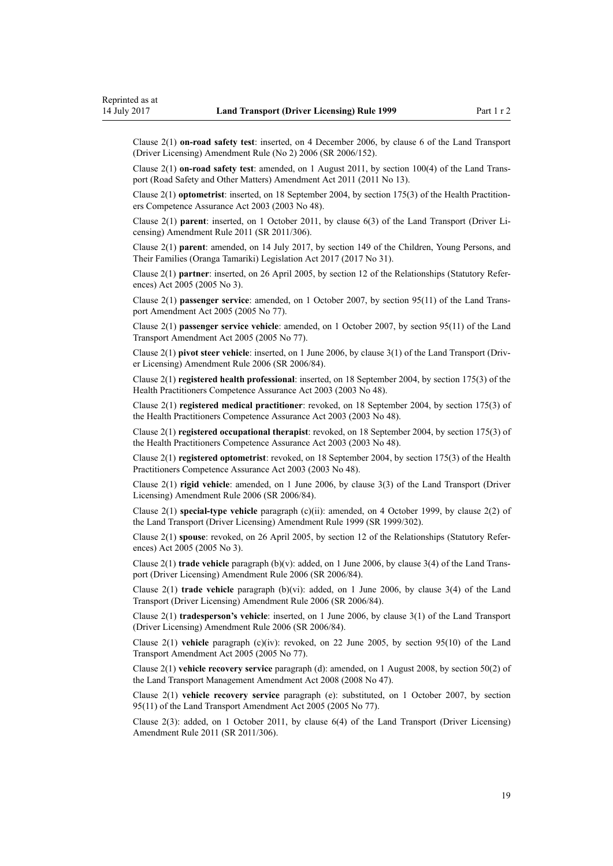Clause 2(1) **on-road safety test**: inserted, on 4 December 2006, by [clause 6](http://prd-lgnz-nlb.prd.pco.net.nz/pdflink.aspx?id=DLM386141) of the Land Transport (Driver Licensing) Amendment Rule (No 2) 2006 (SR 2006/152).

Clause 2(1) **on-road safety test**: amended, on 1 August 2011, by [section 100\(4\)](http://prd-lgnz-nlb.prd.pco.net.nz/pdflink.aspx?id=DLM3231293) of the Land Transport (Road Safety and Other Matters) Amendment Act 2011 (2011 No 13).

Clause 2(1) **optometrist**: inserted, on 18 September 2004, by [section 175\(3\)](http://prd-lgnz-nlb.prd.pco.net.nz/pdflink.aspx?id=DLM205009) of the Health Practitioners Competence Assurance Act 2003 (2003 No 48).

Clause 2(1) **parent**: inserted, on 1 October 2011, by [clause 6\(3\)](http://prd-lgnz-nlb.prd.pco.net.nz/pdflink.aspx?id=DLM3956501) of the Land Transport (Driver Licensing) Amendment Rule 2011 (SR 2011/306).

Clause 2(1) **parent**: amended, on 14 July 2017, by [section 149](http://prd-lgnz-nlb.prd.pco.net.nz/pdflink.aspx?id=DLM7287401) of the Children, Young Persons, and Their Families (Oranga Tamariki) Legislation Act 2017 (2017 No 31).

Clause 2(1) **partner**: inserted, on 26 April 2005, by [section 12](http://prd-lgnz-nlb.prd.pco.net.nz/pdflink.aspx?id=DLM334004) of the Relationships (Statutory References) Act 2005 (2005 No 3).

Clause 2(1) **passenger service**: amended, on 1 October 2007, by [section 95\(11\)](http://prd-lgnz-nlb.prd.pco.net.nz/pdflink.aspx?id=DLM353501) of the Land Transport Amendment Act 2005 (2005 No 77).

Clause 2(1) **passenger service vehicle**: amended, on 1 October 2007, by [section 95\(11\)](http://prd-lgnz-nlb.prd.pco.net.nz/pdflink.aspx?id=DLM353501) of the Land Transport Amendment Act 2005 (2005 No 77).

Clause 2(1) **pivot steer vehicle**: inserted, on 1 June 2006, by [clause 3\(1\)](http://prd-lgnz-nlb.prd.pco.net.nz/pdflink.aspx?id=DLM375678) of the Land Transport (Driver Licensing) Amendment Rule 2006 (SR 2006/84).

Clause 2(1) **registered health professional**: inserted, on 18 September 2004, by [section 175\(3\)](http://prd-lgnz-nlb.prd.pco.net.nz/pdflink.aspx?id=DLM205009) of the Health Practitioners Competence Assurance Act 2003 (2003 No 48).

Clause 2(1) **registered medical practitioner**: revoked, on 18 September 2004, by [section 175\(3\)](http://prd-lgnz-nlb.prd.pco.net.nz/pdflink.aspx?id=DLM205009) of the Health Practitioners Competence Assurance Act 2003 (2003 No 48).

Clause 2(1) **registered occupational therapist**: revoked, on 18 September 2004, by [section 175\(3\)](http://prd-lgnz-nlb.prd.pco.net.nz/pdflink.aspx?id=DLM205009) of the Health Practitioners Competence Assurance Act 2003 (2003 No 48).

Clause 2(1) **registered optometrist**: revoked, on 18 September 2004, by [section 175\(3\)](http://prd-lgnz-nlb.prd.pco.net.nz/pdflink.aspx?id=DLM205009) of the Health Practitioners Competence Assurance Act 2003 (2003 No 48).

Clause 2(1) **rigid vehicle**: amended, on 1 June 2006, by [clause 3\(3\)](http://prd-lgnz-nlb.prd.pco.net.nz/pdflink.aspx?id=DLM375678) of the Land Transport (Driver Licensing) Amendment Rule 2006 (SR 2006/84).

Clause 2(1) **special-type vehicle** paragraph (c)(ii): amended, on 4 October 1999, by [clause 2\(2\)](http://prd-lgnz-nlb.prd.pco.net.nz/pdflink.aspx?id=DLM293670) of the Land Transport (Driver Licensing) Amendment Rule 1999 (SR 1999/302).

Clause 2(1) **spouse**: revoked, on 26 April 2005, by [section 12](http://prd-lgnz-nlb.prd.pco.net.nz/pdflink.aspx?id=DLM334004) of the Relationships (Statutory References) Act 2005 (2005 No 3).

Clause 2(1) **trade vehicle** paragraph (b)(v): added, on 1 June 2006, by [clause 3\(4\)](http://prd-lgnz-nlb.prd.pco.net.nz/pdflink.aspx?id=DLM375678) of the Land Transport (Driver Licensing) Amendment Rule 2006 (SR 2006/84).

Clause 2(1) **trade vehicle** paragraph (b)(vi): added, on 1 June 2006, by [clause 3\(4\)](http://prd-lgnz-nlb.prd.pco.net.nz/pdflink.aspx?id=DLM375678) of the Land Transport (Driver Licensing) Amendment Rule 2006 (SR 2006/84).

Clause 2(1) **tradesperson's vehicle**: inserted, on 1 June 2006, by [clause 3\(1\)](http://prd-lgnz-nlb.prd.pco.net.nz/pdflink.aspx?id=DLM375678) of the Land Transport (Driver Licensing) Amendment Rule 2006 (SR 2006/84).

Clause 2(1) **vehicle** paragraph (c)(iv): revoked, on 22 June 2005, by [section 95\(10\)](http://prd-lgnz-nlb.prd.pco.net.nz/pdflink.aspx?id=DLM353501) of the Land Transport Amendment Act 2005 (2005 No 77).

Clause 2(1) **vehicle recovery service** paragraph (d): amended, on 1 August 2008, by [section 50\(2\)](http://prd-lgnz-nlb.prd.pco.net.nz/pdflink.aspx?id=DLM1313622) of the Land Transport Management Amendment Act 2008 (2008 No 47).

Clause 2(1) **vehicle recovery service** paragraph (e): substituted, on 1 October 2007, by [section](http://prd-lgnz-nlb.prd.pco.net.nz/pdflink.aspx?id=DLM353501) [95\(11\)](http://prd-lgnz-nlb.prd.pco.net.nz/pdflink.aspx?id=DLM353501) of the Land Transport Amendment Act 2005 (2005 No 77).

Clause 2(3): added, on 1 October 2011, by [clause 6\(4\)](http://prd-lgnz-nlb.prd.pco.net.nz/pdflink.aspx?id=DLM3956501) of the Land Transport (Driver Licensing) Amendment Rule 2011 (SR 2011/306).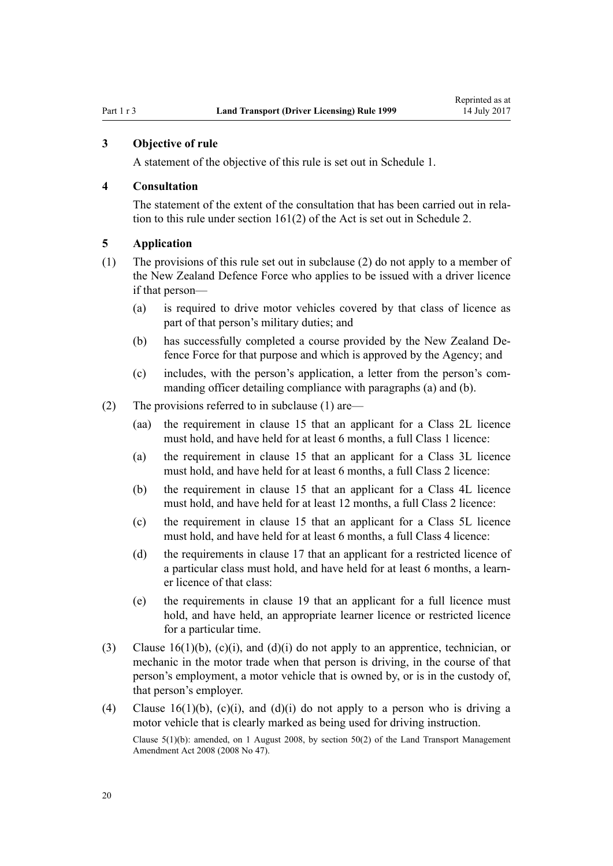# <span id="page-19-0"></span>**3 Objective of rule**

A statement of the objective of this rule is set out in [Schedule 1.](#page-105-0)

# **4 Consultation**

The statement of the extent of the consultation that has been carried out in relation to this rule under [section 161\(2\)](http://prd-lgnz-nlb.prd.pco.net.nz/pdflink.aspx?id=DLM435195) of the Act is set out in [Schedule 2](#page-106-0).

# **5 Application**

- (1) The provisions of this rule set out in subclause (2) do not apply to a member of the New Zealand Defence Force who applies to be issued with a driver licence if that person—
	- (a) is required to drive motor vehicles covered by that class of licence as part of that person's military duties; and
	- (b) has successfully completed a course provided by the New Zealand Defence Force for that purpose and which is approved by the Agency; and
	- (c) includes, with the person's application, a letter from the person's commanding officer detailing compliance with paragraphs (a) and (b).
- (2) The provisions referred to in subclause (1) are—
	- (aa) the requirement in [clause 15](#page-25-0) that an applicant for a Class 2L licence must hold, and have held for at least 6 months, a full Class 1 licence:
	- (a) the requirement in [clause 15](#page-25-0) that an applicant for a Class 3L licence must hold, and have held for at least 6 months, a full Class 2 licence:
	- (b) the requirement in [clause 15](#page-25-0) that an applicant for a Class 4L licence must hold, and have held for at least 12 months, a full Class 2 licence:
	- (c) the requirement in [clause 15](#page-25-0) that an applicant for a Class 5L licence must hold, and have held for at least 6 months, a full Class 4 licence:
	- (d) the requirements in [clause 17](#page-28-0) that an applicant for a restricted licence of a particular class must hold, and have held for at least 6 months, a learner licence of that class:
	- (e) the requirements in [clause 19](#page-30-0) that an applicant for a full licence must hold, and have held, an appropriate learner licence or restricted licence for a particular time.
- (3) [Clause 16\(1\)\(b\), \(c\)\(i\), and \(d\)\(i\)](#page-26-0) do not apply to an apprentice, technician, or mechanic in the motor trade when that person is driving, in the course of that person's employment, a motor vehicle that is owned by, or is in the custody of, that person's employer.
- (4) [Clause 16\(1\)\(b\), \(c\)\(i\), and \(d\)\(i\)](#page-26-0) do not apply to a person who is driving a motor vehicle that is clearly marked as being used for driving instruction.

Clause 5(1)(b): amended, on 1 August 2008, by [section 50\(2\)](http://prd-lgnz-nlb.prd.pco.net.nz/pdflink.aspx?id=DLM1313622) of the Land Transport Management Amendment Act 2008 (2008 No 47).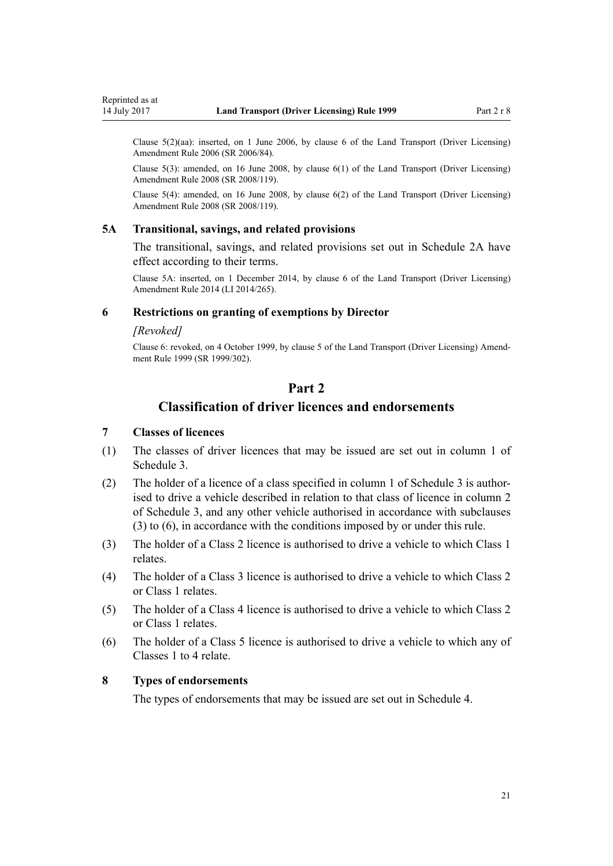<span id="page-20-0"></span>Clause 5(2)(aa): inserted, on 1 June 2006, by [clause 6](http://prd-lgnz-nlb.prd.pco.net.nz/pdflink.aspx?id=DLM375691) of the Land Transport (Driver Licensing) Amendment Rule 2006 (SR 2006/84).

Clause 5(3): amended, on 16 June 2008, by [clause 6\(1\)](http://prd-lgnz-nlb.prd.pco.net.nz/pdflink.aspx?id=DLM1317909) of the Land Transport (Driver Licensing) Amendment Rule 2008 (SR 2008/119).

Clause 5(4): amended, on 16 June 2008, by [clause 6\(2\)](http://prd-lgnz-nlb.prd.pco.net.nz/pdflink.aspx?id=DLM1317909) of the Land Transport (Driver Licensing) Amendment Rule 2008 (SR 2008/119).

#### **5A Transitional, savings, and related provisions**

The transitional, savings, and related provisions set out in [Schedule 2A](#page-108-0) have effect according to their terms.

Clause 5A: inserted, on 1 December 2014, by [clause 6](http://prd-lgnz-nlb.prd.pco.net.nz/pdflink.aspx?id=DLM6216910) of the Land Transport (Driver Licensing) Amendment Rule 2014 (LI 2014/265).

# **6 Restrictions on granting of exemptions by Director**

# *[Revoked]*

Clause 6: revoked, on 4 October 1999, by [clause 5](http://prd-lgnz-nlb.prd.pco.net.nz/pdflink.aspx?id=DLM293673) of the Land Transport (Driver Licensing) Amendment Rule 1999 (SR 1999/302).

# **Part 2**

# **Classification of driver licences and endorsements**

## **7 Classes of licences**

- (1) The classes of driver licences that may be issued are set out in column 1 of [Schedule 3.](#page-109-0)
- (2) The holder of a licence of a class specified in column 1 of [Schedule 3](#page-109-0) is authorised to drive a vehicle described in relation to that class of licence in column 2 of Schedule 3, and any other vehicle authorised in accordance with subclauses (3) to (6), in accordance with the conditions imposed by or under this rule.
- (3) The holder of a Class 2 licence is authorised to drive a vehicle to which Class 1 relates.
- (4) The holder of a Class 3 licence is authorised to drive a vehicle to which Class 2 or Class 1 relates.
- (5) The holder of a Class 4 licence is authorised to drive a vehicle to which Class 2 or Class 1 relates.
- (6) The holder of a Class 5 licence is authorised to drive a vehicle to which any of Classes 1 to 4 relate.

# **8 Types of endorsements**

The types of endorsements that may be issued are set out in [Schedule 4.](#page-111-0)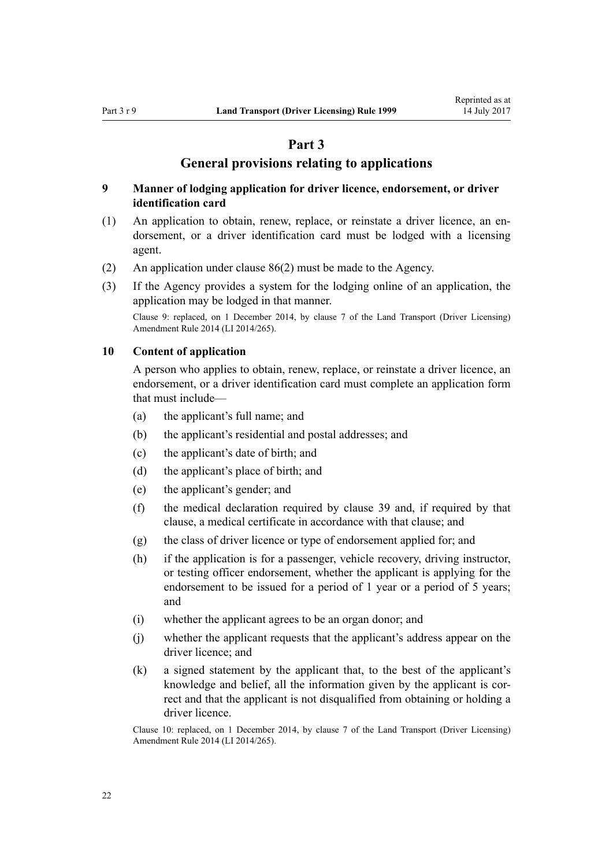# **Part 3**

# **General provisions relating to applications**

# <span id="page-21-0"></span>**9 Manner of lodging application for driver licence, endorsement, or driver identification card**

- (1) An application to obtain, renew, replace, or reinstate a driver licence, an endorsement, or a driver identification card must be lodged with a licensing agent.
- (2) An application under [clause 86\(2\)](#page-83-0) must be made to the Agency.
- (3) If the Agency provides a system for the lodging online of an application, the application may be lodged in that manner.

Clause 9: replaced, on 1 December 2014, by [clause 7](http://prd-lgnz-nlb.prd.pco.net.nz/pdflink.aspx?id=DLM6216912) of the Land Transport (Driver Licensing) Amendment Rule 2014 (LI 2014/265).

#### **10 Content of application**

A person who applies to obtain, renew, replace, or reinstate a driver licence, an endorsement, or a driver identification card must complete an application form that must include—

- (a) the applicant's full name; and
- (b) the applicant's residential and postal addresses; and
- (c) the applicant's date of birth; and
- (d) the applicant's place of birth; and
- (e) the applicant's gender; and
- (f) the medical declaration required by [clause 39](#page-49-0) and, if required by that clause, a medical certificate in accordance with that clause; and
- (g) the class of driver licence or type of endorsement applied for; and
- (h) if the application is for a passenger, vehicle recovery, driving instructor, or testing officer endorsement, whether the applicant is applying for the endorsement to be issued for a period of 1 year or a period of 5 years; and
- (i) whether the applicant agrees to be an organ donor; and
- (j) whether the applicant requests that the applicant's address appear on the driver licence; and
- (k) a signed statement by the applicant that, to the best of the applicant's knowledge and belief, all the information given by the applicant is correct and that the applicant is not disqualified from obtaining or holding a driver licence.

Clause 10: replaced, on 1 December 2014, by [clause 7](http://prd-lgnz-nlb.prd.pco.net.nz/pdflink.aspx?id=DLM6216912) of the Land Transport (Driver Licensing) Amendment Rule 2014 (LI 2014/265).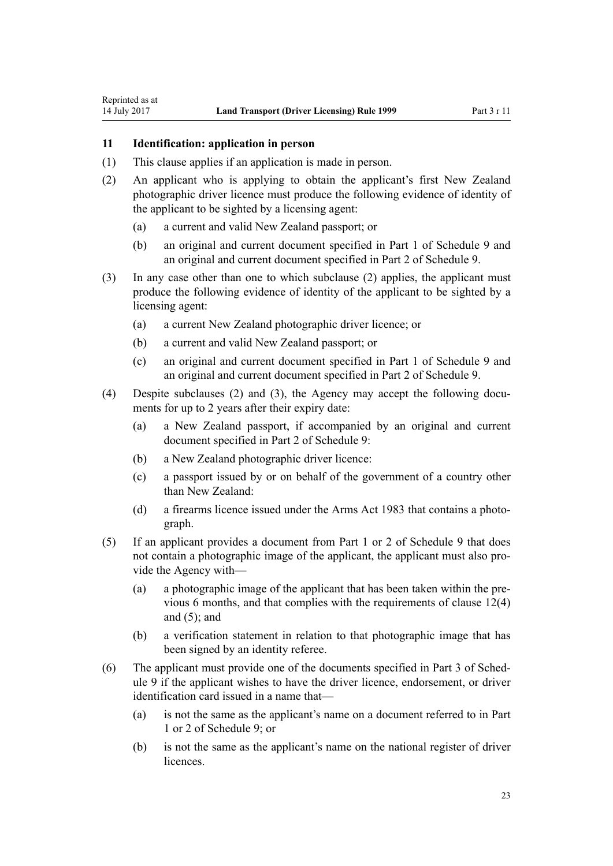## **11 Identification: application in person**

<span id="page-22-0"></span>Reprinted as at

- (1) This clause applies if an application is made in person.
- (2) An applicant who is applying to obtain the applicant's first New Zealand photographic driver licence must produce the following evidence of identity of the applicant to be sighted by a licensing agent:
	- (a) a current and valid New Zealand passport; or
	- (b) an original and current document specified in [Part 1](#page-116-0) of Schedule 9 and an original and current document specified in [Part 2](#page-116-0) of Schedule 9.
- (3) In any case other than one to which subclause (2) applies, the applicant must produce the following evidence of identity of the applicant to be sighted by a licensing agent:
	- (a) a current New Zealand photographic driver licence; or
	- (b) a current and valid New Zealand passport; or
	- (c) an original and current document specified in [Part 1](#page-116-0) of Schedule 9 and an original and current document specified in [Part 2](#page-116-0) of Schedule 9.
- (4) Despite subclauses (2) and (3), the Agency may accept the following documents for up to 2 years after their expiry date:
	- (a) a New Zealand passport, if accompanied by an original and current document specified in [Part 2](#page-116-0) of Schedule 9:
	- (b) a New Zealand photographic driver licence:
	- (c) a passport issued by or on behalf of the government of a country other than New Zealand:
	- (d) a firearms licence issued under the [Arms Act 1983](http://prd-lgnz-nlb.prd.pco.net.nz/pdflink.aspx?id=DLM72621) that contains a photograph.
- (5) If an applicant provides a document from [Part 1](#page-116-0) or [2](#page-116-0) of Schedule 9 that does not contain a photographic image of the applicant, the applicant must also provide the Agency with—
	- (a) a photographic image of the applicant that has been taken within the previous 6 months, and that complies with the requirements of [clause 12\(4\)](#page-23-0) and  $(5)$ ; and
	- (b) a verification statement in relation to that photographic image that has been signed by an identity referee.
- (6) The applicant must provide one of the documents specified in [Part 3](#page-117-0) of Schedule 9 if the applicant wishes to have the driver licence, endorsement, or driver identification card issued in a name that—
	- (a) is not the same as the applicant's name on a document referred to in [Part](#page-116-0) [1](#page-116-0) or [2](#page-116-0) of Schedule 9; or
	- (b) is not the same as the applicant's name on the national register of driver licences.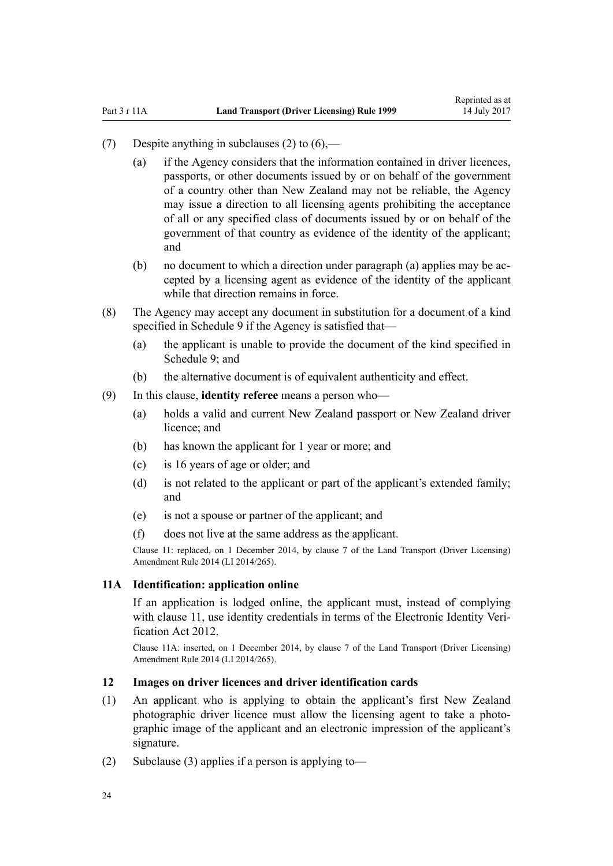- <span id="page-23-0"></span>(7) Despite anything in subclauses (2) to  $(6)$ —
	- (a) if the Agency considers that the information contained in driver licences, passports, or other documents issued by or on behalf of the government of a country other than New Zealand may not be reliable, the Agency may issue a direction to all licensing agents prohibiting the acceptance of all or any specified class of documents issued by or on behalf of the government of that country as evidence of the identity of the applicant; and
	- (b) no document to which a direction under paragraph (a) applies may be accepted by a licensing agent as evidence of the identity of the applicant while that direction remains in force.
- (8) The Agency may accept any document in substitution for a document of a kind specified in [Schedule 9](#page-116-0) if the Agency is satisfied that—
	- (a) the applicant is unable to provide the document of the kind specified in Schedule 9: and
	- (b) the alternative document is of equivalent authenticity and effect.
- (9) In this clause, **identity referee** means a person who—
	- (a) holds a valid and current New Zealand passport or New Zealand driver licence; and
	- (b) has known the applicant for 1 year or more; and
	- (c) is 16 years of age or older; and
	- (d) is not related to the applicant or part of the applicant's extended family; and
	- (e) is not a spouse or partner of the applicant; and
	- (f) does not live at the same address as the applicant.

Clause 11: replaced, on 1 December 2014, by [clause 7](http://prd-lgnz-nlb.prd.pco.net.nz/pdflink.aspx?id=DLM6216912) of the Land Transport (Driver Licensing) Amendment Rule 2014 (LI 2014/265).

# **11A Identification: application online**

If an application is lodged online, the applicant must, instead of complying with [clause 11](#page-22-0), use identity credentials in terms of the [Electronic Identity Veri](http://prd-lgnz-nlb.prd.pco.net.nz/pdflink.aspx?id=DLM1777800)[fication Act 2012.](http://prd-lgnz-nlb.prd.pco.net.nz/pdflink.aspx?id=DLM1777800)

Clause 11A: inserted, on 1 December 2014, by [clause 7](http://prd-lgnz-nlb.prd.pco.net.nz/pdflink.aspx?id=DLM6216912) of the Land Transport (Driver Licensing) Amendment Rule 2014 (LI 2014/265).

## **12 Images on driver licences and driver identification cards**

- (1) An applicant who is applying to obtain the applicant's first New Zealand photographic driver licence must allow the licensing agent to take a photographic image of the applicant and an electronic impression of the applicant's signature.
- (2) Subclause (3) applies if a person is applying to-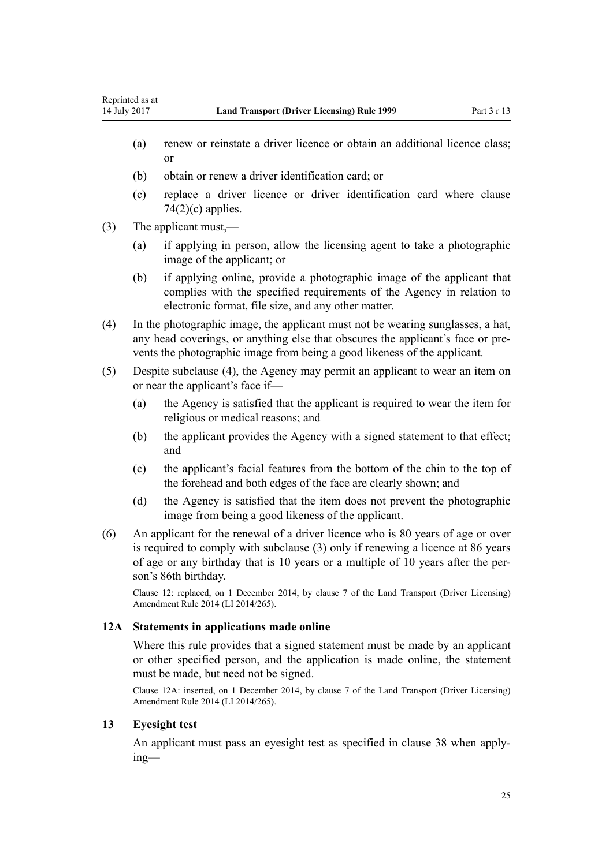- <span id="page-24-0"></span>(a) renew or reinstate a driver licence or obtain an additional licence class; or
- (b) obtain or renew a driver identification card; or
- (c) replace a driver licence or driver identification card where [clause](#page-74-0)  $74(2)(c)$  applies.
- (3) The applicant must,—
	- (a) if applying in person, allow the licensing agent to take a photographic image of the applicant; or
	- (b) if applying online, provide a photographic image of the applicant that complies with the specified requirements of the Agency in relation to electronic format, file size, and any other matter.
- (4) In the photographic image, the applicant must not be wearing sunglasses, a hat, any head coverings, or anything else that obscures the applicant's face or prevents the photographic image from being a good likeness of the applicant.
- (5) Despite subclause (4), the Agency may permit an applicant to wear an item on or near the applicant's face if—
	- (a) the Agency is satisfied that the applicant is required to wear the item for religious or medical reasons; and
	- (b) the applicant provides the Agency with a signed statement to that effect; and
	- (c) the applicant's facial features from the bottom of the chin to the top of the forehead and both edges of the face are clearly shown; and
	- (d) the Agency is satisfied that the item does not prevent the photographic image from being a good likeness of the applicant.
- (6) An applicant for the renewal of a driver licence who is 80 years of age or over is required to comply with subclause (3) only if renewing a licence at 86 years of age or any birthday that is 10 years or a multiple of 10 years after the person's 86th birthday.

Clause 12: replaced, on 1 December 2014, by [clause 7](http://prd-lgnz-nlb.prd.pco.net.nz/pdflink.aspx?id=DLM6216912) of the Land Transport (Driver Licensing) Amendment Rule 2014 (LI 2014/265).

# **12A Statements in applications made online**

Where this rule provides that a signed statement must be made by an applicant or other specified person, and the application is made online, the statement must be made, but need not be signed.

Clause 12A: inserted, on 1 December 2014, by [clause 7](http://prd-lgnz-nlb.prd.pco.net.nz/pdflink.aspx?id=DLM6216912) of the Land Transport (Driver Licensing) Amendment Rule 2014 (LI 2014/265).

# **13 Eyesight test**

An applicant must pass an eyesight test as specified in [clause 38](#page-48-0) when applying—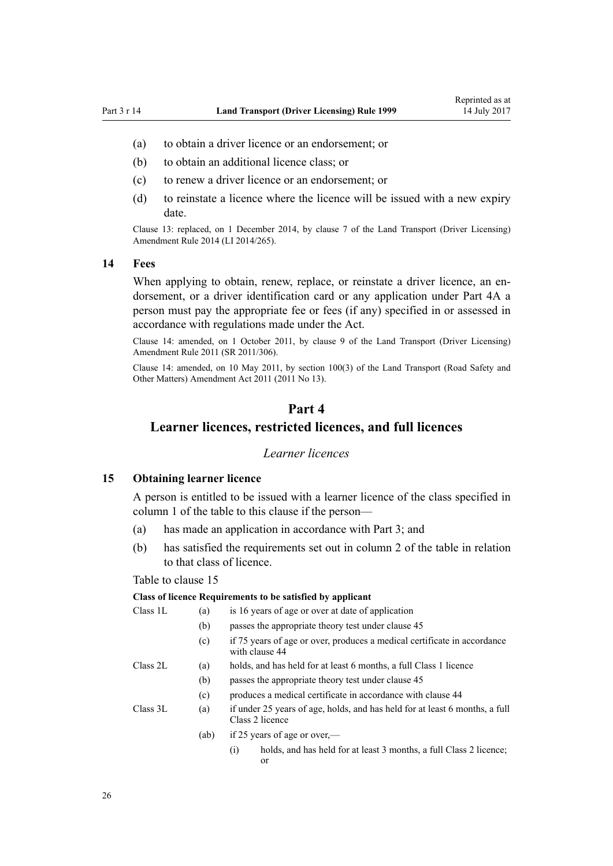- <span id="page-25-0"></span>(a) to obtain a driver licence or an endorsement; or
- (b) to obtain an additional licence class; or
- (c) to renew a driver licence or an endorsement; or
- (d) to reinstate a licence where the licence will be issued with a new expiry date.

Clause 13: replaced, on 1 December 2014, by [clause 7](http://prd-lgnz-nlb.prd.pco.net.nz/pdflink.aspx?id=DLM6216912) of the Land Transport (Driver Licensing) Amendment Rule 2014 (LI 2014/265).

#### **14 Fees**

When applying to obtain, renew, replace, or reinstate a driver licence, an endorsement, or a driver identification card or any application under [Part 4A](#page-33-0) a person must pay the appropriate fee or fees (if any) specified in or assessed in accordance with regulations made under the Act.

Clause 14: amended, on 1 October 2011, by [clause 9](http://prd-lgnz-nlb.prd.pco.net.nz/pdflink.aspx?id=DLM3956593) of the Land Transport (Driver Licensing) Amendment Rule 2011 (SR 2011/306).

Clause 14: amended, on 10 May 2011, by [section 100\(3\)](http://prd-lgnz-nlb.prd.pco.net.nz/pdflink.aspx?id=DLM3231293) of the Land Transport (Road Safety and Other Matters) Amendment Act 2011 (2011 No 13).

# **Part 4**

# **Learner licences, restricted licences, and full licences**

#### *Learner licences*

#### **15 Obtaining learner licence**

A person is entitled to be issued with a learner licence of the class specified in column 1 of the table to this clause if the person—

- (a) has made an application in accordance with [Part 3;](#page-21-0) and
- (b) has satisfied the requirements set out in column 2 of the table in relation to that class of licence.

#### Table to clause 15

#### **Class of licence Requirements to be satisfied by applicant**

| Class 1L | (a)  | is 16 years of age or over at date of application                                              |  |  |
|----------|------|------------------------------------------------------------------------------------------------|--|--|
|          | (b)  | passes the appropriate theory test under clause 45                                             |  |  |
|          | (c)  | if 75 years of age or over, produces a medical certificate in accordance<br>with clause 44     |  |  |
| Class 2L | (a)  | holds, and has held for at least 6 months, a full Class 1 licence                              |  |  |
|          | (b)  | passes the appropriate theory test under clause 45                                             |  |  |
|          | (c)  | produces a medical certificate in accordance with clause 44                                    |  |  |
| Class 3L | (a)  | if under 25 years of age, holds, and has held for at least 6 months, a full<br>Class 2 licence |  |  |
|          | (ab) | if 25 years of age or over,—                                                                   |  |  |
|          |      | holds, and has held for at least 3 months, a full Class 2 licence;<br>$\left( 1\right)$<br>or  |  |  |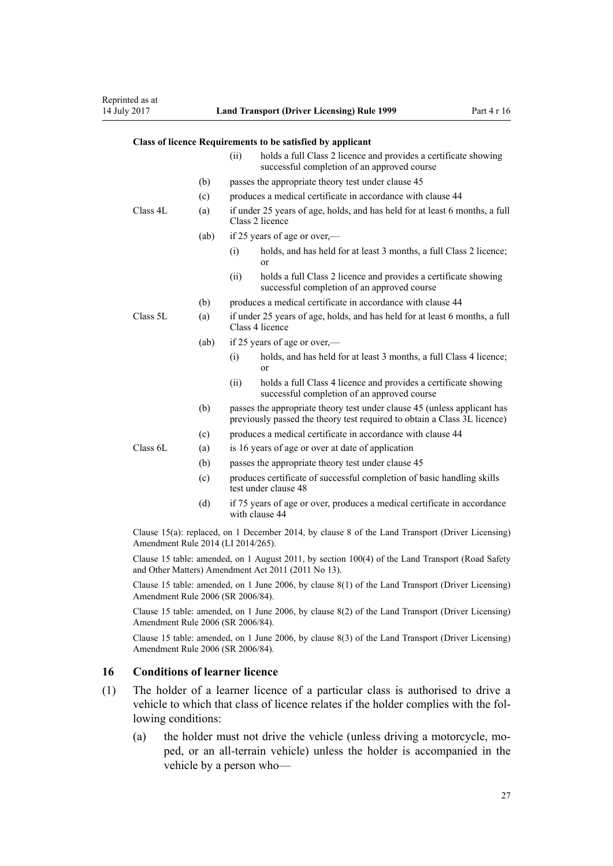### <span id="page-26-0"></span>**Class of licence Requirements to be satisfied by applicant**

|          |      | (ii)                                                                                           | holds a full Class 2 licence and provides a certificate showing<br>successful completion of an approved course                                       |  |
|----------|------|------------------------------------------------------------------------------------------------|------------------------------------------------------------------------------------------------------------------------------------------------------|--|
|          | (b)  |                                                                                                | passes the appropriate theory test under clause 45                                                                                                   |  |
|          | (c)  |                                                                                                | produces a medical certificate in accordance with clause 44                                                                                          |  |
| Class 4L | (a)  |                                                                                                | if under 25 years of age, holds, and has held for at least 6 months, a full<br>Class 2 licence                                                       |  |
|          | (ab) |                                                                                                | if 25 years of age or over,—                                                                                                                         |  |
|          |      | (i)                                                                                            | holds, and has held for at least 3 months, a full Class 2 licence;<br>or                                                                             |  |
|          |      | (ii)                                                                                           | holds a full Class 2 licence and provides a certificate showing<br>successful completion of an approved course                                       |  |
|          | (b)  |                                                                                                | produces a medical certificate in accordance with clause 44                                                                                          |  |
| Class 5L | (a)  | if under 25 years of age, holds, and has held for at least 6 months, a full<br>Class 4 licence |                                                                                                                                                      |  |
|          | (ab) |                                                                                                | if 25 years of age or over,—                                                                                                                         |  |
|          |      | (i)                                                                                            | holds, and has held for at least 3 months, a full Class 4 licence;<br>or                                                                             |  |
|          |      | (ii)                                                                                           | holds a full Class 4 licence and provides a certificate showing<br>successful completion of an approved course                                       |  |
|          | (b)  |                                                                                                | passes the appropriate theory test under clause 45 (unless applicant has<br>previously passed the theory test required to obtain a Class 3L licence) |  |
|          | (c)  |                                                                                                | produces a medical certificate in accordance with clause 44                                                                                          |  |
| Class 6L | (a)  |                                                                                                | is 16 years of age or over at date of application                                                                                                    |  |
|          | (b)  |                                                                                                | passes the appropriate theory test under clause 45                                                                                                   |  |
|          | (c)  |                                                                                                | produces certificate of successful completion of basic handling skills<br>test under clause 48                                                       |  |
|          | (d)  |                                                                                                | if 75 years of age or over, produces a medical certificate in accordance<br>with clause 44                                                           |  |
|          |      |                                                                                                | $C_{\text{plane}}$ $15(a)$ replaced on 1 December 2014 by clause 8 of the L and Transport (Driver Licensing)                                         |  |

Clause 15(a): replaced, on 1 December 2014, by [clause 8](http://prd-lgnz-nlb.prd.pco.net.nz/pdflink.aspx?id=DLM6216921) of the Land Transport (Driver Licensing) Amendment Rule 2014 (LI 2014/265).

Clause 15 table: amended, on 1 August 2011, by [section 100\(4\)](http://prd-lgnz-nlb.prd.pco.net.nz/pdflink.aspx?id=DLM3231293) of the Land Transport (Road Safety and Other Matters) Amendment Act 2011 (2011 No 13).

Clause 15 table: amended, on 1 June 2006, by [clause 8\(1\)](http://prd-lgnz-nlb.prd.pco.net.nz/pdflink.aspx?id=DLM375693) of the Land Transport (Driver Licensing) Amendment Rule 2006 (SR 2006/84).

Clause 15 table: amended, on 1 June 2006, by [clause 8\(2\)](http://prd-lgnz-nlb.prd.pco.net.nz/pdflink.aspx?id=DLM375693) of the Land Transport (Driver Licensing) Amendment Rule 2006 (SR 2006/84).

Clause 15 table: amended, on 1 June 2006, by [clause 8\(3\)](http://prd-lgnz-nlb.prd.pco.net.nz/pdflink.aspx?id=DLM375693) of the Land Transport (Driver Licensing) Amendment Rule 2006 (SR 2006/84).

#### **16 Conditions of learner licence**

- (1) The holder of a learner licence of a particular class is authorised to drive a vehicle to which that class of licence relates if the holder complies with the following conditions:
	- (a) the holder must not drive the vehicle (unless driving a motorcycle, moped, or an all-terrain vehicle) unless the holder is accompanied in the vehicle by a person who—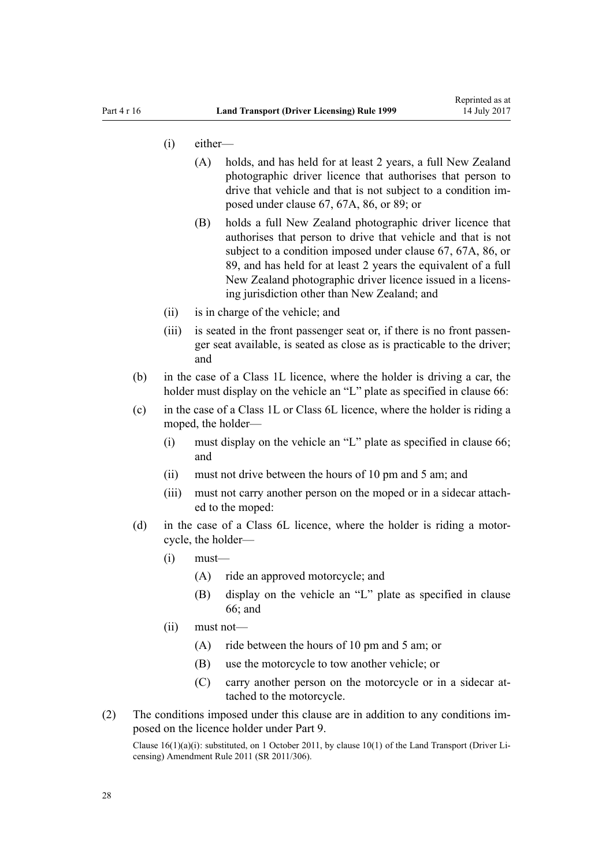- (i) either—
	- (A) holds, and has held for at least 2 years, a full New Zealand photographic driver licence that authorises that person to drive that vehicle and that is not subject to a condition imposed under [clause 67](#page-66-0), [67A,](#page-68-0) [86,](#page-83-0) or [89;](#page-87-0) or
	- (B) holds a full New Zealand photographic driver licence that authorises that person to drive that vehicle and that is not subject to a condition imposed under [clause 67,](#page-66-0) [67A,](#page-68-0) [86](#page-83-0), or [89,](#page-87-0) and has held for at least 2 years the equivalent of a full New Zealand photographic driver licence issued in a licensing jurisdiction other than New Zealand; and
- (ii) is in charge of the vehicle; and
- (iii) is seated in the front passenger seat or, if there is no front passenger seat available, is seated as close as is practicable to the driver; and
- (b) in the case of a Class 1L licence, where the holder is driving a car, the holder must display on the vehicle an "L" plate as specified in [clause 66](#page-65-0):
- (c) in the case of a Class 1L or Class 6L licence, where the holder is riding a moped, the holder—
	- (i) must display on the vehicle an "L" plate as specified in [clause 66;](#page-65-0) and
	- (ii) must not drive between the hours of 10 pm and 5 am; and
	- (iii) must not carry another person on the moped or in a sidecar attached to the moped:
- (d) in the case of a Class 6L licence, where the holder is riding a motorcycle, the holder—
	- $(i)$  must—
		- (A) ride an approved motorcycle; and
		- (B) display on the vehicle an "L" plate as specified in [clause](#page-65-0) [66;](#page-65-0) and
	- (ii) must not—
		- (A) ride between the hours of 10 pm and 5 am; or
		- (B) use the motorcycle to tow another vehicle; or
		- (C) carry another person on the motorcycle or in a sidecar attached to the motorcycle.
- (2) The conditions imposed under this clause are in addition to any conditions imposed on the licence holder under [Part 9](#page-58-0).

Clause 16(1)(a)(i): substituted, on 1 October 2011, by [clause 10\(1\)](http://prd-lgnz-nlb.prd.pco.net.nz/pdflink.aspx?id=DLM3956503) of the Land Transport (Driver Licensing) Amendment Rule 2011 (SR 2011/306).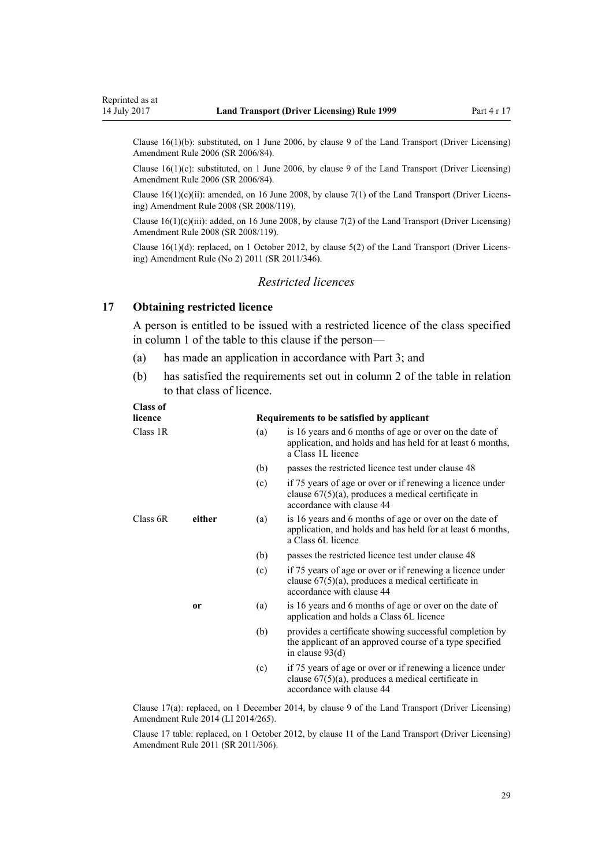<span id="page-28-0"></span>Clause 16(1)(b): substituted, on 1 June 2006, by [clause 9](http://prd-lgnz-nlb.prd.pco.net.nz/pdflink.aspx?id=DLM375694) of the Land Transport (Driver Licensing) Amendment Rule 2006 (SR 2006/84).

Clause  $16(1)(c)$ : substituted, on 1 June 2006, by [clause 9](http://prd-lgnz-nlb.prd.pco.net.nz/pdflink.aspx?id=DLM375694) of the Land Transport (Driver Licensing) Amendment Rule 2006 (SR 2006/84).

Clause 16(1)(c)(ii): amended, on 16 June 2008, by [clause 7\(1\)](http://prd-lgnz-nlb.prd.pco.net.nz/pdflink.aspx?id=DLM1317910) of the Land Transport (Driver Licensing) Amendment Rule 2008 (SR 2008/119).

Clause  $16(1)(c)(iii)$ : added, on 16 June 2008, by [clause 7\(2\)](http://prd-lgnz-nlb.prd.pco.net.nz/pdflink.aspx?id=DLM1317910) of the Land Transport (Driver Licensing) Amendment Rule 2008 (SR 2008/119).

Clause 16(1)(d): replaced, on 1 October 2012, by [clause 5\(2\)](http://prd-lgnz-nlb.prd.pco.net.nz/pdflink.aspx?id=DLM4064302) of the Land Transport (Driver Licensing) Amendment Rule (No 2) 2011 (SR 2011/346).

# *Restricted licences*

### **17 Obtaining restricted licence**

A person is entitled to be issued with a restricted licence of the class specified in column 1 of the table to this clause if the person—

- (a) has made an application in accordance with [Part 3;](#page-21-0) and
- (b) has satisfied the requirements set out in column 2 of the table in relation to that class of licence.

| <b>Class of</b> |               |     |                                                                                                                                                 |
|-----------------|---------------|-----|-------------------------------------------------------------------------------------------------------------------------------------------------|
| licence         |               |     | Requirements to be satisfied by applicant                                                                                                       |
| Class 1R        |               | (a) | is 16 years and 6 months of age or over on the date of<br>application, and holds and has held for at least 6 months,<br>a Class 1L licence      |
|                 |               | (b) | passes the restricted licence test under clause 48                                                                                              |
|                 |               | (c) | if 75 years of age or over or if renewing a licence under<br>clause $67(5)(a)$ , produces a medical certificate in<br>accordance with clause 44 |
| Class 6R        | either        | (a) | is 16 years and 6 months of age or over on the date of<br>application, and holds and has held for at least 6 months,<br>a Class 6L licence      |
|                 |               | (b) | passes the restricted licence test under clause 48                                                                                              |
|                 |               | (c) | if 75 years of age or over or if renewing a licence under<br>clause $67(5)(a)$ , produces a medical certificate in<br>accordance with clause 44 |
|                 | <sub>or</sub> | (a) | is 16 years and 6 months of age or over on the date of<br>application and holds a Class 6L licence                                              |
|                 |               | (b) | provides a certificate showing successful completion by<br>the applicant of an approved course of a type specified<br>in clause $93(d)$         |
|                 |               | (c) | if 75 years of age or over or if renewing a licence under<br>clause $67(5)(a)$ , produces a medical certificate in<br>accordance with clause 44 |
|                 |               |     |                                                                                                                                                 |

Clause 17(a): replaced, on 1 December 2014, by [clause 9](http://prd-lgnz-nlb.prd.pco.net.nz/pdflink.aspx?id=DLM6216922) of the Land Transport (Driver Licensing) Amendment Rule 2014 (LI 2014/265).

Clause 17 table: replaced, on 1 October 2012, by [clause 11](http://prd-lgnz-nlb.prd.pco.net.nz/pdflink.aspx?id=DLM3956505) of the Land Transport (Driver Licensing) Amendment Rule 2011 (SR 2011/306).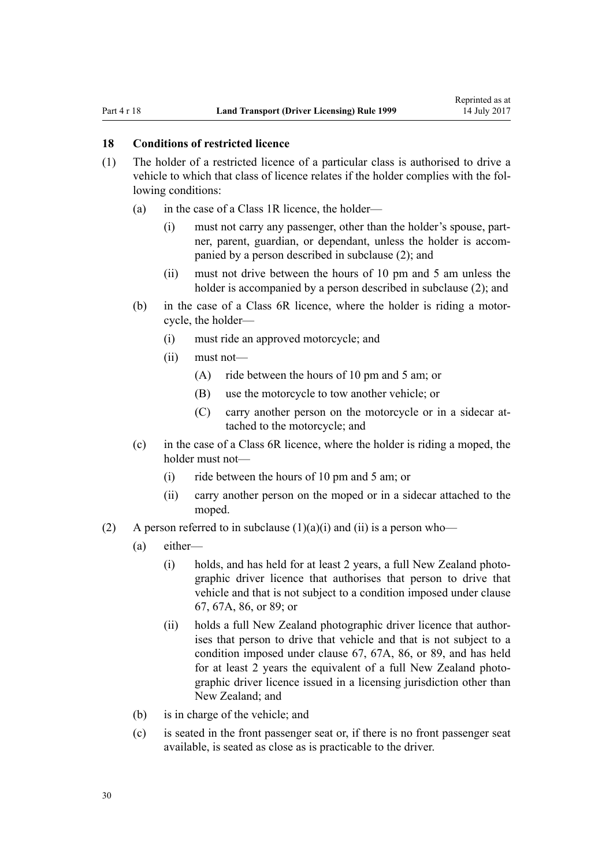#### <span id="page-29-0"></span>**18 Conditions of restricted licence**

- (1) The holder of a restricted licence of a particular class is authorised to drive a vehicle to which that class of licence relates if the holder complies with the following conditions:
	- (a) in the case of a Class 1R licence, the holder—
		- (i) must not carry any passenger, other than the holder's spouse, partner, parent, guardian, or dependant, unless the holder is accompanied by a person described in subclause (2); and
		- (ii) must not drive between the hours of 10 pm and 5 am unless the holder is accompanied by a person described in subclause (2); and
	- (b) in the case of a Class 6R licence, where the holder is riding a motorcycle, the holder—
		- (i) must ride an approved motorcycle; and
		- (ii) must not—
			- (A) ride between the hours of 10 pm and 5 am; or
			- (B) use the motorcycle to tow another vehicle; or
			- (C) carry another person on the motorcycle or in a sidecar attached to the motorcycle; and
	- (c) in the case of a Class 6R licence, where the holder is riding a moped, the holder must not—
		- (i) ride between the hours of 10 pm and 5 am; or
		- (ii) carry another person on the moped or in a sidecar attached to the moped.
- (2) A person referred to in subclause  $(1)(a)(i)$  and  $(ii)$  is a person who—
	- (a) either—
		- (i) holds, and has held for at least 2 years, a full New Zealand photographic driver licence that authorises that person to drive that vehicle and that is not subject to a condition imposed under [clause](#page-66-0) [67,](#page-66-0) [67A](#page-68-0), [86,](#page-83-0) or [89](#page-87-0); or
		- (ii) holds a full New Zealand photographic driver licence that authorises that person to drive that vehicle and that is not subject to a condition imposed under [clause 67](#page-66-0), [67A,](#page-68-0) [86](#page-83-0), or [89,](#page-87-0) and has held for at least 2 years the equivalent of a full New Zealand photographic driver licence issued in a licensing jurisdiction other than New Zealand; and
	- (b) is in charge of the vehicle; and
	- (c) is seated in the front passenger seat or, if there is no front passenger seat available, is seated as close as is practicable to the driver.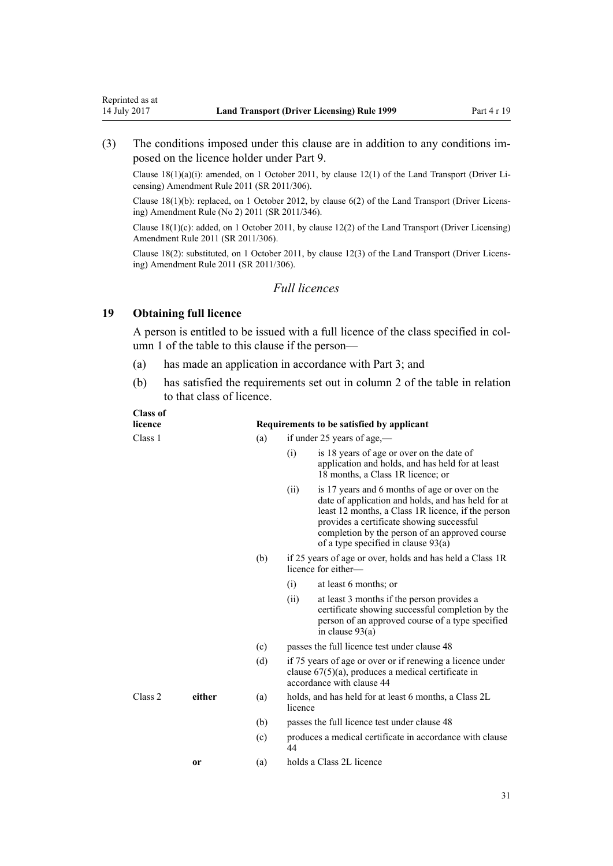<span id="page-30-0"></span>(3) The conditions imposed under this clause are in addition to any conditions imposed on the licence holder under [Part 9](#page-58-0).

Clause 18(1)(a)(i): amended, on 1 October 2011, by [clause 12\(1\)](http://prd-lgnz-nlb.prd.pco.net.nz/pdflink.aspx?id=DLM3956507) of the Land Transport (Driver Licensing) Amendment Rule 2011 (SR 2011/306).

Clause 18(1)(b): replaced, on 1 October 2012, by [clause 6\(2\)](http://prd-lgnz-nlb.prd.pco.net.nz/pdflink.aspx?id=DLM4064304) of the Land Transport (Driver Licensing) Amendment Rule (No 2) 2011 (SR 2011/346).

Clause 18(1)(c): added, on 1 October 2011, by [clause 12\(2\)](http://prd-lgnz-nlb.prd.pco.net.nz/pdflink.aspx?id=DLM3956507) of the Land Transport (Driver Licensing) Amendment Rule 2011 (SR 2011/306).

Clause 18(2): substituted, on 1 October 2011, by [clause 12\(3\)](http://prd-lgnz-nlb.prd.pco.net.nz/pdflink.aspx?id=DLM3956507) of the Land Transport (Driver Licensing) Amendment Rule 2011 (SR 2011/306).

# *Full licences*

# **19 Obtaining full licence**

**Class of**

A person is entitled to be issued with a full licence of the class specified in column 1 of the table to this clause if the person—

- (a) has made an application in accordance with [Part 3;](#page-21-0) and
- (b) has satisfied the requirements set out in column 2 of the table in relation to that class of licence.

| licence |        |     | Requirements to be satisfied by applicant                                                                                                                                                                                                                                                                  |
|---------|--------|-----|------------------------------------------------------------------------------------------------------------------------------------------------------------------------------------------------------------------------------------------------------------------------------------------------------------|
| Class 1 |        | (a) | if under 25 years of age,—                                                                                                                                                                                                                                                                                 |
|         |        |     | (i)<br>is 18 years of age or over on the date of<br>application and holds, and has held for at least<br>18 months, a Class 1R licence; or                                                                                                                                                                  |
|         |        |     | is 17 years and 6 months of age or over on the<br>(ii)<br>date of application and holds, and has held for at<br>least 12 months, a Class 1R licence, if the person<br>provides a certificate showing successful<br>completion by the person of an approved course<br>of a type specified in clause $93(a)$ |
|         |        | (b) | if 25 years of age or over, holds and has held a Class 1R<br>licence for either—                                                                                                                                                                                                                           |
|         |        |     | (i)<br>at least 6 months; or                                                                                                                                                                                                                                                                               |
|         |        |     | at least 3 months if the person provides a<br>(ii)<br>certificate showing successful completion by the<br>person of an approved course of a type specified<br>in clause $93(a)$                                                                                                                            |
|         |        | (c) | passes the full licence test under clause 48                                                                                                                                                                                                                                                               |
|         |        | (d) | if 75 years of age or over or if renewing a licence under<br>clause $67(5)(a)$ , produces a medical certificate in<br>accordance with clause 44                                                                                                                                                            |
| Class 2 | either | (a) | holds, and has held for at least 6 months, a Class 2L<br>licence                                                                                                                                                                                                                                           |
|         |        | (b) | passes the full licence test under clause 48                                                                                                                                                                                                                                                               |
|         |        | (c) | produces a medical certificate in accordance with clause<br>44                                                                                                                                                                                                                                             |
|         | or     | (a) | holds a Class 2L licence                                                                                                                                                                                                                                                                                   |
|         |        |     |                                                                                                                                                                                                                                                                                                            |
|         |        |     | 31                                                                                                                                                                                                                                                                                                         |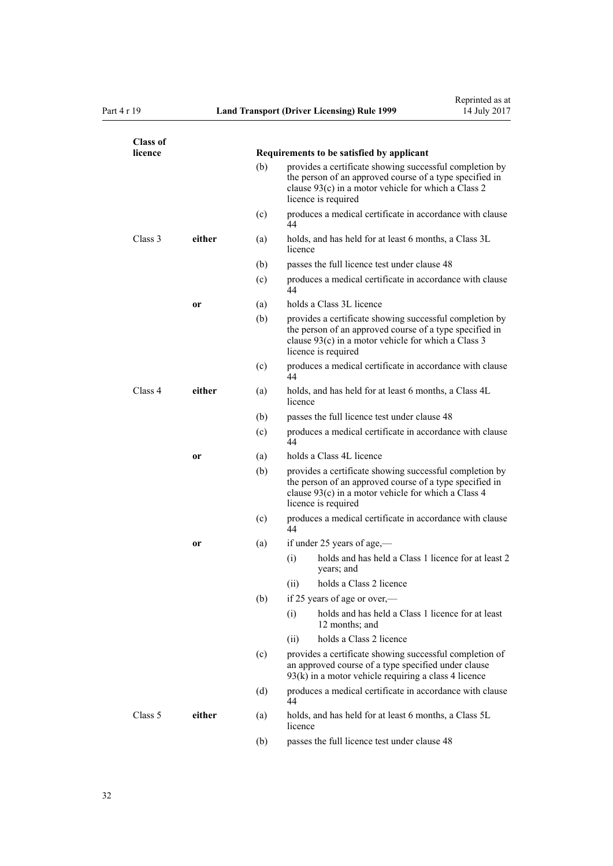| <b>Class of</b><br>licence |           |     | Requirements to be satisfied by applicant                                                                                                                                                        |
|----------------------------|-----------|-----|--------------------------------------------------------------------------------------------------------------------------------------------------------------------------------------------------|
|                            |           | (b) | provides a certificate showing successful completion by<br>the person of an approved course of a type specified in<br>clause 93(c) in a motor vehicle for which a Class 2<br>licence is required |
|                            |           | (c) | produces a medical certificate in accordance with clause<br>44                                                                                                                                   |
| Class 3                    | either    | (a) | holds, and has held for at least 6 months, a Class 3L<br>licence                                                                                                                                 |
|                            |           | (b) | passes the full licence test under clause 48                                                                                                                                                     |
|                            |           | (c) | produces a medical certificate in accordance with clause<br>44                                                                                                                                   |
|                            | or        | (a) | holds a Class 3L licence                                                                                                                                                                         |
|                            |           | (b) | provides a certificate showing successful completion by<br>the person of an approved course of a type specified in<br>clause 93(c) in a motor vehicle for which a Class 3<br>licence is required |
|                            |           | (c) | produces a medical certificate in accordance with clause<br>44                                                                                                                                   |
| Class 4                    | either    | (a) | holds, and has held for at least 6 months, a Class 4L<br>licence                                                                                                                                 |
|                            |           | (b) | passes the full licence test under clause 48                                                                                                                                                     |
|                            |           | (c) | produces a medical certificate in accordance with clause<br>44                                                                                                                                   |
|                            | <b>or</b> | (a) | holds a Class 4L licence                                                                                                                                                                         |
|                            |           | (b) | provides a certificate showing successful completion by<br>the person of an approved course of a type specified in<br>clause 93(c) in a motor vehicle for which a Class 4<br>licence is required |
|                            |           | (c) | produces a medical certificate in accordance with clause<br>44                                                                                                                                   |
|                            | 0r        | (a) | if under 25 years of age,—                                                                                                                                                                       |
|                            |           |     | holds and has held a Class 1 licence for at least 2<br>(i)<br>years; and                                                                                                                         |
|                            |           |     | holds a Class 2 licence<br>(11)                                                                                                                                                                  |
|                            |           | (b) | if 25 years of age or over,-                                                                                                                                                                     |
|                            |           |     | holds and has held a Class 1 licence for at least<br>(i)<br>12 months; and                                                                                                                       |
|                            |           |     | holds a Class 2 licence<br>(ii)                                                                                                                                                                  |
|                            |           | (c) | provides a certificate showing successful completion of<br>an approved course of a type specified under clause<br>$93(k)$ in a motor vehicle requiring a class 4 licence                         |
|                            |           | (d) | produces a medical certificate in accordance with clause<br>44                                                                                                                                   |
| Class 5                    | either    | (a) | holds, and has held for at least 6 months, a Class 5L<br>licence                                                                                                                                 |
|                            |           | (b) | passes the full licence test under clause 48                                                                                                                                                     |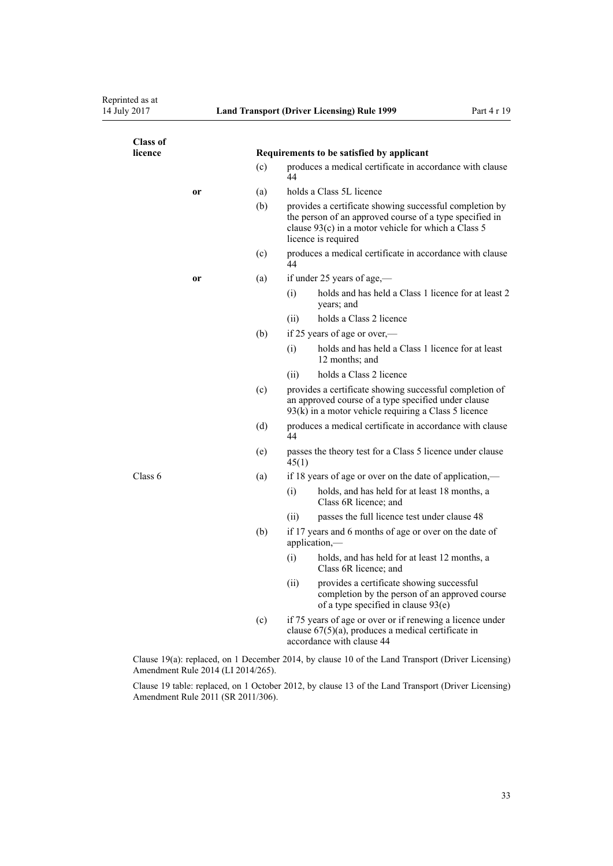| licence       | Requirements to be satisfied by applicant |                                                                                                                                                                                                    |  |
|---------------|-------------------------------------------|----------------------------------------------------------------------------------------------------------------------------------------------------------------------------------------------------|--|
|               | (c)                                       | produces a medical certificate in accordance with clause<br>44                                                                                                                                     |  |
| or            | (a)                                       | holds a Class 5L licence                                                                                                                                                                           |  |
|               | (b)                                       | provides a certificate showing successful completion by<br>the person of an approved course of a type specified in<br>clause $93(c)$ in a motor vehicle for which a Class 5<br>licence is required |  |
|               | (c)                                       | produces a medical certificate in accordance with clause<br>44                                                                                                                                     |  |
| <sub>or</sub> | (a)                                       | if under 25 years of age,—                                                                                                                                                                         |  |
|               |                                           | holds and has held a Class 1 licence for at least 2<br>(i)<br>years; and                                                                                                                           |  |
|               |                                           | holds a Class 2 licence<br>(ii)                                                                                                                                                                    |  |
|               | (b)                                       | if 25 years of age or over,—                                                                                                                                                                       |  |
|               |                                           | holds and has held a Class 1 licence for at least<br>(i)<br>12 months; and                                                                                                                         |  |
|               |                                           | holds a Class 2 licence<br>(ii)                                                                                                                                                                    |  |
|               | (c)                                       | provides a certificate showing successful completion of<br>an approved course of a type specified under clause<br>$93(k)$ in a motor vehicle requiring a Class 5 licence                           |  |
|               | (d)                                       | produces a medical certificate in accordance with clause<br>44                                                                                                                                     |  |
|               | (e)                                       | passes the theory test for a Class 5 licence under clause<br>45(1)                                                                                                                                 |  |
| Class 6       | (a)                                       | if 18 years of age or over on the date of application,—                                                                                                                                            |  |
|               |                                           | (i)<br>holds, and has held for at least 18 months, a<br>Class 6R licence; and                                                                                                                      |  |
|               |                                           | passes the full licence test under clause 48<br>(ii)                                                                                                                                               |  |
|               | (b)                                       | if 17 years and 6 months of age or over on the date of<br>application,-                                                                                                                            |  |
|               |                                           | (i)<br>holds, and has held for at least 12 months, a<br>Class 6R licence; and                                                                                                                      |  |
|               |                                           | (ii)<br>provides a certificate showing successful<br>completion by the person of an approved course<br>of a type specified in clause 93(e)                                                         |  |
|               | (c)                                       | if 75 years of age or over or if renewing a licence under<br>clause $67(5)(a)$ , produces a medical certificate in<br>accordance with clause 44                                                    |  |

Clause 19 table: replaced, on 1 October 2012, by [clause 13](http://prd-lgnz-nlb.prd.pco.net.nz/pdflink.aspx?id=DLM3956509) of the Land Transport (Driver Licensing) Amendment Rule 2011 (SR 2011/306).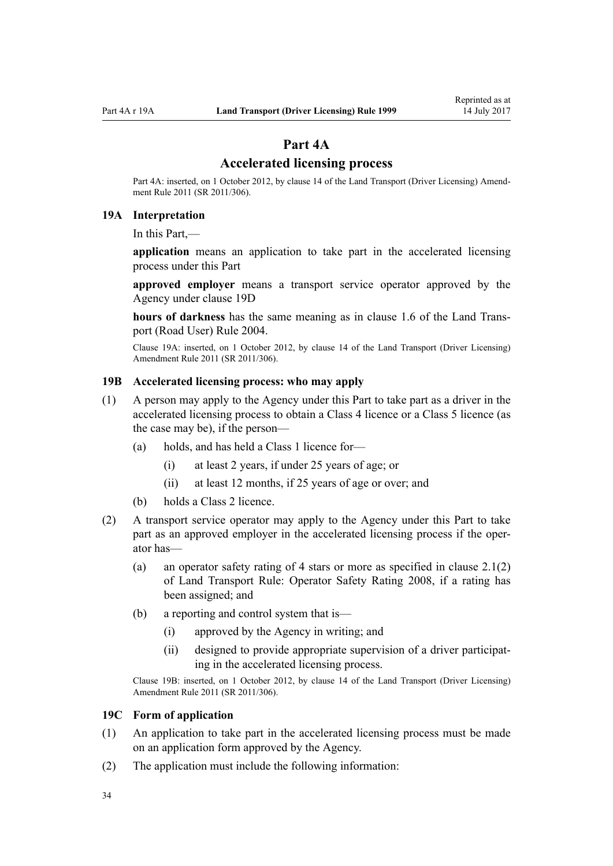# **Part 4A**

# **Accelerated licensing process**

<span id="page-33-0"></span>Part 4A: inserted, on 1 October 2012, by [clause 14](http://prd-lgnz-nlb.prd.pco.net.nz/pdflink.aspx?id=DLM3956511) of the Land Transport (Driver Licensing) Amendment Rule 2011 (SR 2011/306).

# **19A Interpretation**

In this Part,—

**application** means an application to take part in the accelerated licensing process under this Part

**approved employer** means a transport service operator approved by the Agency under [clause 19D](#page-34-0)

**hours of darkness** has the same meaning as in [clause 1.6](http://prd-lgnz-nlb.prd.pco.net.nz/pdflink.aspx?id=DLM302197) of the Land Transport (Road User) Rule 2004.

Clause 19A: inserted, on 1 October 2012, by [clause 14](http://prd-lgnz-nlb.prd.pco.net.nz/pdflink.aspx?id=DLM3956511) of the Land Transport (Driver Licensing) Amendment Rule 2011 (SR 2011/306).

# **19B Accelerated licensing process: who may apply**

- (1) A person may apply to the Agency under this Part to take part as a driver in the accelerated licensing process to obtain a Class 4 licence or a Class 5 licence (as the case may be), if the person—
	- (a) holds, and has held a Class 1 licence for—
		- (i) at least 2 years, if under 25 years of age; or
		- (ii) at least 12 months, if 25 years of age or over; and
	- (b) holds a Class 2 licence.
- (2) A transport service operator may apply to the Agency under this Part to take part as an approved employer in the accelerated licensing process if the operator has—
	- (a) an operator safety rating of 4 stars or more as specified in clause 2.1(2) of Land Transport Rule: Operator Safety Rating 2008, if a rating has been assigned; and
	- (b) a reporting and control system that is—
		- (i) approved by the Agency in writing; and
		- (ii) designed to provide appropriate supervision of a driver participating in the accelerated licensing process.

Clause 19B: inserted, on 1 October 2012, by [clause 14](http://prd-lgnz-nlb.prd.pco.net.nz/pdflink.aspx?id=DLM3956511) of the Land Transport (Driver Licensing) Amendment Rule 2011 (SR 2011/306).

#### **19C Form of application**

- (1) An application to take part in the accelerated licensing process must be made on an application form approved by the Agency.
- (2) The application must include the following information: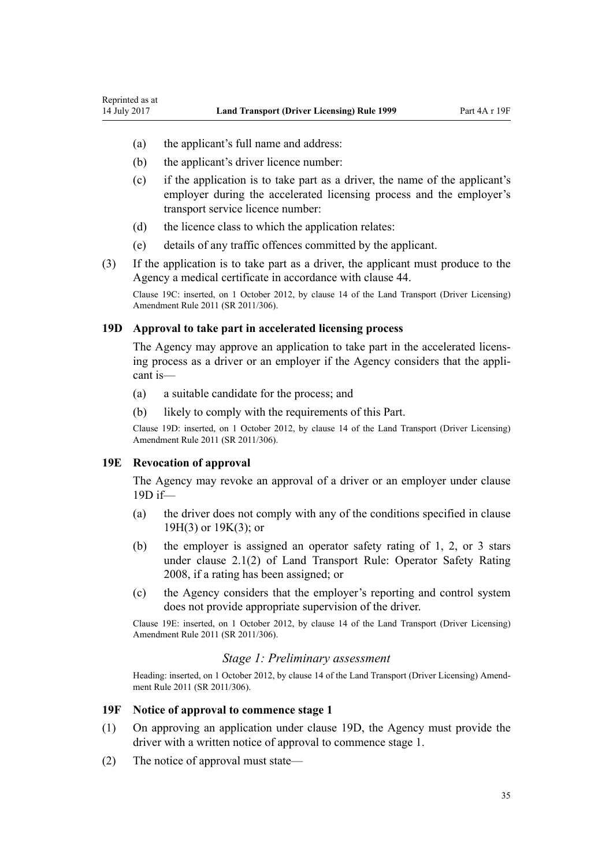(a) the applicant's full name and address:

<span id="page-34-0"></span>Reprinted as at

- (b) the applicant's driver licence number:
- (c) if the application is to take part as a driver, the name of the applicant's employer during the accelerated licensing process and the employer's transport service licence number:
- (d) the licence class to which the application relates:
- (e) details of any traffic offences committed by the applicant.
- (3) If the application is to take part as a driver, the applicant must produce to the Agency a medical certificate in accordance with [clause 44.](#page-51-0)

Clause 19C: inserted, on 1 October 2012, by [clause 14](http://prd-lgnz-nlb.prd.pco.net.nz/pdflink.aspx?id=DLM3956511) of the Land Transport (Driver Licensing) Amendment Rule 2011 (SR 2011/306).

#### **19D Approval to take part in accelerated licensing process**

The Agency may approve an application to take part in the accelerated licensing process as a driver or an employer if the Agency considers that the applicant is—

- (a) a suitable candidate for the process; and
- (b) likely to comply with the requirements of this Part.

Clause 19D: inserted, on 1 October 2012, by [clause 14](http://prd-lgnz-nlb.prd.pco.net.nz/pdflink.aspx?id=DLM3956511) of the Land Transport (Driver Licensing) Amendment Rule 2011 (SR 2011/306).

#### **19E Revocation of approval**

The Agency may revoke an approval of a driver or an employer under clause 19D if—

- (a) the driver does not comply with any of the conditions specified in [clause](#page-35-0) [19H\(3\)](#page-35-0) or [19K\(3\);](#page-37-0) or
- (b) the employer is assigned an operator safety rating of 1, 2, or 3 stars under clause 2.1(2) of Land Transport Rule: Operator Safety Rating 2008, if a rating has been assigned; or
- (c) the Agency considers that the employer's reporting and control system does not provide appropriate supervision of the driver.

Clause 19E: inserted, on 1 October 2012, by [clause 14](http://prd-lgnz-nlb.prd.pco.net.nz/pdflink.aspx?id=DLM3956511) of the Land Transport (Driver Licensing) Amendment Rule 2011 (SR 2011/306).

# *Stage 1: Preliminary assessment*

Heading: inserted, on 1 October 2012, by [clause 14](http://prd-lgnz-nlb.prd.pco.net.nz/pdflink.aspx?id=DLM3956511) of the Land Transport (Driver Licensing) Amendment Rule 2011 (SR 2011/306).

#### **19F Notice of approval to commence stage 1**

- (1) On approving an application under clause 19D, the Agency must provide the driver with a written notice of approval to commence stage 1.
- (2) The notice of approval must state—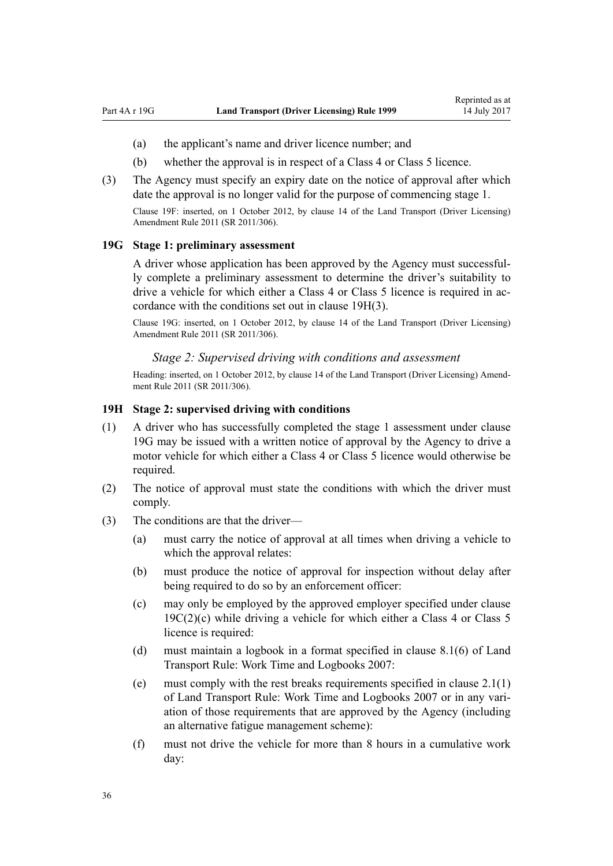- <span id="page-35-0"></span>(a) the applicant's name and driver licence number; and
- (b) whether the approval is in respect of a Class 4 or Class 5 licence.
- (3) The Agency must specify an expiry date on the notice of approval after which date the approval is no longer valid for the purpose of commencing stage 1. Clause 19F: inserted, on 1 October 2012, by [clause 14](http://prd-lgnz-nlb.prd.pco.net.nz/pdflink.aspx?id=DLM3956511) of the Land Transport (Driver Licensing)

#### **19G Stage 1: preliminary assessment**

Amendment Rule 2011 (SR 2011/306).

A driver whose application has been approved by the Agency must successfully complete a preliminary assessment to determine the driver's suitability to drive a vehicle for which either a Class 4 or Class 5 licence is required in accordance with the conditions set out in clause 19H(3).

Clause 19G: inserted, on 1 October 2012, by [clause 14](http://prd-lgnz-nlb.prd.pco.net.nz/pdflink.aspx?id=DLM3956511) of the Land Transport (Driver Licensing) Amendment Rule 2011 (SR 2011/306).

# *Stage 2: Supervised driving with conditions and assessment*

Heading: inserted, on 1 October 2012, by [clause 14](http://prd-lgnz-nlb.prd.pco.net.nz/pdflink.aspx?id=DLM3956511) of the Land Transport (Driver Licensing) Amendment Rule 2011 (SR 2011/306).

#### **19H Stage 2: supervised driving with conditions**

- (1) A driver who has successfully completed the stage 1 assessment under clause 19G may be issued with a written notice of approval by the Agency to drive a motor vehicle for which either a Class 4 or Class 5 licence would otherwise be required.
- (2) The notice of approval must state the conditions with which the driver must comply.
- (3) The conditions are that the driver—
	- (a) must carry the notice of approval at all times when driving a vehicle to which the approval relates:
	- (b) must produce the notice of approval for inspection without delay after being required to do so by an enforcement officer:
	- (c) may only be employed by the approved employer specified under [clause](#page-33-0)  $19C(2)(c)$  while driving a vehicle for which either a Class 4 or Class 5 licence is required:
	- (d) must maintain a logbook in a format specified in clause 8.1(6) of Land Transport Rule: Work Time and Logbooks 2007:
	- (e) must comply with the rest breaks requirements specified in clause 2.1(1) of Land Transport Rule: Work Time and Logbooks 2007 or in any variation of those requirements that are approved by the Agency (including an alternative fatigue management scheme):
	- (f) must not drive the vehicle for more than 8 hours in a cumulative work day: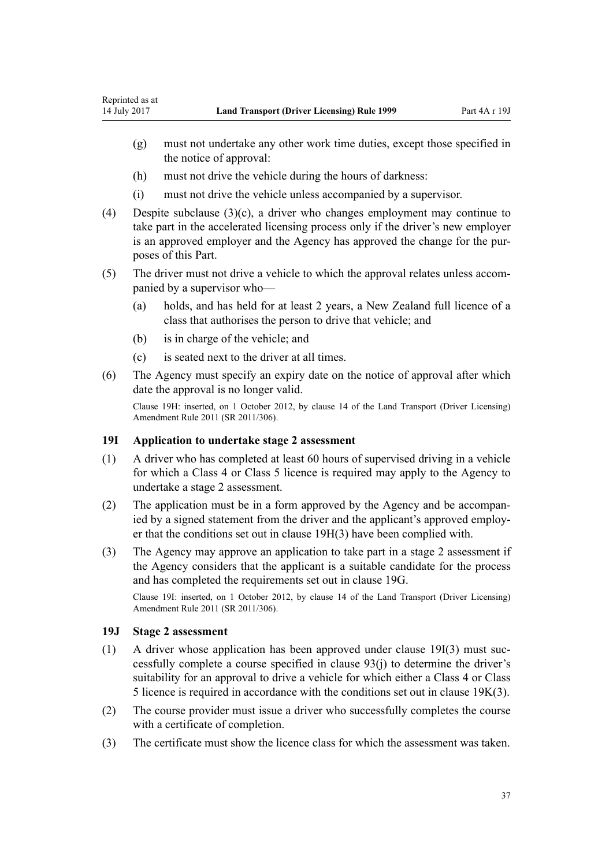- <span id="page-36-0"></span>(g) must not undertake any other work time duties, except those specified in the notice of approval:
- (h) must not drive the vehicle during the hours of darkness:
- (i) must not drive the vehicle unless accompanied by a supervisor.
- (4) Despite subclause  $(3)(c)$ , a driver who changes employment may continue to take part in the accelerated licensing process only if the driver's new employer is an approved employer and the Agency has approved the change for the purposes of this Part.
- (5) The driver must not drive a vehicle to which the approval relates unless accompanied by a supervisor who—
	- (a) holds, and has held for at least 2 years, a New Zealand full licence of a class that authorises the person to drive that vehicle; and
	- (b) is in charge of the vehicle; and
	- (c) is seated next to the driver at all times.
- (6) The Agency must specify an expiry date on the notice of approval after which date the approval is no longer valid.

Clause 19H: inserted, on 1 October 2012, by [clause 14](http://prd-lgnz-nlb.prd.pco.net.nz/pdflink.aspx?id=DLM3956511) of the Land Transport (Driver Licensing) Amendment Rule 2011 (SR 2011/306).

### **19I Application to undertake stage 2 assessment**

- (1) A driver who has completed at least 60 hours of supervised driving in a vehicle for which a Class 4 or Class 5 licence is required may apply to the Agency to undertake a stage 2 assessment.
- (2) The application must be in a form approved by the Agency and be accompanied by a signed statement from the driver and the applicant's approved employer that the conditions set out in [clause 19H\(3\)](#page-35-0) have been complied with.
- (3) The Agency may approve an application to take part in a stage 2 assessment if the Agency considers that the applicant is a suitable candidate for the process and has completed the requirements set out in [clause 19G.](#page-35-0)

Clause 19I: inserted, on 1 October 2012, by [clause 14](http://prd-lgnz-nlb.prd.pco.net.nz/pdflink.aspx?id=DLM3956511) of the Land Transport (Driver Licensing) Amendment Rule 2011 (SR 2011/306).

### **19J Stage 2 assessment**

- (1) A driver whose application has been approved under clause 19I(3) must successfully complete a course specified in [clause 93\(j\)](#page-90-0) to determine the driver's suitability for an approval to drive a vehicle for which either a Class 4 or Class 5 licence is required in accordance with the conditions set out in [clause 19K\(3\)](#page-37-0).
- (2) The course provider must issue a driver who successfully completes the course with a certificate of completion.
- (3) The certificate must show the licence class for which the assessment was taken.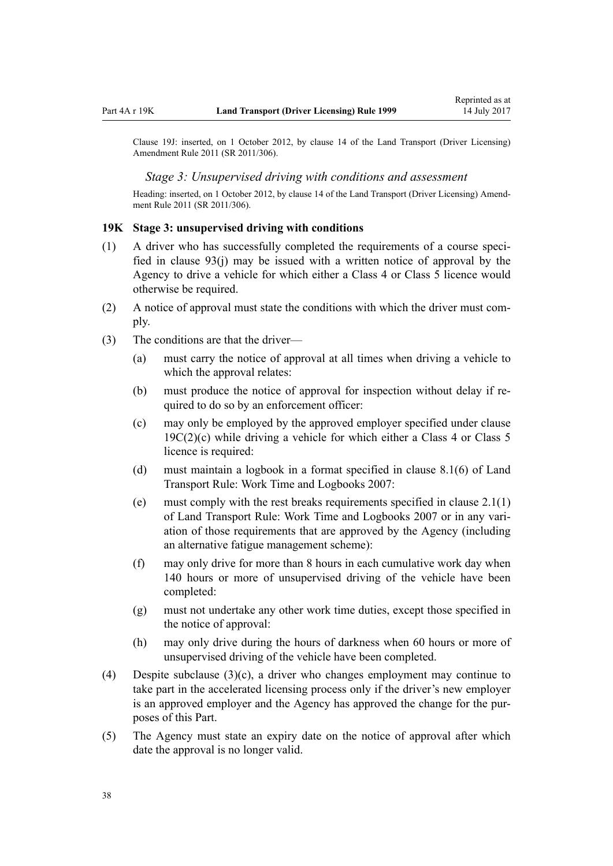<span id="page-37-0"></span>Clause 19J: inserted, on 1 October 2012, by [clause 14](http://prd-lgnz-nlb.prd.pco.net.nz/pdflink.aspx?id=DLM3956511) of the Land Transport (Driver Licensing) Amendment Rule 2011 (SR 2011/306).

#### *Stage 3: Unsupervised driving with conditions and assessment*

Heading: inserted, on 1 October 2012, by [clause 14](http://prd-lgnz-nlb.prd.pco.net.nz/pdflink.aspx?id=DLM3956511) of the Land Transport (Driver Licensing) Amendment Rule 2011 (SR 2011/306).

#### **19K Stage 3: unsupervised driving with conditions**

- (1) A driver who has successfully completed the requirements of a course specified in [clause 93\(j\)](#page-90-0) may be issued with a written notice of approval by the Agency to drive a vehicle for which either a Class 4 or Class 5 licence would otherwise be required.
- (2) A notice of approval must state the conditions with which the driver must comply.
- (3) The conditions are that the driver—
	- (a) must carry the notice of approval at all times when driving a vehicle to which the approval relates:
	- (b) must produce the notice of approval for inspection without delay if required to do so by an enforcement officer:
	- (c) may only be employed by the approved employer specified under [clause](#page-33-0)  $19C(2)(c)$  while driving a vehicle for which either a Class 4 or Class 5 licence is required:
	- (d) must maintain a logbook in a format specified in clause 8.1(6) of Land Transport Rule: Work Time and Logbooks 2007:
	- (e) must comply with the rest breaks requirements specified in clause 2.1(1) of Land Transport Rule: Work Time and Logbooks 2007 or in any variation of those requirements that are approved by the Agency (including an alternative fatigue management scheme):
	- (f) may only drive for more than 8 hours in each cumulative work day when 140 hours or more of unsupervised driving of the vehicle have been completed:
	- (g) must not undertake any other work time duties, except those specified in the notice of approval:
	- (h) may only drive during the hours of darkness when 60 hours or more of unsupervised driving of the vehicle have been completed.
- (4) Despite subclause (3)(c), a driver who changes employment may continue to take part in the accelerated licensing process only if the driver's new employer is an approved employer and the Agency has approved the change for the purposes of this Part.
- (5) The Agency must state an expiry date on the notice of approval after which date the approval is no longer valid.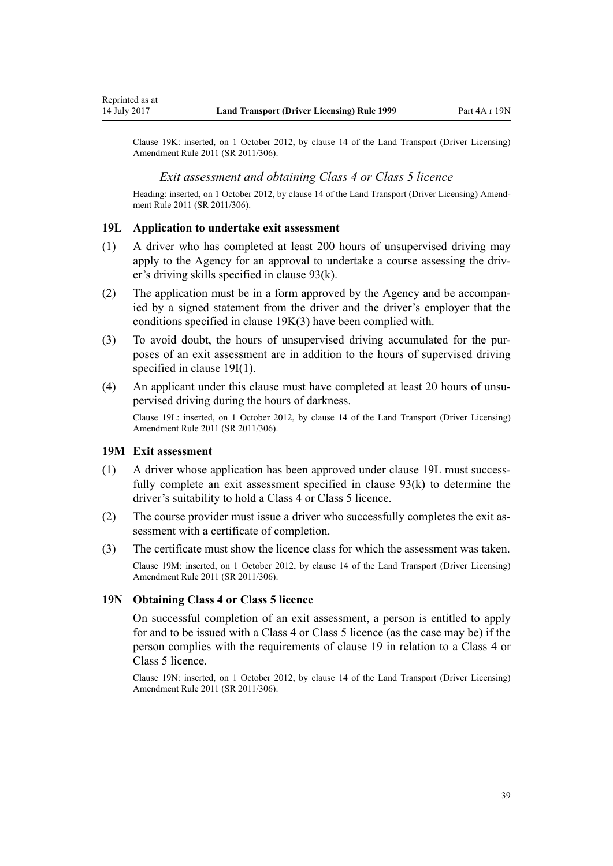Clause 19K: inserted, on 1 October 2012, by [clause 14](http://prd-lgnz-nlb.prd.pco.net.nz/pdflink.aspx?id=DLM3956511) of the Land Transport (Driver Licensing) Amendment Rule 2011 (SR 2011/306).

#### *Exit assessment and obtaining Class 4 or Class 5 licence*

Heading: inserted, on 1 October 2012, by [clause 14](http://prd-lgnz-nlb.prd.pco.net.nz/pdflink.aspx?id=DLM3956511) of the Land Transport (Driver Licensing) Amendment Rule 2011 (SR 2011/306).

#### **19L Application to undertake exit assessment**

- (1) A driver who has completed at least 200 hours of unsupervised driving may apply to the Agency for an approval to undertake a course assessing the driver's driving skills specified in [clause 93\(k\)](#page-90-0).
- (2) The application must be in a form approved by the Agency and be accompanied by a signed statement from the driver and the driver's employer that the conditions specified in [clause 19K\(3\)](#page-37-0) have been complied with.
- (3) To avoid doubt, the hours of unsupervised driving accumulated for the purposes of an exit assessment are in addition to the hours of supervised driving specified in [clause 19I\(1\).](#page-36-0)
- (4) An applicant under this clause must have completed at least 20 hours of unsupervised driving during the hours of darkness.

Clause 19L: inserted, on 1 October 2012, by [clause 14](http://prd-lgnz-nlb.prd.pco.net.nz/pdflink.aspx?id=DLM3956511) of the Land Transport (Driver Licensing) Amendment Rule 2011 (SR 2011/306).

#### **19M Exit assessment**

- (1) A driver whose application has been approved under clause 19L must successfully complete an exit assessment specified in [clause 93\(k\)](#page-90-0) to determine the driver's suitability to hold a Class 4 or Class 5 licence.
- (2) The course provider must issue a driver who successfully completes the exit assessment with a certificate of completion.
- (3) The certificate must show the licence class for which the assessment was taken. Clause 19M: inserted, on 1 October 2012, by [clause 14](http://prd-lgnz-nlb.prd.pco.net.nz/pdflink.aspx?id=DLM3956511) of the Land Transport (Driver Licensing) Amendment Rule 2011 (SR 2011/306).

#### **19N Obtaining Class 4 or Class 5 licence**

On successful completion of an exit assessment, a person is entitled to apply for and to be issued with a Class 4 or Class 5 licence (as the case may be) if the person complies with the requirements of [clause 19](#page-30-0) in relation to a Class 4 or Class 5 licence.

Clause 19N: inserted, on 1 October 2012, by [clause 14](http://prd-lgnz-nlb.prd.pco.net.nz/pdflink.aspx?id=DLM3956511) of the Land Transport (Driver Licensing) Amendment Rule 2011 (SR 2011/306).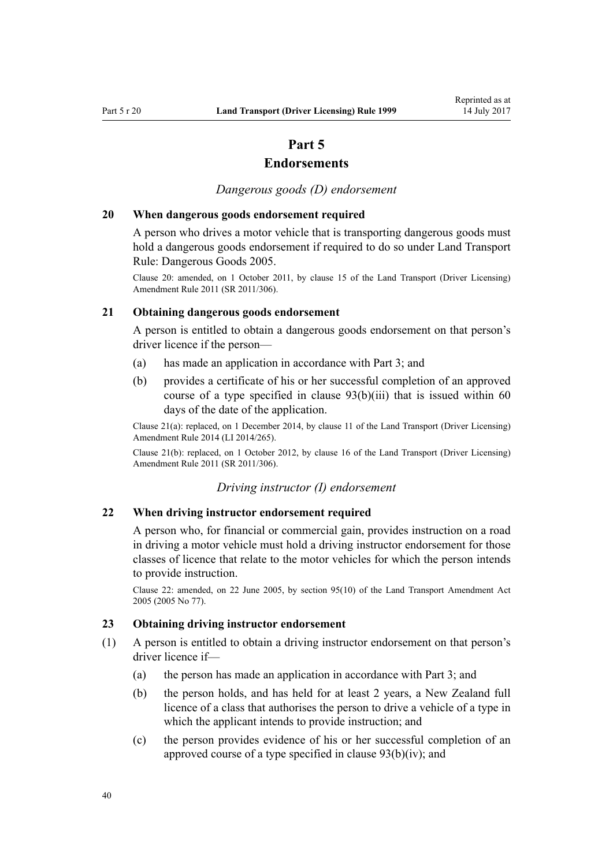# **Part 5**

# **Endorsements**

*Dangerous goods (D) endorsement*

#### **20 When dangerous goods endorsement required**

A person who drives a motor vehicle that is transporting dangerous goods must hold a dangerous goods endorsement if required to do so under Land Transport Rule: Dangerous Goods 2005.

Clause 20: amended, on 1 October 2011, by [clause 15](http://prd-lgnz-nlb.prd.pco.net.nz/pdflink.aspx?id=DLM3956721) of the Land Transport (Driver Licensing) Amendment Rule 2011 (SR 2011/306).

### **21 Obtaining dangerous goods endorsement**

A person is entitled to obtain a dangerous goods endorsement on that person's driver licence if the person—

- (a) has made an application in accordance with [Part 3;](#page-21-0) and
- (b) provides a certificate of his or her successful completion of an approved course of a type specified in clause  $93(b)(iii)$  that is issued within 60 days of the date of the application.

Clause 21(a): replaced, on 1 December 2014, by [clause 11](http://prd-lgnz-nlb.prd.pco.net.nz/pdflink.aspx?id=DLM6216924) of the Land Transport (Driver Licensing) Amendment Rule 2014 (LI 2014/265).

Clause 21(b): replaced, on 1 October 2012, by [clause 16](http://prd-lgnz-nlb.prd.pco.net.nz/pdflink.aspx?id=DLM3956513) of the Land Transport (Driver Licensing) Amendment Rule 2011 (SR 2011/306).

#### *Driving instructor (I) endorsement*

#### **22 When driving instructor endorsement required**

A person who, for financial or commercial gain, provides instruction on a road in driving a motor vehicle must hold a driving instructor endorsement for those classes of licence that relate to the motor vehicles for which the person intends to provide instruction.

Clause 22: amended, on 22 June 2005, by [section 95\(10\)](http://prd-lgnz-nlb.prd.pco.net.nz/pdflink.aspx?id=DLM353501) of the Land Transport Amendment Act 2005 (2005 No 77).

### **23 Obtaining driving instructor endorsement**

- (1) A person is entitled to obtain a driving instructor endorsement on that person's driver licence if—
	- (a) the person has made an application in accordance with [Part 3](#page-21-0); and
	- (b) the person holds, and has held for at least 2 years, a New Zealand full licence of a class that authorises the person to drive a vehicle of a type in which the applicant intends to provide instruction; and
	- (c) the person provides evidence of his or her successful completion of an approved course of a type specified in [clause 93\(b\)\(iv\)](#page-90-0); and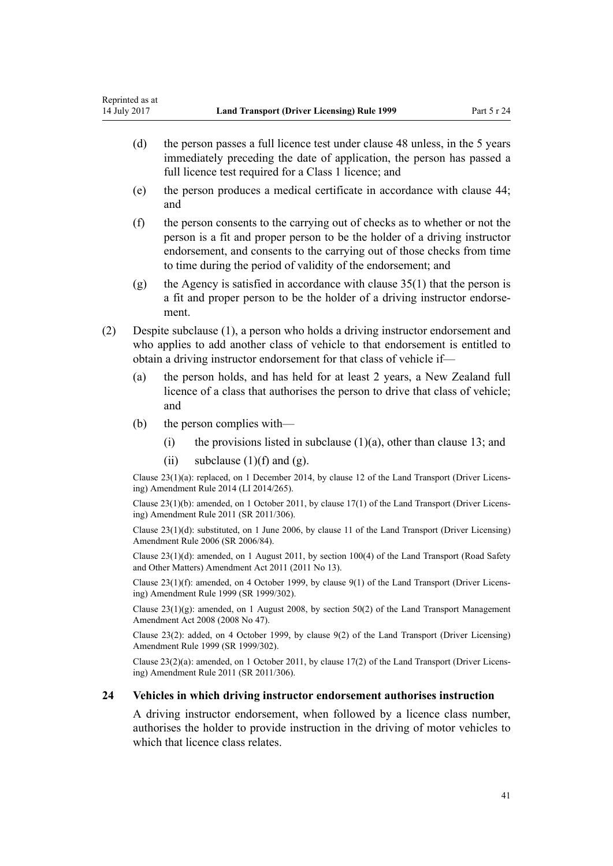- (d) the person passes a full licence test under [clause 48](#page-54-0) unless, in the 5 years immediately preceding the date of application, the person has passed a full licence test required for a Class 1 licence; and
- (e) the person produces a medical certificate in accordance with [clause 44;](#page-51-0) and
- (f) the person consents to the carrying out of checks as to whether or not the person is a fit and proper person to be the holder of a driving instructor endorsement, and consents to the carrying out of those checks from time to time during the period of validity of the endorsement; and
- (g) the Agency is satisfied in accordance with clause  $35(1)$  that the person is a fit and proper person to be the holder of a driving instructor endorsement.
- (2) Despite subclause (1), a person who holds a driving instructor endorsement and who applies to add another class of vehicle to that endorsement is entitled to obtain a driving instructor endorsement for that class of vehicle if—
	- (a) the person holds, and has held for at least 2 years, a New Zealand full licence of a class that authorises the person to drive that class of vehicle; and
	- (b) the person complies with—
		- (i) the provisions listed in subclause  $(1)(a)$ , other than [clause 13](#page-24-0); and
		- (ii) subclause  $(1)(f)$  and  $(g)$ .

Clause 23(1)(a): replaced, on 1 December 2014, by [clause 12](http://prd-lgnz-nlb.prd.pco.net.nz/pdflink.aspx?id=DLM6216925) of the Land Transport (Driver Licensing) Amendment Rule 2014 (LI 2014/265).

Clause 23(1)(b): amended, on 1 October 2011, by [clause 17\(1\)](http://prd-lgnz-nlb.prd.pco.net.nz/pdflink.aspx?id=DLM3956722) of the Land Transport (Driver Licensing) Amendment Rule 2011 (SR 2011/306).

Clause 23(1)(d): substituted, on 1 June 2006, by [clause 11](http://prd-lgnz-nlb.prd.pco.net.nz/pdflink.aspx?id=DLM375696) of the Land Transport (Driver Licensing) Amendment Rule 2006 (SR 2006/84).

Clause 23(1)(d): amended, on 1 August 2011, by [section 100\(4\)](http://prd-lgnz-nlb.prd.pco.net.nz/pdflink.aspx?id=DLM3231293) of the Land Transport (Road Safety and Other Matters) Amendment Act 2011 (2011 No 13).

Clause 23(1)(f): amended, on 4 October 1999, by [clause 9\(1\)](http://prd-lgnz-nlb.prd.pco.net.nz/pdflink.aspx?id=DLM293677) of the Land Transport (Driver Licensing) Amendment Rule 1999 (SR 1999/302).

Clause 23(1)(g): amended, on 1 August 2008, by [section 50\(2\)](http://prd-lgnz-nlb.prd.pco.net.nz/pdflink.aspx?id=DLM1313622) of the Land Transport Management Amendment Act 2008 (2008 No 47).

Clause 23(2): added, on 4 October 1999, by [clause 9\(2\)](http://prd-lgnz-nlb.prd.pco.net.nz/pdflink.aspx?id=DLM293677) of the Land Transport (Driver Licensing) Amendment Rule 1999 (SR 1999/302).

Clause 23(2)(a): amended, on 1 October 2011, by [clause 17\(2\)](http://prd-lgnz-nlb.prd.pco.net.nz/pdflink.aspx?id=DLM3956722) of the Land Transport (Driver Licensing) Amendment Rule 2011 (SR 2011/306).

#### **24 Vehicles in which driving instructor endorsement authorises instruction**

A driving instructor endorsement, when followed by a licence class number, authorises the holder to provide instruction in the driving of motor vehicles to which that licence class relates.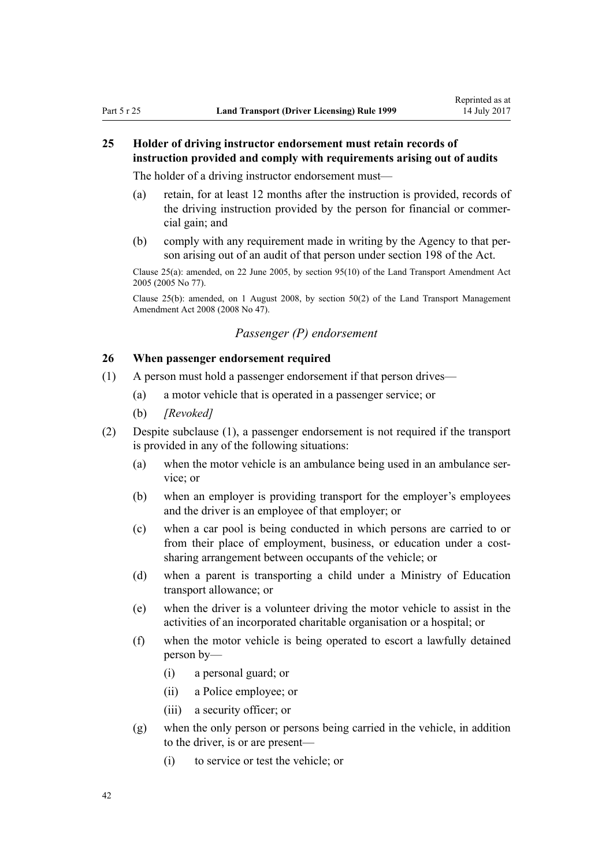# **25 Holder of driving instructor endorsement must retain records of instruction provided and comply with requirements arising out of audits**

The holder of a driving instructor endorsement must—

- (a) retain, for at least 12 months after the instruction is provided, records of the driving instruction provided by the person for financial or commercial gain; and
- (b) comply with any requirement made in writing by the Agency to that person arising out of an audit of that person under [section 198](http://prd-lgnz-nlb.prd.pco.net.nz/pdflink.aspx?id=DLM435602) of the Act.

Clause 25(a): amended, on 22 June 2005, by [section 95\(10\)](http://prd-lgnz-nlb.prd.pco.net.nz/pdflink.aspx?id=DLM353501) of the Land Transport Amendment Act 2005 (2005 No 77).

Clause 25(b): amended, on 1 August 2008, by [section 50\(2\)](http://prd-lgnz-nlb.prd.pco.net.nz/pdflink.aspx?id=DLM1313622) of the Land Transport Management Amendment Act 2008 (2008 No 47).

# *Passenger (P) endorsement*

### **26 When passenger endorsement required**

- (1) A person must hold a passenger endorsement if that person drives—
	- (a) a motor vehicle that is operated in a passenger service; or
	- (b) *[Revoked]*
- (2) Despite subclause (1), a passenger endorsement is not required if the transport is provided in any of the following situations:
	- (a) when the motor vehicle is an ambulance being used in an ambulance service; or
	- (b) when an employer is providing transport for the employer's employees and the driver is an employee of that employer; or
	- (c) when a car pool is being conducted in which persons are carried to or from their place of employment, business, or education under a costsharing arrangement between occupants of the vehicle; or
	- (d) when a parent is transporting a child under a Ministry of Education transport allowance; or
	- (e) when the driver is a volunteer driving the motor vehicle to assist in the activities of an incorporated charitable organisation or a hospital; or
	- (f) when the motor vehicle is being operated to escort a lawfully detained person by—
		- (i) a personal guard; or
		- (ii) a Police employee; or
		- (iii) a security officer; or
	- (g) when the only person or persons being carried in the vehicle, in addition to the driver, is or are present—
		- (i) to service or test the vehicle; or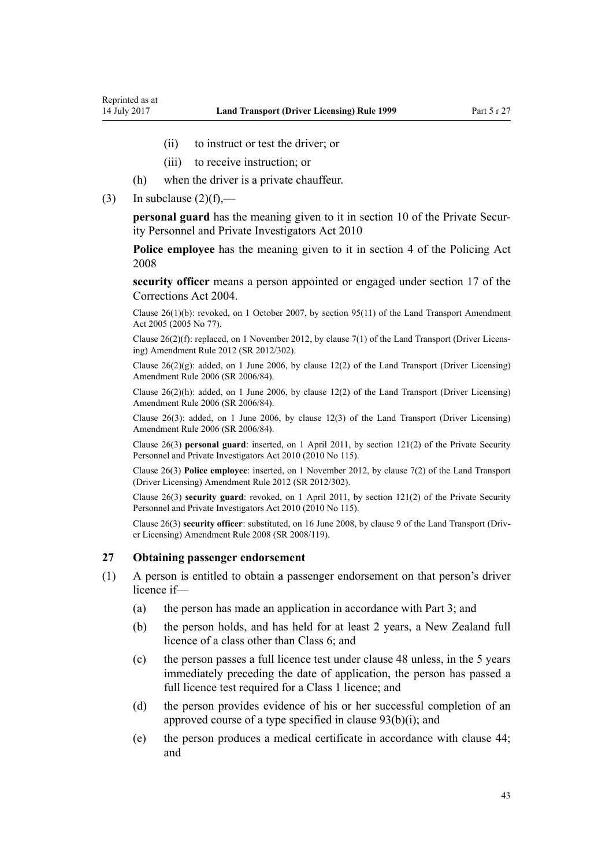- (ii) to instruct or test the driver; or
- (iii) to receive instruction; or
- (h) when the driver is a private chauffeur.
- (3) In subclause  $(2)(f)$ ,—

**personal guard** has the meaning given to it in [section 10](http://prd-lgnz-nlb.prd.pco.net.nz/pdflink.aspx?id=DLM1594507) of the Private Security Personnel and Private Investigators Act 2010

**Police employee** has the meaning given to it in [section 4](http://prd-lgnz-nlb.prd.pco.net.nz/pdflink.aspx?id=DLM1102132) of the Policing Act 2008

**security officer** means a person appointed or engaged under [section 17](http://prd-lgnz-nlb.prd.pco.net.nz/pdflink.aspx?id=DLM295415) of the Corrections Act 2004.

Clause 26(1)(b): revoked, on 1 October 2007, by [section 95\(11\)](http://prd-lgnz-nlb.prd.pco.net.nz/pdflink.aspx?id=DLM353501) of the Land Transport Amendment Act 2005 (2005 No 77).

Clause 26(2)(f): replaced, on 1 November 2012, by [clause 7\(1\)](http://prd-lgnz-nlb.prd.pco.net.nz/pdflink.aspx?id=DLM4773437) of the Land Transport (Driver Licensing) Amendment Rule 2012 (SR 2012/302).

Clause  $26(2)(g)$ : added, on 1 June 2006, by [clause 12\(2\)](http://prd-lgnz-nlb.prd.pco.net.nz/pdflink.aspx?id=DLM375697) of the Land Transport (Driver Licensing) Amendment Rule 2006 (SR 2006/84).

Clause 26(2)(h): added, on 1 June 2006, by [clause 12\(2\)](http://prd-lgnz-nlb.prd.pco.net.nz/pdflink.aspx?id=DLM375697) of the Land Transport (Driver Licensing) Amendment Rule 2006 (SR 2006/84).

Clause 26(3): added, on 1 June 2006, by [clause 12\(3\)](http://prd-lgnz-nlb.prd.pco.net.nz/pdflink.aspx?id=DLM375697) of the Land Transport (Driver Licensing) Amendment Rule 2006 (SR 2006/84).

Clause 26(3) **personal guard**: inserted, on 1 April 2011, by [section 121\(2\)](http://prd-lgnz-nlb.prd.pco.net.nz/pdflink.aspx?id=DLM1594656) of the Private Security Personnel and Private Investigators Act 2010 (2010 No 115).

Clause 26(3) **Police employee**: inserted, on 1 November 2012, by [clause 7\(2\)](http://prd-lgnz-nlb.prd.pco.net.nz/pdflink.aspx?id=DLM4773437) of the Land Transport (Driver Licensing) Amendment Rule 2012 (SR 2012/302).

Clause 26(3) **security guard**: revoked, on 1 April 2011, by [section 121\(2\)](http://prd-lgnz-nlb.prd.pco.net.nz/pdflink.aspx?id=DLM1594656) of the Private Security Personnel and Private Investigators Act 2010 (2010 No 115).

Clause 26(3) **security officer**: substituted, on 16 June 2008, by [clause 9](http://prd-lgnz-nlb.prd.pco.net.nz/pdflink.aspx?id=DLM1317912) of the Land Transport (Driver Licensing) Amendment Rule 2008 (SR 2008/119).

### **27 Obtaining passenger endorsement**

- (1) A person is entitled to obtain a passenger endorsement on that person's driver licence if—
	- (a) the person has made an application in accordance with [Part 3](#page-21-0); and
	- (b) the person holds, and has held for at least 2 years, a New Zealand full licence of a class other than Class 6; and
	- (c) the person passes a full licence test under [clause 48](#page-54-0) unless, in the 5 years immediately preceding the date of application, the person has passed a full licence test required for a Class 1 licence; and
	- (d) the person provides evidence of his or her successful completion of an approved course of a type specified in [clause 93\(b\)\(i\)](#page-90-0); and
	- (e) the person produces a medical certificate in accordance with [clause 44;](#page-51-0) and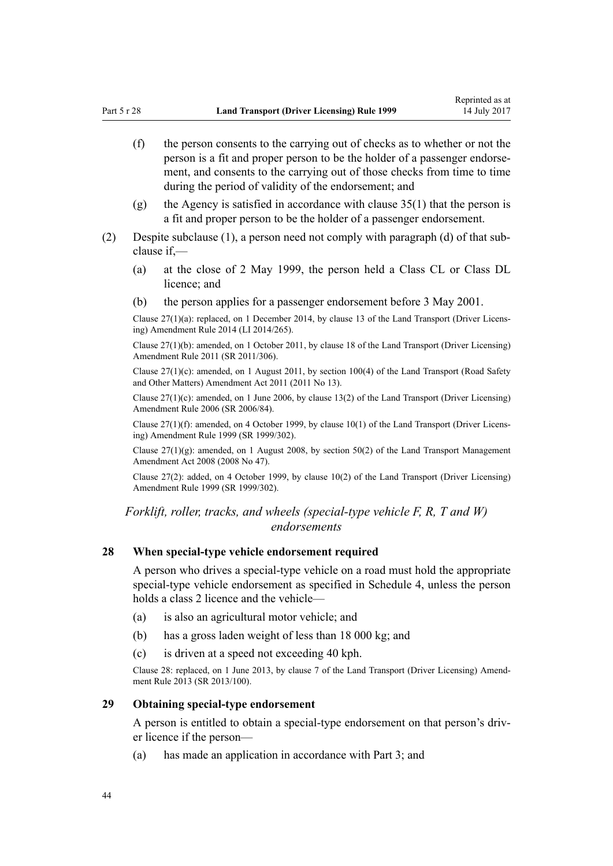- (f) the person consents to the carrying out of checks as to whether or not the person is a fit and proper person to be the holder of a passenger endorsement, and consents to the carrying out of those checks from time to time during the period of validity of the endorsement; and
- (g) the Agency is satisfied in accordance with [clause 35\(1\)](#page-46-0) that the person is a fit and proper person to be the holder of a passenger endorsement.
- (2) Despite subclause (1), a person need not comply with paragraph (d) of that subclause if,—
	- (a) at the close of 2 May 1999, the person held a Class CL or Class DL licence; and
	- (b) the person applies for a passenger endorsement before 3 May 2001.

Clause 27(1)(a): replaced, on 1 December 2014, by [clause 13](http://prd-lgnz-nlb.prd.pco.net.nz/pdflink.aspx?id=DLM6216926) of the Land Transport (Driver Licensing) Amendment Rule 2014 (LI 2014/265).

Clause 27(1)(b): amended, on 1 October 2011, by [clause 18](http://prd-lgnz-nlb.prd.pco.net.nz/pdflink.aspx?id=DLM3956723) of the Land Transport (Driver Licensing) Amendment Rule 2011 (SR 2011/306).

Clause 27(1)(c): amended, on 1 August 2011, by [section 100\(4\)](http://prd-lgnz-nlb.prd.pco.net.nz/pdflink.aspx?id=DLM3231293) of the Land Transport (Road Safety and Other Matters) Amendment Act 2011 (2011 No 13).

Clause 27(1)(c): amended, on 1 June 2006, by [clause 13\(2\)](http://prd-lgnz-nlb.prd.pco.net.nz/pdflink.aspx?id=DLM376102) of the Land Transport (Driver Licensing) Amendment Rule 2006 (SR 2006/84).

Clause 27(1)(f): amended, on 4 October 1999, by [clause 10\(1\)](http://prd-lgnz-nlb.prd.pco.net.nz/pdflink.aspx?id=DLM293678) of the Land Transport (Driver Licensing) Amendment Rule 1999 (SR 1999/302).

Clause  $27(1)(g)$ : amended, on 1 August 2008, by [section 50\(2\)](http://prd-lgnz-nlb.prd.pco.net.nz/pdflink.aspx?id=DLM1313622) of the Land Transport Management Amendment Act 2008 (2008 No 47).

Clause 27(2): added, on 4 October 1999, by [clause 10\(2\)](http://prd-lgnz-nlb.prd.pco.net.nz/pdflink.aspx?id=DLM293678) of the Land Transport (Driver Licensing) Amendment Rule 1999 (SR 1999/302).

*Forklift, roller, tracks, and wheels (special-type vehicle F, R, T and W) endorsements*

### **28 When special-type vehicle endorsement required**

A person who drives a special-type vehicle on a road must hold the appropriate special-type vehicle endorsement as specified in [Schedule 4](#page-111-0), unless the person holds a class 2 licence and the vehicle—

- (a) is also an agricultural motor vehicle; and
- (b) has a gross laden weight of less than 18 000 kg; and
- (c) is driven at a speed not exceeding 40 kph.

Clause 28: replaced, on 1 June 2013, by [clause 7](http://prd-lgnz-nlb.prd.pco.net.nz/pdflink.aspx?id=DLM5102242) of the Land Transport (Driver Licensing) Amendment Rule 2013 (SR 2013/100).

# **29 Obtaining special-type endorsement**

A person is entitled to obtain a special-type endorsement on that person's driver licence if the person—

(a) has made an application in accordance with [Part 3;](#page-21-0) and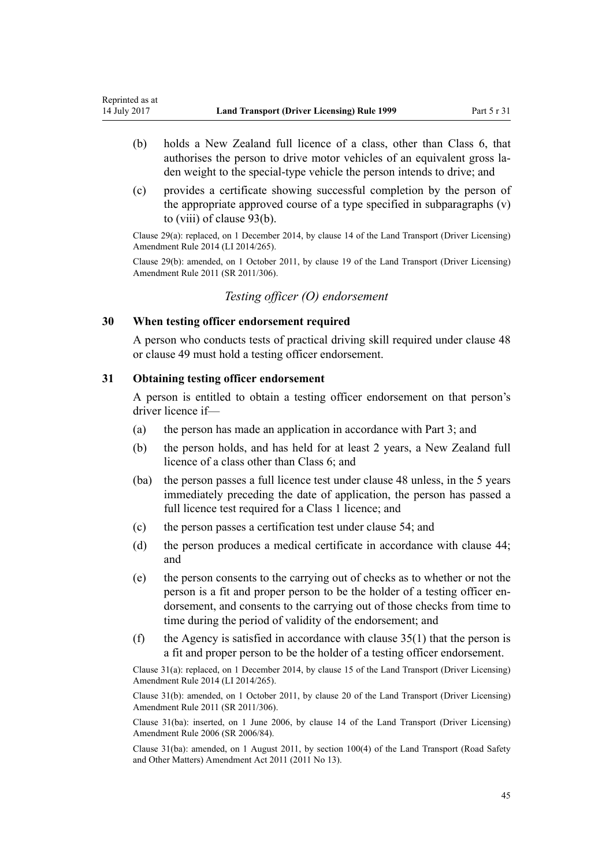- (b) holds a New Zealand full licence of a class, other than Class 6, that authorises the person to drive motor vehicles of an equivalent gross laden weight to the special-type vehicle the person intends to drive; and
- (c) provides a certificate showing successful completion by the person of the appropriate approved course of a type specified in subparagraphs (v) to (viii) of [clause 93\(b\).](#page-90-0)

Clause 29(a): replaced, on 1 December 2014, by [clause 14](http://prd-lgnz-nlb.prd.pco.net.nz/pdflink.aspx?id=DLM6216927) of the Land Transport (Driver Licensing) Amendment Rule 2014 (LI 2014/265).

Clause 29(b): amended, on 1 October 2011, by [clause 19](http://prd-lgnz-nlb.prd.pco.net.nz/pdflink.aspx?id=DLM3956724) of the Land Transport (Driver Licensing) Amendment Rule 2011 (SR 2011/306).

*Testing officer (O) endorsement*

### **30 When testing officer endorsement required**

A person who conducts tests of practical driving skill required under [clause 48](#page-54-0) or [clause 49](#page-55-0) must hold a testing officer endorsement.

### **31 Obtaining testing officer endorsement**

A person is entitled to obtain a testing officer endorsement on that person's driver licence if—

- (a) the person has made an application in accordance with [Part 3](#page-21-0); and
- (b) the person holds, and has held for at least 2 years, a New Zealand full licence of a class other than Class 6; and
- (ba) the person passes a full licence test under [clause 48](#page-54-0) unless, in the 5 years immediately preceding the date of application, the person has passed a full licence test required for a Class 1 licence; and
- (c) the person passes a certification test under [clause 54](#page-57-0); and
- (d) the person produces a medical certificate in accordance with [clause 44;](#page-51-0) and
- (e) the person consents to the carrying out of checks as to whether or not the person is a fit and proper person to be the holder of a testing officer endorsement, and consents to the carrying out of those checks from time to time during the period of validity of the endorsement; and
- (f) the Agency is satisfied in accordance with clause  $35(1)$  that the person is a fit and proper person to be the holder of a testing officer endorsement.

Clause 31(a): replaced, on 1 December 2014, by [clause 15](http://prd-lgnz-nlb.prd.pco.net.nz/pdflink.aspx?id=DLM6216928) of the Land Transport (Driver Licensing) Amendment Rule 2014 (LI 2014/265).

Clause 31(b): amended, on 1 October 2011, by [clause 20](http://prd-lgnz-nlb.prd.pco.net.nz/pdflink.aspx?id=DLM3956725) of the Land Transport (Driver Licensing) Amendment Rule 2011 (SR 2011/306).

Clause 31(ba): inserted, on 1 June 2006, by [clause 14](http://prd-lgnz-nlb.prd.pco.net.nz/pdflink.aspx?id=DLM376103) of the Land Transport (Driver Licensing) Amendment Rule 2006 (SR 2006/84).

Clause 31(ba): amended, on 1 August 2011, by [section 100\(4\)](http://prd-lgnz-nlb.prd.pco.net.nz/pdflink.aspx?id=DLM3231293) of the Land Transport (Road Safety and Other Matters) Amendment Act 2011 (2011 No 13).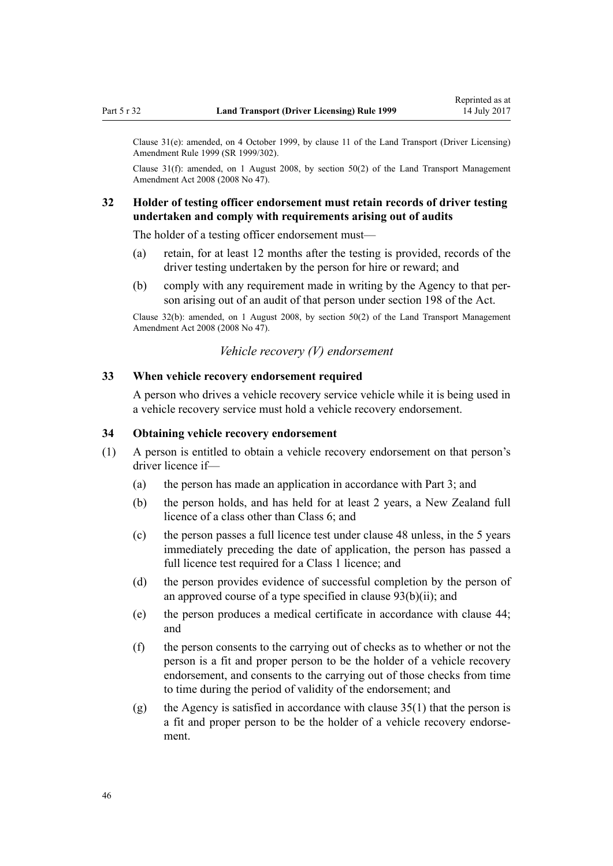Clause 31(e): amended, on 4 October 1999, by [clause 11](http://prd-lgnz-nlb.prd.pco.net.nz/pdflink.aspx?id=DLM293679) of the Land Transport (Driver Licensing) Amendment Rule 1999 (SR 1999/302).

Clause 31(f): amended, on 1 August 2008, by [section 50\(2\)](http://prd-lgnz-nlb.prd.pco.net.nz/pdflink.aspx?id=DLM1313622) of the Land Transport Management Amendment Act 2008 (2008 No 47).

# **32 Holder of testing officer endorsement must retain records of driver testing undertaken and comply with requirements arising out of audits**

The holder of a testing officer endorsement must—

- (a) retain, for at least 12 months after the testing is provided, records of the driver testing undertaken by the person for hire or reward; and
- (b) comply with any requirement made in writing by the Agency to that person arising out of an audit of that person under [section 198](http://prd-lgnz-nlb.prd.pco.net.nz/pdflink.aspx?id=DLM435602) of the Act.

Clause 32(b): amended, on 1 August 2008, by [section 50\(2\)](http://prd-lgnz-nlb.prd.pco.net.nz/pdflink.aspx?id=DLM1313622) of the Land Transport Management Amendment Act 2008 (2008 No 47).

#### *Vehicle recovery (V) endorsement*

#### **33 When vehicle recovery endorsement required**

A person who drives a vehicle recovery service vehicle while it is being used in a vehicle recovery service must hold a vehicle recovery endorsement.

#### **34 Obtaining vehicle recovery endorsement**

- (1) A person is entitled to obtain a vehicle recovery endorsement on that person's driver licence if—
	- (a) the person has made an application in accordance with [Part 3](#page-21-0); and
	- (b) the person holds, and has held for at least 2 years, a New Zealand full licence of a class other than Class 6; and
	- (c) the person passes a full licence test under [clause 48](#page-54-0) unless, in the 5 years immediately preceding the date of application, the person has passed a full licence test required for a Class 1 licence; and
	- (d) the person provides evidence of successful completion by the person of an approved course of a type specified in clause  $93(b)(ii)$ ; and
	- (e) the person produces a medical certificate in accordance with [clause 44;](#page-51-0) and
	- (f) the person consents to the carrying out of checks as to whether or not the person is a fit and proper person to be the holder of a vehicle recovery endorsement, and consents to the carrying out of those checks from time to time during the period of validity of the endorsement; and
	- (g) the Agency is satisfied in accordance with [clause 35\(1\)](#page-46-0) that the person is a fit and proper person to be the holder of a vehicle recovery endorsement.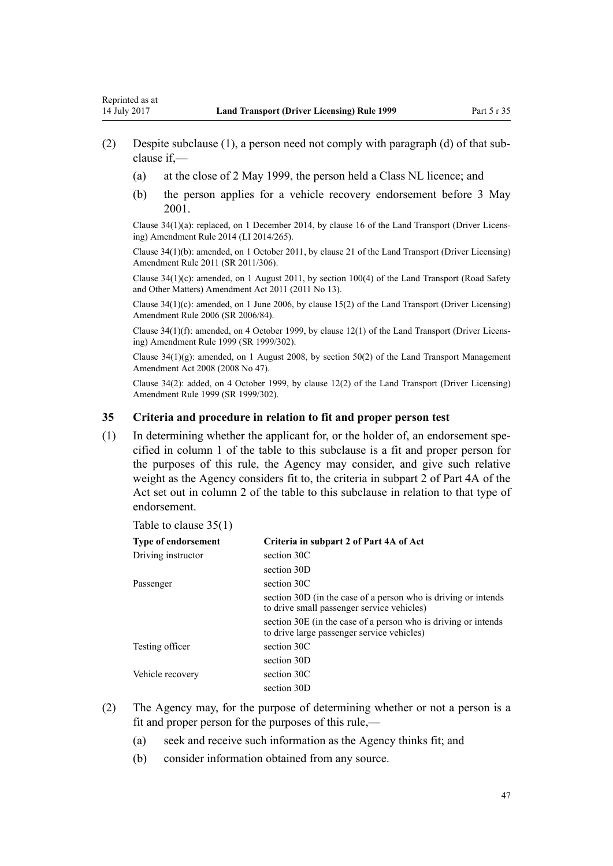- <span id="page-46-0"></span>(2) Despite subclause (1), a person need not comply with paragraph (d) of that subclause if,—
	- (a) at the close of 2 May 1999, the person held a Class NL licence; and
	- (b) the person applies for a vehicle recovery endorsement before 3 May 2001.

Clause 34(1)(a): replaced, on 1 December 2014, by [clause 16](http://prd-lgnz-nlb.prd.pco.net.nz/pdflink.aspx?id=DLM6216929) of the Land Transport (Driver Licensing) Amendment Rule 2014 (LI 2014/265).

Clause 34(1)(b): amended, on 1 October 2011, by [clause 21](http://prd-lgnz-nlb.prd.pco.net.nz/pdflink.aspx?id=DLM3956726) of the Land Transport (Driver Licensing) Amendment Rule 2011 (SR 2011/306).

Clause 34(1)(c): amended, on 1 August 2011, by [section 100\(4\)](http://prd-lgnz-nlb.prd.pco.net.nz/pdflink.aspx?id=DLM3231293) of the Land Transport (Road Safety and Other Matters) Amendment Act 2011 (2011 No 13).

Clause 34(1)(c): amended, on 1 June 2006, by [clause 15\(2\)](http://prd-lgnz-nlb.prd.pco.net.nz/pdflink.aspx?id=DLM376104) of the Land Transport (Driver Licensing) Amendment Rule 2006 (SR 2006/84).

Clause 34(1)(f): amended, on 4 October 1999, by [clause 12\(1\)](http://prd-lgnz-nlb.prd.pco.net.nz/pdflink.aspx?id=DLM293680) of the Land Transport (Driver Licensing) Amendment Rule 1999 (SR 1999/302).

Clause  $34(1)(g)$ : amended, on 1 August 2008, by [section 50\(2\)](http://prd-lgnz-nlb.prd.pco.net.nz/pdflink.aspx?id=DLM1313622) of the Land Transport Management Amendment Act 2008 (2008 No 47).

Clause 34(2): added, on 4 October 1999, by [clause 12\(2\)](http://prd-lgnz-nlb.prd.pco.net.nz/pdflink.aspx?id=DLM293680) of the Land Transport (Driver Licensing) Amendment Rule 1999 (SR 1999/302).

#### **35 Criteria and procedure in relation to fit and proper person test**

(1) In determining whether the applicant for, or the holder of, an endorsement specified in column 1 of the table to this subclause is a fit and proper person for the purposes of this rule, the Agency may consider, and give such relative weight as the Agency considers fit to, the criteria in subpart 2 of [Part 4A](http://prd-lgnz-nlb.prd.pco.net.nz/pdflink.aspx?id=DLM434587) of the Act set out in column 2 of the table to this subclause in relation to that type of endorsement.

#### Table to clause 35(1)

| <b>Type of endorsement</b> | Criteria in subpart 2 of Part 4A of Act                                                                      |
|----------------------------|--------------------------------------------------------------------------------------------------------------|
| Driving instructor         | section 30C                                                                                                  |
|                            | section 30D                                                                                                  |
| Passenger                  | section 30C                                                                                                  |
|                            | section 30D (in the case of a person who is driving or intends<br>to drive small passenger service vehicles) |
|                            | section 30E (in the case of a person who is driving or intends<br>to drive large passenger service vehicles) |
| Testing officer            | section 30C                                                                                                  |
|                            | section 30D                                                                                                  |
| Vehicle recovery           | section 30C                                                                                                  |
|                            | section 30D                                                                                                  |

- (2) The Agency may, for the purpose of determining whether or not a person is a fit and proper person for the purposes of this rule,—
	- (a) seek and receive such information as the Agency thinks fit; and
	- (b) consider information obtained from any source.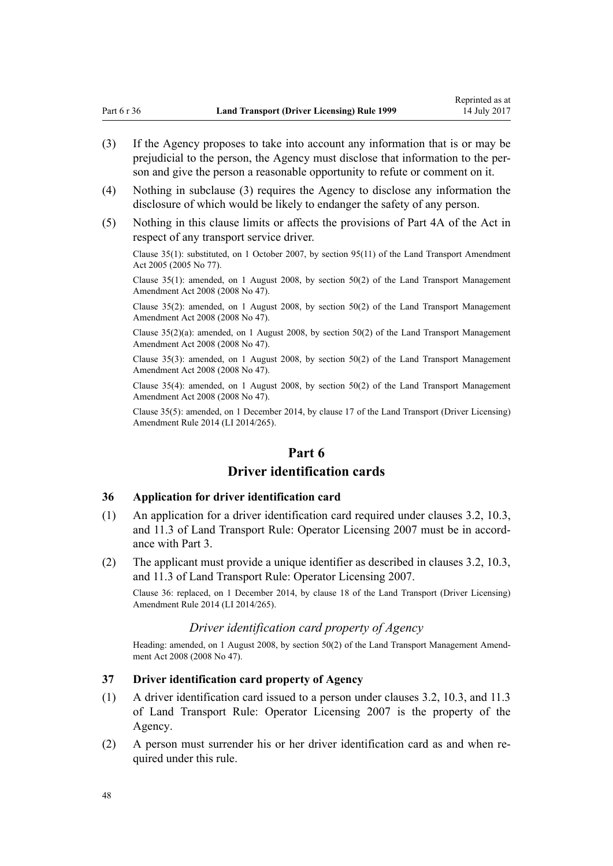- (3) If the Agency proposes to take into account any information that is or may be prejudicial to the person, the Agency must disclose that information to the person and give the person a reasonable opportunity to refute or comment on it.
- (4) Nothing in subclause (3) requires the Agency to disclose any information the disclosure of which would be likely to endanger the safety of any person.
- (5) Nothing in this clause limits or affects the provisions of [Part 4A](http://prd-lgnz-nlb.prd.pco.net.nz/pdflink.aspx?id=DLM434587) of the Act in respect of any transport service driver.

Clause 35(1): substituted, on 1 October 2007, by [section 95\(11\)](http://prd-lgnz-nlb.prd.pco.net.nz/pdflink.aspx?id=DLM353501) of the Land Transport Amendment Act 2005 (2005 No 77).

Clause 35(1): amended, on 1 August 2008, by [section 50\(2\)](http://prd-lgnz-nlb.prd.pco.net.nz/pdflink.aspx?id=DLM1313622) of the Land Transport Management Amendment Act 2008 (2008 No 47).

Clause 35(2): amended, on 1 August 2008, by [section 50\(2\)](http://prd-lgnz-nlb.prd.pco.net.nz/pdflink.aspx?id=DLM1313622) of the Land Transport Management Amendment Act 2008 (2008 No 47).

Clause 35(2)(a): amended, on 1 August 2008, by [section 50\(2\)](http://prd-lgnz-nlb.prd.pco.net.nz/pdflink.aspx?id=DLM1313622) of the Land Transport Management Amendment Act 2008 (2008 No 47).

Clause 35(3): amended, on 1 August 2008, by [section 50\(2\)](http://prd-lgnz-nlb.prd.pco.net.nz/pdflink.aspx?id=DLM1313622) of the Land Transport Management Amendment Act 2008 (2008 No 47).

Clause 35(4): amended, on 1 August 2008, by [section 50\(2\)](http://prd-lgnz-nlb.prd.pco.net.nz/pdflink.aspx?id=DLM1313622) of the Land Transport Management Amendment Act 2008 (2008 No 47).

Clause 35(5): amended, on 1 December 2014, by [clause 17](http://prd-lgnz-nlb.prd.pco.net.nz/pdflink.aspx?id=DLM6216930) of the Land Transport (Driver Licensing) Amendment Rule 2014 (LI 2014/265).

# **Part 6**

# **Driver identification cards**

### **36 Application for driver identification card**

- (1) An application for a driver identification card required under clauses 3.2, 10.3, and 11.3 of Land Transport Rule: Operator Licensing 2007 must be in accordance with [Part 3.](#page-21-0)
- (2) The applicant must provide a unique identifier as described in clauses 3.2, 10.3, and 11.3 of Land Transport Rule: Operator Licensing 2007.

Clause 36: replaced, on 1 December 2014, by [clause 18](http://prd-lgnz-nlb.prd.pco.net.nz/pdflink.aspx?id=DLM6216931) of the Land Transport (Driver Licensing) Amendment Rule 2014 (LI 2014/265).

# *Driver identification card property of Agency*

Heading: amended, on 1 August 2008, by [section 50\(2\)](http://prd-lgnz-nlb.prd.pco.net.nz/pdflink.aspx?id=DLM1313622) of the Land Transport Management Amendment Act 2008 (2008 No 47).

#### **37 Driver identification card property of Agency**

- (1) A driver identification card issued to a person under clauses 3.2, 10.3, and 11.3 of Land Transport Rule: Operator Licensing 2007 is the property of the Agency.
- (2) A person must surrender his or her driver identification card as and when required under this rule.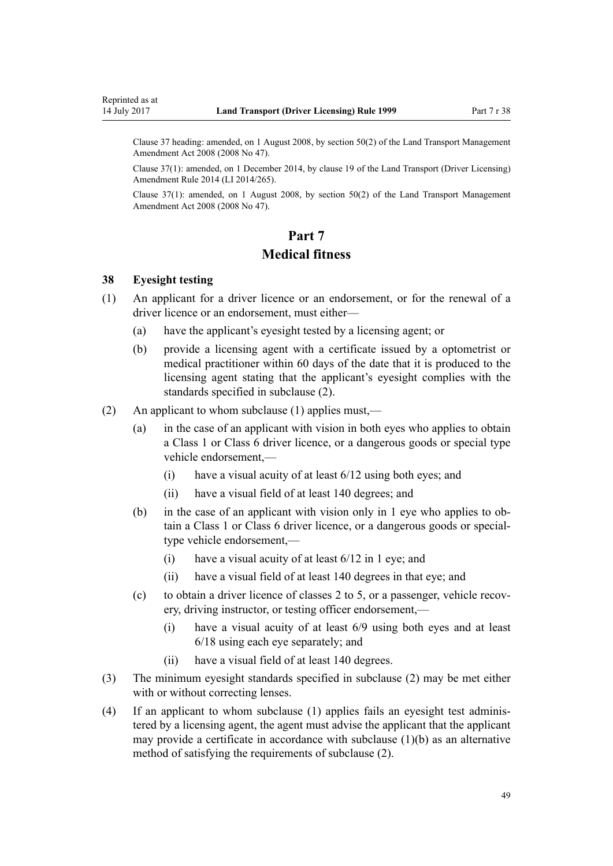<span id="page-48-0"></span>Clause 37 heading: amended, on 1 August 2008, by [section 50\(2\)](http://prd-lgnz-nlb.prd.pco.net.nz/pdflink.aspx?id=DLM1313622) of the Land Transport Management Amendment Act 2008 (2008 No 47).

Clause 37(1): amended, on 1 December 2014, by [clause 19](http://prd-lgnz-nlb.prd.pco.net.nz/pdflink.aspx?id=DLM6216933) of the Land Transport (Driver Licensing) Amendment Rule 2014 (LI 2014/265).

Clause 37(1): amended, on 1 August 2008, by [section 50\(2\)](http://prd-lgnz-nlb.prd.pco.net.nz/pdflink.aspx?id=DLM1313622) of the Land Transport Management Amendment Act 2008 (2008 No 47).

# **Part 7 Medical fitness**

#### **38 Eyesight testing**

- (1) An applicant for a driver licence or an endorsement, or for the renewal of a driver licence or an endorsement, must either—
	- (a) have the applicant's eyesight tested by a licensing agent; or
	- (b) provide a licensing agent with a certificate issued by a optometrist or medical practitioner within 60 days of the date that it is produced to the licensing agent stating that the applicant's eyesight complies with the standards specified in subclause (2).
- (2) An applicant to whom subclause (1) applies must,—
	- (a) in the case of an applicant with vision in both eyes who applies to obtain a Class 1 or Class 6 driver licence, or a dangerous goods or special type vehicle endorsement,—
		- (i) have a visual acuity of at least 6/12 using both eyes; and
		- (ii) have a visual field of at least 140 degrees; and
	- (b) in the case of an applicant with vision only in 1 eye who applies to obtain a Class 1 or Class 6 driver licence, or a dangerous goods or specialtype vehicle endorsement,—
		- (i) have a visual acuity of at least 6/12 in 1 eye; and
		- (ii) have a visual field of at least 140 degrees in that eye; and
	- (c) to obtain a driver licence of classes 2 to 5, or a passenger, vehicle recovery, driving instructor, or testing officer endorsement,—
		- (i) have a visual acuity of at least 6/9 using both eyes and at least 6/18 using each eye separately; and
		- (ii) have a visual field of at least 140 degrees.
- (3) The minimum eyesight standards specified in subclause (2) may be met either with or without correcting lenses.
- (4) If an applicant to whom subclause (1) applies fails an eyesight test administered by a licensing agent, the agent must advise the applicant that the applicant may provide a certificate in accordance with subclause (1)(b) as an alternative method of satisfying the requirements of subclause (2).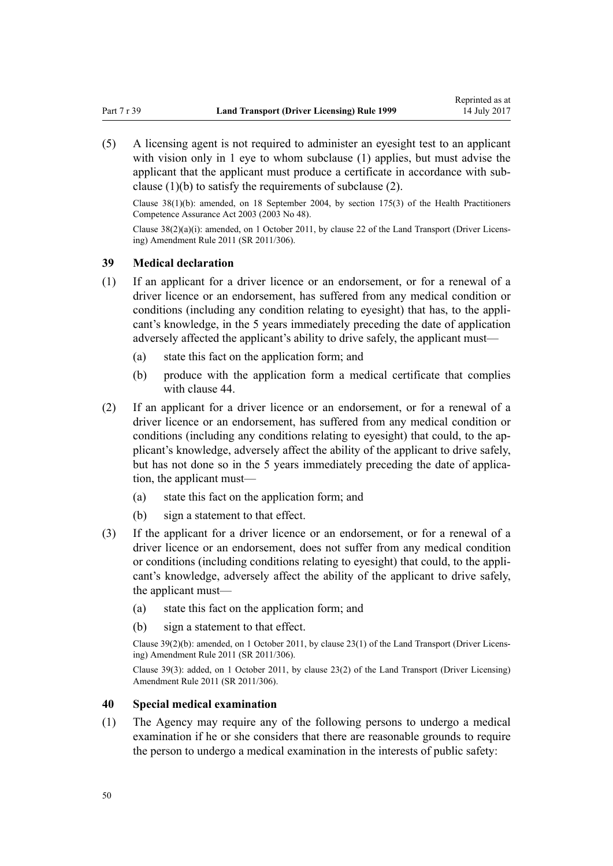<span id="page-49-0"></span>(5) A licensing agent is not required to administer an eyesight test to an applicant with vision only in 1 eye to whom subclause (1) applies, but must advise the applicant that the applicant must produce a certificate in accordance with subclause (1)(b) to satisfy the requirements of subclause (2).

Clause 38(1)(b): amended, on 18 September 2004, by [section 175\(3\)](http://prd-lgnz-nlb.prd.pco.net.nz/pdflink.aspx?id=DLM205009) of the Health Practitioners Competence Assurance Act 2003 (2003 No 48).

Clause 38(2)(a)(i): amended, on 1 October 2011, by [clause 22](http://prd-lgnz-nlb.prd.pco.net.nz/pdflink.aspx?id=DLM3956727) of the Land Transport (Driver Licensing) Amendment Rule 2011 (SR 2011/306).

#### **39 Medical declaration**

- (1) If an applicant for a driver licence or an endorsement, or for a renewal of a driver licence or an endorsement, has suffered from any medical condition or conditions (including any condition relating to eyesight) that has, to the applicant's knowledge, in the 5 years immediately preceding the date of application adversely affected the applicant's ability to drive safely, the applicant must—
	- (a) state this fact on the application form; and
	- (b) produce with the application form a medical certificate that complies with [clause 44.](#page-51-0)
- (2) If an applicant for a driver licence or an endorsement, or for a renewal of a driver licence or an endorsement, has suffered from any medical condition or conditions (including any conditions relating to eyesight) that could, to the applicant's knowledge, adversely affect the ability of the applicant to drive safely, but has not done so in the 5 years immediately preceding the date of application, the applicant must—
	- (a) state this fact on the application form; and
	- (b) sign a statement to that effect.
- (3) If the applicant for a driver licence or an endorsement, or for a renewal of a driver licence or an endorsement, does not suffer from any medical condition or conditions (including conditions relating to eyesight) that could, to the applicant's knowledge, adversely affect the ability of the applicant to drive safely, the applicant must—
	- (a) state this fact on the application form; and
	- (b) sign a statement to that effect.

Clause 39(2)(b): amended, on 1 October 2011, by [clause 23\(1\)](http://prd-lgnz-nlb.prd.pco.net.nz/pdflink.aspx?id=DLM3956728) of the Land Transport (Driver Licensing) Amendment Rule 2011 (SR 2011/306).

Clause 39(3): added, on 1 October 2011, by [clause 23\(2\)](http://prd-lgnz-nlb.prd.pco.net.nz/pdflink.aspx?id=DLM3956728) of the Land Transport (Driver Licensing) Amendment Rule 2011 (SR 2011/306).

#### **40 Special medical examination**

(1) The Agency may require any of the following persons to undergo a medical examination if he or she considers that there are reasonable grounds to require the person to undergo a medical examination in the interests of public safety: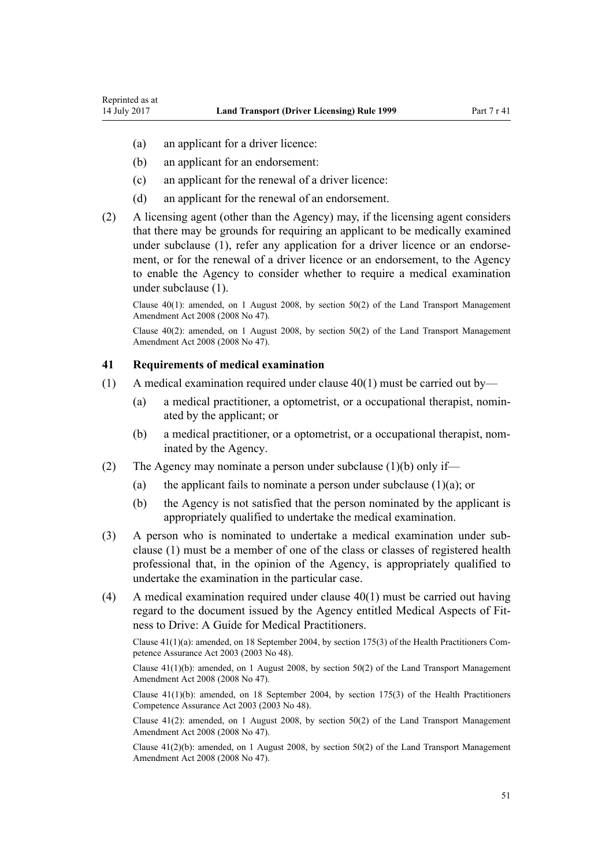- (a) an applicant for a driver licence:
- (b) an applicant for an endorsement:
- (c) an applicant for the renewal of a driver licence:
- (d) an applicant for the renewal of an endorsement.
- (2) A licensing agent (other than the Agency) may, if the licensing agent considers that there may be grounds for requiring an applicant to be medically examined under subclause (1), refer any application for a driver licence or an endorsement, or for the renewal of a driver licence or an endorsement, to the Agency to enable the Agency to consider whether to require a medical examination under subclause (1).

Clause 40(1): amended, on 1 August 2008, by [section 50\(2\)](http://prd-lgnz-nlb.prd.pco.net.nz/pdflink.aspx?id=DLM1313622) of the Land Transport Management Amendment Act 2008 (2008 No 47).

Clause 40(2): amended, on 1 August 2008, by [section 50\(2\)](http://prd-lgnz-nlb.prd.pco.net.nz/pdflink.aspx?id=DLM1313622) of the Land Transport Management Amendment Act 2008 (2008 No 47).

#### **41 Requirements of medical examination**

- (1) A medical examination required under clause  $40(1)$  must be carried out by—
	- (a) a medical practitioner, a optometrist, or a occupational therapist, nominated by the applicant; or
	- (b) a medical practitioner, or a optometrist, or a occupational therapist, nominated by the Agency.
- (2) The Agency may nominate a person under subclause  $(1)(b)$  only if—
	- (a) the applicant fails to nominate a person under subclause  $(1)(a)$ ; or
	- (b) the Agency is not satisfied that the person nominated by the applicant is appropriately qualified to undertake the medical examination.
- (3) A person who is nominated to undertake a medical examination under subclause (1) must be a member of one of the class or classes of registered health professional that, in the opinion of the Agency, is appropriately qualified to undertake the examination in the particular case.
- (4) A medical examination required under [clause 40\(1\)](#page-49-0) must be carried out having regard to the document issued by the Agency entitled Medical Aspects of Fitness to Drive: A Guide for Medical Practitioners.

Clause 41(1)(a): amended, on 18 September 2004, by [section 175\(3\)](http://prd-lgnz-nlb.prd.pco.net.nz/pdflink.aspx?id=DLM205009) of the Health Practitioners Competence Assurance Act 2003 (2003 No 48).

Clause 41(1)(b): amended, on 1 August 2008, by [section 50\(2\)](http://prd-lgnz-nlb.prd.pco.net.nz/pdflink.aspx?id=DLM1313622) of the Land Transport Management Amendment Act 2008 (2008 No 47).

Clause  $41(1)(b)$ : amended, on 18 September 2004, by [section 175\(3\)](http://prd-lgnz-nlb.prd.pco.net.nz/pdflink.aspx?id=DLM205009) of the Health Practitioners Competence Assurance Act 2003 (2003 No 48).

Clause 41(2): amended, on 1 August 2008, by [section 50\(2\)](http://prd-lgnz-nlb.prd.pco.net.nz/pdflink.aspx?id=DLM1313622) of the Land Transport Management Amendment Act 2008 (2008 No 47).

Clause 41(2)(b): amended, on 1 August 2008, by [section 50\(2\)](http://prd-lgnz-nlb.prd.pco.net.nz/pdflink.aspx?id=DLM1313622) of the Land Transport Management Amendment Act 2008 (2008 No 47).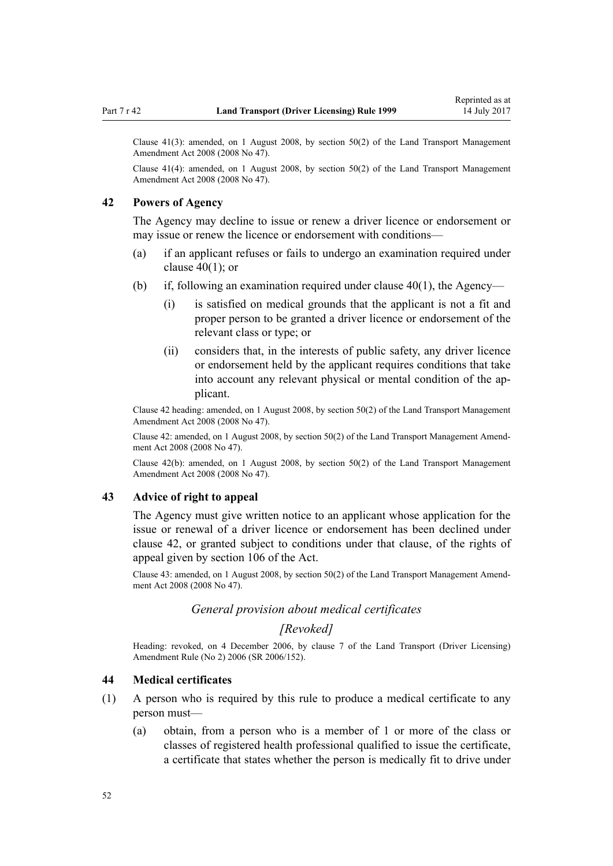<span id="page-51-0"></span>Clause 41(3): amended, on 1 August 2008, by [section 50\(2\)](http://prd-lgnz-nlb.prd.pco.net.nz/pdflink.aspx?id=DLM1313622) of the Land Transport Management Amendment Act 2008 (2008 No 47).

Clause 41(4): amended, on 1 August 2008, by [section 50\(2\)](http://prd-lgnz-nlb.prd.pco.net.nz/pdflink.aspx?id=DLM1313622) of the Land Transport Management Amendment Act 2008 (2008 No 47).

### **42 Powers of Agency**

The Agency may decline to issue or renew a driver licence or endorsement or may issue or renew the licence or endorsement with conditions—

- (a) if an applicant refuses or fails to undergo an examination required under clause  $40(1)$ ; or
- (b) if, following an examination required under clause  $40(1)$ , the Agency—
	- (i) is satisfied on medical grounds that the applicant is not a fit and proper person to be granted a driver licence or endorsement of the relevant class or type; or
	- (ii) considers that, in the interests of public safety, any driver licence or endorsement held by the applicant requires conditions that take into account any relevant physical or mental condition of the applicant.

Clause 42 heading: amended, on 1 August 2008, by [section 50\(2\)](http://prd-lgnz-nlb.prd.pco.net.nz/pdflink.aspx?id=DLM1313622) of the Land Transport Management Amendment Act 2008 (2008 No 47).

Clause 42: amended, on 1 August 2008, by [section 50\(2\)](http://prd-lgnz-nlb.prd.pco.net.nz/pdflink.aspx?id=DLM1313622) of the Land Transport Management Amendment Act 2008 (2008 No 47).

Clause 42(b): amended, on 1 August 2008, by [section 50\(2\)](http://prd-lgnz-nlb.prd.pco.net.nz/pdflink.aspx?id=DLM1313622) of the Land Transport Management Amendment Act 2008 (2008 No 47).

#### **43 Advice of right to appeal**

The Agency must give written notice to an applicant whose application for the issue or renewal of a driver licence or endorsement has been declined under clause 42, or granted subject to conditions under that clause, of the rights of appeal given by [section 106](http://prd-lgnz-nlb.prd.pco.net.nz/pdflink.aspx?id=DLM435083) of the Act.

Clause 43: amended, on 1 August 2008, by [section 50\(2\)](http://prd-lgnz-nlb.prd.pco.net.nz/pdflink.aspx?id=DLM1313622) of the Land Transport Management Amendment Act 2008 (2008 No 47).

### *General provision about medical certificates*

## *[Revoked]*

Heading: revoked, on 4 December 2006, by [clause 7](http://prd-lgnz-nlb.prd.pco.net.nz/pdflink.aspx?id=DLM386144) of the Land Transport (Driver Licensing) Amendment Rule (No 2) 2006 (SR 2006/152).

### **44 Medical certificates**

- (1) A person who is required by this rule to produce a medical certificate to any person must—
	- (a) obtain, from a person who is a member of 1 or more of the class or classes of registered health professional qualified to issue the certificate, a certificate that states whether the person is medically fit to drive under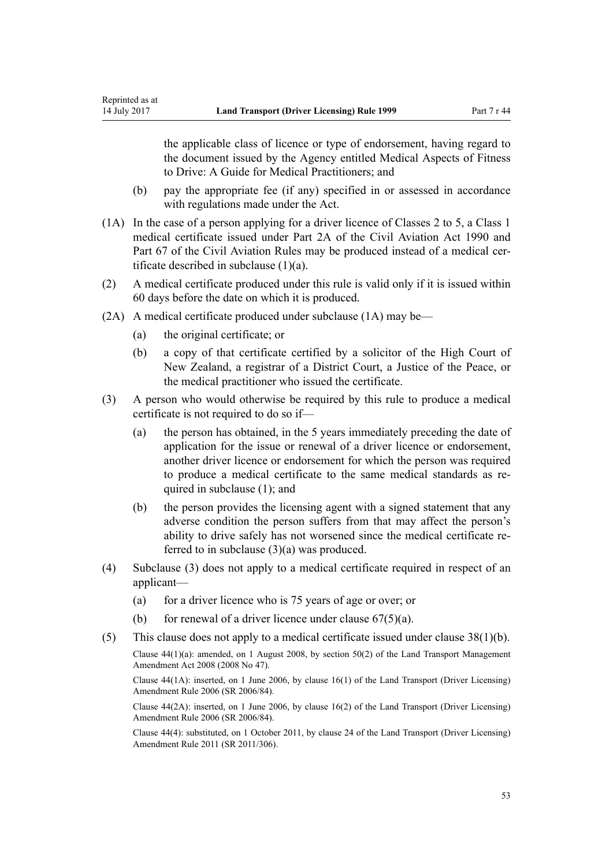the applicable class of licence or type of endorsement, having regard to the document issued by the Agency entitled Medical Aspects of Fitness to Drive: A Guide for Medical Practitioners; and

- (b) pay the appropriate fee (if any) specified in or assessed in accordance with regulations made under the Act.
- (1A) In the case of a person applying for a driver licence of Classes 2 to 5, a Class 1 medical certificate issued under [Part 2A](http://prd-lgnz-nlb.prd.pco.net.nz/pdflink.aspx?id=DLM216176) of the Civil Aviation Act 1990 and Part 67 of the Civil Aviation Rules may be produced instead of a medical certificate described in subclause (1)(a).
- (2) A medical certificate produced under this rule is valid only if it is issued within 60 days before the date on which it is produced.
- (2A) A medical certificate produced under subclause (1A) may be—
	- (a) the original certificate; or

Reprinted as at

- (b) a copy of that certificate certified by a solicitor of the High Court of New Zealand, a registrar of a District Court, a Justice of the Peace, or the medical practitioner who issued the certificate.
- (3) A person who would otherwise be required by this rule to produce a medical certificate is not required to do so if—
	- (a) the person has obtained, in the 5 years immediately preceding the date of application for the issue or renewal of a driver licence or endorsement, another driver licence or endorsement for which the person was required to produce a medical certificate to the same medical standards as required in subclause (1); and
	- (b) the person provides the licensing agent with a signed statement that any adverse condition the person suffers from that may affect the person's ability to drive safely has not worsened since the medical certificate referred to in subclause (3)(a) was produced.
- (4) Subclause (3) does not apply to a medical certificate required in respect of an applicant—
	- (a) for a driver licence who is 75 years of age or over; or
	- (b) for renewal of a driver licence under clause  $67(5)(a)$ .
- (5) This clause does not apply to a medical certificate issued under [clause 38\(1\)\(b\).](#page-48-0)

Clause 44(1)(a): amended, on 1 August 2008, by [section 50\(2\)](http://prd-lgnz-nlb.prd.pco.net.nz/pdflink.aspx?id=DLM1313622) of the Land Transport Management Amendment Act 2008 (2008 No 47).

Clause 44(1A): inserted, on 1 June 2006, by [clause 16\(1\)](http://prd-lgnz-nlb.prd.pco.net.nz/pdflink.aspx?id=DLM376105) of the Land Transport (Driver Licensing) Amendment Rule 2006 (SR 2006/84).

Clause 44(2A): inserted, on 1 June 2006, by [clause 16\(2\)](http://prd-lgnz-nlb.prd.pco.net.nz/pdflink.aspx?id=DLM376105) of the Land Transport (Driver Licensing) Amendment Rule 2006 (SR 2006/84).

Clause 44(4): substituted, on 1 October 2011, by [clause 24](http://prd-lgnz-nlb.prd.pco.net.nz/pdflink.aspx?id=DLM3956729) of the Land Transport (Driver Licensing) Amendment Rule 2011 (SR 2011/306).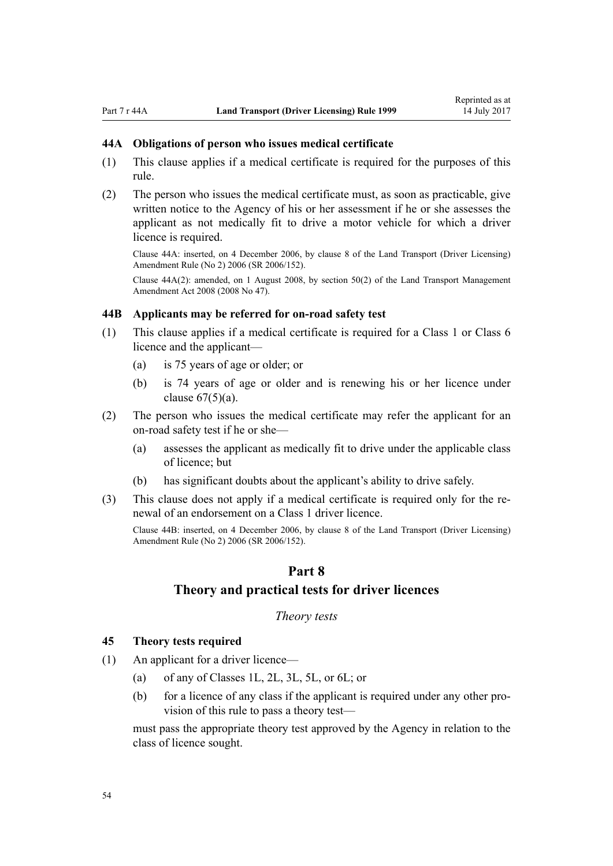### <span id="page-53-0"></span>**44A Obligations of person who issues medical certificate**

- (1) This clause applies if a medical certificate is required for the purposes of this rule.
- (2) The person who issues the medical certificate must, as soon as practicable, give written notice to the Agency of his or her assessment if he or she assesses the applicant as not medically fit to drive a motor vehicle for which a driver licence is required.

Clause 44A: inserted, on 4 December 2006, by [clause 8](http://prd-lgnz-nlb.prd.pco.net.nz/pdflink.aspx?id=DLM386145) of the Land Transport (Driver Licensing) Amendment Rule (No 2) 2006 (SR 2006/152).

Clause 44A(2): amended, on 1 August 2008, by [section 50\(2\)](http://prd-lgnz-nlb.prd.pco.net.nz/pdflink.aspx?id=DLM1313622) of the Land Transport Management Amendment Act 2008 (2008 No 47).

#### **44B Applicants may be referred for on-road safety test**

- (1) This clause applies if a medical certificate is required for a Class 1 or Class 6 licence and the applicant—
	- (a) is 75 years of age or older; or
	- (b) is 74 years of age or older and is renewing his or her licence under clause  $67(5)(a)$ .
- (2) The person who issues the medical certificate may refer the applicant for an on-road safety test if he or she—
	- (a) assesses the applicant as medically fit to drive under the applicable class of licence; but
	- (b) has significant doubts about the applicant's ability to drive safely.
- (3) This clause does not apply if a medical certificate is required only for the renewal of an endorsement on a Class 1 driver licence.

Clause 44B: inserted, on 4 December 2006, by [clause 8](http://prd-lgnz-nlb.prd.pco.net.nz/pdflink.aspx?id=DLM386145) of the Land Transport (Driver Licensing) Amendment Rule (No 2) 2006 (SR 2006/152).

#### **Part 8**

### **Theory and practical tests for driver licences**

*Theory tests*

#### **45 Theory tests required**

- (1) An applicant for a driver licence—
	- (a) of any of Classes 1L, 2L, 3L, 5L, or 6L; or
	- (b) for a licence of any class if the applicant is required under any other provision of this rule to pass a theory test—

must pass the appropriate theory test approved by the Agency in relation to the class of licence sought.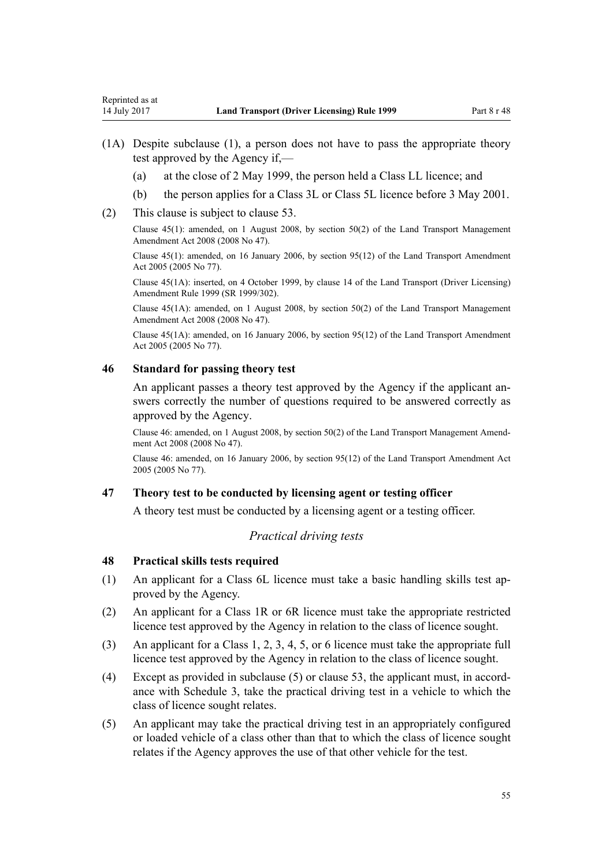- <span id="page-54-0"></span>(1A) Despite subclause (1), a person does not have to pass the appropriate theory test approved by the Agency if,—
	- (a) at the close of 2 May 1999, the person held a Class LL licence; and
	- (b) the person applies for a Class 3L or Class 5L licence before 3 May 2001.
- (2) This clause is subject to [clause 53](#page-56-0).

Clause 45(1): amended, on 1 August 2008, by [section 50\(2\)](http://prd-lgnz-nlb.prd.pco.net.nz/pdflink.aspx?id=DLM1313622) of the Land Transport Management Amendment Act 2008 (2008 No 47).

Clause 45(1): amended, on 16 January 2006, by [section 95\(12\)](http://prd-lgnz-nlb.prd.pco.net.nz/pdflink.aspx?id=DLM353501) of the Land Transport Amendment Act 2005 (2005 No 77).

Clause 45(1A): inserted, on 4 October 1999, by [clause 14](http://prd-lgnz-nlb.prd.pco.net.nz/pdflink.aspx?id=DLM293682) of the Land Transport (Driver Licensing) Amendment Rule 1999 (SR 1999/302).

Clause 45(1A): amended, on 1 August 2008, by [section 50\(2\)](http://prd-lgnz-nlb.prd.pco.net.nz/pdflink.aspx?id=DLM1313622) of the Land Transport Management Amendment Act 2008 (2008 No 47).

Clause 45(1A): amended, on 16 January 2006, by [section 95\(12\)](http://prd-lgnz-nlb.prd.pco.net.nz/pdflink.aspx?id=DLM353501) of the Land Transport Amendment Act 2005 (2005 No 77).

#### **46 Standard for passing theory test**

An applicant passes a theory test approved by the Agency if the applicant answers correctly the number of questions required to be answered correctly as approved by the Agency.

Clause 46: amended, on 1 August 2008, by [section 50\(2\)](http://prd-lgnz-nlb.prd.pco.net.nz/pdflink.aspx?id=DLM1313622) of the Land Transport Management Amendment Act 2008 (2008 No 47).

Clause 46: amended, on 16 January 2006, by [section 95\(12\)](http://prd-lgnz-nlb.prd.pco.net.nz/pdflink.aspx?id=DLM353501) of the Land Transport Amendment Act 2005 (2005 No 77).

### **47 Theory test to be conducted by licensing agent or testing officer**

A theory test must be conducted by a licensing agent or a testing officer.

### *Practical driving tests*

# **48 Practical skills tests required**

- (1) An applicant for a Class 6L licence must take a basic handling skills test approved by the Agency.
- (2) An applicant for a Class 1R or 6R licence must take the appropriate restricted licence test approved by the Agency in relation to the class of licence sought.
- (3) An applicant for a Class 1, 2, 3, 4, 5, or 6 licence must take the appropriate full licence test approved by the Agency in relation to the class of licence sought.
- (4) Except as provided in subclause (5) or [clause 53](#page-56-0), the applicant must, in accordance with [Schedule 3](#page-109-0), take the practical driving test in a vehicle to which the class of licence sought relates.
- (5) An applicant may take the practical driving test in an appropriately configured or loaded vehicle of a class other than that to which the class of licence sought relates if the Agency approves the use of that other vehicle for the test.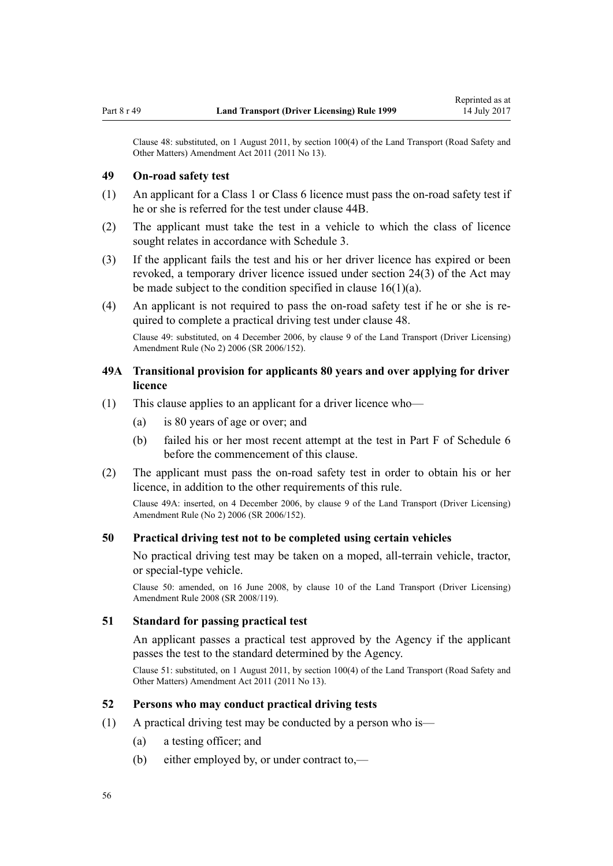<span id="page-55-0"></span>Clause 48: substituted, on 1 August 2011, by [section 100\(4\)](http://prd-lgnz-nlb.prd.pco.net.nz/pdflink.aspx?id=DLM3231293) of the Land Transport (Road Safety and Other Matters) Amendment Act 2011 (2011 No 13).

### **49 On-road safety test**

- (1) An applicant for a Class 1 or Class 6 licence must pass the on-road safety test if he or she is referred for the test under [clause 44B](#page-53-0).
- (2) The applicant must take the test in a vehicle to which the class of licence sought relates in accordance with [Schedule 3](#page-109-0).
- (3) If the applicant fails the test and his or her driver licence has expired or been revoked, a temporary driver licence issued under [section 24\(3\)](http://prd-lgnz-nlb.prd.pco.net.nz/pdflink.aspx?id=DLM434553) of the Act may be made subject to the condition specified in [clause 16\(1\)\(a\).](#page-26-0)
- (4) An applicant is not required to pass the on-road safety test if he or she is required to complete a practical driving test under [clause 48.](#page-54-0)

Clause 49: substituted, on 4 December 2006, by [clause 9](http://prd-lgnz-nlb.prd.pco.net.nz/pdflink.aspx?id=DLM386148) of the Land Transport (Driver Licensing) Amendment Rule (No 2) 2006 (SR 2006/152).

# **49A Transitional provision for applicants 80 years and over applying for driver licence**

- (1) This clause applies to an applicant for a driver licence who—
	- (a) is 80 years of age or over; and
	- (b) failed his or her most recent attempt at the test in [Part F](http://prd-lgnz-nlb.prd.pco.net.nz/pdflink.aspx?id=DLM282294) of Schedule 6 before the commencement of this clause.
- (2) The applicant must pass the on-road safety test in order to obtain his or her licence, in addition to the other requirements of this rule.

Clause 49A: inserted, on 4 December 2006, by [clause 9](http://prd-lgnz-nlb.prd.pco.net.nz/pdflink.aspx?id=DLM386148) of the Land Transport (Driver Licensing) Amendment Rule (No 2) 2006 (SR 2006/152).

#### **50 Practical driving test not to be completed using certain vehicles**

No practical driving test may be taken on a moped, all-terrain vehicle, tractor, or special-type vehicle.

Clause 50: amended, on 16 June 2008, by [clause 10](http://prd-lgnz-nlb.prd.pco.net.nz/pdflink.aspx?id=DLM1317916) of the Land Transport (Driver Licensing) Amendment Rule 2008 (SR 2008/119).

#### **51 Standard for passing practical test**

An applicant passes a practical test approved by the Agency if the applicant passes the test to the standard determined by the Agency.

Clause 51: substituted, on 1 August 2011, by [section 100\(4\)](http://prd-lgnz-nlb.prd.pco.net.nz/pdflink.aspx?id=DLM3231293) of the Land Transport (Road Safety and Other Matters) Amendment Act 2011 (2011 No 13).

#### **52 Persons who may conduct practical driving tests**

- (1) A practical driving test may be conducted by a person who is—
	- (a) a testing officer; and
	- (b) either employed by, or under contract to,—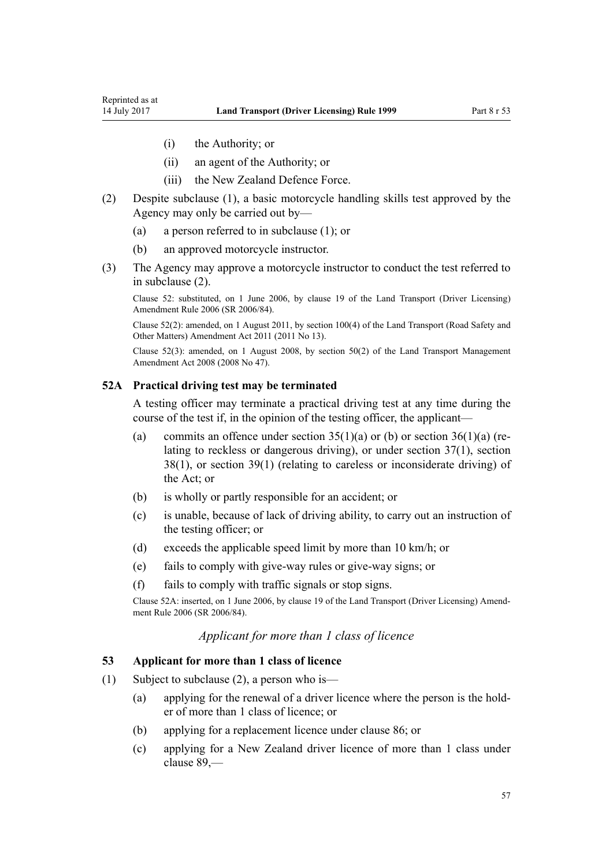- <span id="page-56-0"></span>(i) the Authority; or
- (ii) an agent of the Authority; or
- (iii) the New Zealand Defence Force.
- (2) Despite subclause (1), a basic motorcycle handling skills test approved by the Agency may only be carried out by—
	- (a) a person referred to in subclause (1); or
	- (b) an approved motorcycle instructor.
- (3) The Agency may approve a motorcycle instructor to conduct the test referred to in subclause (2).

Clause 52: substituted, on 1 June 2006, by [clause 19](http://prd-lgnz-nlb.prd.pco.net.nz/pdflink.aspx?id=DLM376108) of the Land Transport (Driver Licensing) Amendment Rule 2006 (SR 2006/84).

Clause 52(2): amended, on 1 August 2011, by [section 100\(4\)](http://prd-lgnz-nlb.prd.pco.net.nz/pdflink.aspx?id=DLM3231293) of the Land Transport (Road Safety and Other Matters) Amendment Act 2011 (2011 No 13).

Clause 52(3): amended, on 1 August 2008, by [section 50\(2\)](http://prd-lgnz-nlb.prd.pco.net.nz/pdflink.aspx?id=DLM1313622) of the Land Transport Management Amendment Act 2008 (2008 No 47).

#### **52A Practical driving test may be terminated**

A testing officer may terminate a practical driving test at any time during the course of the test if, in the opinion of the testing officer, the applicant—

- (a) commits an offence under section  $35(1)(a)$  or (b) or section  $36(1)(a)$  (relating to reckless or dangerous driving), or under [section 37\(1\),](http://prd-lgnz-nlb.prd.pco.net.nz/pdflink.aspx?id=DLM434658) [section](http://prd-lgnz-nlb.prd.pco.net.nz/pdflink.aspx?id=DLM434659) [38\(1\)](http://prd-lgnz-nlb.prd.pco.net.nz/pdflink.aspx?id=DLM434659), or [section 39\(1\)](http://prd-lgnz-nlb.prd.pco.net.nz/pdflink.aspx?id=DLM434662) (relating to careless or inconsiderate driving) of the Act; or
- (b) is wholly or partly responsible for an accident; or
- (c) is unable, because of lack of driving ability, to carry out an instruction of the testing officer; or
- (d) exceeds the applicable speed limit by more than 10 km/h; or
- (e) fails to comply with give-way rules or give-way signs; or
- (f) fails to comply with traffic signals or stop signs.

Clause 52A: inserted, on 1 June 2006, by [clause 19](http://prd-lgnz-nlb.prd.pco.net.nz/pdflink.aspx?id=DLM376108) of the Land Transport (Driver Licensing) Amendment Rule 2006 (SR 2006/84).

## *Applicant for more than 1 class of licence*

#### **53 Applicant for more than 1 class of licence**

- (1) Subject to subclause (2), a person who is—
	- (a) applying for the renewal of a driver licence where the person is the holder of more than 1 class of licence; or
	- (b) applying for a replacement licence under [clause 86](#page-83-0); or
	- (c) applying for a New Zealand driver licence of more than 1 class under [clause 89](#page-87-0),—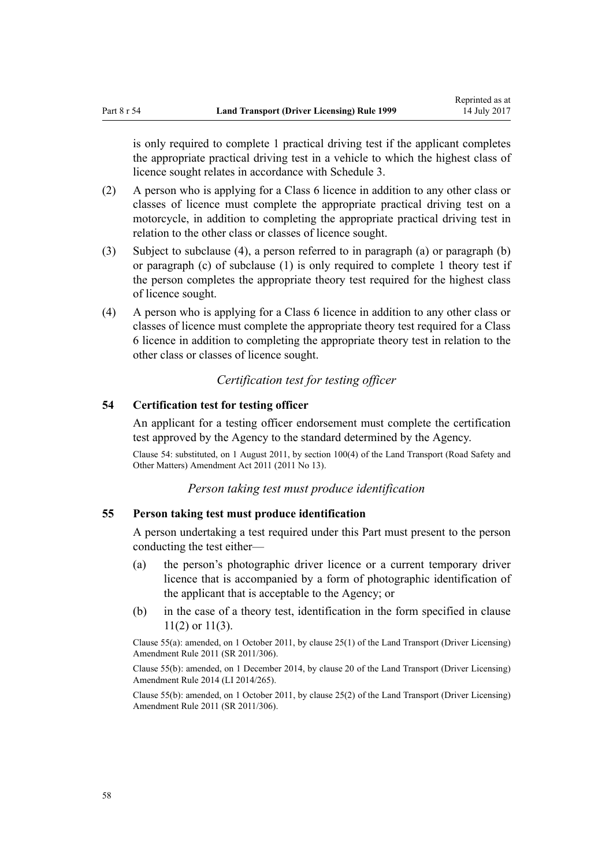<span id="page-57-0"></span>

is only required to complete 1 practical driving test if the applicant completes the appropriate practical driving test in a vehicle to which the highest class of licence sought relates in accordance with [Schedule 3.](#page-109-0)

- (2) A person who is applying for a Class 6 licence in addition to any other class or classes of licence must complete the appropriate practical driving test on a motorcycle, in addition to completing the appropriate practical driving test in relation to the other class or classes of licence sought.
- (3) Subject to subclause (4), a person referred to in paragraph (a) or paragraph (b) or paragraph (c) of subclause (1) is only required to complete 1 theory test if the person completes the appropriate theory test required for the highest class of licence sought.
- (4) A person who is applying for a Class 6 licence in addition to any other class or classes of licence must complete the appropriate theory test required for a Class 6 licence in addition to completing the appropriate theory test in relation to the other class or classes of licence sought.

# *Certification test for testing officer*

### **54 Certification test for testing officer**

An applicant for a testing officer endorsement must complete the certification test approved by the Agency to the standard determined by the Agency.

Clause 54: substituted, on 1 August 2011, by [section 100\(4\)](http://prd-lgnz-nlb.prd.pco.net.nz/pdflink.aspx?id=DLM3231293) of the Land Transport (Road Safety and Other Matters) Amendment Act 2011 (2011 No 13).

### *Person taking test must produce identification*

### **55 Person taking test must produce identification**

A person undertaking a test required under this Part must present to the person conducting the test either—

- (a) the person's photographic driver licence or a current temporary driver licence that is accompanied by a form of photographic identification of the applicant that is acceptable to the Agency; or
- (b) in the case of a theory test, identification in the form specified in [clause](#page-22-0) [11\(2\) or 11\(3\).](#page-22-0)

Clause 55(a): amended, on 1 October 2011, by [clause 25\(1\)](http://prd-lgnz-nlb.prd.pco.net.nz/pdflink.aspx?id=DLM3956730) of the Land Transport (Driver Licensing) Amendment Rule 2011 (SR 2011/306).

Clause 55(b): amended, on 1 December 2014, by [clause 20](http://prd-lgnz-nlb.prd.pco.net.nz/pdflink.aspx?id=DLM6216934) of the Land Transport (Driver Licensing) Amendment Rule 2014 (LI 2014/265).

Clause 55(b): amended, on 1 October 2011, by [clause 25\(2\)](http://prd-lgnz-nlb.prd.pco.net.nz/pdflink.aspx?id=DLM3956730) of the Land Transport (Driver Licensing) Amendment Rule 2011 (SR 2011/306).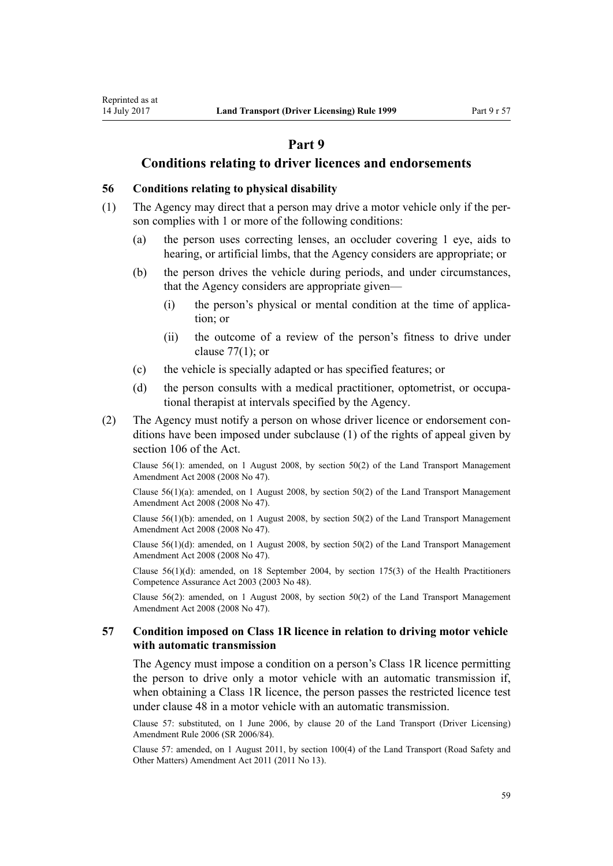# **Part 9**

### **Conditions relating to driver licences and endorsements**

### <span id="page-58-0"></span>**56 Conditions relating to physical disability**

- (1) The Agency may direct that a person may drive a motor vehicle only if the person complies with 1 or more of the following conditions:
	- (a) the person uses correcting lenses, an occluder covering 1 eye, aids to hearing, or artificial limbs, that the Agency considers are appropriate; or
	- (b) the person drives the vehicle during periods, and under circumstances, that the Agency considers are appropriate given—
		- (i) the person's physical or mental condition at the time of application; or
		- (ii) the outcome of a review of the person's fitness to drive under clause  $77(1)$ ; or
	- (c) the vehicle is specially adapted or has specified features; or
	- (d) the person consults with a medical practitioner, optometrist, or occupational therapist at intervals specified by the Agency.
- (2) The Agency must notify a person on whose driver licence or endorsement conditions have been imposed under subclause (1) of the rights of appeal given by [section 106](http://prd-lgnz-nlb.prd.pco.net.nz/pdflink.aspx?id=DLM435083) of the Act.

Clause 56(1): amended, on 1 August 2008, by [section 50\(2\)](http://prd-lgnz-nlb.prd.pco.net.nz/pdflink.aspx?id=DLM1313622) of the Land Transport Management Amendment Act 2008 (2008 No 47).

Clause  $56(1)(a)$ : amended, on 1 August 2008, by section  $50(2)$  of the Land Transport Management Amendment Act 2008 (2008 No 47).

Clause  $56(1)(b)$ : amended, on 1 August 2008, by section  $50(2)$  of the Land Transport Management Amendment Act 2008 (2008 No 47).

Clause  $56(1)(d)$ : amended, on 1 August 2008, by section  $50(2)$  of the Land Transport Management Amendment Act 2008 (2008 No 47).

Clause  $56(1)(d)$ : amended, on 18 September 2004, by [section 175\(3\)](http://prd-lgnz-nlb.prd.pco.net.nz/pdflink.aspx?id=DLM205009) of the Health Practitioners Competence Assurance Act 2003 (2003 No 48).

Clause 56(2): amended, on 1 August 2008, by [section 50\(2\)](http://prd-lgnz-nlb.prd.pco.net.nz/pdflink.aspx?id=DLM1313622) of the Land Transport Management Amendment Act 2008 (2008 No 47).

#### **57 Condition imposed on Class 1R licence in relation to driving motor vehicle with automatic transmission**

The Agency must impose a condition on a person's Class 1R licence permitting the person to drive only a motor vehicle with an automatic transmission if, when obtaining a Class 1R licence, the person passes the restricted licence test under [clause 48](#page-54-0) in a motor vehicle with an automatic transmission.

Clause 57: substituted, on 1 June 2006, by [clause 20](http://prd-lgnz-nlb.prd.pco.net.nz/pdflink.aspx?id=DLM376111) of the Land Transport (Driver Licensing) Amendment Rule 2006 (SR 2006/84).

Clause 57: amended, on 1 August 2011, by [section 100\(4\)](http://prd-lgnz-nlb.prd.pco.net.nz/pdflink.aspx?id=DLM3231293) of the Land Transport (Road Safety and Other Matters) Amendment Act 2011 (2011 No 13).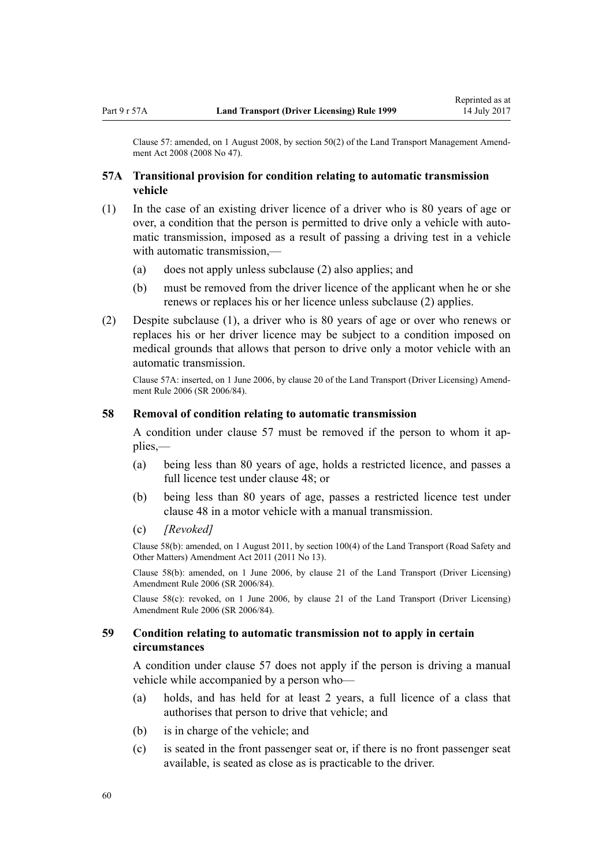Clause 57: amended, on 1 August 2008, by [section 50\(2\)](http://prd-lgnz-nlb.prd.pco.net.nz/pdflink.aspx?id=DLM1313622) of the Land Transport Management Amendment Act 2008 (2008 No 47).

### **57A Transitional provision for condition relating to automatic transmission vehicle**

- (1) In the case of an existing driver licence of a driver who is 80 years of age or over, a condition that the person is permitted to drive only a vehicle with automatic transmission, imposed as a result of passing a driving test in a vehicle with automatic transmission,—
	- (a) does not apply unless subclause (2) also applies; and
	- (b) must be removed from the driver licence of the applicant when he or she renews or replaces his or her licence unless subclause (2) applies.
- (2) Despite subclause (1), a driver who is 80 years of age or over who renews or replaces his or her driver licence may be subject to a condition imposed on medical grounds that allows that person to drive only a motor vehicle with an automatic transmission.

Clause 57A: inserted, on 1 June 2006, by [clause 20](http://prd-lgnz-nlb.prd.pco.net.nz/pdflink.aspx?id=DLM376111) of the Land Transport (Driver Licensing) Amendment Rule 2006 (SR 2006/84).

#### **58 Removal of condition relating to automatic transmission**

A condition under [clause 57](#page-58-0) must be removed if the person to whom it applies,—

- (a) being less than 80 years of age, holds a restricted licence, and passes a full licence test under [clause 48;](#page-54-0) or
- (b) being less than 80 years of age, passes a restricted licence test under [clause 48](#page-54-0) in a motor vehicle with a manual transmission.
- (c) *[Revoked]*

Clause 58(b): amended, on 1 August 2011, by [section 100\(4\)](http://prd-lgnz-nlb.prd.pco.net.nz/pdflink.aspx?id=DLM3231293) of the Land Transport (Road Safety and Other Matters) Amendment Act 2011 (2011 No 13).

Clause 58(b): amended, on 1 June 2006, by [clause 21](http://prd-lgnz-nlb.prd.pco.net.nz/pdflink.aspx?id=DLM376114) of the Land Transport (Driver Licensing) Amendment Rule 2006 (SR 2006/84).

Clause 58(c): revoked, on 1 June 2006, by [clause 21](http://prd-lgnz-nlb.prd.pco.net.nz/pdflink.aspx?id=DLM376114) of the Land Transport (Driver Licensing) Amendment Rule 2006 (SR 2006/84).

#### **59 Condition relating to automatic transmission not to apply in certain circumstances**

A condition under [clause 57](#page-58-0) does not apply if the person is driving a manual vehicle while accompanied by a person who—

- (a) holds, and has held for at least 2 years, a full licence of a class that authorises that person to drive that vehicle; and
- (b) is in charge of the vehicle; and
- (c) is seated in the front passenger seat or, if there is no front passenger seat available, is seated as close as is practicable to the driver.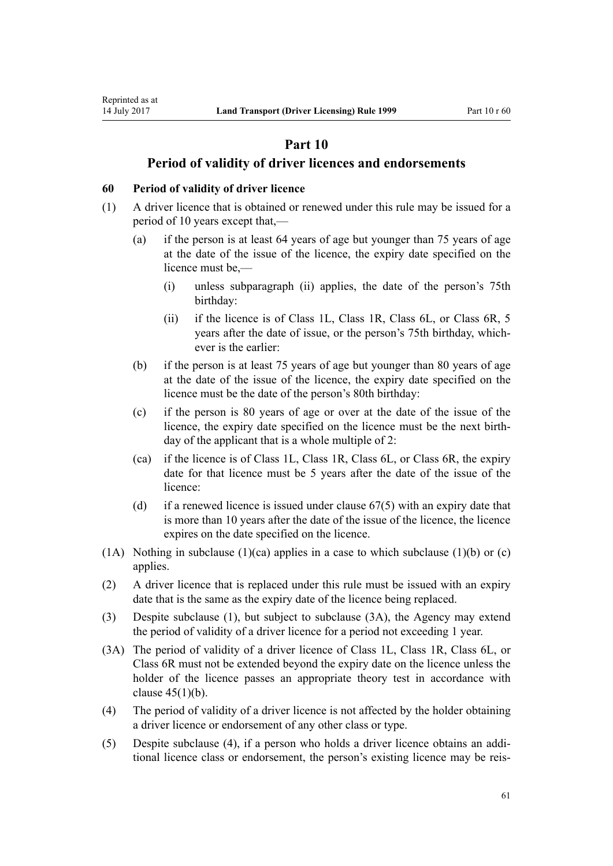# **Part 10**

## **Period of validity of driver licences and endorsements**

#### **60 Period of validity of driver licence**

Reprinted as at

- (1) A driver licence that is obtained or renewed under this rule may be issued for a period of 10 years except that,—
	- (a) if the person is at least 64 years of age but younger than 75 years of age at the date of the issue of the licence, the expiry date specified on the licence must be,—
		- (i) unless subparagraph (ii) applies, the date of the person's 75th birthday:
		- (ii) if the licence is of Class 1L, Class 1R, Class 6L, or Class 6R, 5 years after the date of issue, or the person's 75th birthday, whichever is the earlier:
	- (b) if the person is at least 75 years of age but younger than 80 years of age at the date of the issue of the licence, the expiry date specified on the licence must be the date of the person's 80th birthday:
	- (c) if the person is 80 years of age or over at the date of the issue of the licence, the expiry date specified on the licence must be the next birthday of the applicant that is a whole multiple of 2:
	- (ca) if the licence is of Class 1L, Class 1R, Class 6L, or Class 6R, the expiry date for that licence must be 5 years after the date of the issue of the licence:
	- (d) if a renewed licence is issued under clause  $67(5)$  with an expiry date that is more than 10 years after the date of the issue of the licence, the licence expires on the date specified on the licence.
- (1A) Nothing in subclause (1)(ca) applies in a case to which subclause (1)(b) or (c) applies.
- (2) A driver licence that is replaced under this rule must be issued with an expiry date that is the same as the expiry date of the licence being replaced.
- (3) Despite subclause (1), but subject to subclause (3A), the Agency may extend the period of validity of a driver licence for a period not exceeding 1 year.
- (3A) The period of validity of a driver licence of Class 1L, Class 1R, Class 6L, or Class 6R must not be extended beyond the expiry date on the licence unless the holder of the licence passes an appropriate theory test in accordance with [clause 45\(1\)\(b\)](#page-53-0).
- (4) The period of validity of a driver licence is not affected by the holder obtaining a driver licence or endorsement of any other class or type.
- (5) Despite subclause (4), if a person who holds a driver licence obtains an additional licence class or endorsement, the person's existing licence may be reis-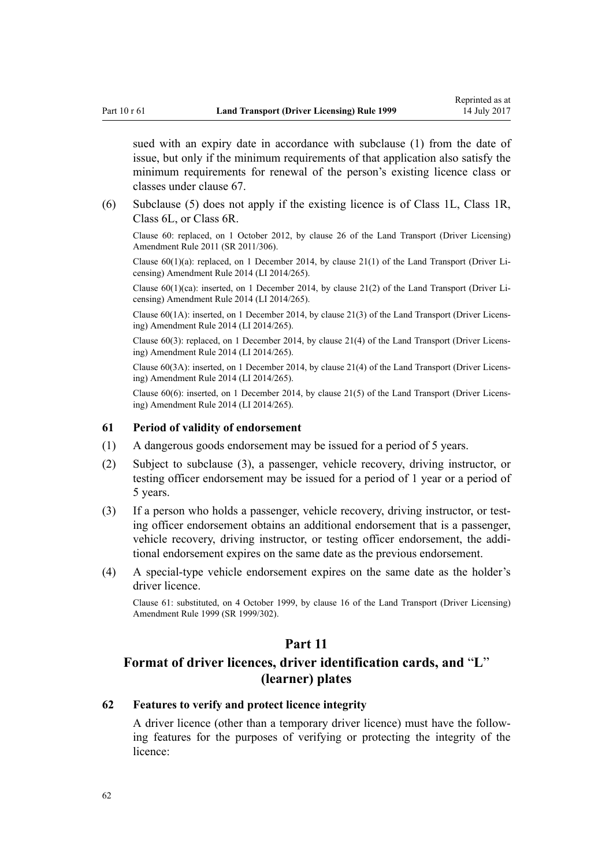<span id="page-61-0"></span>sued with an expiry date in accordance with subclause (1) from the date of issue, but only if the minimum requirements of that application also satisfy the minimum requirements for renewal of the person's existing licence class or classes under [clause 67](#page-66-0).

(6) Subclause (5) does not apply if the existing licence is of Class 1L, Class 1R, Class 6L, or Class 6R.

Clause 60: replaced, on 1 October 2012, by [clause 26](http://prd-lgnz-nlb.prd.pco.net.nz/pdflink.aspx?id=DLM3956515) of the Land Transport (Driver Licensing) Amendment Rule 2011 (SR 2011/306).

Clause  $60(1)(a)$ : replaced, on 1 December 2014, by [clause 21\(1\)](http://prd-lgnz-nlb.prd.pco.net.nz/pdflink.aspx?id=DLM6216935) of the Land Transport (Driver Licensing) Amendment Rule 2014 (LI 2014/265).

Clause  $60(1)(ca)$ : inserted, on 1 December 2014, by [clause 21\(2\)](http://prd-lgnz-nlb.prd.pco.net.nz/pdflink.aspx?id=DLM6216935) of the Land Transport (Driver Licensing) Amendment Rule 2014 (LI 2014/265).

Clause 60(1A): inserted, on 1 December 2014, by [clause 21\(3\)](http://prd-lgnz-nlb.prd.pco.net.nz/pdflink.aspx?id=DLM6216935) of the Land Transport (Driver Licensing) Amendment Rule 2014 (LI 2014/265).

Clause 60(3): replaced, on 1 December 2014, by [clause 21\(4\)](http://prd-lgnz-nlb.prd.pco.net.nz/pdflink.aspx?id=DLM6216935) of the Land Transport (Driver Licensing) Amendment Rule 2014 (LI 2014/265).

Clause 60(3A): inserted, on 1 December 2014, by [clause 21\(4\)](http://prd-lgnz-nlb.prd.pco.net.nz/pdflink.aspx?id=DLM6216935) of the Land Transport (Driver Licensing) Amendment Rule 2014 (LI 2014/265).

Clause 60(6): inserted, on 1 December 2014, by [clause 21\(5\)](http://prd-lgnz-nlb.prd.pco.net.nz/pdflink.aspx?id=DLM6216935) of the Land Transport (Driver Licensing) Amendment Rule 2014 (LI 2014/265).

#### **61 Period of validity of endorsement**

- (1) A dangerous goods endorsement may be issued for a period of 5 years.
- (2) Subject to subclause (3), a passenger, vehicle recovery, driving instructor, or testing officer endorsement may be issued for a period of 1 year or a period of 5 years.
- (3) If a person who holds a passenger, vehicle recovery, driving instructor, or testing officer endorsement obtains an additional endorsement that is a passenger, vehicle recovery, driving instructor, or testing officer endorsement, the additional endorsement expires on the same date as the previous endorsement.
- (4) A special-type vehicle endorsement expires on the same date as the holder's driver licence.

Clause 61: substituted, on 4 October 1999, by [clause 16](http://prd-lgnz-nlb.prd.pco.net.nz/pdflink.aspx?id=DLM293684) of the Land Transport (Driver Licensing) Amendment Rule 1999 (SR 1999/302).

### **Part 11**

# **Format of driver licences, driver identification cards, and** "**L**" **(learner) plates**

### **62 Features to verify and protect licence integrity**

A driver licence (other than a temporary driver licence) must have the following features for the purposes of verifying or protecting the integrity of the licence: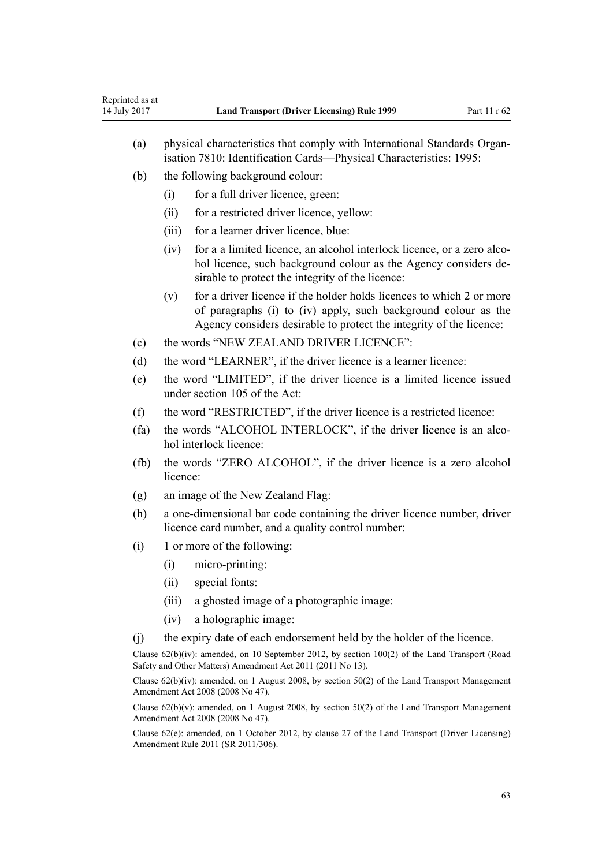| Reprinted as at<br>14 July 2017 |                                                                                                                                                | <b>Land Transport (Driver Licensing) Rule 1999</b>                                                                                                                                                            | Part 11 r 62 |
|---------------------------------|------------------------------------------------------------------------------------------------------------------------------------------------|---------------------------------------------------------------------------------------------------------------------------------------------------------------------------------------------------------------|--------------|
| (a)                             | physical characteristics that comply with International Standards Organ-<br>isation 7810: Identification Cards—Physical Characteristics: 1995: |                                                                                                                                                                                                               |              |
| (b)                             |                                                                                                                                                | the following background colour:                                                                                                                                                                              |              |
|                                 | (i)                                                                                                                                            | for a full driver licence, green:                                                                                                                                                                             |              |
|                                 | (ii)                                                                                                                                           | for a restricted driver licence, yellow:                                                                                                                                                                      |              |
|                                 | (iii)                                                                                                                                          | for a learner driver licence, blue:                                                                                                                                                                           |              |
|                                 | (iv)                                                                                                                                           | for a a limited licence, an alcohol interlock licence, or a zero alco-<br>hol licence, such background colour as the Agency considers de-<br>sirable to protect the integrity of the licence:                 |              |
|                                 | (v)                                                                                                                                            | for a driver licence if the holder holds licences to which 2 or more<br>of paragraphs (i) to (iv) apply, such background colour as the<br>Agency considers desirable to protect the integrity of the licence: |              |
| (c)                             | the words "NEW ZEALAND DRIVER LICENCE":                                                                                                        |                                                                                                                                                                                                               |              |
| (d)                             | the word "LEARNER", if the driver licence is a learner licence:                                                                                |                                                                                                                                                                                                               |              |
| (e)                             |                                                                                                                                                | the word "LIMITED", if the driver licence is a limited licence issued<br>under section 105 of the Act:                                                                                                        |              |
| (f)                             | the word "RESTRICTED", if the driver licence is a restricted licence:                                                                          |                                                                                                                                                                                                               |              |
| (fa)                            | the words "ALCOHOL INTERLOCK", if the driver licence is an alco-<br>hol interlock licence:                                                     |                                                                                                                                                                                                               |              |
| (fb)                            | licence:                                                                                                                                       | the words "ZERO ALCOHOL", if the driver licence is a zero alcohol                                                                                                                                             |              |
| (g)                             | an image of the New Zealand Flag:                                                                                                              |                                                                                                                                                                                                               |              |
| (h)                             | a one-dimensional bar code containing the driver licence number, driver<br>licence card number, and a quality control number:                  |                                                                                                                                                                                                               |              |
| (i)                             |                                                                                                                                                | 1 or more of the following:                                                                                                                                                                                   |              |
|                                 | (i)                                                                                                                                            | micro-printing:                                                                                                                                                                                               |              |
|                                 | (ii)                                                                                                                                           | special fonts:                                                                                                                                                                                                |              |
|                                 | (iii)                                                                                                                                          | a ghosted image of a photographic image:                                                                                                                                                                      |              |
|                                 | (iv)                                                                                                                                           | a holographic image:                                                                                                                                                                                          |              |
| (j)                             |                                                                                                                                                | the expiry date of each endorsement held by the holder of the licence.                                                                                                                                        |              |
|                                 |                                                                                                                                                | Clause $62(b)(iv)$ : amended, on 10 September 2012, by section 100(2) of the Land Transport (Road<br>Safety and Other Matters) Amendment Act 2011 (2011 No 13).                                               |              |
|                                 |                                                                                                                                                | Clause $62(b)(iv)$ : amended, on 1 August 2008, by section 50(2) of the Land Transport Management<br>Amendment Act 2008 (2008 No 47).                                                                         |              |
|                                 |                                                                                                                                                | Clause $62(b)(v)$ : amended, on 1 August 2008, by section 50(2) of the Land Transport Management<br>Amendment Act 2008 (2008 No 47).                                                                          |              |
|                                 |                                                                                                                                                | Clause 62(e): amended, on 1 October 2012, by clause 27 of the Land Transport (Driver Licensing)<br>Amendment Rule 2011 (SR 2011/306).                                                                         |              |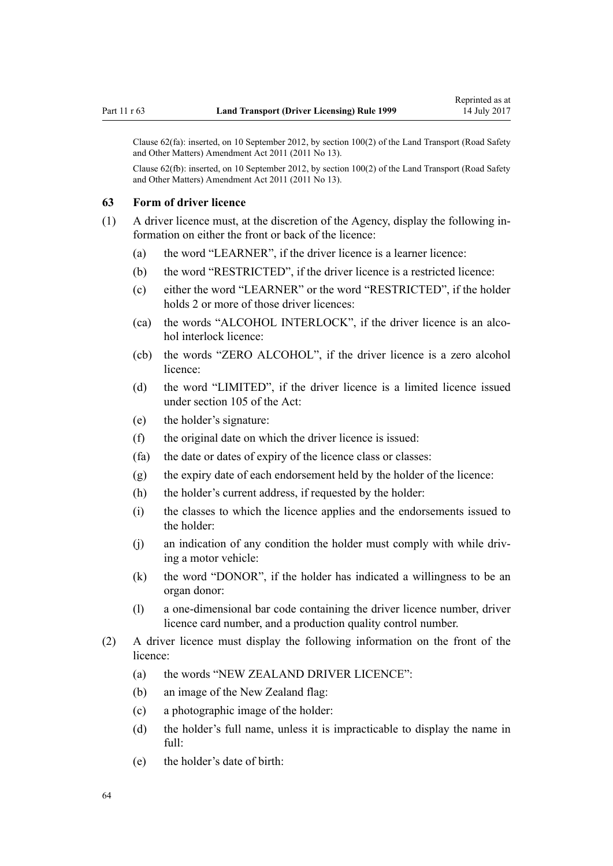Clause 62(fa): inserted, on 10 September 2012, by [section 100\(2\)](http://prd-lgnz-nlb.prd.pco.net.nz/pdflink.aspx?id=DLM3231293) of the Land Transport (Road Safety and Other Matters) Amendment Act 2011 (2011 No 13).

Clause 62(fb): inserted, on 10 September 2012, by [section 100\(2\)](http://prd-lgnz-nlb.prd.pco.net.nz/pdflink.aspx?id=DLM3231293) of the Land Transport (Road Safety and Other Matters) Amendment Act 2011 (2011 No 13).

#### **63 Form of driver licence**

(1) A driver licence must, at the discretion of the Agency, display the following information on either the front or back of the licence:

- (a) the word "LEARNER", if the driver licence is a learner licence:
- (b) the word "RESTRICTED", if the driver licence is a restricted licence:
- (c) either the word "LEARNER" or the word "RESTRICTED", if the holder holds 2 or more of those driver licences:
- (ca) the words "ALCOHOL INTERLOCK", if the driver licence is an alcohol interlock licence:
- (cb) the words "ZERO ALCOHOL", if the driver licence is a zero alcohol licence:
- (d) the word "LIMITED", if the driver licence is a limited licence issued under [section 105](http://prd-lgnz-nlb.prd.pco.net.nz/pdflink.aspx?id=DLM435080) of the Act:
- (e) the holder's signature:
- (f) the original date on which the driver licence is issued:
- (fa) the date or dates of expiry of the licence class or classes:
- (g) the expiry date of each endorsement held by the holder of the licence:
- (h) the holder's current address, if requested by the holder:
- (i) the classes to which the licence applies and the endorsements issued to the holder:
- (j) an indication of any condition the holder must comply with while driving a motor vehicle:
- (k) the word "DONOR", if the holder has indicated a willingness to be an organ donor:
- (l) a one-dimensional bar code containing the driver licence number, driver licence card number, and a production quality control number.
- (2) A driver licence must display the following information on the front of the licence:
	- (a) the words "NEW ZEALAND DRIVER LICENCE":
	- (b) an image of the New Zealand flag:
	- (c) a photographic image of the holder:
	- (d) the holder's full name, unless it is impracticable to display the name in full:
	- (e) the holder's date of birth: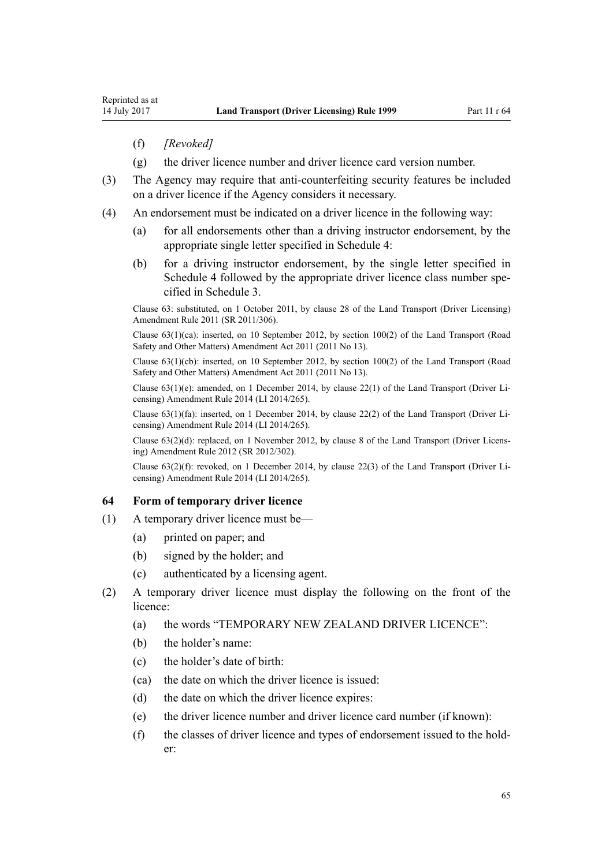- (f) *[Revoked]*
- (g) the driver licence number and driver licence card version number.
- (3) The Agency may require that anti-counterfeiting security features be included on a driver licence if the Agency considers it necessary.
- (4) An endorsement must be indicated on a driver licence in the following way:
	- (a) for all endorsements other than a driving instructor endorsement, by the appropriate single letter specified in [Schedule 4](#page-111-0):
	- (b) for a driving instructor endorsement, by the single letter specified in [Schedule 4](#page-111-0) followed by the appropriate driver licence class number specified in [Schedule 3.](#page-109-0)

Clause 63: substituted, on 1 October 2011, by [clause 28](http://prd-lgnz-nlb.prd.pco.net.nz/pdflink.aspx?id=DLM3956732) of the Land Transport (Driver Licensing) Amendment Rule 2011 (SR 2011/306).

Clause 63(1)(ca): inserted, on 10 September 2012, by [section 100\(2\)](http://prd-lgnz-nlb.prd.pco.net.nz/pdflink.aspx?id=DLM3231293) of the Land Transport (Road Safety and Other Matters) Amendment Act 2011 (2011 No 13).

Clause 63(1)(cb): inserted, on 10 September 2012, by [section 100\(2\)](http://prd-lgnz-nlb.prd.pco.net.nz/pdflink.aspx?id=DLM3231293) of the Land Transport (Road Safety and Other Matters) Amendment Act 2011 (2011 No 13).

Clause 63(1)(e): amended, on 1 December 2014, by [clause 22\(1\)](http://prd-lgnz-nlb.prd.pco.net.nz/pdflink.aspx?id=DLM6216936) of the Land Transport (Driver Licensing) Amendment Rule 2014 (LI 2014/265).

Clause 63(1)(fa): inserted, on 1 December 2014, by [clause 22\(2\)](http://prd-lgnz-nlb.prd.pco.net.nz/pdflink.aspx?id=DLM6216936) of the Land Transport (Driver Licensing) Amendment Rule 2014 (LI 2014/265).

Clause 63(2)(d): replaced, on 1 November 2012, by [clause 8](http://prd-lgnz-nlb.prd.pco.net.nz/pdflink.aspx?id=DLM4773440) of the Land Transport (Driver Licensing) Amendment Rule 2012 (SR 2012/302).

Clause 63(2)(f): revoked, on 1 December 2014, by [clause 22\(3\)](http://prd-lgnz-nlb.prd.pco.net.nz/pdflink.aspx?id=DLM6216936) of the Land Transport (Driver Licensing) Amendment Rule 2014 (LI 2014/265).

#### **64 Form of temporary driver licence**

- (1) A temporary driver licence must be—
	- (a) printed on paper; and
	- (b) signed by the holder; and
	- (c) authenticated by a licensing agent.
- (2) A temporary driver licence must display the following on the front of the licence:
	- (a) the words "TEMPORARY NEW ZEALAND DRIVER LICENCE":
	- (b) the holder's name:
	- (c) the holder's date of birth:
	- (ca) the date on which the driver licence is issued:
	- (d) the date on which the driver licence expires:
	- (e) the driver licence number and driver licence card number (if known):
	- (f) the classes of driver licence and types of endorsement issued to the holder: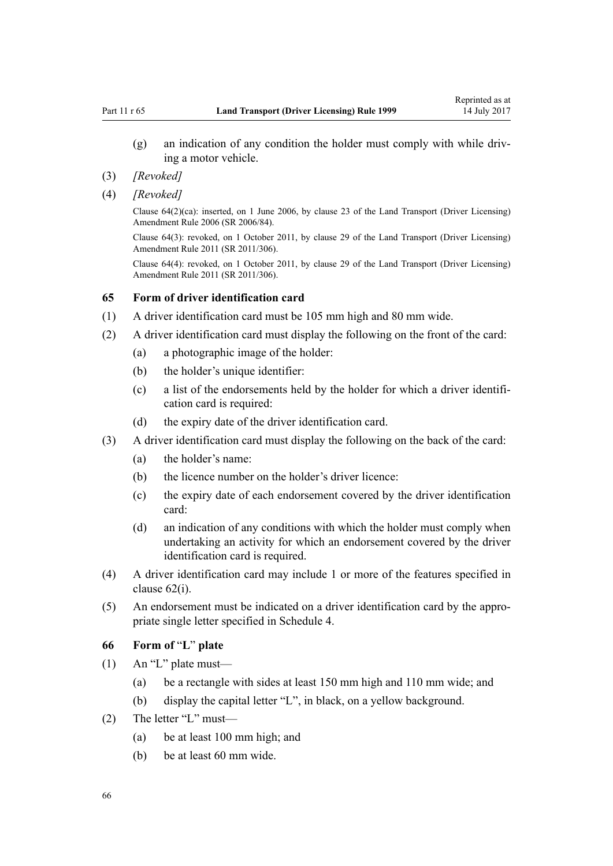- (g) an indication of any condition the holder must comply with while driving a motor vehicle.
- (3) *[Revoked]*
- (4) *[Revoked]*

Clause  $64(2)(ca)$ : inserted, on 1 June 2006, by [clause 23](http://prd-lgnz-nlb.prd.pco.net.nz/pdflink.aspx?id=DLM376116) of the Land Transport (Driver Licensing) Amendment Rule 2006 (SR 2006/84).

Clause 64(3): revoked, on 1 October 2011, by [clause 29](http://prd-lgnz-nlb.prd.pco.net.nz/pdflink.aspx?id=DLM3956734) of the Land Transport (Driver Licensing) Amendment Rule 2011 (SR 2011/306).

Clause 64(4): revoked, on 1 October 2011, by [clause 29](http://prd-lgnz-nlb.prd.pco.net.nz/pdflink.aspx?id=DLM3956734) of the Land Transport (Driver Licensing) Amendment Rule 2011 (SR 2011/306).

#### **65 Form of driver identification card**

- (1) A driver identification card must be 105 mm high and 80 mm wide.
- (2) A driver identification card must display the following on the front of the card:
	- (a) a photographic image of the holder:
	- (b) the holder's unique identifier:
	- (c) a list of the endorsements held by the holder for which a driver identification card is required:
	- (d) the expiry date of the driver identification card.
- (3) A driver identification card must display the following on the back of the card:
	- (a) the holder's name:
	- (b) the licence number on the holder's driver licence:
	- (c) the expiry date of each endorsement covered by the driver identification card:
	- (d) an indication of any conditions with which the holder must comply when undertaking an activity for which an endorsement covered by the driver identification card is required.
- (4) A driver identification card may include 1 or more of the features specified in [clause 62\(i\)](#page-61-0).
- (5) An endorsement must be indicated on a driver identification card by the appropriate single letter specified in [Schedule 4](#page-111-0).

### **66 Form of** "**L**" **plate**

- (1) An "L" plate must—
	- (a) be a rectangle with sides at least 150 mm high and 110 mm wide; and
	- (b) display the capital letter "L", in black, on a yellow background.
- (2) The letter "L" must—
	- (a) be at least 100 mm high; and
	- (b) be at least 60 mm wide.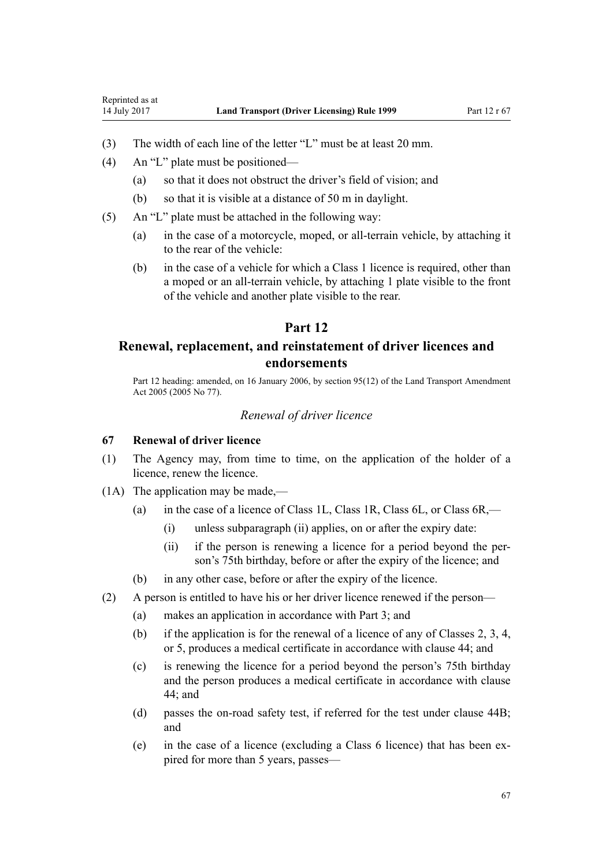- <span id="page-66-0"></span>(3) The width of each line of the letter "L" must be at least 20 mm.
- (4) An "L" plate must be positioned—
	- (a) so that it does not obstruct the driver's field of vision; and
	- (b) so that it is visible at a distance of 50 m in daylight.
- (5) An "L" plate must be attached in the following way:
	- (a) in the case of a motorcycle, moped, or all-terrain vehicle, by attaching it to the rear of the vehicle:
	- (b) in the case of a vehicle for which a Class 1 licence is required, other than a moped or an all-terrain vehicle, by attaching 1 plate visible to the front of the vehicle and another plate visible to the rear.

# **Part 12**

# **Renewal, replacement, and reinstatement of driver licences and endorsements**

Part 12 heading: amended, on 16 January 2006, by [section 95\(12\)](http://prd-lgnz-nlb.prd.pco.net.nz/pdflink.aspx?id=DLM353501) of the Land Transport Amendment Act 2005 (2005 No 77).

#### *Renewal of driver licence*

#### **67 Renewal of driver licence**

- (1) The Agency may, from time to time, on the application of the holder of a licence, renew the licence.
- (1A) The application may be made,—
	- (a) in the case of a licence of Class 1L, Class 1R, Class 6L, or Class 6R,—
		- (i) unless subparagraph (ii) applies, on or after the expiry date:
		- (ii) if the person is renewing a licence for a period beyond the person's 75th birthday, before or after the expiry of the licence; and
	- (b) in any other case, before or after the expiry of the licence.
- (2) A person is entitled to have his or her driver licence renewed if the person—
	- (a) makes an application in accordance with [Part 3](#page-21-0); and
	- (b) if the application is for the renewal of a licence of any of Classes 2, 3, 4, or 5, produces a medical certificate in accordance with [clause 44](#page-51-0); and
	- (c) is renewing the licence for a period beyond the person's 75th birthday and the person produces a medical certificate in accordance with [clause](#page-51-0) [44;](#page-51-0) and
	- (d) passes the on-road safety test, if referred for the test under [clause 44B;](#page-53-0) and
	- (e) in the case of a licence (excluding a Class 6 licence) that has been expired for more than 5 years, passes—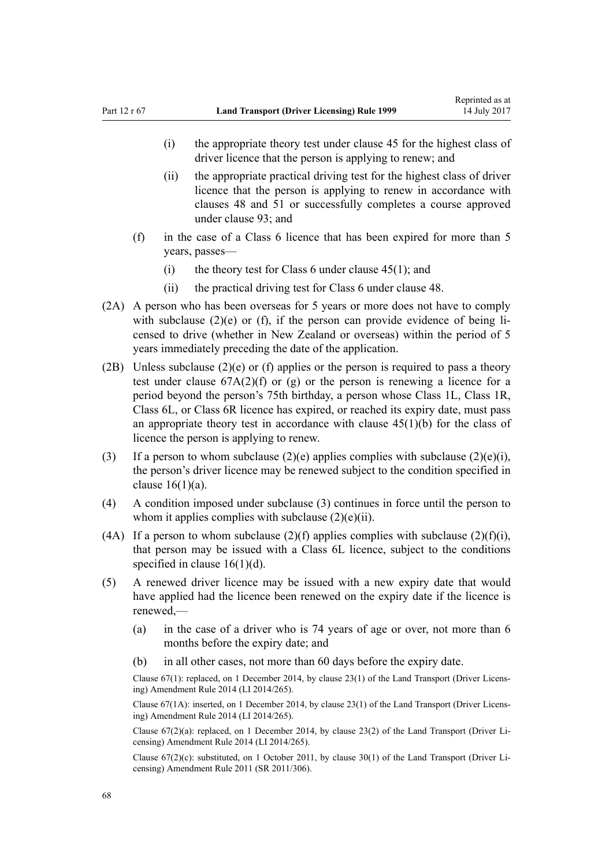- (i) the appropriate theory test under [clause 45](#page-53-0) for the highest class of driver licence that the person is applying to renew; and
- (ii) the appropriate practical driving test for the highest class of driver licence that the person is applying to renew in accordance with [clauses 48](#page-54-0) and [51](#page-55-0) or successfully completes a course approved under [clause 93](#page-90-0); and
- (f) in the case of a Class 6 licence that has been expired for more than 5 years, passes—
	- (i) the theory test for Class 6 under clause  $45(1)$ ; and
	- (ii) the practical driving test for Class 6 under [clause 48](#page-54-0).
- (2A) A person who has been overseas for 5 years or more does not have to comply with subclause  $(2)(e)$  or (f), if the person can provide evidence of being licensed to drive (whether in New Zealand or overseas) within the period of 5 years immediately preceding the date of the application.
- (2B) Unless subclause (2)(e) or (f) applies or the person is required to pass a theory test under clause  $67A(2)(f)$  or (g) or the person is renewing a licence for a period beyond the person's 75th birthday, a person whose Class 1L, Class 1R, Class 6L, or Class 6R licence has expired, or reached its expiry date, must pass an appropriate theory test in accordance with clause  $45(1)(b)$  for the class of licence the person is applying to renew.
- (3) If a person to whom subclause (2)(e) applies complies with subclause (2)(e)(i), the person's driver licence may be renewed subject to the condition specified in clause  $16(1)(a)$ .
- (4) A condition imposed under subclause (3) continues in force until the person to whom it applies complies with subclause  $(2)(e)(ii)$ .
- (4A) If a person to whom subclause  $(2)(f)$  applies complies with subclause  $(2)(f)(i)$ , that person may be issued with a Class 6L licence, subject to the conditions specified in clause  $16(1)(d)$ .
- (5) A renewed driver licence may be issued with a new expiry date that would have applied had the licence been renewed on the expiry date if the licence is renewed,—
	- (a) in the case of a driver who is 74 years of age or over, not more than 6 months before the expiry date; and
	- (b) in all other cases, not more than 60 days before the expiry date.

Clause 67(1): replaced, on 1 December 2014, by [clause 23\(1\)](http://prd-lgnz-nlb.prd.pco.net.nz/pdflink.aspx?id=DLM6216937) of the Land Transport (Driver Licensing) Amendment Rule 2014 (LI 2014/265).

Clause 67(1A): inserted, on 1 December 2014, by [clause 23\(1\)](http://prd-lgnz-nlb.prd.pco.net.nz/pdflink.aspx?id=DLM6216937) of the Land Transport (Driver Licensing) Amendment Rule 2014 (LI 2014/265).

Clause 67(2)(a): replaced, on 1 December 2014, by [clause 23\(2\)](http://prd-lgnz-nlb.prd.pco.net.nz/pdflink.aspx?id=DLM6216937) of the Land Transport (Driver Licensing) Amendment Rule 2014 (LI 2014/265).

Clause  $67(2)(c)$ : substituted, on 1 October 2011, by [clause 30\(1\)](http://prd-lgnz-nlb.prd.pco.net.nz/pdflink.aspx?id=DLM3956735) of the Land Transport (Driver Licensing) Amendment Rule 2011 (SR 2011/306).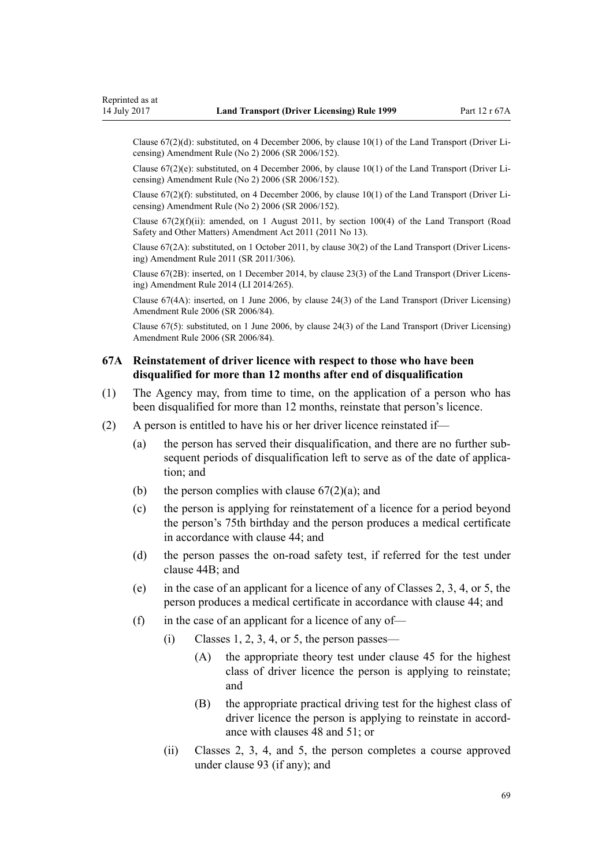<span id="page-68-0"></span>Clause 67(2)(d): substituted, on 4 December 2006, by [clause 10\(1\)](http://prd-lgnz-nlb.prd.pco.net.nz/pdflink.aspx?id=DLM386151) of the Land Transport (Driver Licensing) Amendment Rule (No 2) 2006 (SR 2006/152).

Clause  $67(2)(e)$ : substituted, on 4 December 2006, by [clause 10\(1\)](http://prd-lgnz-nlb.prd.pco.net.nz/pdflink.aspx?id=DLM386151) of the Land Transport (Driver Licensing) Amendment Rule (No 2) 2006 (SR 2006/152).

Clause 67(2)(f): substituted, on 4 December 2006, by [clause 10\(1\)](http://prd-lgnz-nlb.prd.pco.net.nz/pdflink.aspx?id=DLM386151) of the Land Transport (Driver Licensing) Amendment Rule (No 2) 2006 (SR 2006/152).

Clause  $67(2)(f)(ii)$ : amended, on 1 August 2011, by [section 100\(4\)](http://prd-lgnz-nlb.prd.pco.net.nz/pdflink.aspx?id=DLM3231293) of the Land Transport (Road Safety and Other Matters) Amendment Act 2011 (2011 No 13).

Clause 67(2A): substituted, on 1 October 2011, by [clause 30\(2\)](http://prd-lgnz-nlb.prd.pco.net.nz/pdflink.aspx?id=DLM3956735) of the Land Transport (Driver Licensing) Amendment Rule 2011 (SR 2011/306).

Clause 67(2B): inserted, on 1 December 2014, by [clause 23\(3\)](http://prd-lgnz-nlb.prd.pco.net.nz/pdflink.aspx?id=DLM6216937) of the Land Transport (Driver Licensing) Amendment Rule 2014 (LI 2014/265).

Clause 67(4A): inserted, on 1 June 2006, by [clause 24\(3\)](http://prd-lgnz-nlb.prd.pco.net.nz/pdflink.aspx?id=DLM376117) of the Land Transport (Driver Licensing) Amendment Rule 2006 (SR 2006/84).

Clause 67(5): substituted, on 1 June 2006, by [clause 24\(3\)](http://prd-lgnz-nlb.prd.pco.net.nz/pdflink.aspx?id=DLM376117) of the Land Transport (Driver Licensing) Amendment Rule 2006 (SR 2006/84).

### **67A Reinstatement of driver licence with respect to those who have been disqualified for more than 12 months after end of disqualification**

- (1) The Agency may, from time to time, on the application of a person who has been disqualified for more than 12 months, reinstate that person's licence.
- (2) A person is entitled to have his or her driver licence reinstated if—
	- (a) the person has served their disqualification, and there are no further subsequent periods of disqualification left to serve as of the date of application; and
	- (b) the person complies with clause  $67(2)(a)$ ; and
	- (c) the person is applying for reinstatement of a licence for a period beyond the person's 75th birthday and the person produces a medical certificate in accordance with [clause 44](#page-51-0); and
	- (d) the person passes the on-road safety test, if referred for the test under [clause 44B;](#page-53-0) and
	- (e) in the case of an applicant for a licence of any of Classes 2, 3, 4, or 5, the person produces a medical certificate in accordance with [clause 44](#page-51-0); and
	- (f) in the case of an applicant for a licence of any of—
		- $(i)$  Classes 1, 2, 3, 4, or 5, the person passes—
			- (A) the appropriate theory test under [clause 45](#page-53-0) for the highest class of driver licence the person is applying to reinstate; and
			- (B) the appropriate practical driving test for the highest class of driver licence the person is applying to reinstate in accordance with [clauses 48](#page-54-0) and [51;](#page-55-0) or
		- (ii) Classes 2, 3, 4, and 5, the person completes a course approved under [clause 93](#page-90-0) (if any); and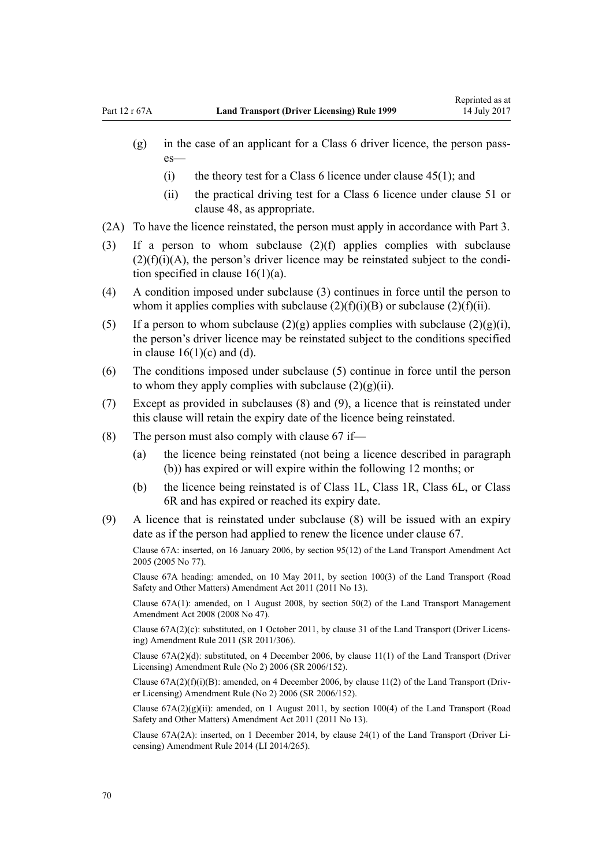- (g) in the case of an applicant for a Class 6 driver licence, the person passes—
	- (i) the theory test for a Class 6 licence under clause  $45(1)$ ; and
	- (ii) the practical driving test for a Class 6 licence under [clause 51](#page-55-0) or [clause 48](#page-54-0), as appropriate.
- (2A) To have the licence reinstated, the person must apply in accordance with [Part 3](#page-21-0).
- (3) If a person to whom subclause (2)(f) applies complies with subclause  $(2)(f)(i)(A)$ , the person's driver licence may be reinstated subject to the condition specified in clause  $16(1)(a)$ .
- (4) A condition imposed under subclause (3) continues in force until the person to whom it applies complies with subclause  $(2)(f)(i)(B)$  or subclause  $(2)(f)(ii)$ .
- (5) If a person to whom subclause  $(2)(g)$  applies complies with subclause  $(2)(g)(i)$ , the person's driver licence may be reinstated subject to the conditions specified in clause  $16(1)(c)$  and (d).
- (6) The conditions imposed under subclause (5) continue in force until the person to whom they apply complies with subclause  $(2)(g)(ii)$ .
- (7) Except as provided in subclauses (8) and (9), a licence that is reinstated under this clause will retain the expiry date of the licence being reinstated.
- (8) The person must also comply with [clause 67](#page-66-0) if—
	- (a) the licence being reinstated (not being a licence described in paragraph (b)) has expired or will expire within the following 12 months; or
	- (b) the licence being reinstated is of Class 1L, Class 1R, Class 6L, or Class 6R and has expired or reached its expiry date.
- (9) A licence that is reinstated under subclause (8) will be issued with an expiry date as if the person had applied to renew the licence under [clause 67.](#page-66-0)

Clause 67A: inserted, on 16 January 2006, by [section 95\(12\)](http://prd-lgnz-nlb.prd.pco.net.nz/pdflink.aspx?id=DLM353501) of the Land Transport Amendment Act 2005 (2005 No 77).

Clause 67A heading: amended, on 10 May 2011, by [section 100\(3\)](http://prd-lgnz-nlb.prd.pco.net.nz/pdflink.aspx?id=DLM3231293) of the Land Transport (Road Safety and Other Matters) Amendment Act 2011 (2011 No 13).

Clause 67A(1): amended, on 1 August 2008, by [section 50\(2\)](http://prd-lgnz-nlb.prd.pco.net.nz/pdflink.aspx?id=DLM1313622) of the Land Transport Management Amendment Act 2008 (2008 No 47).

Clause 67A(2)(c): substituted, on 1 October 2011, by [clause 31](http://prd-lgnz-nlb.prd.pco.net.nz/pdflink.aspx?id=DLM3956736) of the Land Transport (Driver Licensing) Amendment Rule 2011 (SR 2011/306).

Clause 67A(2)(d): substituted, on 4 December 2006, by [clause 11\(1\)](http://prd-lgnz-nlb.prd.pco.net.nz/pdflink.aspx?id=DLM386152) of the Land Transport (Driver Licensing) Amendment Rule (No 2) 2006 (SR 2006/152).

Clause  $67A(2)(f)(i)(B)$ : amended, on 4 December 2006, by [clause 11\(2\)](http://prd-lgnz-nlb.prd.pco.net.nz/pdflink.aspx?id=DLM386152) of the Land Transport (Driver Licensing) Amendment Rule (No 2) 2006 (SR 2006/152).

Clause  $67A(2)(g)(ii)$ : amended, on 1 August 2011, by [section 100\(4\)](http://prd-lgnz-nlb.prd.pco.net.nz/pdflink.aspx?id=DLM3231293) of the Land Transport (Road Safety and Other Matters) Amendment Act 2011 (2011 No 13).

Clause 67A(2A): inserted, on 1 December 2014, by [clause 24\(1\)](http://prd-lgnz-nlb.prd.pco.net.nz/pdflink.aspx?id=DLM6216938) of the Land Transport (Driver Licensing) Amendment Rule 2014 (LI 2014/265).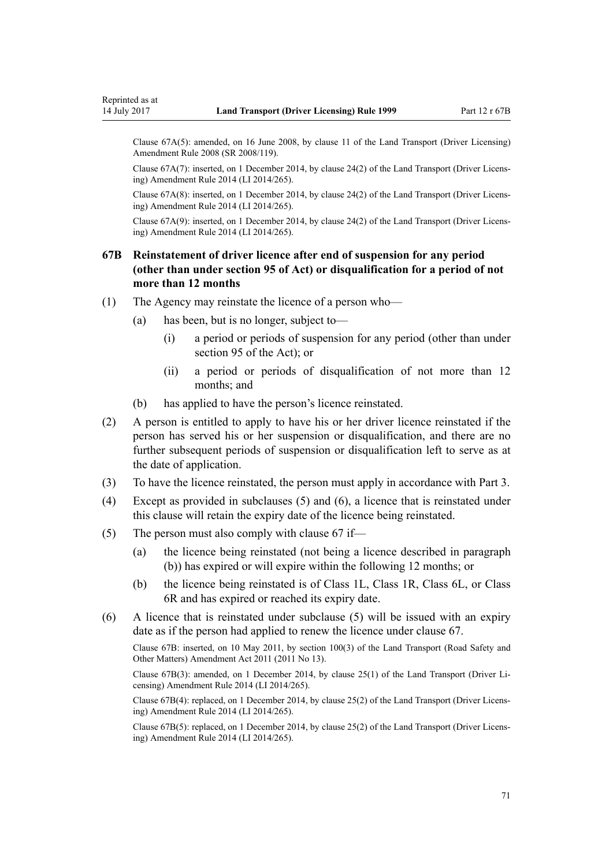Clause 67A(5): amended, on 16 June 2008, by [clause 11](http://prd-lgnz-nlb.prd.pco.net.nz/pdflink.aspx?id=DLM1317917) of the Land Transport (Driver Licensing) Amendment Rule 2008 (SR 2008/119).

Clause 67A(7): inserted, on 1 December 2014, by [clause 24\(2\)](http://prd-lgnz-nlb.prd.pco.net.nz/pdflink.aspx?id=DLM6216938) of the Land Transport (Driver Licensing) Amendment Rule 2014 (LI 2014/265).

Clause 67A(8): inserted, on 1 December 2014, by [clause 24\(2\)](http://prd-lgnz-nlb.prd.pco.net.nz/pdflink.aspx?id=DLM6216938) of the Land Transport (Driver Licensing) Amendment Rule 2014 (LI 2014/265).

Clause 67A(9): inserted, on 1 December 2014, by [clause 24\(2\)](http://prd-lgnz-nlb.prd.pco.net.nz/pdflink.aspx?id=DLM6216938) of the Land Transport (Driver Licensing) Amendment Rule 2014 (LI 2014/265).

# **67B Reinstatement of driver licence after end of suspension for any period (other than under section 95 of Act) or disqualification for a period of not more than 12 months**

- (1) The Agency may reinstate the licence of a person who—
	- (a) has been, but is no longer, subject to—
		- (i) a period or periods of suspension for any period (other than under [section 95](http://prd-lgnz-nlb.prd.pco.net.nz/pdflink.aspx?id=DLM435024) of the Act); or
		- (ii) a period or periods of disqualification of not more than 12 months; and
	- (b) has applied to have the person's licence reinstated.
- (2) A person is entitled to apply to have his or her driver licence reinstated if the person has served his or her suspension or disqualification, and there are no further subsequent periods of suspension or disqualification left to serve as at the date of application.
- (3) To have the licence reinstated, the person must apply in accordance with [Part 3](#page-21-0).
- (4) Except as provided in subclauses (5) and (6), a licence that is reinstated under this clause will retain the expiry date of the licence being reinstated.
- (5) The person must also comply with [clause 67](#page-66-0) if—
	- (a) the licence being reinstated (not being a licence described in paragraph (b)) has expired or will expire within the following 12 months; or
	- (b) the licence being reinstated is of Class 1L, Class 1R, Class 6L, or Class 6R and has expired or reached its expiry date.
- (6) A licence that is reinstated under subclause (5) will be issued with an expiry date as if the person had applied to renew the licence under [clause 67.](#page-66-0)

Clause 67B: inserted, on 10 May 2011, by [section 100\(3\)](http://prd-lgnz-nlb.prd.pco.net.nz/pdflink.aspx?id=DLM3231293) of the Land Transport (Road Safety and Other Matters) Amendment Act 2011 (2011 No 13).

Clause 67B(3): amended, on 1 December 2014, by [clause 25\(1\)](http://prd-lgnz-nlb.prd.pco.net.nz/pdflink.aspx?id=DLM6216939) of the Land Transport (Driver Licensing) Amendment Rule 2014 (LI 2014/265).

Clause 67B(4): replaced, on 1 December 2014, by [clause 25\(2\)](http://prd-lgnz-nlb.prd.pco.net.nz/pdflink.aspx?id=DLM6216939) of the Land Transport (Driver Licensing) Amendment Rule 2014 (LI 2014/265).

Clause 67B(5): replaced, on 1 December 2014, by [clause 25\(2\)](http://prd-lgnz-nlb.prd.pco.net.nz/pdflink.aspx?id=DLM6216939) of the Land Transport (Driver Licensing) Amendment Rule 2014 (LI 2014/265).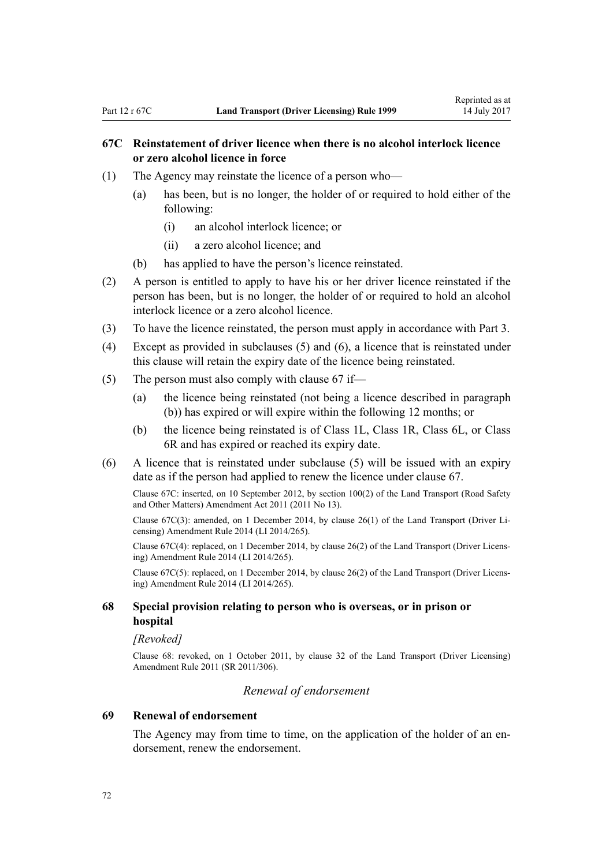# **67C Reinstatement of driver licence when there is no alcohol interlock licence or zero alcohol licence in force**

- (1) The Agency may reinstate the licence of a person who—
	- (a) has been, but is no longer, the holder of or required to hold either of the following:
		- (i) an alcohol interlock licence; or
		- (ii) a zero alcohol licence; and
	- (b) has applied to have the person's licence reinstated.
- (2) A person is entitled to apply to have his or her driver licence reinstated if the person has been, but is no longer, the holder of or required to hold an alcohol interlock licence or a zero alcohol licence.
- (3) To have the licence reinstated, the person must apply in accordance with [Part 3](#page-21-0).
- (4) Except as provided in subclauses (5) and (6), a licence that is reinstated under this clause will retain the expiry date of the licence being reinstated.
- (5) The person must also comply with [clause 67](#page-66-0) if—
	- (a) the licence being reinstated (not being a licence described in paragraph (b)) has expired or will expire within the following 12 months; or
	- (b) the licence being reinstated is of Class 1L, Class 1R, Class 6L, or Class 6R and has expired or reached its expiry date.
- (6) A licence that is reinstated under subclause (5) will be issued with an expiry date as if the person had applied to renew the licence under [clause 67.](#page-66-0)

Clause 67C: inserted, on 10 September 2012, by [section 100\(2\)](http://prd-lgnz-nlb.prd.pco.net.nz/pdflink.aspx?id=DLM3231293) of the Land Transport (Road Safety and Other Matters) Amendment Act 2011 (2011 No 13).

Clause 67C(3): amended, on 1 December 2014, by [clause 26\(1\)](http://prd-lgnz-nlb.prd.pco.net.nz/pdflink.aspx?id=DLM6216940) of the Land Transport (Driver Licensing) Amendment Rule 2014 (LI 2014/265).

Clause 67C(4): replaced, on 1 December 2014, by [clause 26\(2\)](http://prd-lgnz-nlb.prd.pco.net.nz/pdflink.aspx?id=DLM6216940) of the Land Transport (Driver Licensing) Amendment Rule 2014 (LI 2014/265).

Clause 67C(5): replaced, on 1 December 2014, by [clause 26\(2\)](http://prd-lgnz-nlb.prd.pco.net.nz/pdflink.aspx?id=DLM6216940) of the Land Transport (Driver Licensing) Amendment Rule 2014 (LI 2014/265).

### **68 Special provision relating to person who is overseas, or in prison or hospital**

#### *[Revoked]*

Clause 68: revoked, on 1 October 2011, by [clause 32](http://prd-lgnz-nlb.prd.pco.net.nz/pdflink.aspx?id=DLM3956737) of the Land Transport (Driver Licensing) Amendment Rule 2011 (SR 2011/306).

#### *Renewal of endorsement*

### **69 Renewal of endorsement**

The Agency may from time to time, on the application of the holder of an endorsement, renew the endorsement.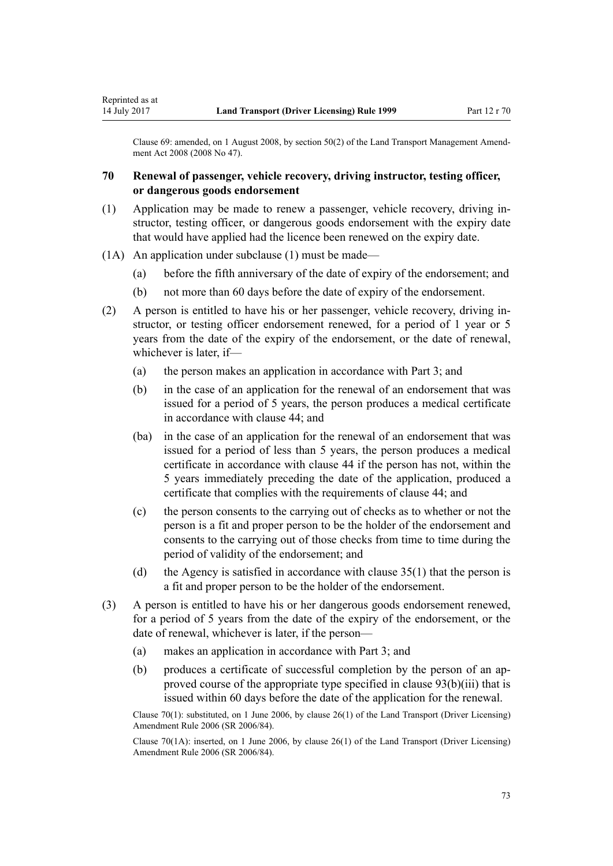Clause 69: amended, on 1 August 2008, by [section 50\(2\)](http://prd-lgnz-nlb.prd.pco.net.nz/pdflink.aspx?id=DLM1313622) of the Land Transport Management Amendment Act 2008 (2008 No 47).

# **70 Renewal of passenger, vehicle recovery, driving instructor, testing officer, or dangerous goods endorsement**

- (1) Application may be made to renew a passenger, vehicle recovery, driving instructor, testing officer, or dangerous goods endorsement with the expiry date that would have applied had the licence been renewed on the expiry date.
- (1A) An application under subclause (1) must be made—

<span id="page-72-0"></span>Reprinted as at

- (a) before the fifth anniversary of the date of expiry of the endorsement; and
- (b) not more than 60 days before the date of expiry of the endorsement.
- (2) A person is entitled to have his or her passenger, vehicle recovery, driving instructor, or testing officer endorsement renewed, for a period of 1 year or 5 years from the date of the expiry of the endorsement, or the date of renewal, whichever is later, if—
	- (a) the person makes an application in accordance with [Part 3](#page-21-0); and
	- (b) in the case of an application for the renewal of an endorsement that was issued for a period of 5 years, the person produces a medical certificate in accordance with [clause 44](#page-51-0); and
	- (ba) in the case of an application for the renewal of an endorsement that was issued for a period of less than 5 years, the person produces a medical certificate in accordance with [clause 44](#page-51-0) if the person has not, within the 5 years immediately preceding the date of the application, produced a certificate that complies with the requirements of clause 44; and
	- (c) the person consents to the carrying out of checks as to whether or not the person is a fit and proper person to be the holder of the endorsement and consents to the carrying out of those checks from time to time during the period of validity of the endorsement; and
	- (d) the Agency is satisfied in accordance with [clause 35\(1\)](#page-46-0) that the person is a fit and proper person to be the holder of the endorsement.
- (3) A person is entitled to have his or her dangerous goods endorsement renewed, for a period of 5 years from the date of the expiry of the endorsement, or the date of renewal, whichever is later, if the person—
	- (a) makes an application in accordance with [Part 3](#page-21-0); and
	- (b) produces a certificate of successful completion by the person of an approved course of the appropriate type specified in [clause 93\(b\)\(iii\)](#page-90-0) that is issued within 60 days before the date of the application for the renewal.

Clause 70(1): substituted, on 1 June 2006, by [clause 26\(1\)](http://prd-lgnz-nlb.prd.pco.net.nz/pdflink.aspx?id=DLM376119) of the Land Transport (Driver Licensing) Amendment Rule 2006 (SR 2006/84).

Clause 70(1A): inserted, on 1 June 2006, by [clause 26\(1\)](http://prd-lgnz-nlb.prd.pco.net.nz/pdflink.aspx?id=DLM376119) of the Land Transport (Driver Licensing) Amendment Rule 2006 (SR 2006/84).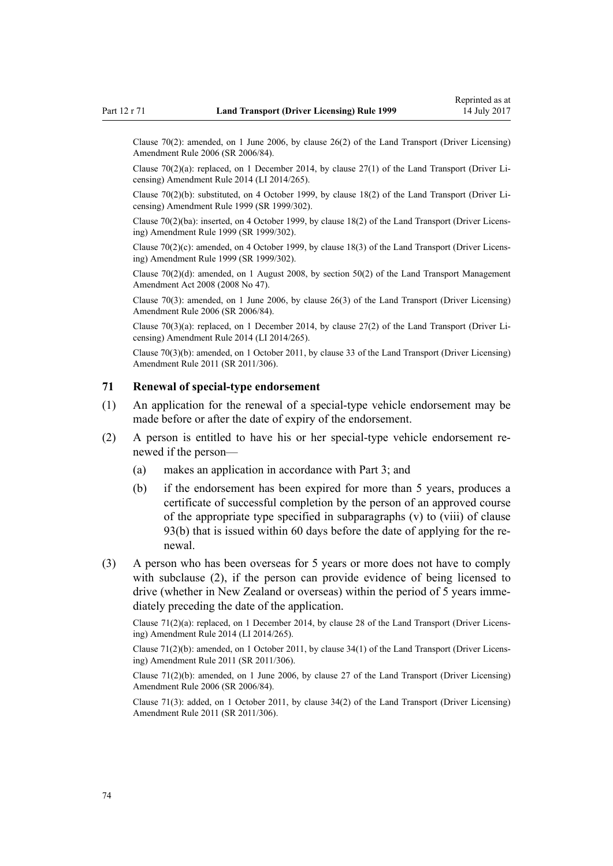<span id="page-73-0"></span>Clause 70(2): amended, on 1 June 2006, by [clause 26\(2\)](http://prd-lgnz-nlb.prd.pco.net.nz/pdflink.aspx?id=DLM376119) of the Land Transport (Driver Licensing) Amendment Rule 2006 (SR 2006/84).

Clause 70(2)(a): replaced, on 1 December 2014, by [clause 27\(1\)](http://prd-lgnz-nlb.prd.pco.net.nz/pdflink.aspx?id=DLM6216941) of the Land Transport (Driver Licensing) Amendment Rule 2014 (LI 2014/265).

Clause 70(2)(b): substituted, on 4 October 1999, by [clause 18\(2\)](http://prd-lgnz-nlb.prd.pco.net.nz/pdflink.aspx?id=DLM293687) of the Land Transport (Driver Licensing) Amendment Rule 1999 (SR 1999/302).

Clause 70(2)(ba): inserted, on 4 October 1999, by [clause 18\(2\)](http://prd-lgnz-nlb.prd.pco.net.nz/pdflink.aspx?id=DLM293687) of the Land Transport (Driver Licensing) Amendment Rule 1999 (SR 1999/302).

Clause 70(2)(c): amended, on 4 October 1999, by [clause 18\(3\)](http://prd-lgnz-nlb.prd.pco.net.nz/pdflink.aspx?id=DLM293687) of the Land Transport (Driver Licensing) Amendment Rule 1999 (SR 1999/302).

Clause 70(2)(d): amended, on 1 August 2008, by [section 50\(2\)](http://prd-lgnz-nlb.prd.pco.net.nz/pdflink.aspx?id=DLM1313622) of the Land Transport Management Amendment Act 2008 (2008 No 47).

Clause 70(3): amended, on 1 June 2006, by [clause 26\(3\)](http://prd-lgnz-nlb.prd.pco.net.nz/pdflink.aspx?id=DLM376119) of the Land Transport (Driver Licensing) Amendment Rule 2006 (SR 2006/84).

Clause 70(3)(a): replaced, on 1 December 2014, by [clause 27\(2\)](http://prd-lgnz-nlb.prd.pco.net.nz/pdflink.aspx?id=DLM6216941) of the Land Transport (Driver Licensing) Amendment Rule 2014 (LI 2014/265).

Clause 70(3)(b): amended, on 1 October 2011, by [clause 33](http://prd-lgnz-nlb.prd.pco.net.nz/pdflink.aspx?id=DLM3956738) of the Land Transport (Driver Licensing) Amendment Rule 2011 (SR 2011/306).

## **71 Renewal of special-type endorsement**

- (1) An application for the renewal of a special-type vehicle endorsement may be made before or after the date of expiry of the endorsement.
- (2) A person is entitled to have his or her special-type vehicle endorsement renewed if the person—
	- (a) makes an application in accordance with [Part 3](#page-21-0); and
	- (b) if the endorsement has been expired for more than 5 years, produces a certificate of successful completion by the person of an approved course of the appropriate type specified in subparagraphs (v) to (viii) of [clause](#page-90-0) [93\(b\)](#page-90-0) that is issued within 60 days before the date of applying for the renewal.
- (3) A person who has been overseas for 5 years or more does not have to comply with subclause (2), if the person can provide evidence of being licensed to drive (whether in New Zealand or overseas) within the period of 5 years immediately preceding the date of the application.

Clause 71(2)(a): replaced, on 1 December 2014, by [clause 28](http://prd-lgnz-nlb.prd.pco.net.nz/pdflink.aspx?id=DLM6216942) of the Land Transport (Driver Licensing) Amendment Rule 2014 (LI 2014/265).

Clause 71(2)(b): amended, on 1 October 2011, by [clause 34\(1\)](http://prd-lgnz-nlb.prd.pco.net.nz/pdflink.aspx?id=DLM3956739) of the Land Transport (Driver Licensing) Amendment Rule 2011 (SR 2011/306).

Clause 71(2)(b): amended, on 1 June 2006, by [clause 27](http://prd-lgnz-nlb.prd.pco.net.nz/pdflink.aspx?id=DLM376120) of the Land Transport (Driver Licensing) Amendment Rule 2006 (SR 2006/84).

Clause 71(3): added, on 1 October 2011, by [clause 34\(2\)](http://prd-lgnz-nlb.prd.pco.net.nz/pdflink.aspx?id=DLM3956739) of the Land Transport (Driver Licensing) Amendment Rule 2011 (SR 2011/306).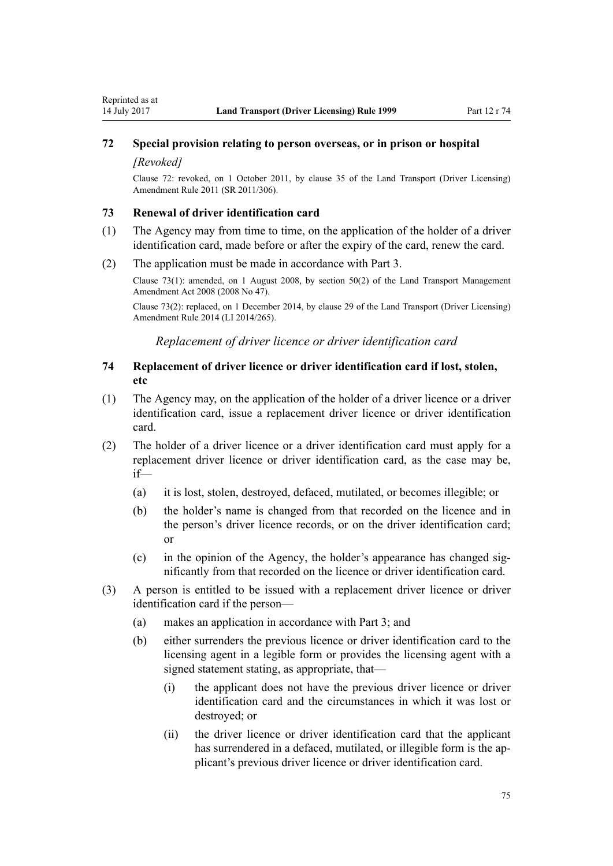# <span id="page-74-0"></span>**72 Special provision relating to person overseas, or in prison or hospital**

#### *[Revoked]*

Clause 72: revoked, on 1 October 2011, by [clause 35](http://prd-lgnz-nlb.prd.pco.net.nz/pdflink.aspx?id=DLM3956740) of the Land Transport (Driver Licensing) Amendment Rule 2011 (SR 2011/306).

#### **73 Renewal of driver identification card**

- (1) The Agency may from time to time, on the application of the holder of a driver identification card, made before or after the expiry of the card, renew the card.
- (2) The application must be made in accordance with [Part 3.](#page-21-0)

Clause 73(1): amended, on 1 August 2008, by [section 50\(2\)](http://prd-lgnz-nlb.prd.pco.net.nz/pdflink.aspx?id=DLM1313622) of the Land Transport Management Amendment Act 2008 (2008 No 47).

Clause 73(2): replaced, on 1 December 2014, by [clause 29](http://prd-lgnz-nlb.prd.pco.net.nz/pdflink.aspx?id=DLM6216943) of the Land Transport (Driver Licensing) Amendment Rule 2014 (LI 2014/265).

*Replacement of driver licence or driver identification card*

# **74 Replacement of driver licence or driver identification card if lost, stolen, etc**

- (1) The Agency may, on the application of the holder of a driver licence or a driver identification card, issue a replacement driver licence or driver identification card.
- (2) The holder of a driver licence or a driver identification card must apply for a replacement driver licence or driver identification card, as the case may be, if—
	- (a) it is lost, stolen, destroyed, defaced, mutilated, or becomes illegible; or
	- (b) the holder's name is changed from that recorded on the licence and in the person's driver licence records, or on the driver identification card; or
	- (c) in the opinion of the Agency, the holder's appearance has changed significantly from that recorded on the licence or driver identification card.
- (3) A person is entitled to be issued with a replacement driver licence or driver identification card if the person—
	- (a) makes an application in accordance with [Part 3](#page-21-0); and
	- (b) either surrenders the previous licence or driver identification card to the licensing agent in a legible form or provides the licensing agent with a signed statement stating, as appropriate, that—
		- (i) the applicant does not have the previous driver licence or driver identification card and the circumstances in which it was lost or destroyed; or
		- (ii) the driver licence or driver identification card that the applicant has surrendered in a defaced, mutilated, or illegible form is the applicant's previous driver licence or driver identification card.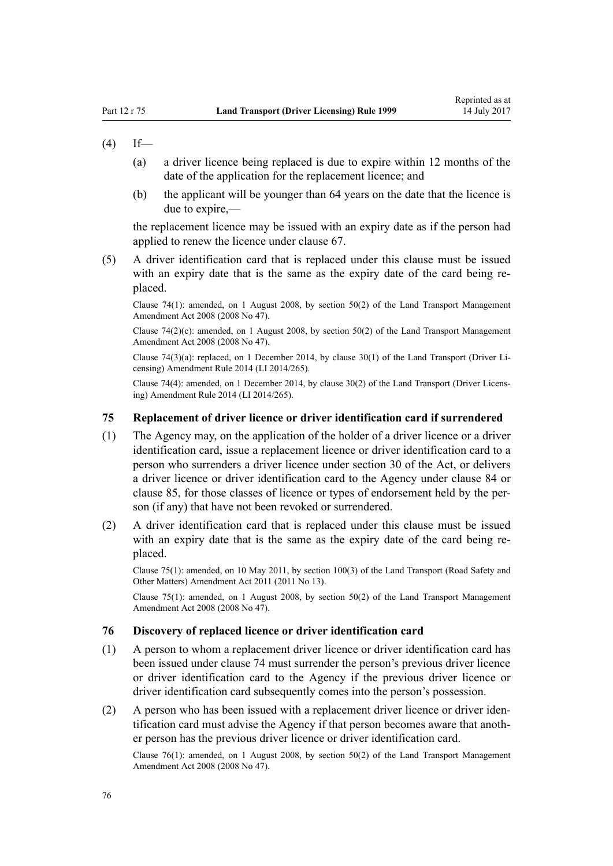# $(4)$  If—

- (a) a driver licence being replaced is due to expire within 12 months of the date of the application for the replacement licence; and
- (b) the applicant will be younger than 64 years on the date that the licence is due to expire,—

the replacement licence may be issued with an expiry date as if the person had applied to renew the licence under [clause 67](#page-66-0).

(5) A driver identification card that is replaced under this clause must be issued with an expiry date that is the same as the expiry date of the card being replaced.

Clause 74(1): amended, on 1 August 2008, by [section 50\(2\)](http://prd-lgnz-nlb.prd.pco.net.nz/pdflink.aspx?id=DLM1313622) of the Land Transport Management Amendment Act 2008 (2008 No 47).

Clause 74(2)(c): amended, on 1 August 2008, by [section 50\(2\)](http://prd-lgnz-nlb.prd.pco.net.nz/pdflink.aspx?id=DLM1313622) of the Land Transport Management Amendment Act 2008 (2008 No 47).

Clause 74(3)(a): replaced, on 1 December 2014, by [clause 30\(1\)](http://prd-lgnz-nlb.prd.pco.net.nz/pdflink.aspx?id=DLM6216944) of the Land Transport (Driver Licensing) Amendment Rule 2014 (LI 2014/265).

Clause 74(4): amended, on 1 December 2014, by [clause 30\(2\)](http://prd-lgnz-nlb.prd.pco.net.nz/pdflink.aspx?id=DLM6216944) of the Land Transport (Driver Licensing) Amendment Rule 2014 (LI 2014/265).

#### **75 Replacement of driver licence or driver identification card if surrendered**

- (1) The Agency may, on the application of the holder of a driver licence or a driver identification card, issue a replacement licence or driver identification card to a person who surrenders a driver licence under [section 30](http://prd-lgnz-nlb.prd.pco.net.nz/pdflink.aspx?id=DLM434583) of the Act, or delivers a driver licence or driver identification card to the Agency under [clause 84](#page-81-0) or [clause 85,](#page-81-0) for those classes of licence or types of endorsement held by the person (if any) that have not been revoked or surrendered.
- (2) A driver identification card that is replaced under this clause must be issued with an expiry date that is the same as the expiry date of the card being replaced.

Clause 75(1): amended, on 10 May 2011, by [section 100\(3\)](http://prd-lgnz-nlb.prd.pco.net.nz/pdflink.aspx?id=DLM3231293) of the Land Transport (Road Safety and Other Matters) Amendment Act 2011 (2011 No 13).

Clause 75(1): amended, on 1 August 2008, by [section 50\(2\)](http://prd-lgnz-nlb.prd.pco.net.nz/pdflink.aspx?id=DLM1313622) of the Land Transport Management Amendment Act 2008 (2008 No 47).

### **76 Discovery of replaced licence or driver identification card**

- (1) A person to whom a replacement driver licence or driver identification card has been issued under [clause 74](#page-74-0) must surrender the person's previous driver licence or driver identification card to the Agency if the previous driver licence or driver identification card subsequently comes into the person's possession.
- (2) A person who has been issued with a replacement driver licence or driver identification card must advise the Agency if that person becomes aware that another person has the previous driver licence or driver identification card.

Clause 76(1): amended, on 1 August 2008, by [section 50\(2\)](http://prd-lgnz-nlb.prd.pco.net.nz/pdflink.aspx?id=DLM1313622) of the Land Transport Management Amendment Act 2008 (2008 No 47).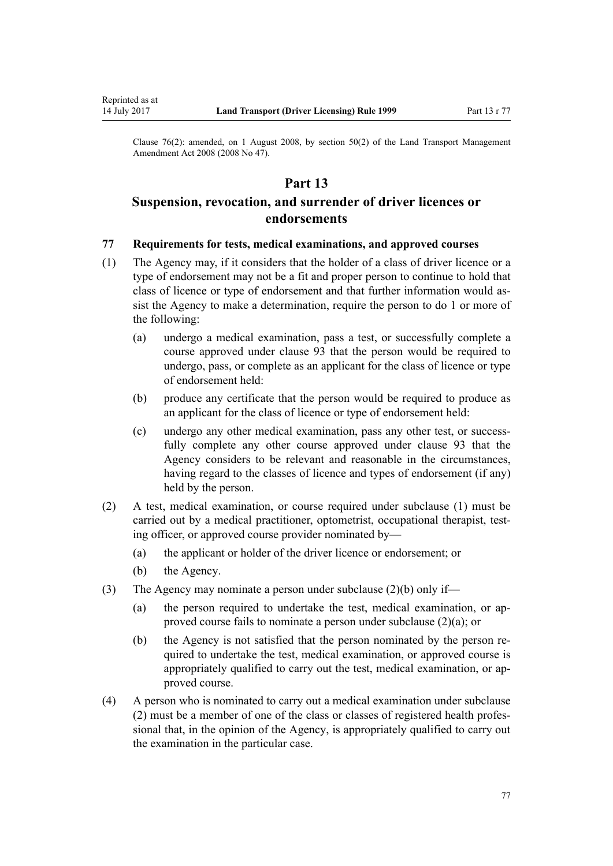<span id="page-76-0"></span>Reprinted as at

Clause 76(2): amended, on 1 August 2008, by [section 50\(2\)](http://prd-lgnz-nlb.prd.pco.net.nz/pdflink.aspx?id=DLM1313622) of the Land Transport Management Amendment Act 2008 (2008 No 47).

# **Part 13**

# **Suspension, revocation, and surrender of driver licences or endorsements**

### **77 Requirements for tests, medical examinations, and approved courses**

- (1) The Agency may, if it considers that the holder of a class of driver licence or a type of endorsement may not be a fit and proper person to continue to hold that class of licence or type of endorsement and that further information would assist the Agency to make a determination, require the person to do 1 or more of the following:
	- (a) undergo a medical examination, pass a test, or successfully complete a course approved under [clause 93](#page-90-0) that the person would be required to undergo, pass, or complete as an applicant for the class of licence or type of endorsement held:
	- (b) produce any certificate that the person would be required to produce as an applicant for the class of licence or type of endorsement held:
	- (c) undergo any other medical examination, pass any other test, or successfully complete any other course approved under [clause 93](#page-90-0) that the Agency considers to be relevant and reasonable in the circumstances, having regard to the classes of licence and types of endorsement (if any) held by the person.
- (2) A test, medical examination, or course required under subclause (1) must be carried out by a medical practitioner, optometrist, occupational therapist, testing officer, or approved course provider nominated by—
	- (a) the applicant or holder of the driver licence or endorsement; or
	- (b) the Agency.
- (3) The Agency may nominate a person under subclause (2)(b) only if—
	- (a) the person required to undertake the test, medical examination, or approved course fails to nominate a person under subclause (2)(a); or
	- (b) the Agency is not satisfied that the person nominated by the person required to undertake the test, medical examination, or approved course is appropriately qualified to carry out the test, medical examination, or approved course.
- (4) A person who is nominated to carry out a medical examination under subclause (2) must be a member of one of the class or classes of registered health professional that, in the opinion of the Agency, is appropriately qualified to carry out the examination in the particular case.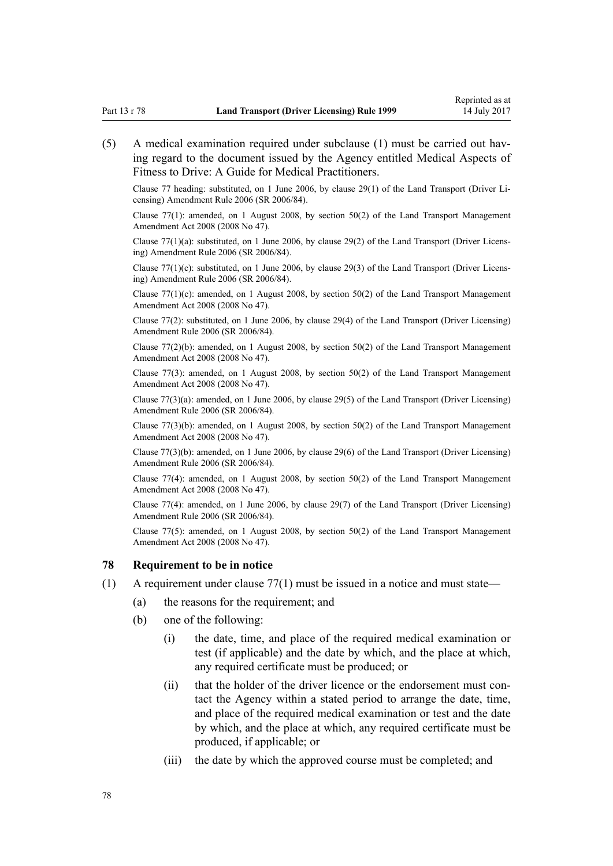<span id="page-77-0"></span>(5) A medical examination required under subclause (1) must be carried out having regard to the document issued by the Agency entitled Medical Aspects of Fitness to Drive: A Guide for Medical Practitioners.

Clause 77 heading: substituted, on 1 June 2006, by [clause 29\(1\)](http://prd-lgnz-nlb.prd.pco.net.nz/pdflink.aspx?id=DLM376122) of the Land Transport (Driver Licensing) Amendment Rule 2006 (SR 2006/84).

Clause 77(1): amended, on 1 August 2008, by [section 50\(2\)](http://prd-lgnz-nlb.prd.pco.net.nz/pdflink.aspx?id=DLM1313622) of the Land Transport Management Amendment Act 2008 (2008 No 47).

Clause 77(1)(a): substituted, on 1 June 2006, by [clause 29\(2\)](http://prd-lgnz-nlb.prd.pco.net.nz/pdflink.aspx?id=DLM376122) of the Land Transport (Driver Licensing) Amendment Rule 2006 (SR 2006/84).

Clause  $77(1)(c)$ : substituted, on 1 June 2006, by [clause 29\(3\)](http://prd-lgnz-nlb.prd.pco.net.nz/pdflink.aspx?id=DLM376122) of the Land Transport (Driver Licensing) Amendment Rule 2006 (SR 2006/84).

Clause 77(1)(c): amended, on 1 August 2008, by [section 50\(2\)](http://prd-lgnz-nlb.prd.pco.net.nz/pdflink.aspx?id=DLM1313622) of the Land Transport Management Amendment Act 2008 (2008 No 47).

Clause 77(2): substituted, on 1 June 2006, by [clause 29\(4\)](http://prd-lgnz-nlb.prd.pco.net.nz/pdflink.aspx?id=DLM376122) of the Land Transport (Driver Licensing) Amendment Rule 2006 (SR 2006/84).

Clause  $77(2)(b)$ : amended, on 1 August 2008, by section  $50(2)$  of the Land Transport Management Amendment Act 2008 (2008 No 47).

Clause 77(3): amended, on 1 August 2008, by [section 50\(2\)](http://prd-lgnz-nlb.prd.pco.net.nz/pdflink.aspx?id=DLM1313622) of the Land Transport Management Amendment Act 2008 (2008 No 47).

Clause 77(3)(a): amended, on 1 June 2006, by [clause 29\(5\)](http://prd-lgnz-nlb.prd.pco.net.nz/pdflink.aspx?id=DLM376122) of the Land Transport (Driver Licensing) Amendment Rule 2006 (SR 2006/84).

Clause 77(3)(b): amended, on 1 August 2008, by [section 50\(2\)](http://prd-lgnz-nlb.prd.pco.net.nz/pdflink.aspx?id=DLM1313622) of the Land Transport Management Amendment Act 2008 (2008 No 47).

Clause 77(3)(b): amended, on 1 June 2006, by [clause 29\(6\)](http://prd-lgnz-nlb.prd.pco.net.nz/pdflink.aspx?id=DLM376122) of the Land Transport (Driver Licensing) Amendment Rule 2006 (SR 2006/84).

Clause 77(4): amended, on 1 August 2008, by [section 50\(2\)](http://prd-lgnz-nlb.prd.pco.net.nz/pdflink.aspx?id=DLM1313622) of the Land Transport Management Amendment Act 2008 (2008 No 47).

Clause 77(4): amended, on 1 June 2006, by [clause 29\(7\)](http://prd-lgnz-nlb.prd.pco.net.nz/pdflink.aspx?id=DLM376122) of the Land Transport (Driver Licensing) Amendment Rule 2006 (SR 2006/84).

Clause  $77(5)$ : amended, on 1 August 2008, by section  $50(2)$  of the Land Transport Management Amendment Act 2008 (2008 No 47).

#### **78 Requirement to be in notice**

- (1) A requirement under [clause 77\(1\)](#page-76-0) must be issued in a notice and must state—
	- (a) the reasons for the requirement; and
	- (b) one of the following:
		- (i) the date, time, and place of the required medical examination or test (if applicable) and the date by which, and the place at which, any required certificate must be produced; or
		- (ii) that the holder of the driver licence or the endorsement must contact the Agency within a stated period to arrange the date, time, and place of the required medical examination or test and the date by which, and the place at which, any required certificate must be produced, if applicable; or
		- (iii) the date by which the approved course must be completed; and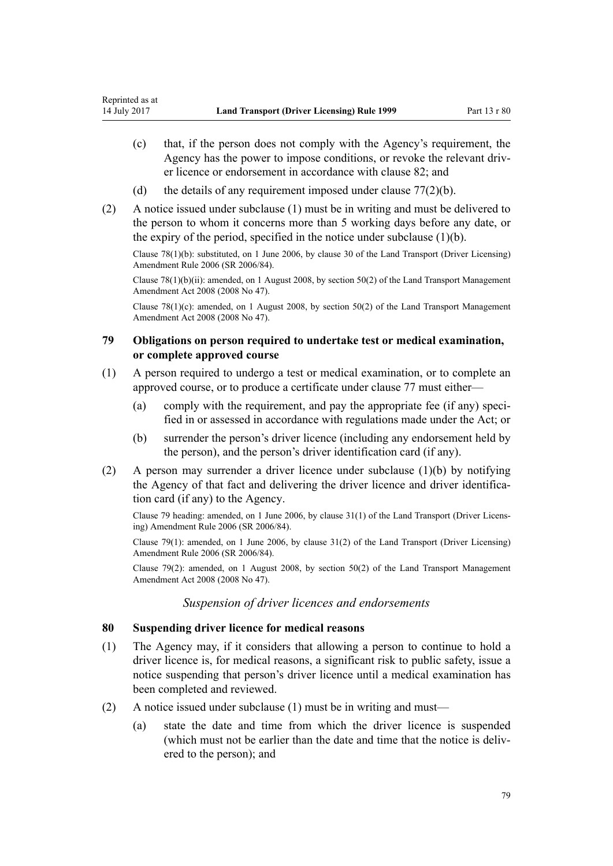- (c) that, if the person does not comply with the Agency's requirement, the Agency has the power to impose conditions, or revoke the relevant driver licence or endorsement in accordance with [clause 82](#page-79-0); and
- (d) the details of any requirement imposed under clause  $77(2)(b)$ .
- (2) A notice issued under subclause (1) must be in writing and must be delivered to the person to whom it concerns more than 5 working days before any date, or the expiry of the period, specified in the notice under subclause  $(1)(b)$ .

Clause 78(1)(b): substituted, on 1 June 2006, by [clause 30](http://prd-lgnz-nlb.prd.pco.net.nz/pdflink.aspx?id=DLM376123) of the Land Transport (Driver Licensing) Amendment Rule 2006 (SR 2006/84).

Clause 78(1)(b)(ii): amended, on 1 August 2008, by [section 50\(2\)](http://prd-lgnz-nlb.prd.pco.net.nz/pdflink.aspx?id=DLM1313622) of the Land Transport Management Amendment Act 2008 (2008 No 47).

Clause  $78(1)(c)$ : amended, on 1 August 2008, by [section 50\(2\)](http://prd-lgnz-nlb.prd.pco.net.nz/pdflink.aspx?id=DLM1313622) of the Land Transport Management Amendment Act 2008 (2008 No 47).

# **79 Obligations on person required to undertake test or medical examination, or complete approved course**

- (1) A person required to undergo a test or medical examination, or to complete an approved course, or to produce a certificate under [clause 77](#page-76-0) must either—
	- (a) comply with the requirement, and pay the appropriate fee (if any) specified in or assessed in accordance with regulations made under the Act; or
	- (b) surrender the person's driver licence (including any endorsement held by the person), and the person's driver identification card (if any).
- (2) A person may surrender a driver licence under subclause (1)(b) by notifying the Agency of that fact and delivering the driver licence and driver identification card (if any) to the Agency.

Clause 79 heading: amended, on 1 June 2006, by [clause 31\(1\)](http://prd-lgnz-nlb.prd.pco.net.nz/pdflink.aspx?id=DLM376124) of the Land Transport (Driver Licensing) Amendment Rule 2006 (SR 2006/84).

Clause 79(1): amended, on 1 June 2006, by [clause 31\(2\)](http://prd-lgnz-nlb.prd.pco.net.nz/pdflink.aspx?id=DLM376124) of the Land Transport (Driver Licensing) Amendment Rule 2006 (SR 2006/84).

Clause 79(2): amended, on 1 August 2008, by [section 50\(2\)](http://prd-lgnz-nlb.prd.pco.net.nz/pdflink.aspx?id=DLM1313622) of the Land Transport Management Amendment Act 2008 (2008 No 47).

### *Suspension of driver licences and endorsements*

### **80 Suspending driver licence for medical reasons**

- (1) The Agency may, if it considers that allowing a person to continue to hold a driver licence is, for medical reasons, a significant risk to public safety, issue a notice suspending that person's driver licence until a medical examination has been completed and reviewed.
- (2) A notice issued under subclause (1) must be in writing and must—
	- (a) state the date and time from which the driver licence is suspended (which must not be earlier than the date and time that the notice is delivered to the person); and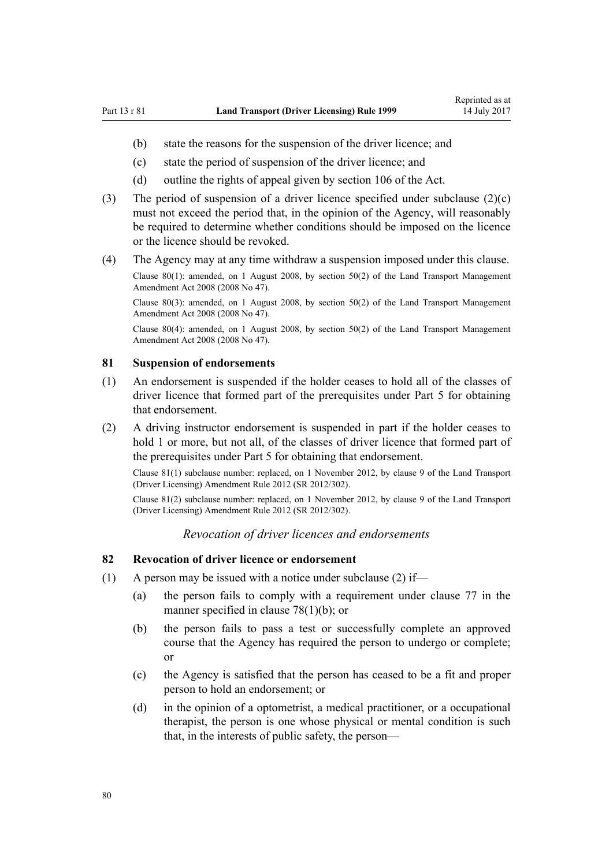- <span id="page-79-0"></span>(b) state the reasons for the suspension of the driver licence; and
- (c) state the period of suspension of the driver licence; and
- (d) outline the rights of appeal given by [section 106](http://prd-lgnz-nlb.prd.pco.net.nz/pdflink.aspx?id=DLM435083) of the Act.
- (3) The period of suspension of a driver licence specified under subclause (2)(c) must not exceed the period that, in the opinion of the Agency, will reasonably be required to determine whether conditions should be imposed on the licence or the licence should be revoked.
- (4) The Agency may at any time withdraw a suspension imposed under this clause.

Clause 80(1): amended, on 1 August 2008, by [section 50\(2\)](http://prd-lgnz-nlb.prd.pco.net.nz/pdflink.aspx?id=DLM1313622) of the Land Transport Management Amendment Act 2008 (2008 No 47).

Clause 80(3): amended, on 1 August 2008, by [section 50\(2\)](http://prd-lgnz-nlb.prd.pco.net.nz/pdflink.aspx?id=DLM1313622) of the Land Transport Management Amendment Act 2008 (2008 No 47).

Clause 80(4): amended, on 1 August 2008, by [section 50\(2\)](http://prd-lgnz-nlb.prd.pco.net.nz/pdflink.aspx?id=DLM1313622) of the Land Transport Management Amendment Act 2008 (2008 No 47).

#### **81 Suspension of endorsements**

- (1) An endorsement is suspended if the holder ceases to hold all of the classes of driver licence that formed part of the prerequisites under [Part 5](#page-39-0) for obtaining that endorsement.
- (2) A driving instructor endorsement is suspended in part if the holder ceases to hold 1 or more, but not all, of the classes of driver licence that formed part of the prerequisites under [Part 5](#page-39-0) for obtaining that endorsement.

Clause 81(1) subclause number: replaced, on 1 November 2012, by [clause 9](http://prd-lgnz-nlb.prd.pco.net.nz/pdflink.aspx?id=DLM4773441) of the Land Transport (Driver Licensing) Amendment Rule 2012 (SR 2012/302).

Clause 81(2) subclause number: replaced, on 1 November 2012, by [clause 9](http://prd-lgnz-nlb.prd.pco.net.nz/pdflink.aspx?id=DLM4773441) of the Land Transport (Driver Licensing) Amendment Rule 2012 (SR 2012/302).

### *Revocation of driver licences and endorsements*

### **82 Revocation of driver licence or endorsement**

- (1) A person may be issued with a notice under subclause (2) if—
	- (a) the person fails to comply with a requirement under [clause 77](#page-76-0) in the manner specified in [clause 78\(1\)\(b\);](#page-77-0) or
	- (b) the person fails to pass a test or successfully complete an approved course that the Agency has required the person to undergo or complete; or
	- (c) the Agency is satisfied that the person has ceased to be a fit and proper person to hold an endorsement; or
	- (d) in the opinion of a optometrist, a medical practitioner, or a occupational therapist, the person is one whose physical or mental condition is such that, in the interests of public safety, the person—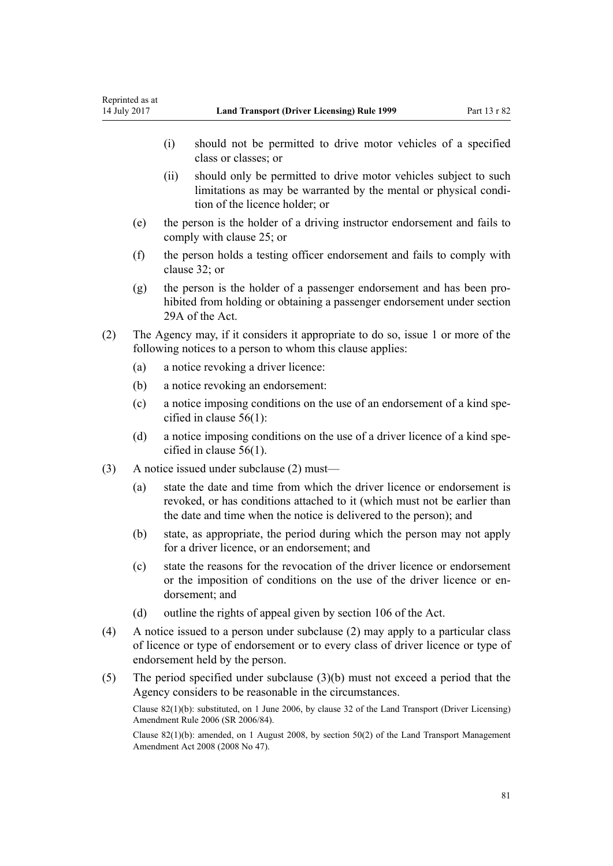- (i) should not be permitted to drive motor vehicles of a specified class or classes; or
- (ii) should only be permitted to drive motor vehicles subject to such limitations as may be warranted by the mental or physical condition of the licence holder; or
- (e) the person is the holder of a driving instructor endorsement and fails to comply with [clause 25](#page-41-0); or
- (f) the person holds a testing officer endorsement and fails to comply with [clause 32](#page-45-0); or
- (g) the person is the holder of a passenger endorsement and has been prohibited from holding or obtaining a passenger endorsement under [section](http://prd-lgnz-nlb.prd.pco.net.nz/pdflink.aspx?id=DLM434566) [29A](http://prd-lgnz-nlb.prd.pco.net.nz/pdflink.aspx?id=DLM434566) of the Act.
- (2) The Agency may, if it considers it appropriate to do so, issue 1 or more of the following notices to a person to whom this clause applies:
	- (a) a notice revoking a driver licence:
	- (b) a notice revoking an endorsement:
	- (c) a notice imposing conditions on the use of an endorsement of a kind specified in [clause 56\(1\):](#page-58-0)
	- (d) a notice imposing conditions on the use of a driver licence of a kind specified in [clause 56\(1\).](#page-58-0)
- (3) A notice issued under subclause (2) must—
	- (a) state the date and time from which the driver licence or endorsement is revoked, or has conditions attached to it (which must not be earlier than the date and time when the notice is delivered to the person); and
	- (b) state, as appropriate, the period during which the person may not apply for a driver licence, or an endorsement; and
	- (c) state the reasons for the revocation of the driver licence or endorsement or the imposition of conditions on the use of the driver licence or endorsement; and
	- (d) outline the rights of appeal given by [section 106](http://prd-lgnz-nlb.prd.pco.net.nz/pdflink.aspx?id=DLM435083) of the Act.
- (4) A notice issued to a person under subclause (2) may apply to a particular class of licence or type of endorsement or to every class of driver licence or type of endorsement held by the person.
- (5) The period specified under subclause (3)(b) must not exceed a period that the Agency considers to be reasonable in the circumstances.

Clause 82(1)(b): substituted, on 1 June 2006, by [clause 32](http://prd-lgnz-nlb.prd.pco.net.nz/pdflink.aspx?id=DLM376125) of the Land Transport (Driver Licensing) Amendment Rule 2006 (SR 2006/84).

Clause 82(1)(b): amended, on 1 August 2008, by [section 50\(2\)](http://prd-lgnz-nlb.prd.pco.net.nz/pdflink.aspx?id=DLM1313622) of the Land Transport Management Amendment Act 2008 (2008 No 47).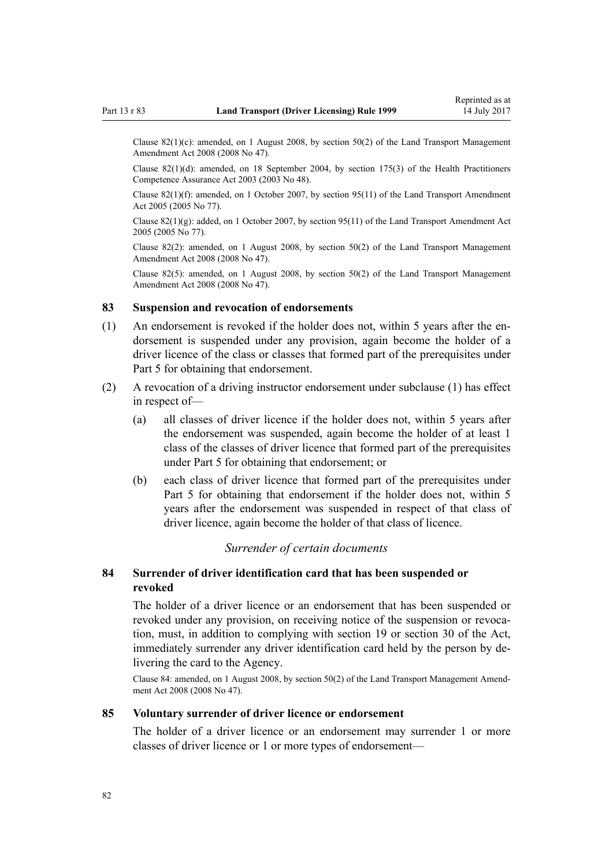<span id="page-81-0"></span>Clause 82(1)(c): amended, on 1 August 2008, by [section 50\(2\)](http://prd-lgnz-nlb.prd.pco.net.nz/pdflink.aspx?id=DLM1313622) of the Land Transport Management Amendment Act 2008 (2008 No 47).

Clause 82(1)(d): amended, on 18 September 2004, by [section 175\(3\)](http://prd-lgnz-nlb.prd.pco.net.nz/pdflink.aspx?id=DLM205009) of the Health Practitioners Competence Assurance Act 2003 (2003 No 48).

Clause 82(1)(f): amended, on 1 October 2007, by [section 95\(11\)](http://prd-lgnz-nlb.prd.pco.net.nz/pdflink.aspx?id=DLM353501) of the Land Transport Amendment Act 2005 (2005 No 77).

Clause  $82(1)(g)$ : added, on 1 October 2007, by [section 95\(11\)](http://prd-lgnz-nlb.prd.pco.net.nz/pdflink.aspx?id=DLM353501) of the Land Transport Amendment Act 2005 (2005 No 77).

Clause 82(2): amended, on 1 August 2008, by [section 50\(2\)](http://prd-lgnz-nlb.prd.pco.net.nz/pdflink.aspx?id=DLM1313622) of the Land Transport Management Amendment Act 2008 (2008 No 47).

Clause 82(5): amended, on 1 August 2008, by [section 50\(2\)](http://prd-lgnz-nlb.prd.pco.net.nz/pdflink.aspx?id=DLM1313622) of the Land Transport Management Amendment Act 2008 (2008 No 47).

# **83 Suspension and revocation of endorsements**

- (1) An endorsement is revoked if the holder does not, within 5 years after the endorsement is suspended under any provision, again become the holder of a driver licence of the class or classes that formed part of the prerequisites under [Part 5](#page-39-0) for obtaining that endorsement.
- (2) A revocation of a driving instructor endorsement under subclause (1) has effect in respect of-
	- (a) all classes of driver licence if the holder does not, within 5 years after the endorsement was suspended, again become the holder of at least 1 class of the classes of driver licence that formed part of the prerequisites under [Part 5](#page-39-0) for obtaining that endorsement; or
	- (b) each class of driver licence that formed part of the prerequisites under [Part 5](#page-39-0) for obtaining that endorsement if the holder does not, within 5 years after the endorsement was suspended in respect of that class of driver licence, again become the holder of that class of licence.

### *Surrender of certain documents*

# **84 Surrender of driver identification card that has been suspended or revoked**

The holder of a driver licence or an endorsement that has been suspended or revoked under any provision, on receiving notice of the suspension or revocation, must, in addition to complying with [section 19](http://prd-lgnz-nlb.prd.pco.net.nz/pdflink.aspx?id=DLM434536) or [section 30](http://prd-lgnz-nlb.prd.pco.net.nz/pdflink.aspx?id=DLM434583) of the Act, immediately surrender any driver identification card held by the person by delivering the card to the Agency.

Clause 84: amended, on 1 August 2008, by [section 50\(2\)](http://prd-lgnz-nlb.prd.pco.net.nz/pdflink.aspx?id=DLM1313622) of the Land Transport Management Amendment Act 2008 (2008 No 47).

### **85 Voluntary surrender of driver licence or endorsement**

The holder of a driver licence or an endorsement may surrender 1 or more classes of driver licence or 1 or more types of endorsement—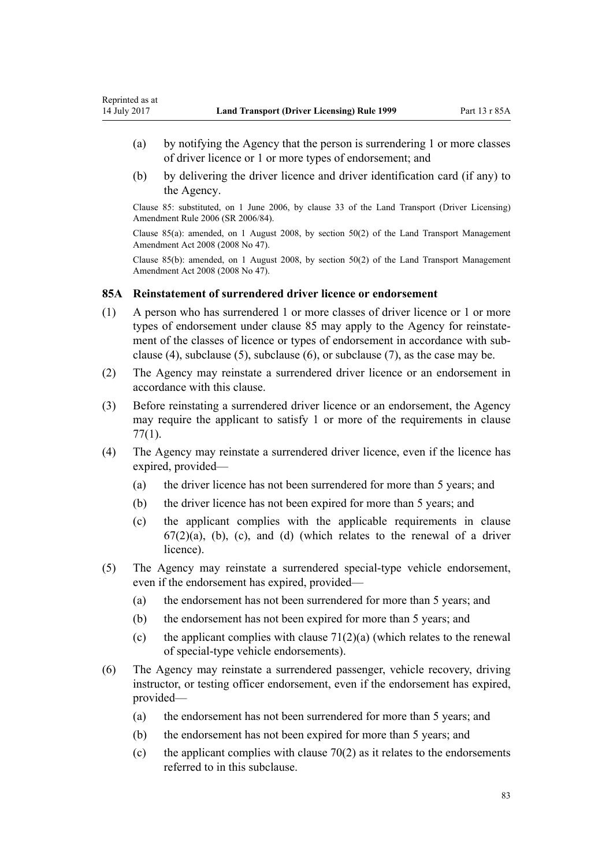- (a) by notifying the Agency that the person is surrendering 1 or more classes of driver licence or 1 or more types of endorsement; and
- (b) by delivering the driver licence and driver identification card (if any) to the Agency.

Clause 85: substituted, on 1 June 2006, by [clause 33](http://prd-lgnz-nlb.prd.pco.net.nz/pdflink.aspx?id=DLM376126) of the Land Transport (Driver Licensing) Amendment Rule 2006 (SR 2006/84).

Clause 85(a): amended, on 1 August 2008, by [section 50\(2\)](http://prd-lgnz-nlb.prd.pco.net.nz/pdflink.aspx?id=DLM1313622) of the Land Transport Management Amendment Act 2008 (2008 No 47).

Clause 85(b): amended, on 1 August 2008, by [section 50\(2\)](http://prd-lgnz-nlb.prd.pco.net.nz/pdflink.aspx?id=DLM1313622) of the Land Transport Management Amendment Act 2008 (2008 No 47).

### **85A Reinstatement of surrendered driver licence or endorsement**

- (1) A person who has surrendered 1 or more classes of driver licence or 1 or more types of endorsement under [clause 85](#page-81-0) may apply to the Agency for reinstatement of the classes of licence or types of endorsement in accordance with subclause (4), subclause (5), subclause (6), or subclause (7), as the case may be.
- (2) The Agency may reinstate a surrendered driver licence or an endorsement in accordance with this clause.
- (3) Before reinstating a surrendered driver licence or an endorsement, the Agency may require the applicant to satisfy 1 or more of the requirements in [clause](#page-76-0) [77\(1\)](#page-76-0).
- (4) The Agency may reinstate a surrendered driver licence, even if the licence has expired, provided—
	- (a) the driver licence has not been surrendered for more than 5 years; and
	- (b) the driver licence has not been expired for more than 5 years; and
	- (c) the applicant complies with the applicable requirements in [clause](#page-66-0)  $67(2)(a)$ , (b), (c), and (d) (which relates to the renewal of a driver licence).
- (5) The Agency may reinstate a surrendered special-type vehicle endorsement, even if the endorsement has expired, provided—
	- (a) the endorsement has not been surrendered for more than 5 years; and
	- (b) the endorsement has not been expired for more than 5 years; and
	- (c) the applicant complies with clause  $71(2)(a)$  (which relates to the renewal of special-type vehicle endorsements).
- (6) The Agency may reinstate a surrendered passenger, vehicle recovery, driving instructor, or testing officer endorsement, even if the endorsement has expired, provided—
	- (a) the endorsement has not been surrendered for more than 5 years; and
	- (b) the endorsement has not been expired for more than 5 years; and
	- (c) the applicant complies with clause  $70(2)$  as it relates to the endorsements referred to in this subclause.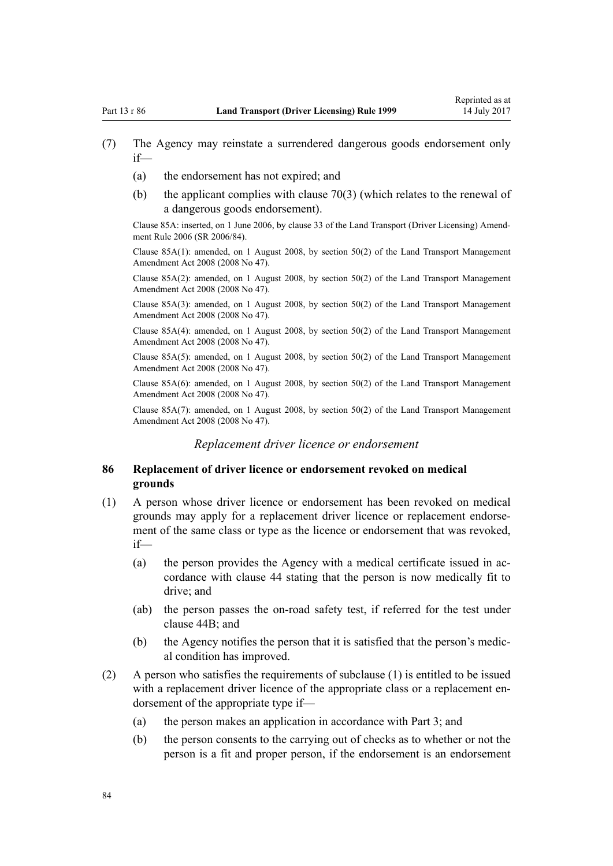- (7) The Agency may reinstate a surrendered dangerous goods endorsement only if—
	- (a) the endorsement has not expired; and
	- (b) the applicant complies with [clause 70\(3\)](#page-72-0) (which relates to the renewal of a dangerous goods endorsement).

Clause 85A: inserted, on 1 June 2006, by [clause 33](http://prd-lgnz-nlb.prd.pco.net.nz/pdflink.aspx?id=DLM376126) of the Land Transport (Driver Licensing) Amendment Rule 2006 (SR 2006/84).

Clause 85A(1): amended, on 1 August 2008, by [section 50\(2\)](http://prd-lgnz-nlb.prd.pco.net.nz/pdflink.aspx?id=DLM1313622) of the Land Transport Management Amendment Act 2008 (2008 No 47).

Clause 85A(2): amended, on 1 August 2008, by [section 50\(2\)](http://prd-lgnz-nlb.prd.pco.net.nz/pdflink.aspx?id=DLM1313622) of the Land Transport Management Amendment Act 2008 (2008 No 47).

Clause 85A(3): amended, on 1 August 2008, by [section 50\(2\)](http://prd-lgnz-nlb.prd.pco.net.nz/pdflink.aspx?id=DLM1313622) of the Land Transport Management Amendment Act 2008 (2008 No 47).

Clause 85A(4): amended, on 1 August 2008, by [section 50\(2\)](http://prd-lgnz-nlb.prd.pco.net.nz/pdflink.aspx?id=DLM1313622) of the Land Transport Management Amendment Act 2008 (2008 No 47).

Clause 85A(5): amended, on 1 August 2008, by [section 50\(2\)](http://prd-lgnz-nlb.prd.pco.net.nz/pdflink.aspx?id=DLM1313622) of the Land Transport Management Amendment Act 2008 (2008 No 47).

Clause 85A(6): amended, on 1 August 2008, by [section 50\(2\)](http://prd-lgnz-nlb.prd.pco.net.nz/pdflink.aspx?id=DLM1313622) of the Land Transport Management Amendment Act 2008 (2008 No 47).

Clause 85A(7): amended, on 1 August 2008, by [section 50\(2\)](http://prd-lgnz-nlb.prd.pco.net.nz/pdflink.aspx?id=DLM1313622) of the Land Transport Management Amendment Act 2008 (2008 No 47).

# *Replacement driver licence or endorsement*

## **86 Replacement of driver licence or endorsement revoked on medical grounds**

- (1) A person whose driver licence or endorsement has been revoked on medical grounds may apply for a replacement driver licence or replacement endorsement of the same class or type as the licence or endorsement that was revoked, if—
	- (a) the person provides the Agency with a medical certificate issued in accordance with [clause 44](#page-51-0) stating that the person is now medically fit to drive; and
	- (ab) the person passes the on-road safety test, if referred for the test under [clause 44B;](#page-53-0) and
	- (b) the Agency notifies the person that it is satisfied that the person's medical condition has improved.
- (2) A person who satisfies the requirements of subclause (1) is entitled to be issued with a replacement driver licence of the appropriate class or a replacement endorsement of the appropriate type if—
	- (a) the person makes an application in accordance with [Part 3](#page-21-0); and
	- (b) the person consents to the carrying out of checks as to whether or not the person is a fit and proper person, if the endorsement is an endorsement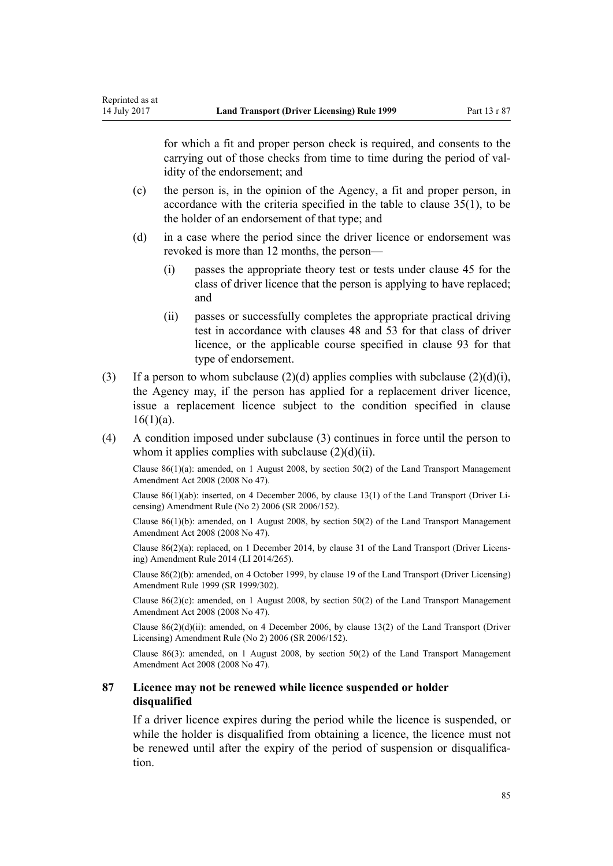for which a fit and proper person check is required, and consents to the carrying out of those checks from time to time during the period of validity of the endorsement; and

- (c) the person is, in the opinion of the Agency, a fit and proper person, in accordance with the criteria specified in the table to [clause 35\(1\),](#page-46-0) to be the holder of an endorsement of that type; and
- (d) in a case where the period since the driver licence or endorsement was revoked is more than 12 months, the person—
	- (i) passes the appropriate theory test or tests under [clause 45](#page-53-0) for the class of driver licence that the person is applying to have replaced; and
	- (ii) passes or successfully completes the appropriate practical driving test in accordance with [clauses 48](#page-54-0) and [53](#page-56-0) for that class of driver licence, or the applicable course specified in [clause 93](#page-90-0) for that type of endorsement.
- (3) If a person to whom subclause (2)(d) applies complies with subclause (2)(d)(i), the Agency may, if the person has applied for a replacement driver licence, issue a replacement licence subject to the condition specified in [clause](#page-26-0)  $16(1)(a)$ .
- (4) A condition imposed under subclause (3) continues in force until the person to whom it applies complies with subclause  $(2)(d)(ii)$ .

Clause  $86(1)(a)$ : amended, on 1 August 2008, by [section 50\(2\)](http://prd-lgnz-nlb.prd.pco.net.nz/pdflink.aspx?id=DLM1313622) of the Land Transport Management Amendment Act 2008 (2008 No 47).

Clause 86(1)(ab): inserted, on 4 December 2006, by [clause 13\(1\)](http://prd-lgnz-nlb.prd.pco.net.nz/pdflink.aspx?id=DLM386154) of the Land Transport (Driver Licensing) Amendment Rule (No 2) 2006 (SR 2006/152).

Clause 86(1)(b): amended, on 1 August 2008, by [section 50\(2\)](http://prd-lgnz-nlb.prd.pco.net.nz/pdflink.aspx?id=DLM1313622) of the Land Transport Management Amendment Act 2008 (2008 No 47).

Clause 86(2)(a): replaced, on 1 December 2014, by [clause 31](http://prd-lgnz-nlb.prd.pco.net.nz/pdflink.aspx?id=DLM6216944) of the Land Transport (Driver Licensing) Amendment Rule 2014 (LI 2014/265).

Clause 86(2)(b): amended, on 4 October 1999, by [clause 19](http://prd-lgnz-nlb.prd.pco.net.nz/pdflink.aspx?id=DLM293688) of the Land Transport (Driver Licensing) Amendment Rule 1999 (SR 1999/302).

Clause  $86(2)(c)$ : amended, on 1 August 2008, by [section 50\(2\)](http://prd-lgnz-nlb.prd.pco.net.nz/pdflink.aspx?id=DLM1313622) of the Land Transport Management Amendment Act 2008 (2008 No 47).

Clause 86(2)(d)(ii): amended, on 4 December 2006, by [clause 13\(2\)](http://prd-lgnz-nlb.prd.pco.net.nz/pdflink.aspx?id=DLM386154) of the Land Transport (Driver Licensing) Amendment Rule (No 2) 2006 (SR 2006/152).

Clause 86(3): amended, on 1 August 2008, by [section 50\(2\)](http://prd-lgnz-nlb.prd.pco.net.nz/pdflink.aspx?id=DLM1313622) of the Land Transport Management Amendment Act 2008 (2008 No 47).

# **87 Licence may not be renewed while licence suspended or holder disqualified**

If a driver licence expires during the period while the licence is suspended, or while the holder is disqualified from obtaining a licence, the licence must not be renewed until after the expiry of the period of suspension or disqualification.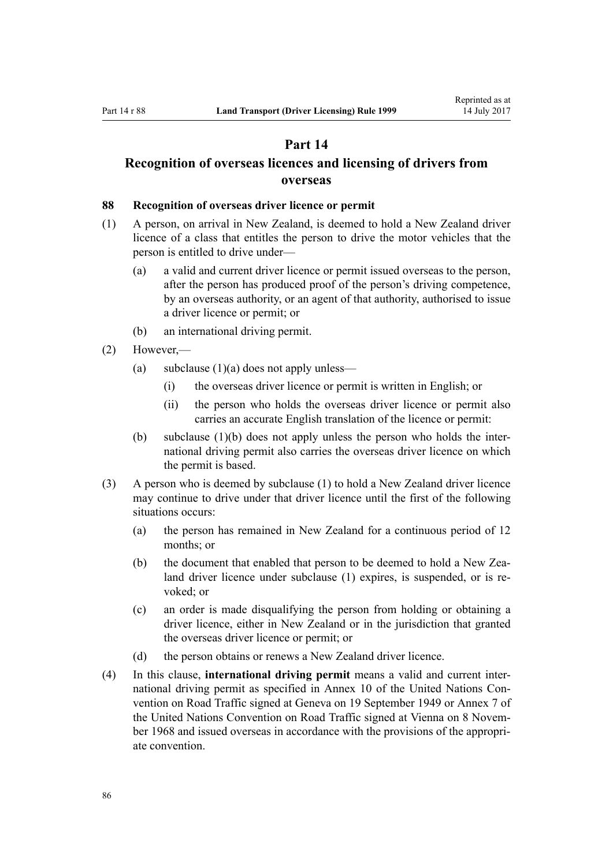# **Part 14**

# <span id="page-85-0"></span>**Recognition of overseas licences and licensing of drivers from overseas**

#### **88 Recognition of overseas driver licence or permit**

- (1) A person, on arrival in New Zealand, is deemed to hold a New Zealand driver licence of a class that entitles the person to drive the motor vehicles that the person is entitled to drive under—
	- (a) a valid and current driver licence or permit issued overseas to the person, after the person has produced proof of the person's driving competence, by an overseas authority, or an agent of that authority, authorised to issue a driver licence or permit; or
	- (b) an international driving permit.
- (2) However,—
	- (a) subclause  $(1)(a)$  does not apply unless—
		- (i) the overseas driver licence or permit is written in English; or
		- (ii) the person who holds the overseas driver licence or permit also carries an accurate English translation of the licence or permit:
	- (b) subclause (1)(b) does not apply unless the person who holds the international driving permit also carries the overseas driver licence on which the permit is based.
- (3) A person who is deemed by subclause (1) to hold a New Zealand driver licence may continue to drive under that driver licence until the first of the following situations occurs:
	- (a) the person has remained in New Zealand for a continuous period of 12 months; or
	- (b) the document that enabled that person to be deemed to hold a New Zealand driver licence under subclause (1) expires, is suspended, or is revoked; or
	- (c) an order is made disqualifying the person from holding or obtaining a driver licence, either in New Zealand or in the jurisdiction that granted the overseas driver licence or permit; or
	- (d) the person obtains or renews a New Zealand driver licence.
- (4) In this clause, **international driving permit** means a valid and current international driving permit as specified in Annex 10 of the United Nations Convention on Road Traffic signed at Geneva on 19 September 1949 or Annex 7 of the United Nations Convention on Road Traffic signed at Vienna on 8 November 1968 and issued overseas in accordance with the provisions of the appropriate convention.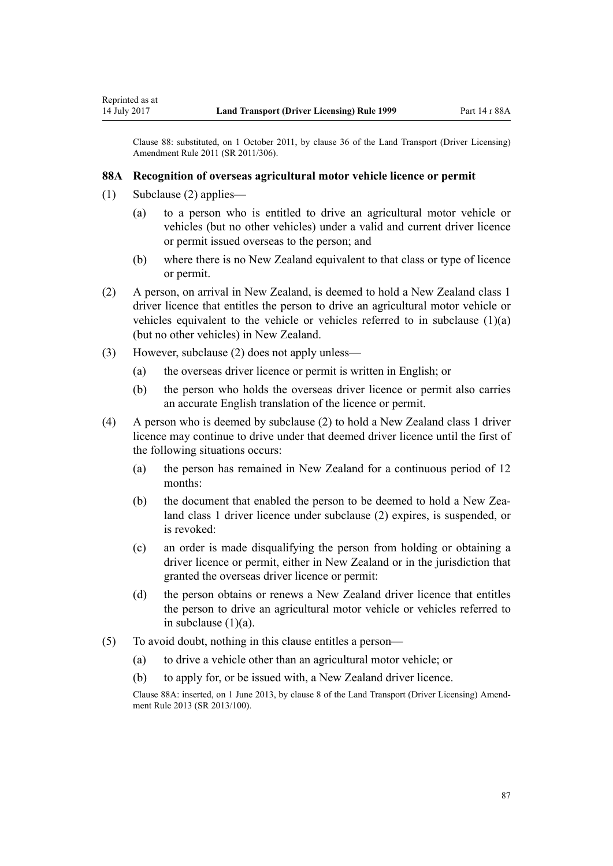Clause 88: substituted, on 1 October 2011, by [clause 36](http://prd-lgnz-nlb.prd.pco.net.nz/pdflink.aspx?id=DLM3956741) of the Land Transport (Driver Licensing) Amendment Rule 2011 (SR 2011/306).

#### **88A Recognition of overseas agricultural motor vehicle licence or permit**

(1) Subclause (2) applies—

Reprinted as at

- (a) to a person who is entitled to drive an agricultural motor vehicle or vehicles (but no other vehicles) under a valid and current driver licence or permit issued overseas to the person; and
- (b) where there is no New Zealand equivalent to that class or type of licence or permit.
- (2) A person, on arrival in New Zealand, is deemed to hold a New Zealand class 1 driver licence that entitles the person to drive an agricultural motor vehicle or vehicles equivalent to the vehicle or vehicles referred to in subclause  $(1)(a)$ (but no other vehicles) in New Zealand.
- (3) However, subclause (2) does not apply unless—
	- (a) the overseas driver licence or permit is written in English; or
	- (b) the person who holds the overseas driver licence or permit also carries an accurate English translation of the licence or permit.
- (4) A person who is deemed by subclause (2) to hold a New Zealand class 1 driver licence may continue to drive under that deemed driver licence until the first of the following situations occurs:
	- (a) the person has remained in New Zealand for a continuous period of 12 months:
	- (b) the document that enabled the person to be deemed to hold a New Zealand class 1 driver licence under subclause (2) expires, is suspended, or is revoked:
	- (c) an order is made disqualifying the person from holding or obtaining a driver licence or permit, either in New Zealand or in the jurisdiction that granted the overseas driver licence or permit:
	- (d) the person obtains or renews a New Zealand driver licence that entitles the person to drive an agricultural motor vehicle or vehicles referred to in subclause  $(1)(a)$ .
- (5) To avoid doubt, nothing in this clause entitles a person—
	- (a) to drive a vehicle other than an agricultural motor vehicle; or
	- (b) to apply for, or be issued with, a New Zealand driver licence.

Clause 88A: inserted, on 1 June 2013, by [clause 8](http://prd-lgnz-nlb.prd.pco.net.nz/pdflink.aspx?id=DLM5102244) of the Land Transport (Driver Licensing) Amendment Rule 2013 (SR 2013/100).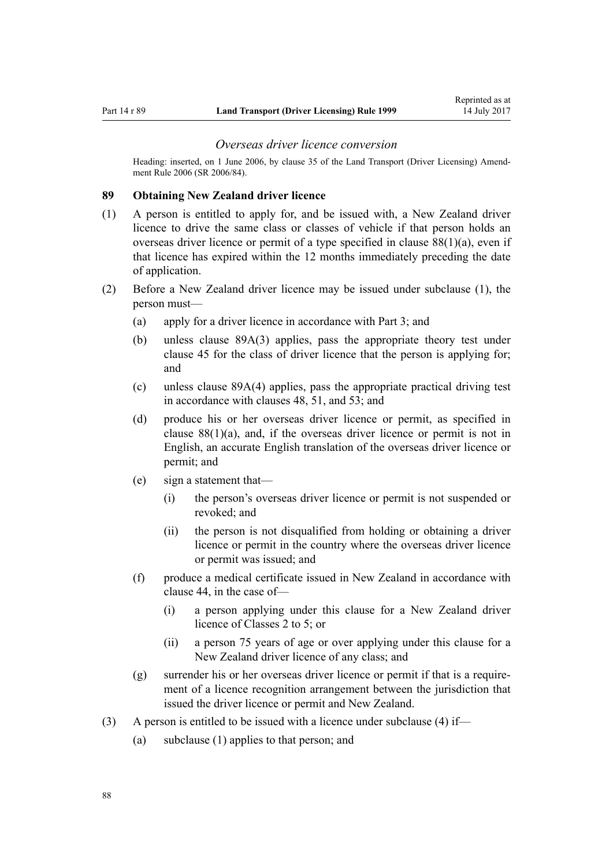#### *Overseas driver licence conversion*

<span id="page-87-0"></span>Heading: inserted, on 1 June 2006, by [clause 35](http://prd-lgnz-nlb.prd.pco.net.nz/pdflink.aspx?id=DLM376131) of the Land Transport (Driver Licensing) Amendment Rule 2006 (SR 2006/84).

#### **89 Obtaining New Zealand driver licence**

- (1) A person is entitled to apply for, and be issued with, a New Zealand driver licence to drive the same class or classes of vehicle if that person holds an overseas driver licence or permit of a type specified in [clause 88\(1\)\(a\),](#page-85-0) even if that licence has expired within the 12 months immediately preceding the date of application.
- (2) Before a New Zealand driver licence may be issued under subclause (1), the person must—
	- (a) apply for a driver licence in accordance with [Part 3;](#page-21-0) and
	- (b) unless [clause 89A\(3\)](#page-88-0) applies, pass the appropriate theory test under [clause 45](#page-53-0) for the class of driver licence that the person is applying for; and
	- (c) unless [clause 89A\(4\)](#page-88-0) applies, pass the appropriate practical driving test in accordance with [clauses 48,](#page-54-0) [51,](#page-55-0) and [53](#page-56-0); and
	- (d) produce his or her overseas driver licence or permit, as specified in clause  $88(1)(a)$ , and, if the overseas driver licence or permit is not in English, an accurate English translation of the overseas driver licence or permit; and
	- (e) sign a statement that—
		- (i) the person's overseas driver licence or permit is not suspended or revoked; and
		- (ii) the person is not disqualified from holding or obtaining a driver licence or permit in the country where the overseas driver licence or permit was issued; and
	- (f) produce a medical certificate issued in New Zealand in accordance with [clause 44](#page-51-0), in the case of—
		- (i) a person applying under this clause for a New Zealand driver licence of Classes 2 to 5; or
		- (ii) a person 75 years of age or over applying under this clause for a New Zealand driver licence of any class; and
	- (g) surrender his or her overseas driver licence or permit if that is a requirement of a licence recognition arrangement between the jurisdiction that issued the driver licence or permit and New Zealand.
- (3) A person is entitled to be issued with a licence under subclause (4) if—
	- (a) subclause (1) applies to that person; and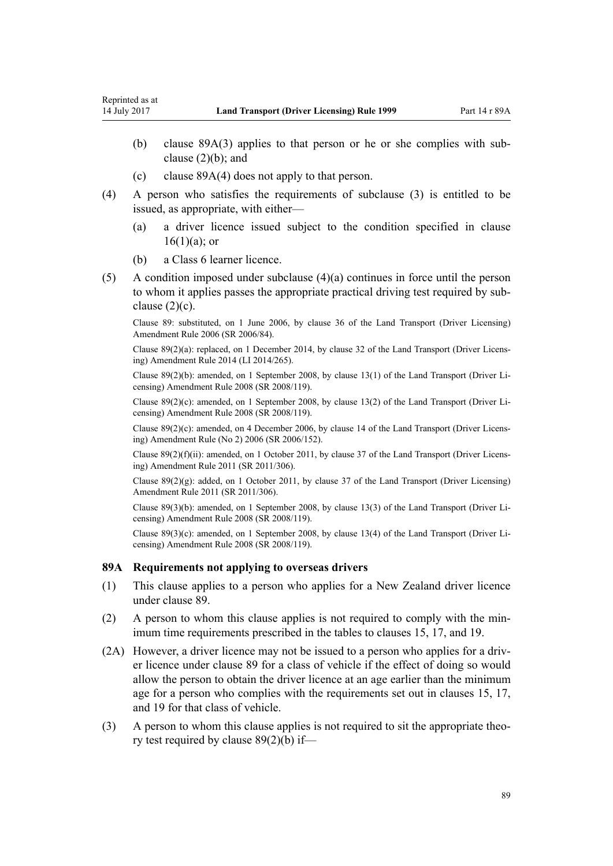- <span id="page-88-0"></span>(b) clause 89A(3) applies to that person or he or she complies with subclause  $(2)(b)$ ; and
- (c) clause 89A(4) does not apply to that person.
- (4) A person who satisfies the requirements of subclause (3) is entitled to be issued, as appropriate, with either—
	- (a) a driver licence issued subject to the condition specified in [clause](#page-26-0)  $16(1)(a)$ ; or
	- (b) a Class 6 learner licence.
- (5) A condition imposed under subclause (4)(a) continues in force until the person to whom it applies passes the appropriate practical driving test required by subclause  $(2)(c)$ .

Clause 89: substituted, on 1 June 2006, by [clause 36](http://prd-lgnz-nlb.prd.pco.net.nz/pdflink.aspx?id=DLM376133) of the Land Transport (Driver Licensing) Amendment Rule 2006 (SR 2006/84).

Clause 89(2)(a): replaced, on 1 December 2014, by [clause 32](http://prd-lgnz-nlb.prd.pco.net.nz/pdflink.aspx?id=DLM6216946) of the Land Transport (Driver Licensing) Amendment Rule 2014 (LI 2014/265).

Clause 89(2)(b): amended, on 1 September 2008, by [clause 13\(1\)](http://prd-lgnz-nlb.prd.pco.net.nz/pdflink.aspx?id=DLM1317919) of the Land Transport (Driver Licensing) Amendment Rule 2008 (SR 2008/119).

Clause 89(2)(c): amended, on 1 September 2008, by [clause 13\(2\)](http://prd-lgnz-nlb.prd.pco.net.nz/pdflink.aspx?id=DLM1317919) of the Land Transport (Driver Licensing) Amendment Rule 2008 (SR 2008/119).

Clause 89(2)(c): amended, on 4 December 2006, by [clause 14](http://prd-lgnz-nlb.prd.pco.net.nz/pdflink.aspx?id=DLM386155) of the Land Transport (Driver Licensing) Amendment Rule (No 2) 2006 (SR 2006/152).

Clause 89(2)(f)(ii): amended, on 1 October 2011, by [clause 37](http://prd-lgnz-nlb.prd.pco.net.nz/pdflink.aspx?id=DLM3956744) of the Land Transport (Driver Licensing) Amendment Rule 2011 (SR 2011/306).

Clause 89(2)(g): added, on 1 October 2011, by [clause 37](http://prd-lgnz-nlb.prd.pco.net.nz/pdflink.aspx?id=DLM3956744) of the Land Transport (Driver Licensing) Amendment Rule 2011 (SR 2011/306).

Clause 89(3)(b): amended, on 1 September 2008, by [clause 13\(3\)](http://prd-lgnz-nlb.prd.pco.net.nz/pdflink.aspx?id=DLM1317919) of the Land Transport (Driver Licensing) Amendment Rule 2008 (SR 2008/119).

Clause 89(3)(c): amended, on 1 September 2008, by [clause 13\(4\)](http://prd-lgnz-nlb.prd.pco.net.nz/pdflink.aspx?id=DLM1317919) of the Land Transport (Driver Licensing) Amendment Rule 2008 (SR 2008/119).

### **89A Requirements not applying to overseas drivers**

- (1) This clause applies to a person who applies for a New Zealand driver licence under [clause 89](#page-87-0).
- (2) A person to whom this clause applies is not required to comply with the minimum time requirements prescribed in the tables to [clauses 15,](#page-25-0) [17](#page-28-0), and [19.](#page-30-0)
- (2A) However, a driver licence may not be issued to a person who applies for a driver licence under [clause 89](#page-87-0) for a class of vehicle if the effect of doing so would allow the person to obtain the driver licence at an age earlier than the minimum age for a person who complies with the requirements set out in [clauses 15](#page-25-0), [17](#page-28-0), and [19](#page-30-0) for that class of vehicle.
- (3) A person to whom this clause applies is not required to sit the appropriate theory test required by [clause 89\(2\)\(b\)](#page-87-0) if—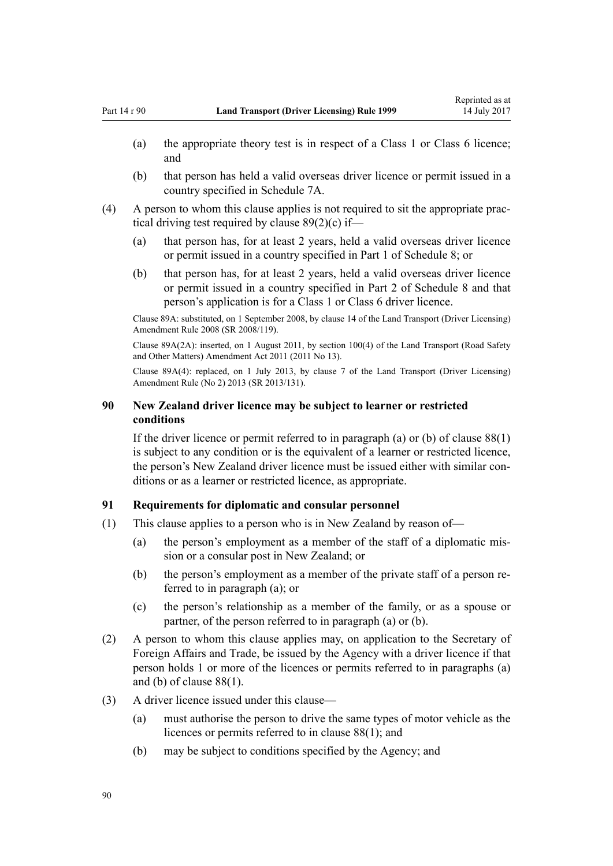- (a) the appropriate theory test is in respect of a Class 1 or Class 6 licence; and
- (b) that person has held a valid overseas driver licence or permit issued in a country specified in [Schedule 7A.](#page-113-0)
- (4) A person to whom this clause applies is not required to sit the appropriate practical driving test required by [clause 89\(2\)\(c\)](#page-87-0) if—
	- (a) that person has, for at least 2 years, held a valid overseas driver licence or permit issued in a country specified in [Part 1](#page-114-0) of Schedule 8; or
	- (b) that person has, for at least 2 years, held a valid overseas driver licence or permit issued in a country specified in [Part 2](#page-115-0) of Schedule 8 and that person's application is for a Class 1 or Class 6 driver licence.

Clause 89A: substituted, on 1 September 2008, by [clause 14](http://prd-lgnz-nlb.prd.pco.net.nz/pdflink.aspx?id=DLM1317920) of the Land Transport (Driver Licensing) Amendment Rule 2008 (SR 2008/119).

Clause 89A(2A): inserted, on 1 August 2011, by [section 100\(4\)](http://prd-lgnz-nlb.prd.pco.net.nz/pdflink.aspx?id=DLM3231293) of the Land Transport (Road Safety and Other Matters) Amendment Act 2011 (2011 No 13).

Clause 89A(4): replaced, on 1 July 2013, by [clause 7](http://prd-lgnz-nlb.prd.pco.net.nz/pdflink.aspx?id=DLM5159812) of the Land Transport (Driver Licensing) Amendment Rule (No 2) 2013 (SR 2013/131).

## **90 New Zealand driver licence may be subject to learner or restricted conditions**

If the driver licence or permit referred to in paragraph (a) or (b) of [clause 88\(1\)](#page-85-0) is subject to any condition or is the equivalent of a learner or restricted licence, the person's New Zealand driver licence must be issued either with similar conditions or as a learner or restricted licence, as appropriate.

### **91 Requirements for diplomatic and consular personnel**

- (1) This clause applies to a person who is in New Zealand by reason of—
	- (a) the person's employment as a member of the staff of a diplomatic mission or a consular post in New Zealand; or
	- (b) the person's employment as a member of the private staff of a person referred to in paragraph (a); or
	- (c) the person's relationship as a member of the family, or as a spouse or partner, of the person referred to in paragraph (a) or (b).
- (2) A person to whom this clause applies may, on application to the Secretary of Foreign Affairs and Trade, be issued by the Agency with a driver licence if that person holds 1 or more of the licences or permits referred to in paragraphs (a) and (b) of [clause 88\(1\).](#page-85-0)
- (3) A driver licence issued under this clause—
	- (a) must authorise the person to drive the same types of motor vehicle as the licences or permits referred to in [clause 88\(1\)](#page-85-0); and
	- (b) may be subject to conditions specified by the Agency; and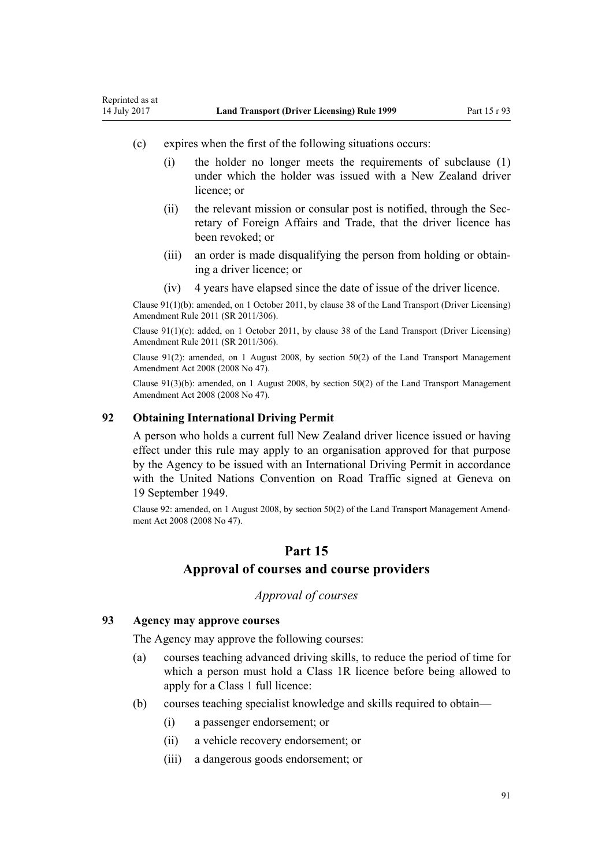- <span id="page-90-0"></span>(c) expires when the first of the following situations occurs:
	- (i) the holder no longer meets the requirements of subclause (1) under which the holder was issued with a New Zealand driver licence; or
	- (ii) the relevant mission or consular post is notified, through the Secretary of Foreign Affairs and Trade, that the driver licence has been revoked; or
	- (iii) an order is made disqualifying the person from holding or obtaining a driver licence; or
	- (iv) 4 years have elapsed since the date of issue of the driver licence.

Clause 91(1)(b): amended, on 1 October 2011, by [clause 38](http://prd-lgnz-nlb.prd.pco.net.nz/pdflink.aspx?id=DLM3956745) of the Land Transport (Driver Licensing) Amendment Rule 2011 (SR 2011/306).

Clause 91(1)(c): added, on 1 October 2011, by [clause 38](http://prd-lgnz-nlb.prd.pco.net.nz/pdflink.aspx?id=DLM3956745) of the Land Transport (Driver Licensing) Amendment Rule 2011 (SR 2011/306).

Clause 91(2): amended, on 1 August 2008, by [section 50\(2\)](http://prd-lgnz-nlb.prd.pco.net.nz/pdflink.aspx?id=DLM1313622) of the Land Transport Management Amendment Act 2008 (2008 No 47).

Clause 91(3)(b): amended, on 1 August 2008, by [section 50\(2\)](http://prd-lgnz-nlb.prd.pco.net.nz/pdflink.aspx?id=DLM1313622) of the Land Transport Management Amendment Act 2008 (2008 No 47).

### **92 Obtaining International Driving Permit**

A person who holds a current full New Zealand driver licence issued or having effect under this rule may apply to an organisation approved for that purpose by the Agency to be issued with an International Driving Permit in accordance with the United Nations Convention on Road Traffic signed at Geneva on 19 September 1949.

Clause 92: amended, on 1 August 2008, by [section 50\(2\)](http://prd-lgnz-nlb.prd.pco.net.nz/pdflink.aspx?id=DLM1313622) of the Land Transport Management Amendment Act 2008 (2008 No 47).

# **Part 15**

# **Approval of courses and course providers**

# *Approval of courses*

#### **93 Agency may approve courses**

The Agency may approve the following courses:

- (a) courses teaching advanced driving skills, to reduce the period of time for which a person must hold a Class 1R licence before being allowed to apply for a Class 1 full licence:
- (b) courses teaching specialist knowledge and skills required to obtain—
	- (i) a passenger endorsement; or
	- (ii) a vehicle recovery endorsement; or
	- (iii) a dangerous goods endorsement; or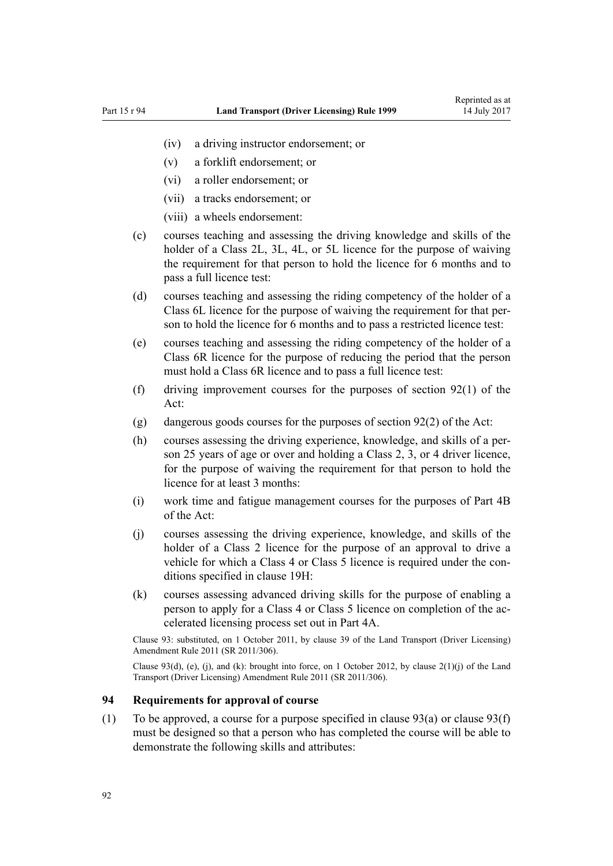- <span id="page-91-0"></span>(iv) a driving instructor endorsement; or
- (v) a forklift endorsement; or
- (vi) a roller endorsement; or
- (vii) a tracks endorsement; or
- (viii) a wheels endorsement:
- (c) courses teaching and assessing the driving knowledge and skills of the holder of a Class 2L, 3L, 4L, or 5L licence for the purpose of waiving the requirement for that person to hold the licence for 6 months and to pass a full licence test:
- (d) courses teaching and assessing the riding competency of the holder of a Class 6L licence for the purpose of waiving the requirement for that person to hold the licence for 6 months and to pass a restricted licence test:
- (e) courses teaching and assessing the riding competency of the holder of a Class 6R licence for the purpose of reducing the period that the person must hold a Class 6R licence and to pass a full licence test:
- (f) driving improvement courses for the purposes of [section 92\(1\)](http://prd-lgnz-nlb.prd.pco.net.nz/pdflink.aspx?id=DLM435016) of the Act:
- (g) dangerous goods courses for the purposes of [section 92\(2\)](http://prd-lgnz-nlb.prd.pco.net.nz/pdflink.aspx?id=DLM435016) of the Act:
- (h) courses assessing the driving experience, knowledge, and skills of a person 25 years of age or over and holding a Class 2, 3, or 4 driver licence, for the purpose of waiving the requirement for that person to hold the licence for at least 3 months:
- (i) work time and fatigue management courses for the purposes of [Part 4B](http://prd-lgnz-nlb.prd.pco.net.nz/pdflink.aspx?id=DLM434620) of the Act:
- (j) courses assessing the driving experience, knowledge, and skills of the holder of a Class 2 licence for the purpose of an approval to drive a vehicle for which a Class 4 or Class 5 licence is required under the conditions specified in [clause 19H](#page-35-0):
- (k) courses assessing advanced driving skills for the purpose of enabling a person to apply for a Class 4 or Class 5 licence on completion of the accelerated licensing process set out in [Part 4A.](#page-33-0)

Clause 93: substituted, on 1 October 2011, by [clause 39](http://prd-lgnz-nlb.prd.pco.net.nz/pdflink.aspx?id=DLM3956519) of the Land Transport (Driver Licensing) Amendment Rule 2011 (SR 2011/306).

Clause 93(d), (e), (j), and (k): brought into force, on 1 October 2012, by clause  $2(1)(j)$  of the Land Transport (Driver Licensing) Amendment Rule 2011 (SR 2011/306).

## **94 Requirements for approval of course**

(1) To be approved, a course for a purpose specified in [clause 93\(a\)](#page-90-0) or clause 93(f) must be designed so that a person who has completed the course will be able to demonstrate the following skills and attributes: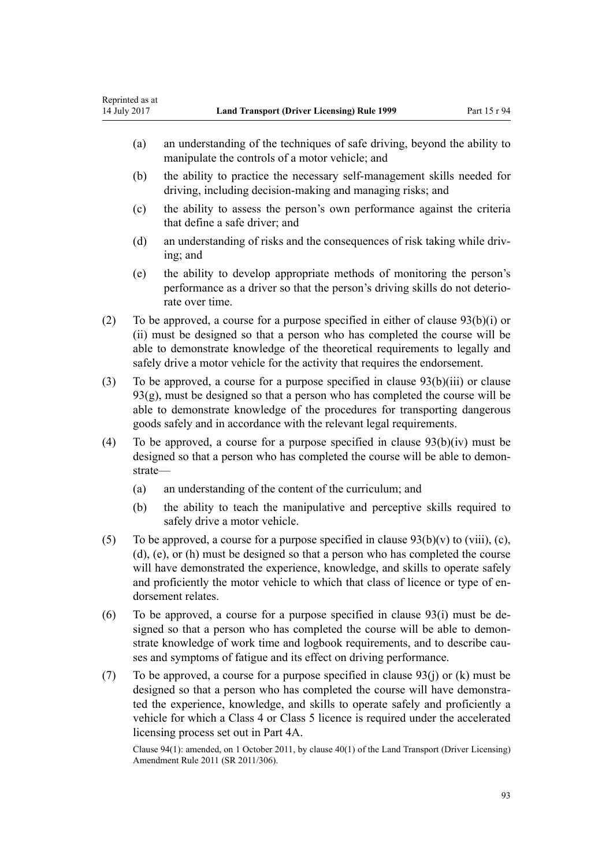- (a) an understanding of the techniques of safe driving, beyond the ability to manipulate the controls of a motor vehicle; and
- (b) the ability to practice the necessary self-management skills needed for driving, including decision-making and managing risks; and
- (c) the ability to assess the person's own performance against the criteria that define a safe driver; and
- (d) an understanding of risks and the consequences of risk taking while driving; and
- (e) the ability to develop appropriate methods of monitoring the person's performance as a driver so that the person's driving skills do not deteriorate over time.
- (2) To be approved, a course for a purpose specified in either of [clause 93\(b\)\(i\) or](#page-90-0) [\(ii\)](#page-90-0) must be designed so that a person who has completed the course will be able to demonstrate knowledge of the theoretical requirements to legally and safely drive a motor vehicle for the activity that requires the endorsement.
- (3) To be approved, a course for a purpose specified in [clause 93\(b\)\(iii\)](#page-90-0) or clause 93(g), must be designed so that a person who has completed the course will be able to demonstrate knowledge of the procedures for transporting dangerous goods safely and in accordance with the relevant legal requirements.
- (4) To be approved, a course for a purpose specified in [clause 93\(b\)\(iv\)](#page-90-0) must be designed so that a person who has completed the course will be able to demonstrate—
	- (a) an understanding of the content of the curriculum; and
	- (b) the ability to teach the manipulative and perceptive skills required to safely drive a motor vehicle.
- (5) To be approved, a course for a purpose specified in clause  $93(b)(v)$  to (viii), (c), [\(d\), \(e\), or \(h\)](#page-90-0) must be designed so that a person who has completed the course will have demonstrated the experience, knowledge, and skills to operate safely and proficiently the motor vehicle to which that class of licence or type of endorsement relates.
- (6) To be approved, a course for a purpose specified in clause  $93(i)$  must be designed so that a person who has completed the course will be able to demonstrate knowledge of work time and logbook requirements, and to describe causes and symptoms of fatigue and its effect on driving performance.
- (7) To be approved, a course for a purpose specified in clause  $93(i)$  or (k) must be designed so that a person who has completed the course will have demonstrated the experience, knowledge, and skills to operate safely and proficiently a vehicle for which a Class 4 or Class 5 licence is required under the accelerated licensing process set out in [Part 4A](#page-33-0).

Clause 94(1): amended, on 1 October 2011, by [clause 40\(1\)](http://prd-lgnz-nlb.prd.pco.net.nz/pdflink.aspx?id=DLM3956521) of the Land Transport (Driver Licensing) Amendment Rule 2011 (SR 2011/306).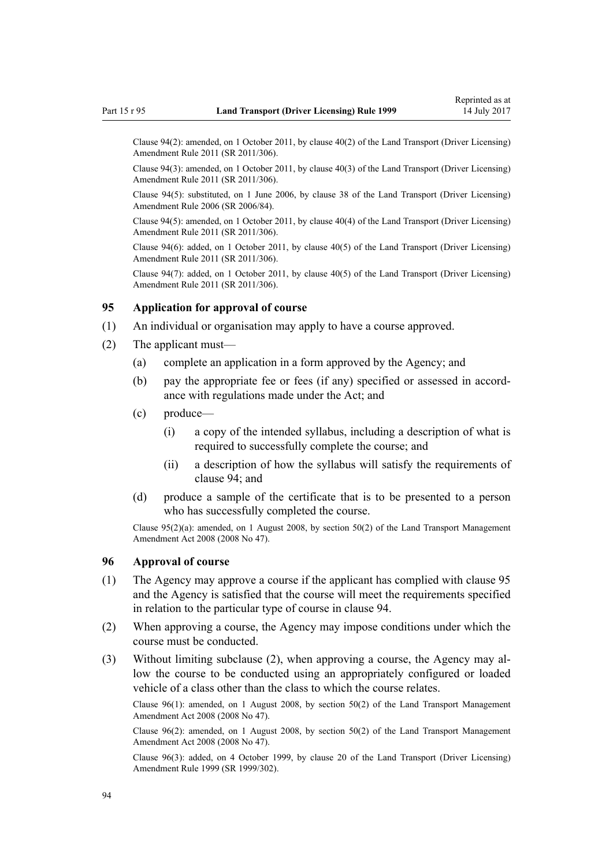<span id="page-93-0"></span>Clause 94(2): amended, on 1 October 2011, by [clause 40\(2\)](http://prd-lgnz-nlb.prd.pco.net.nz/pdflink.aspx?id=DLM3956521) of the Land Transport (Driver Licensing) Amendment Rule 2011 (SR 2011/306).

Clause 94(3): amended, on 1 October 2011, by [clause 40\(3\)](http://prd-lgnz-nlb.prd.pco.net.nz/pdflink.aspx?id=DLM3956521) of the Land Transport (Driver Licensing) Amendment Rule 2011 (SR 2011/306).

Clause 94(5): substituted, on 1 June 2006, by [clause 38](http://prd-lgnz-nlb.prd.pco.net.nz/pdflink.aspx?id=DLM376137) of the Land Transport (Driver Licensing) Amendment Rule 2006 (SR 2006/84).

Clause 94(5): amended, on 1 October 2011, by [clause 40\(4\)](http://prd-lgnz-nlb.prd.pco.net.nz/pdflink.aspx?id=DLM3956521) of the Land Transport (Driver Licensing) Amendment Rule 2011 (SR 2011/306).

Clause 94(6): added, on 1 October 2011, by [clause 40\(5\)](http://prd-lgnz-nlb.prd.pco.net.nz/pdflink.aspx?id=DLM3956521) of the Land Transport (Driver Licensing) Amendment Rule 2011 (SR 2011/306).

Clause 94(7): added, on 1 October 2011, by [clause 40\(5\)](http://prd-lgnz-nlb.prd.pco.net.nz/pdflink.aspx?id=DLM3956521) of the Land Transport (Driver Licensing) Amendment Rule 2011 (SR 2011/306).

### **95 Application for approval of course**

- (1) An individual or organisation may apply to have a course approved.
- (2) The applicant must—
	- (a) complete an application in a form approved by the Agency; and
	- (b) pay the appropriate fee or fees (if any) specified or assessed in accordance with regulations made under the Act; and
	- (c) produce—
		- (i) a copy of the intended syllabus, including a description of what is required to successfully complete the course; and
		- (ii) a description of how the syllabus will satisfy the requirements of [clause 94](#page-91-0); and
	- (d) produce a sample of the certificate that is to be presented to a person who has successfully completed the course.

Clause 95(2)(a): amended, on 1 August 2008, by [section 50\(2\)](http://prd-lgnz-nlb.prd.pco.net.nz/pdflink.aspx?id=DLM1313622) of the Land Transport Management Amendment Act 2008 (2008 No 47).

### **96 Approval of course**

- (1) The Agency may approve a course if the applicant has complied with clause 95 and the Agency is satisfied that the course will meet the requirements specified in relation to the particular type of course in [clause 94.](#page-91-0)
- (2) When approving a course, the Agency may impose conditions under which the course must be conducted.
- (3) Without limiting subclause (2), when approving a course, the Agency may allow the course to be conducted using an appropriately configured or loaded vehicle of a class other than the class to which the course relates.

Clause 96(1): amended, on 1 August 2008, by [section 50\(2\)](http://prd-lgnz-nlb.prd.pco.net.nz/pdflink.aspx?id=DLM1313622) of the Land Transport Management Amendment Act 2008 (2008 No 47).

Clause 96(2): amended, on 1 August 2008, by [section 50\(2\)](http://prd-lgnz-nlb.prd.pco.net.nz/pdflink.aspx?id=DLM1313622) of the Land Transport Management Amendment Act 2008 (2008 No 47).

Clause 96(3): added, on 4 October 1999, by [clause 20](http://prd-lgnz-nlb.prd.pco.net.nz/pdflink.aspx?id=DLM293689) of the Land Transport (Driver Licensing) Amendment Rule 1999 (SR 1999/302).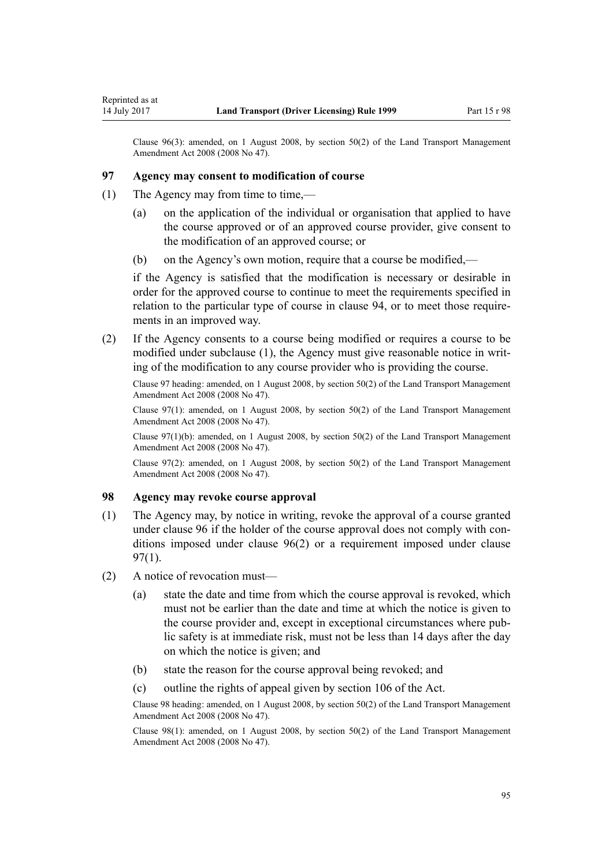Clause 96(3): amended, on 1 August 2008, by [section 50\(2\)](http://prd-lgnz-nlb.prd.pco.net.nz/pdflink.aspx?id=DLM1313622) of the Land Transport Management Amendment Act 2008 (2008 No 47).

#### **97 Agency may consent to modification of course**

(1) The Agency may from time to time,—

Reprinted as at

- (a) on the application of the individual or organisation that applied to have the course approved or of an approved course provider, give consent to the modification of an approved course; or
- (b) on the Agency's own motion, require that a course be modified,—

if the Agency is satisfied that the modification is necessary or desirable in order for the approved course to continue to meet the requirements specified in relation to the particular type of course in [clause 94](#page-91-0), or to meet those requirements in an improved way.

(2) If the Agency consents to a course being modified or requires a course to be modified under subclause (1), the Agency must give reasonable notice in writing of the modification to any course provider who is providing the course.

Clause 97 heading: amended, on 1 August 2008, by [section 50\(2\)](http://prd-lgnz-nlb.prd.pco.net.nz/pdflink.aspx?id=DLM1313622) of the Land Transport Management Amendment Act 2008 (2008 No 47).

Clause 97(1): amended, on 1 August 2008, by [section 50\(2\)](http://prd-lgnz-nlb.prd.pco.net.nz/pdflink.aspx?id=DLM1313622) of the Land Transport Management Amendment Act 2008 (2008 No 47).

Clause  $97(1)(b)$ : amended, on 1 August 2008, by [section 50\(2\)](http://prd-lgnz-nlb.prd.pco.net.nz/pdflink.aspx?id=DLM1313622) of the Land Transport Management Amendment Act 2008 (2008 No 47).

Clause 97(2): amended, on 1 August 2008, by [section 50\(2\)](http://prd-lgnz-nlb.prd.pco.net.nz/pdflink.aspx?id=DLM1313622) of the Land Transport Management Amendment Act 2008 (2008 No 47).

#### **98 Agency may revoke course approval**

- (1) The Agency may, by notice in writing, revoke the approval of a course granted under [clause 96](#page-93-0) if the holder of the course approval does not comply with conditions imposed under [clause 96\(2\)](#page-93-0) or a requirement imposed under clause 97(1).
- (2) A notice of revocation must—
	- (a) state the date and time from which the course approval is revoked, which must not be earlier than the date and time at which the notice is given to the course provider and, except in exceptional circumstances where public safety is at immediate risk, must not be less than 14 days after the day on which the notice is given; and
	- (b) state the reason for the course approval being revoked; and
	- (c) outline the rights of appeal given by [section 106](http://prd-lgnz-nlb.prd.pco.net.nz/pdflink.aspx?id=DLM435083) of the Act.

Clause 98 heading: amended, on 1 August 2008, by [section 50\(2\)](http://prd-lgnz-nlb.prd.pco.net.nz/pdflink.aspx?id=DLM1313622) of the Land Transport Management Amendment Act 2008 (2008 No 47).

Clause 98(1): amended, on 1 August 2008, by [section 50\(2\)](http://prd-lgnz-nlb.prd.pco.net.nz/pdflink.aspx?id=DLM1313622) of the Land Transport Management Amendment Act 2008 (2008 No 47).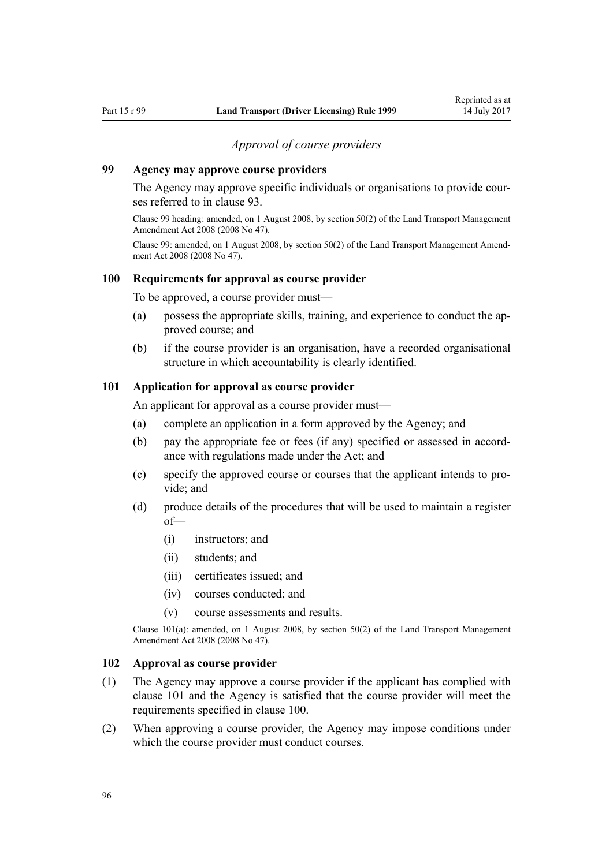### *Approval of course providers*

# <span id="page-95-0"></span>**99 Agency may approve course providers**

The Agency may approve specific individuals or organisations to provide courses referred to in [clause 93](#page-90-0).

Clause 99 heading: amended, on 1 August 2008, by [section 50\(2\)](http://prd-lgnz-nlb.prd.pco.net.nz/pdflink.aspx?id=DLM1313622) of the Land Transport Management Amendment Act 2008 (2008 No 47).

Clause 99: amended, on 1 August 2008, by [section 50\(2\)](http://prd-lgnz-nlb.prd.pco.net.nz/pdflink.aspx?id=DLM1313622) of the Land Transport Management Amendment Act 2008 (2008 No 47).

#### **100 Requirements for approval as course provider**

To be approved, a course provider must—

- (a) possess the appropriate skills, training, and experience to conduct the approved course; and
- (b) if the course provider is an organisation, have a recorded organisational structure in which accountability is clearly identified.

### **101 Application for approval as course provider**

An applicant for approval as a course provider must—

- (a) complete an application in a form approved by the Agency; and
- (b) pay the appropriate fee or fees (if any) specified or assessed in accordance with regulations made under the Act; and
- (c) specify the approved course or courses that the applicant intends to provide; and
- (d) produce details of the procedures that will be used to maintain a register of—
	- (i) instructors; and
	- (ii) students; and
	- (iii) certificates issued; and
	- (iv) courses conducted; and
	- (v) course assessments and results.

Clause 101(a): amended, on 1 August 2008, by [section 50\(2\)](http://prd-lgnz-nlb.prd.pco.net.nz/pdflink.aspx?id=DLM1313622) of the Land Transport Management Amendment Act 2008 (2008 No 47).

#### **102 Approval as course provider**

- (1) The Agency may approve a course provider if the applicant has complied with clause 101 and the Agency is satisfied that the course provider will meet the requirements specified in clause 100.
- (2) When approving a course provider, the Agency may impose conditions under which the course provider must conduct courses.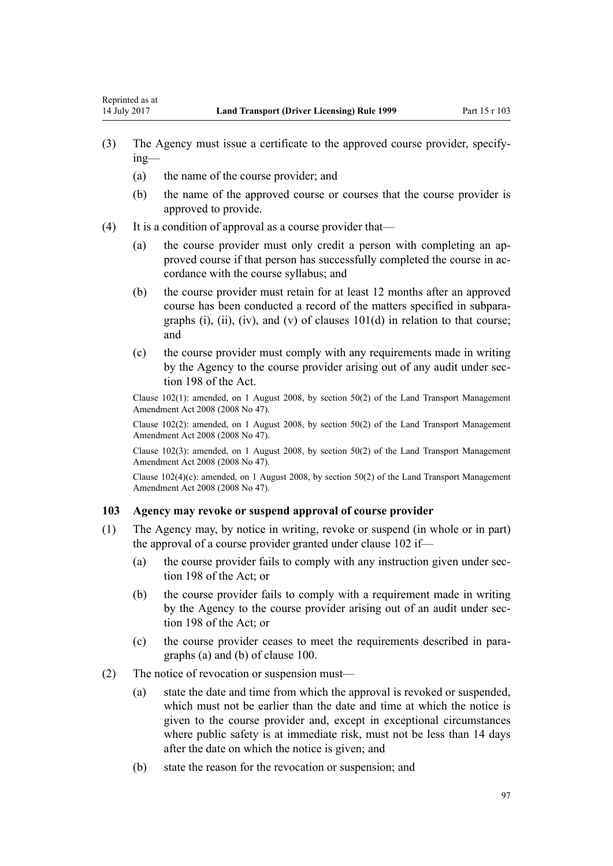- (3) The Agency must issue a certificate to the approved course provider, specifying—
	- (a) the name of the course provider; and

Reprinted as at

- (b) the name of the approved course or courses that the course provider is approved to provide.
- (4) It is a condition of approval as a course provider that—
	- (a) the course provider must only credit a person with completing an approved course if that person has successfully completed the course in accordance with the course syllabus; and
	- (b) the course provider must retain for at least 12 months after an approved course has been conducted a record of the matters specified in subparagraphs (i), (ii), (iv), and (v) of clauses  $101(d)$  in relation to that course; and
	- (c) the course provider must comply with any requirements made in writing by the Agency to the course provider arising out of any audit under [sec](http://prd-lgnz-nlb.prd.pco.net.nz/pdflink.aspx?id=DLM435602)[tion 198](http://prd-lgnz-nlb.prd.pco.net.nz/pdflink.aspx?id=DLM435602) of the Act.

Clause 102(1): amended, on 1 August 2008, by [section 50\(2\)](http://prd-lgnz-nlb.prd.pco.net.nz/pdflink.aspx?id=DLM1313622) of the Land Transport Management Amendment Act 2008 (2008 No 47).

Clause 102(2): amended, on 1 August 2008, by [section 50\(2\)](http://prd-lgnz-nlb.prd.pco.net.nz/pdflink.aspx?id=DLM1313622) of the Land Transport Management Amendment Act 2008 (2008 No 47).

Clause 102(3): amended, on 1 August 2008, by [section 50\(2\)](http://prd-lgnz-nlb.prd.pco.net.nz/pdflink.aspx?id=DLM1313622) of the Land Transport Management Amendment Act 2008 (2008 No 47).

Clause 102(4)(c): amended, on 1 August 2008, by [section 50\(2\)](http://prd-lgnz-nlb.prd.pco.net.nz/pdflink.aspx?id=DLM1313622) of the Land Transport Management Amendment Act 2008 (2008 No 47).

## **103 Agency may revoke or suspend approval of course provider**

- (1) The Agency may, by notice in writing, revoke or suspend (in whole or in part) the approval of a course provider granted under [clause 102](#page-95-0) if—
	- (a) the course provider fails to comply with any instruction given under [sec](http://prd-lgnz-nlb.prd.pco.net.nz/pdflink.aspx?id=DLM435602)[tion 198](http://prd-lgnz-nlb.prd.pco.net.nz/pdflink.aspx?id=DLM435602) of the Act; or
	- (b) the course provider fails to comply with a requirement made in writing by the Agency to the course provider arising out of an audit under [sec](http://prd-lgnz-nlb.prd.pco.net.nz/pdflink.aspx?id=DLM435602)[tion 198](http://prd-lgnz-nlb.prd.pco.net.nz/pdflink.aspx?id=DLM435602) of the Act; or
	- (c) the course provider ceases to meet the requirements described in paragraphs (a) and (b) of [clause 100](#page-95-0).
- (2) The notice of revocation or suspension must—
	- (a) state the date and time from which the approval is revoked or suspended, which must not be earlier than the date and time at which the notice is given to the course provider and, except in exceptional circumstances where public safety is at immediate risk, must not be less than 14 days after the date on which the notice is given; and
	- (b) state the reason for the revocation or suspension; and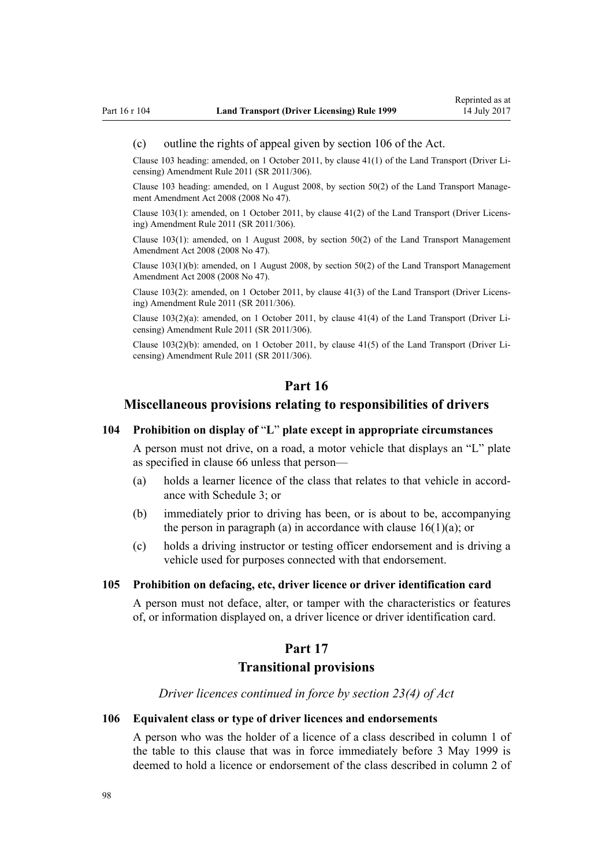#### <span id="page-97-0"></span>(c) outline the rights of appeal given by [section 106](http://prd-lgnz-nlb.prd.pco.net.nz/pdflink.aspx?id=DLM435083) of the Act.

Clause 103 heading: amended, on 1 October 2011, by [clause 41\(1\)](http://prd-lgnz-nlb.prd.pco.net.nz/pdflink.aspx?id=DLM3956747) of the Land Transport (Driver Licensing) Amendment Rule 2011 (SR 2011/306).

Clause 103 heading: amended, on 1 August 2008, by [section 50\(2\)](http://prd-lgnz-nlb.prd.pco.net.nz/pdflink.aspx?id=DLM1313622) of the Land Transport Management Amendment Act 2008 (2008 No 47).

Clause 103(1): amended, on 1 October 2011, by [clause 41\(2\)](http://prd-lgnz-nlb.prd.pco.net.nz/pdflink.aspx?id=DLM3956747) of the Land Transport (Driver Licensing) Amendment Rule 2011 (SR 2011/306).

Clause 103(1): amended, on 1 August 2008, by [section 50\(2\)](http://prd-lgnz-nlb.prd.pco.net.nz/pdflink.aspx?id=DLM1313622) of the Land Transport Management Amendment Act 2008 (2008 No 47).

Clause 103(1)(b): amended, on 1 August 2008, by [section 50\(2\)](http://prd-lgnz-nlb.prd.pco.net.nz/pdflink.aspx?id=DLM1313622) of the Land Transport Management Amendment Act 2008 (2008 No 47).

Clause 103(2): amended, on 1 October 2011, by [clause 41\(3\)](http://prd-lgnz-nlb.prd.pco.net.nz/pdflink.aspx?id=DLM3956747) of the Land Transport (Driver Licensing) Amendment Rule 2011 (SR 2011/306).

Clause 103(2)(a): amended, on 1 October 2011, by [clause 41\(4\)](http://prd-lgnz-nlb.prd.pco.net.nz/pdflink.aspx?id=DLM3956747) of the Land Transport (Driver Licensing) Amendment Rule 2011 (SR 2011/306).

Clause 103(2)(b): amended, on 1 October 2011, by [clause 41\(5\)](http://prd-lgnz-nlb.prd.pco.net.nz/pdflink.aspx?id=DLM3956747) of the Land Transport (Driver Licensing) Amendment Rule 2011 (SR 2011/306).

### **Part 16**

# **Miscellaneous provisions relating to responsibilities of drivers**

#### **104 Prohibition on display of** "**L**" **plate except in appropriate circumstances**

A person must not drive, on a road, a motor vehicle that displays an "L" plate as specified in [clause 66](#page-65-0) unless that person—

- (a) holds a learner licence of the class that relates to that vehicle in accordance with [Schedule 3](#page-109-0); or
- (b) immediately prior to driving has been, or is about to be, accompanying the person in paragraph (a) in accordance with clause  $16(1)(a)$ ; or
- (c) holds a driving instructor or testing officer endorsement and is driving a vehicle used for purposes connected with that endorsement.

#### **105 Prohibition on defacing, etc, driver licence or driver identification card**

A person must not deface, alter, or tamper with the characteristics or features of, or information displayed on, a driver licence or driver identification card.

# **Part 17**

#### **Transitional provisions**

*Driver licences continued in force by section 23(4) of Act*

#### **106 Equivalent class or type of driver licences and endorsements**

A person who was the holder of a licence of a class described in column 1 of the table to this clause that was in force immediately before 3 May 1999 is deemed to hold a licence or endorsement of the class described in column 2 of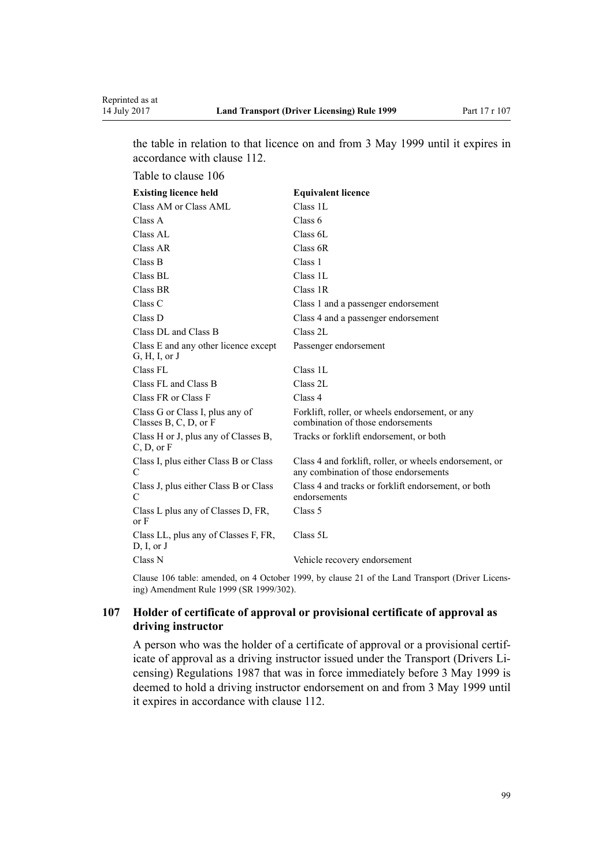<span id="page-98-0"></span>the table in relation to that licence on and from 3 May 1999 until it expires in accordance with [clause 112.](#page-100-0)

Table to clause 106

| <b>Existing licence held</b>                             | <b>Equivalent licence</b>                                                                        |
|----------------------------------------------------------|--------------------------------------------------------------------------------------------------|
| Class AM or Class AML                                    | Class 1L                                                                                         |
| Class A                                                  | Class 6                                                                                          |
| Class AL                                                 | Class 6L                                                                                         |
| Class AR                                                 | Class 6R                                                                                         |
| Class B                                                  | Class 1                                                                                          |
| Class BL                                                 | Class 1L                                                                                         |
| Class BR                                                 | Class 1R                                                                                         |
| Class C                                                  | Class 1 and a passenger endorsement                                                              |
| Class D                                                  | Class 4 and a passenger endorsement                                                              |
| Class DL and Class B                                     | Class 2L                                                                                         |
| Class E and any other licence except<br>G, H, I, or J    | Passenger endorsement                                                                            |
| Class FL                                                 | Class 1L                                                                                         |
| Class FL and Class B                                     | Class 2L                                                                                         |
| Class FR or Class F                                      | Class 4                                                                                          |
| Class G or Class I, plus any of<br>Classes B, C, D, or F | Forklift, roller, or wheels endorsement, or any<br>combination of those endorsements             |
| Class H or J, plus any of Classes B,<br>C, D, or F       | Tracks or forklift endorsement, or both                                                          |
| Class I, plus either Class B or Class<br>C               | Class 4 and forklift, roller, or wheels endorsement, or<br>any combination of those endorsements |
| Class J, plus either Class B or Class<br>C               | Class 4 and tracks or forklift endorsement, or both<br>endorsements                              |
| Class L plus any of Classes D, FR,<br>or F               | Class 5                                                                                          |
| Class LL, plus any of Classes F, FR,<br>D, I, or J       | Class 5L                                                                                         |
| Class N                                                  | Vehicle recovery endorsement                                                                     |

Clause 106 table: amended, on 4 October 1999, by [clause 21](http://prd-lgnz-nlb.prd.pco.net.nz/pdflink.aspx?id=DLM293690) of the Land Transport (Driver Licensing) Amendment Rule 1999 (SR 1999/302).

# **107 Holder of certificate of approval or provisional certificate of approval as driving instructor**

A person who was the holder of a certificate of approval or a provisional certificate of approval as a driving instructor issued under the Transport (Drivers Licensing) Regulations 1987 that was in force immediately before 3 May 1999 is deemed to hold a driving instructor endorsement on and from 3 May 1999 until it expires in accordance with [clause 112.](#page-100-0)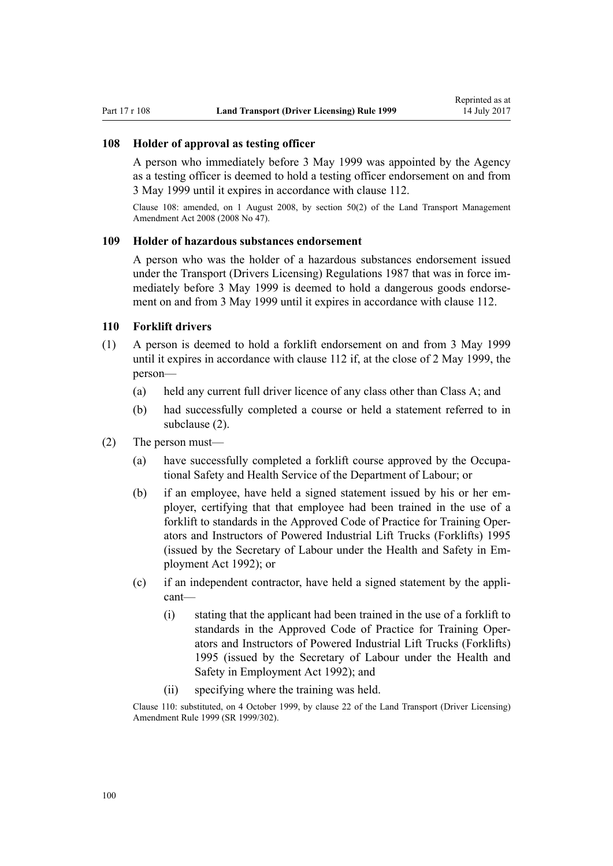#### **108 Holder of approval as testing officer**

A person who immediately before 3 May 1999 was appointed by the Agency as a testing officer is deemed to hold a testing officer endorsement on and from 3 May 1999 until it expires in accordance with [clause 112](#page-100-0).

Clause 108: amended, on 1 August 2008, by [section 50\(2\)](http://prd-lgnz-nlb.prd.pco.net.nz/pdflink.aspx?id=DLM1313622) of the Land Transport Management Amendment Act 2008 (2008 No 47).

# **109 Holder of hazardous substances endorsement**

A person who was the holder of a hazardous substances endorsement issued under the Transport (Drivers Licensing) Regulations 1987 that was in force immediately before 3 May 1999 is deemed to hold a dangerous goods endorsement on and from 3 May 1999 until it expires in accordance with [clause 112](#page-100-0).

### **110 Forklift drivers**

- (1) A person is deemed to hold a forklift endorsement on and from 3 May 1999 until it expires in accordance with [clause 112](#page-100-0) if, at the close of 2 May 1999, the person—
	- (a) held any current full driver licence of any class other than Class A; and
	- (b) had successfully completed a course or held a statement referred to in subclause (2).
- (2) The person must—
	- (a) have successfully completed a forklift course approved by the Occupational Safety and Health Service of the Department of Labour; or
	- (b) if an employee, have held a signed statement issued by his or her employer, certifying that that employee had been trained in the use of a forklift to standards in the Approved Code of Practice for Training Operators and Instructors of Powered Industrial Lift Trucks (Forklifts) 1995 (issued by the Secretary of Labour under the [Health and Safety in Em](http://prd-lgnz-nlb.prd.pco.net.nz/pdflink.aspx?id=DLM278828)[ployment Act 1992](http://prd-lgnz-nlb.prd.pco.net.nz/pdflink.aspx?id=DLM278828)); or
	- (c) if an independent contractor, have held a signed statement by the applicant—
		- (i) stating that the applicant had been trained in the use of a forklift to standards in the Approved Code of Practice for Training Operators and Instructors of Powered Industrial Lift Trucks (Forklifts) 1995 (issued by the Secretary of Labour under the [Health and](http://prd-lgnz-nlb.prd.pco.net.nz/pdflink.aspx?id=DLM278828) [Safety in Employment Act 1992](http://prd-lgnz-nlb.prd.pco.net.nz/pdflink.aspx?id=DLM278828)); and
		- (ii) specifying where the training was held.

Clause 110: substituted, on 4 October 1999, by [clause 22](http://prd-lgnz-nlb.prd.pco.net.nz/pdflink.aspx?id=DLM293692) of the Land Transport (Driver Licensing) Amendment Rule 1999 (SR 1999/302).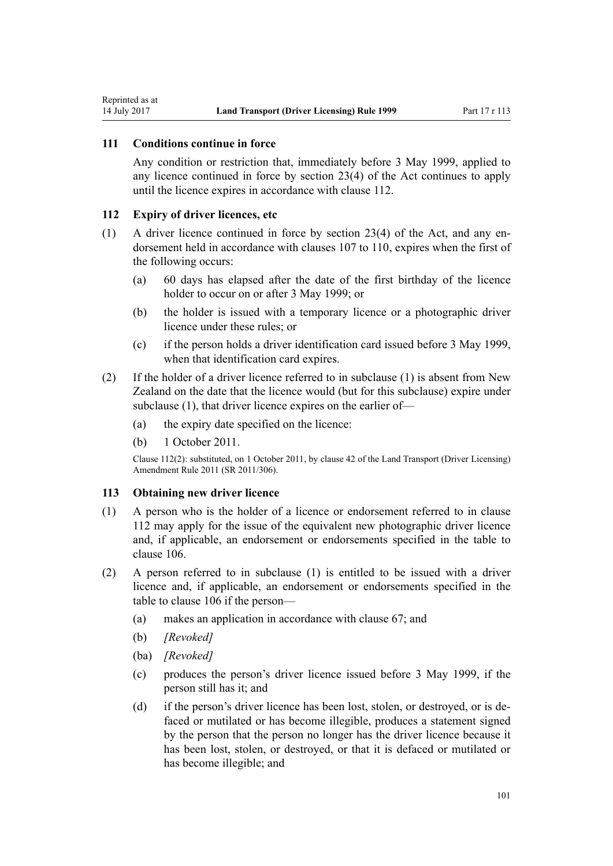# **111 Conditions continue in force**

<span id="page-100-0"></span>Reprinted as at

Any condition or restriction that, immediately before 3 May 1999, applied to any licence continued in force by [section 23\(4\)](http://prd-lgnz-nlb.prd.pco.net.nz/pdflink.aspx?id=DLM434552) of the Act continues to apply until the licence expires in accordance with clause 112.

#### **112 Expiry of driver licences, etc**

- (1) A driver licence continued in force by [section 23\(4\)](http://prd-lgnz-nlb.prd.pco.net.nz/pdflink.aspx?id=DLM434552) of the Act, and any endorsement held in accordance with [clauses 107 to 110](#page-98-0), expires when the first of the following occurs:
	- (a) 60 days has elapsed after the date of the first birthday of the licence holder to occur on or after 3 May 1999; or
	- (b) the holder is issued with a temporary licence or a photographic driver licence under these rules; or
	- (c) if the person holds a driver identification card issued before 3 May 1999, when that identification card expires.
- (2) If the holder of a driver licence referred to in subclause (1) is absent from New Zealand on the date that the licence would (but for this subclause) expire under subclause (1), that driver licence expires on the earlier of—
	- (a) the expiry date specified on the licence:
	- (b) 1 October 2011.

Clause 112(2): substituted, on 1 October 2011, by [clause 42](http://prd-lgnz-nlb.prd.pco.net.nz/pdflink.aspx?id=DLM3956748) of the Land Transport (Driver Licensing) Amendment Rule 2011 (SR 2011/306).

#### **113 Obtaining new driver licence**

- (1) A person who is the holder of a licence or endorsement referred to in clause 112 may apply for the issue of the equivalent new photographic driver licence and, if applicable, an endorsement or endorsements specified in the table to [clause 106](#page-97-0).
- (2) A person referred to in subclause (1) is entitled to be issued with a driver licence and, if applicable, an endorsement or endorsements specified in the table to [clause 106](#page-97-0) if the person—
	- (a) makes an application in accordance with [clause 67;](#page-66-0) and
	- (b) *[Revoked]*
	- (ba) *[Revoked]*
	- (c) produces the person's driver licence issued before 3 May 1999, if the person still has it; and
	- (d) if the person's driver licence has been lost, stolen, or destroyed, or is defaced or mutilated or has become illegible, produces a statement signed by the person that the person no longer has the driver licence because it has been lost, stolen, or destroyed, or that it is defaced or mutilated or has become illegible; and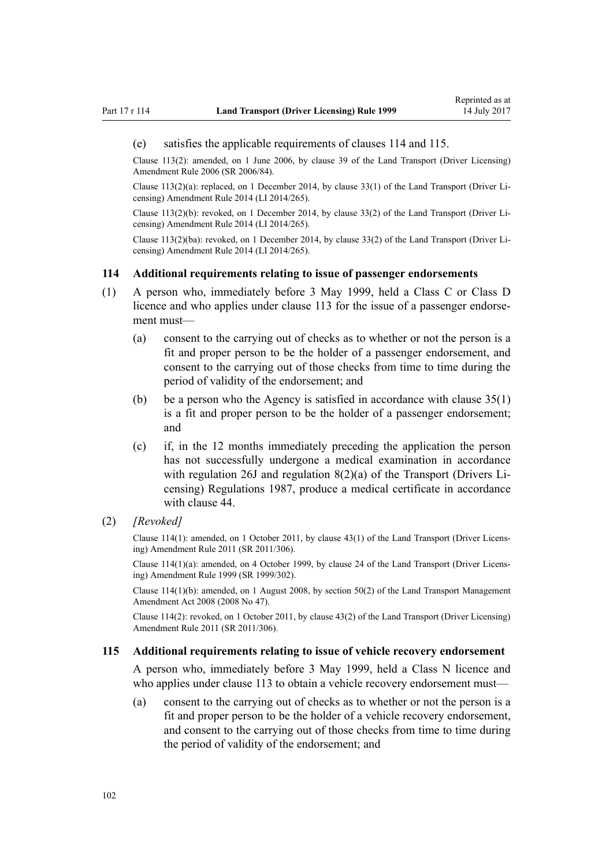#### (e) satisfies the applicable requirements of clauses 114 and 115.

Clause 113(2): amended, on 1 June 2006, by [clause 39](http://prd-lgnz-nlb.prd.pco.net.nz/pdflink.aspx?id=DLM376138) of the Land Transport (Driver Licensing) Amendment Rule 2006 (SR 2006/84).

Clause 113(2)(a): replaced, on 1 December 2014, by [clause 33\(1\)](http://prd-lgnz-nlb.prd.pco.net.nz/pdflink.aspx?id=DLM6216947) of the Land Transport (Driver Licensing) Amendment Rule 2014 (LI 2014/265).

Clause 113(2)(b): revoked, on 1 December 2014, by [clause 33\(2\)](http://prd-lgnz-nlb.prd.pco.net.nz/pdflink.aspx?id=DLM6216947) of the Land Transport (Driver Licensing) Amendment Rule 2014 (LI 2014/265).

Clause 113(2)(ba): revoked, on 1 December 2014, by [clause 33\(2\)](http://prd-lgnz-nlb.prd.pco.net.nz/pdflink.aspx?id=DLM6216947) of the Land Transport (Driver Licensing) Amendment Rule 2014 (LI 2014/265).

#### **114 Additional requirements relating to issue of passenger endorsements**

- (1) A person who, immediately before 3 May 1999, held a Class C or Class D licence and who applies under [clause 113](#page-100-0) for the issue of a passenger endorsement must—
	- (a) consent to the carrying out of checks as to whether or not the person is a fit and proper person to be the holder of a passenger endorsement, and consent to the carrying out of those checks from time to time during the period of validity of the endorsement; and
	- (b) be a person who the Agency is satisfied in accordance with [clause 35\(1\)](#page-46-0) is a fit and proper person to be the holder of a passenger endorsement; and
	- (c) if, in the 12 months immediately preceding the application the person has not successfully undergone a medical examination in accordance with regulation 26J and regulation 8(2)(a) of the Transport (Drivers Licensing) Regulations 1987, produce a medical certificate in accordance with [clause 44.](#page-51-0)
- (2) *[Revoked]*

Clause 114(1): amended, on 1 October 2011, by [clause 43\(1\)](http://prd-lgnz-nlb.prd.pco.net.nz/pdflink.aspx?id=DLM3956749) of the Land Transport (Driver Licensing) Amendment Rule 2011 (SR 2011/306).

Clause 114(1)(a): amended, on 4 October 1999, by [clause 24](http://prd-lgnz-nlb.prd.pco.net.nz/pdflink.aspx?id=DLM293695) of the Land Transport (Driver Licensing) Amendment Rule 1999 (SR 1999/302).

Clause 114(1)(b): amended, on 1 August 2008, by [section 50\(2\)](http://prd-lgnz-nlb.prd.pco.net.nz/pdflink.aspx?id=DLM1313622) of the Land Transport Management Amendment Act 2008 (2008 No 47).

Clause 114(2): revoked, on 1 October 2011, by [clause 43\(2\)](http://prd-lgnz-nlb.prd.pco.net.nz/pdflink.aspx?id=DLM3956749) of the Land Transport (Driver Licensing) Amendment Rule 2011 (SR 2011/306).

#### **115 Additional requirements relating to issue of vehicle recovery endorsement**

A person who, immediately before 3 May 1999, held a Class N licence and who applies under [clause 113](#page-100-0) to obtain a vehicle recovery endorsement must—

(a) consent to the carrying out of checks as to whether or not the person is a fit and proper person to be the holder of a vehicle recovery endorsement, and consent to the carrying out of those checks from time to time during the period of validity of the endorsement; and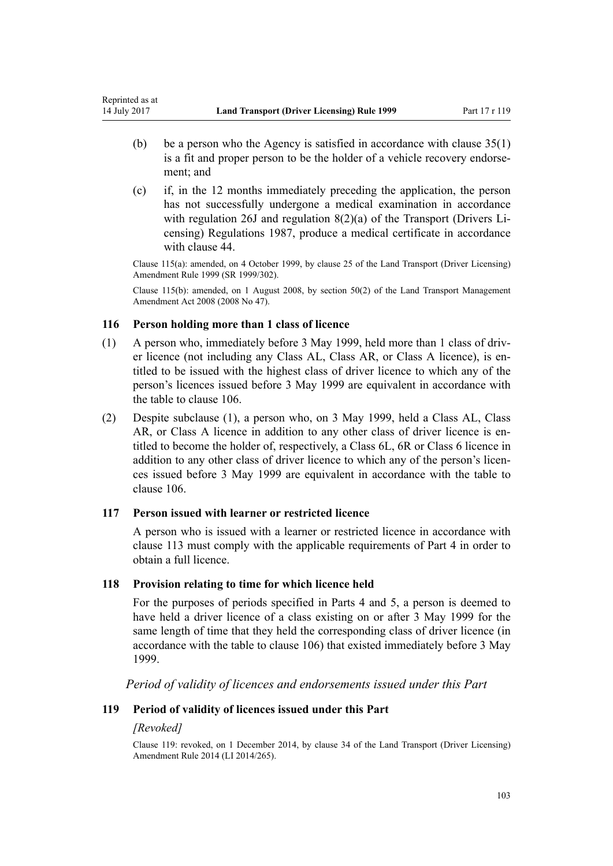- (b) be a person who the Agency is satisfied in accordance with clause  $35(1)$ is a fit and proper person to be the holder of a vehicle recovery endorsement; and
- (c) if, in the 12 months immediately preceding the application, the person has not successfully undergone a medical examination in accordance with regulation 26J and regulation 8(2)(a) of the Transport (Drivers Licensing) Regulations 1987, produce a medical certificate in accordance with [clause 44.](#page-51-0)

Clause 115(a): amended, on 4 October 1999, by [clause 25](http://prd-lgnz-nlb.prd.pco.net.nz/pdflink.aspx?id=DLM293696) of the Land Transport (Driver Licensing) Amendment Rule 1999 (SR 1999/302).

Clause 115(b): amended, on 1 August 2008, by [section 50\(2\)](http://prd-lgnz-nlb.prd.pco.net.nz/pdflink.aspx?id=DLM1313622) of the Land Transport Management Amendment Act 2008 (2008 No 47).

# **116 Person holding more than 1 class of licence**

- (1) A person who, immediately before 3 May 1999, held more than 1 class of driver licence (not including any Class AL, Class AR, or Class A licence), is entitled to be issued with the highest class of driver licence to which any of the person's licences issued before 3 May 1999 are equivalent in accordance with the table to [clause 106](#page-97-0).
- (2) Despite subclause (1), a person who, on 3 May 1999, held a Class AL, Class AR, or Class A licence in addition to any other class of driver licence is entitled to become the holder of, respectively, a Class 6L, 6R or Class 6 licence in addition to any other class of driver licence to which any of the person's licences issued before 3 May 1999 are equivalent in accordance with the table to [clause 106](#page-97-0).

# **117 Person issued with learner or restricted licence**

A person who is issued with a learner or restricted licence in accordance with [clause 113](#page-100-0) must comply with the applicable requirements of [Part 4](#page-25-0) in order to obtain a full licence.

# **118 Provision relating to time for which licence held**

For the purposes of periods specified in [Parts 4](#page-25-0) and [5](#page-39-0), a person is deemed to have held a driver licence of a class existing on or after 3 May 1999 for the same length of time that they held the corresponding class of driver licence (in accordance with the table to [clause 106\)](#page-97-0) that existed immediately before 3 May 1999.

*Period of validity of licences and endorsements issued under this Part*

# **119 Period of validity of licences issued under this Part**

# *[Revoked]*

Clause 119: revoked, on 1 December 2014, by [clause 34](http://prd-lgnz-nlb.prd.pco.net.nz/pdflink.aspx?id=DLM6216948) of the Land Transport (Driver Licensing) Amendment Rule 2014 (LI 2014/265).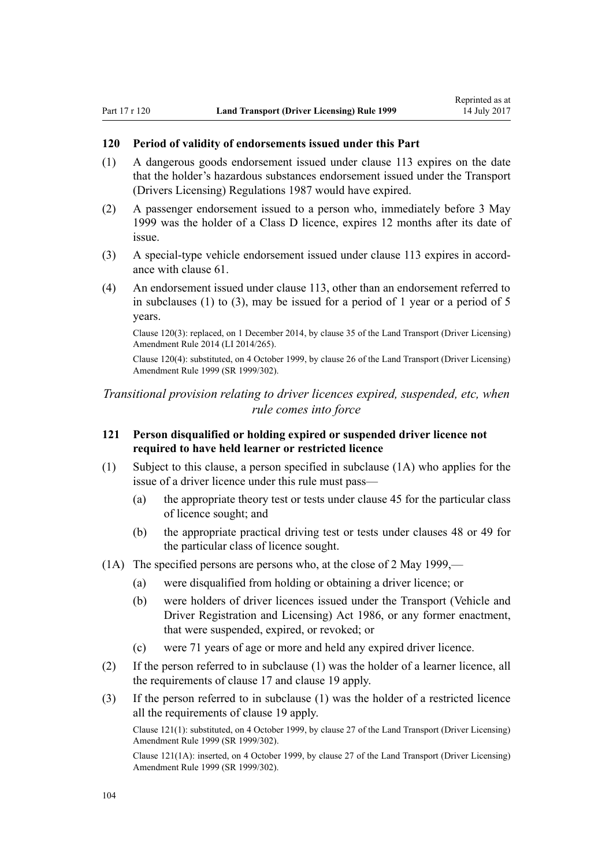### **120 Period of validity of endorsements issued under this Part**

- (1) A dangerous goods endorsement issued under [clause 113](#page-100-0) expires on the date that the holder's hazardous substances endorsement issued under the Transport (Drivers Licensing) Regulations 1987 would have expired.
- (2) A passenger endorsement issued to a person who, immediately before 3 May 1999 was the holder of a Class D licence, expires 12 months after its date of issue.
- (3) A special-type vehicle endorsement issued under [clause 113](#page-100-0) expires in accordance with [clause 61.](#page-61-0)
- (4) An endorsement issued under [clause 113](#page-100-0), other than an endorsement referred to in subclauses (1) to (3), may be issued for a period of 1 year or a period of 5 years.

Clause 120(3): replaced, on 1 December 2014, by [clause 35](http://prd-lgnz-nlb.prd.pco.net.nz/pdflink.aspx?id=DLM6216949) of the Land Transport (Driver Licensing) Amendment Rule 2014 (LI 2014/265).

Clause 120(4): substituted, on 4 October 1999, by [clause 26](http://prd-lgnz-nlb.prd.pco.net.nz/pdflink.aspx?id=DLM293697) of the Land Transport (Driver Licensing) Amendment Rule 1999 (SR 1999/302).

# *Transitional provision relating to driver licences expired, suspended, etc, when rule comes into force*

# **121 Person disqualified or holding expired or suspended driver licence not required to have held learner or restricted licence**

- (1) Subject to this clause, a person specified in subclause (1A) who applies for the issue of a driver licence under this rule must pass—
	- (a) the appropriate theory test or tests under [clause 45](#page-53-0) for the particular class of licence sought; and
	- (b) the appropriate practical driving test or tests under [clauses 48](#page-54-0) or [49](#page-55-0) for the particular class of licence sought.
- (1A) The specified persons are persons who, at the close of 2 May 1999,—
	- (a) were disqualified from holding or obtaining a driver licence; or
	- (b) were holders of driver licences issued under the [Transport \(Vehicle and](http://prd-lgnz-nlb.prd.pco.net.nz/pdflink.aspx?id=DLM90414) [Driver Registration and Licensing\) Act 1986](http://prd-lgnz-nlb.prd.pco.net.nz/pdflink.aspx?id=DLM90414), or any former enactment, that were suspended, expired, or revoked; or
	- (c) were 71 years of age or more and held any expired driver licence.
- (2) If the person referred to in subclause (1) was the holder of a learner licence, all the requirements of [clause 17](#page-28-0) and [clause 19](#page-30-0) apply.
- (3) If the person referred to in subclause (1) was the holder of a restricted licence all the requirements of [clause 19](#page-30-0) apply.

Clause 121(1): substituted, on 4 October 1999, by [clause 27](http://prd-lgnz-nlb.prd.pco.net.nz/pdflink.aspx?id=DLM293698) of the Land Transport (Driver Licensing) Amendment Rule 1999 (SR 1999/302).

Clause 121(1A): inserted, on 4 October 1999, by [clause 27](http://prd-lgnz-nlb.prd.pco.net.nz/pdflink.aspx?id=DLM293698) of the Land Transport (Driver Licensing) Amendment Rule 1999 (SR 1999/302).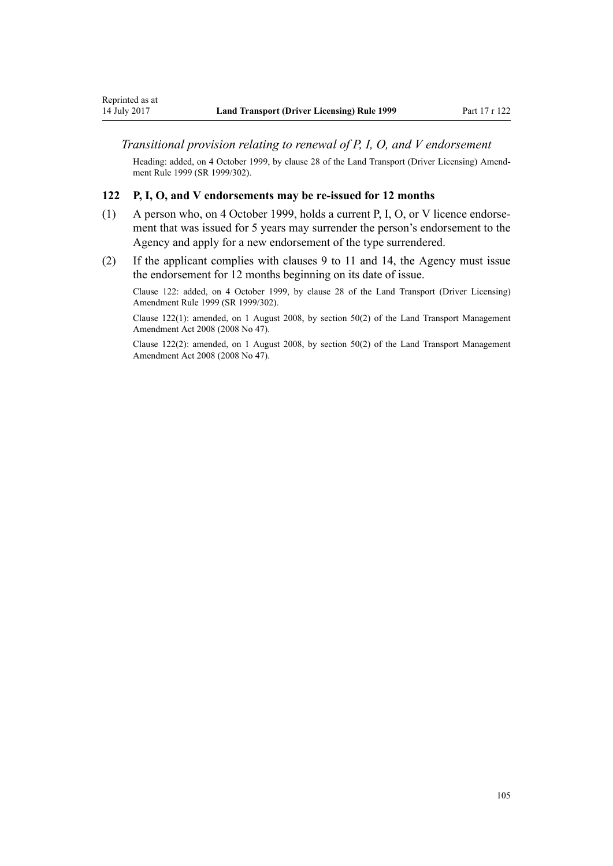### *Transitional provision relating to renewal of P, I, O, and V endorsement*

Heading: added, on 4 October 1999, by [clause 28](http://prd-lgnz-nlb.prd.pco.net.nz/pdflink.aspx?id=DLM293699) of the Land Transport (Driver Licensing) Amendment Rule 1999 (SR 1999/302).

#### **122 P, I, O, and V endorsements may be re-issued for 12 months**

- (1) A person who, on 4 October 1999, holds a current P, I, O, or V licence endorsement that was issued for 5 years may surrender the person's endorsement to the Agency and apply for a new endorsement of the type surrendered.
- (2) If the applicant complies with [clauses 9 to 11](#page-21-0) and [14](#page-25-0), the Agency must issue the endorsement for 12 months beginning on its date of issue.

Clause 122: added, on 4 October 1999, by [clause 28](http://prd-lgnz-nlb.prd.pco.net.nz/pdflink.aspx?id=DLM293699) of the Land Transport (Driver Licensing) Amendment Rule 1999 (SR 1999/302).

Clause 122(1): amended, on 1 August 2008, by [section 50\(2\)](http://prd-lgnz-nlb.prd.pco.net.nz/pdflink.aspx?id=DLM1313622) of the Land Transport Management Amendment Act 2008 (2008 No 47).

Clause 122(2): amended, on 1 August 2008, by [section 50\(2\)](http://prd-lgnz-nlb.prd.pco.net.nz/pdflink.aspx?id=DLM1313622) of the Land Transport Management Amendment Act 2008 (2008 No 47).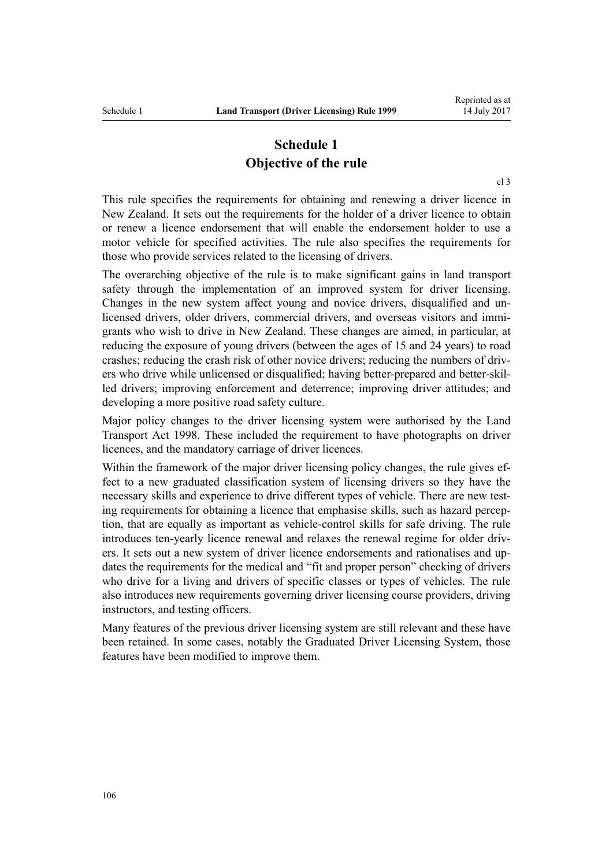# **Schedule 1 Objective of the rule**

[cl 3](#page-19-0)

This rule specifies the requirements for obtaining and renewing a driver licence in New Zealand. It sets out the requirements for the holder of a driver licence to obtain or renew a licence endorsement that will enable the endorsement holder to use a motor vehicle for specified activities. The rule also specifies the requirements for those who provide services related to the licensing of drivers.

The overarching objective of the rule is to make significant gains in land transport safety through the implementation of an improved system for driver licensing. Changes in the new system affect young and novice drivers, disqualified and unlicensed drivers, older drivers, commercial drivers, and overseas visitors and immigrants who wish to drive in New Zealand. These changes are aimed, in particular, at reducing the exposure of young drivers (between the ages of 15 and 24 years) to road crashes; reducing the crash risk of other novice drivers; reducing the numbers of drivers who drive while unlicensed or disqualified; having better-prepared and better-skilled drivers; improving enforcement and deterrence; improving driver attitudes; and developing a more positive road safety culture.

Major policy changes to the driver licensing system were authorised by the [Land](http://prd-lgnz-nlb.prd.pco.net.nz/pdflink.aspx?id=DLM433612) [Transport Act 1998.](http://prd-lgnz-nlb.prd.pco.net.nz/pdflink.aspx?id=DLM433612) These included the requirement to have photographs on driver licences, and the mandatory carriage of driver licences.

Within the framework of the major driver licensing policy changes, the rule gives effect to a new graduated classification system of licensing drivers so they have the necessary skills and experience to drive different types of vehicle. There are new testing requirements for obtaining a licence that emphasise skills, such as hazard perception, that are equally as important as vehicle-control skills for safe driving. The rule introduces ten-yearly licence renewal and relaxes the renewal regime for older drivers. It sets out a new system of driver licence endorsements and rationalises and updates the requirements for the medical and "fit and proper person" checking of drivers who drive for a living and drivers of specific classes or types of vehicles. The rule also introduces new requirements governing driver licensing course providers, driving instructors, and testing officers.

Many features of the previous driver licensing system are still relevant and these have been retained. In some cases, notably the Graduated Driver Licensing System, those features have been modified to improve them.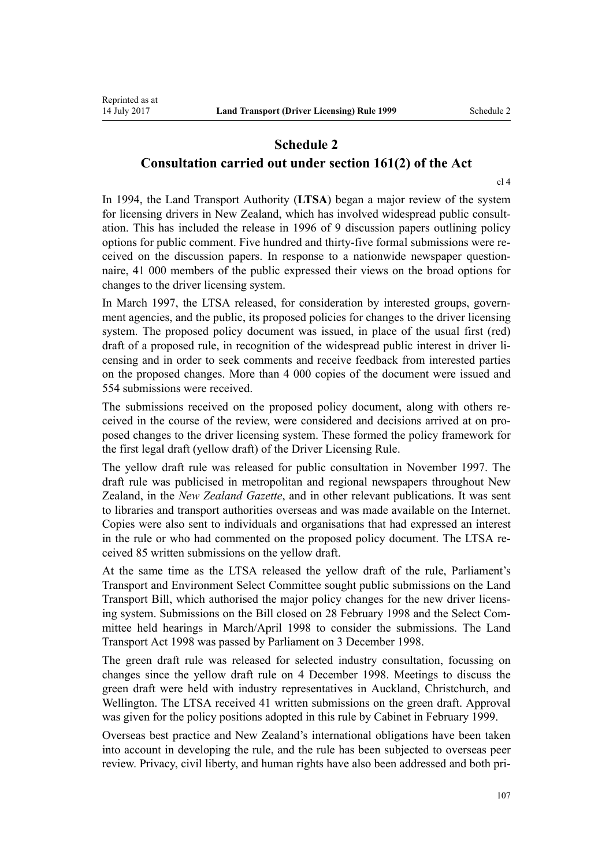# **Schedule 2 Consultation carried out under section 161(2) of the Act**

[cl 4](#page-19-0)

In 1994, the Land Transport Authority (**LTSA**) began a major review of the system for licensing drivers in New Zealand, which has involved widespread public consultation. This has included the release in 1996 of 9 discussion papers outlining policy options for public comment. Five hundred and thirty-five formal submissions were received on the discussion papers. In response to a nationwide newspaper questionnaire, 41 000 members of the public expressed their views on the broad options for changes to the driver licensing system.

In March 1997, the LTSA released, for consideration by interested groups, government agencies, and the public, its proposed policies for changes to the driver licensing system. The proposed policy document was issued, in place of the usual first (red) draft of a proposed rule, in recognition of the widespread public interest in driver licensing and in order to seek comments and receive feedback from interested parties on the proposed changes. More than 4 000 copies of the document were issued and 554 submissions were received.

The submissions received on the proposed policy document, along with others received in the course of the review, were considered and decisions arrived at on proposed changes to the driver licensing system. These formed the policy framework for the first legal draft (yellow draft) of the Driver Licensing Rule.

The yellow draft rule was released for public consultation in November 1997. The draft rule was publicised in metropolitan and regional newspapers throughout New Zealand, in the *New Zealand Gazette*, and in other relevant publications. It was sent to libraries and transport authorities overseas and was made available on the Internet. Copies were also sent to individuals and organisations that had expressed an interest in the rule or who had commented on the proposed policy document. The LTSA received 85 written submissions on the yellow draft.

At the same time as the LTSA released the yellow draft of the rule, Parliament's Transport and Environment Select Committee sought public submissions on the Land Transport Bill, which authorised the major policy changes for the new driver licensing system. Submissions on the Bill closed on 28 February 1998 and the Select Committee held hearings in March/April 1998 to consider the submissions. The [Land](http://prd-lgnz-nlb.prd.pco.net.nz/pdflink.aspx?id=DLM433612) [Transport Act 1998](http://prd-lgnz-nlb.prd.pco.net.nz/pdflink.aspx?id=DLM433612) was passed by Parliament on 3 December 1998.

The green draft rule was released for selected industry consultation, focussing on changes since the yellow draft rule on 4 December 1998. Meetings to discuss the green draft were held with industry representatives in Auckland, Christchurch, and Wellington. The LTSA received 41 written submissions on the green draft. Approval was given for the policy positions adopted in this rule by Cabinet in February 1999.

Overseas best practice and New Zealand's international obligations have been taken into account in developing the rule, and the rule has been subjected to overseas peer review. Privacy, civil liberty, and human rights have also been addressed and both pri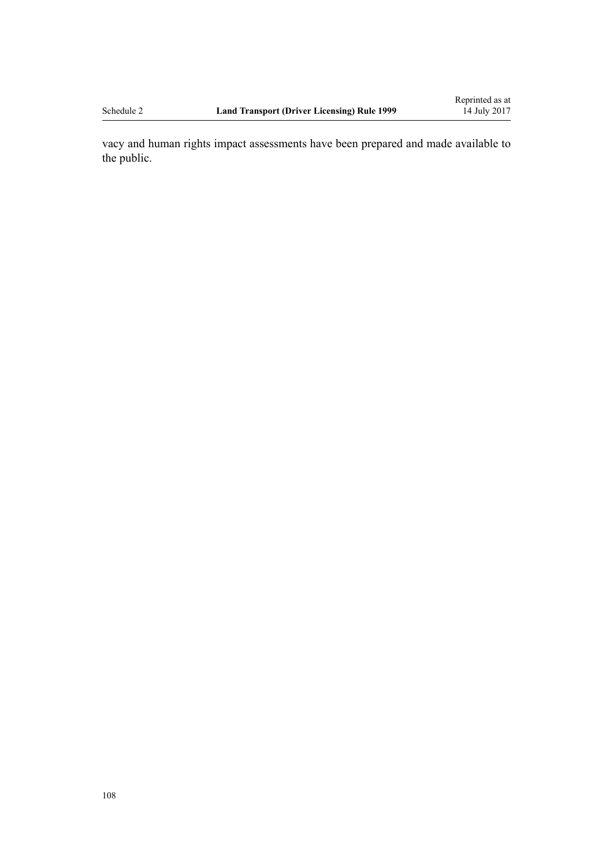vacy and human rights impact assessments have been prepared and made available to the public.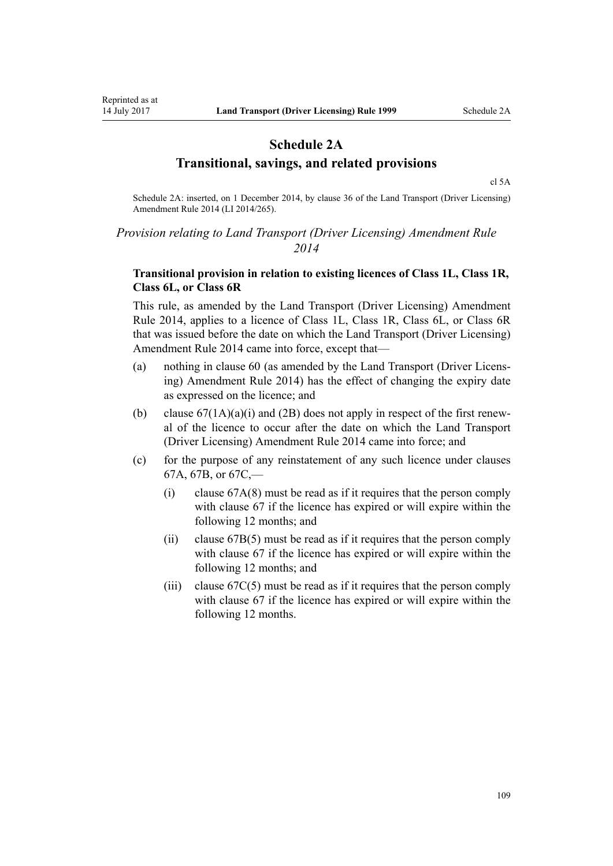### **Schedule 2A Transitional, savings, and related provisions**

[cl 5A](#page-20-0)

Schedule 2A: inserted, on 1 December 2014, by [clause 36](http://prd-lgnz-nlb.prd.pco.net.nz/pdflink.aspx?id=DLM6216950) of the Land Transport (Driver Licensing) Amendment Rule 2014 (LI 2014/265).

### *Provision relating to Land Transport (Driver Licensing) Amendment Rule 2014*

#### **Transitional provision in relation to existing licences of Class 1L, Class 1R, Class 6L, or Class 6R**

This rule, as amended by the [Land Transport \(Driver Licensing\) Amendment](http://prd-lgnz-nlb.prd.pco.net.nz/pdflink.aspx?id=DLM6216900) [Rule 2014,](http://prd-lgnz-nlb.prd.pco.net.nz/pdflink.aspx?id=DLM6216900) applies to a licence of Class 1L, Class 1R, Class 6L, or Class 6R that was issued before the date on which the Land Transport (Driver Licensing) Amendment Rule 2014 came into force, except that—

- (a) nothing in [clause 60](#page-60-0) (as amended by the [Land Transport \(Driver Licens](http://prd-lgnz-nlb.prd.pco.net.nz/pdflink.aspx?id=DLM6216900)[ing\) Amendment Rule 2014](http://prd-lgnz-nlb.prd.pco.net.nz/pdflink.aspx?id=DLM6216900)) has the effect of changing the expiry date as expressed on the licence; and
- (b) clause  $67(1A)(a)(i)$  and (2B) does not apply in respect of the first renewal of the licence to occur after the date on which the [Land Transport](http://prd-lgnz-nlb.prd.pco.net.nz/pdflink.aspx?id=DLM6216900) [\(Driver Licensing\) Amendment Rule 2014](http://prd-lgnz-nlb.prd.pco.net.nz/pdflink.aspx?id=DLM6216900) came into force; and
- (c) for the purpose of any reinstatement of any such licence under [clauses](#page-68-0) [67A](#page-68-0), [67B,](#page-70-0) or [67C](#page-71-0),—
	- (i) [clause 67A\(8\)](#page-68-0) must be read as if it requires that the person comply with [clause 67](#page-66-0) if the licence has expired or will expire within the following 12 months; and
	- (ii) [clause 67B\(5\)](#page-70-0) must be read as if it requires that the person comply with [clause 67](#page-66-0) if the licence has expired or will expire within the following 12 months; and
	- (iii) clause  $67C(5)$  must be read as if it requires that the person comply with [clause 67](#page-66-0) if the licence has expired or will expire within the following 12 months.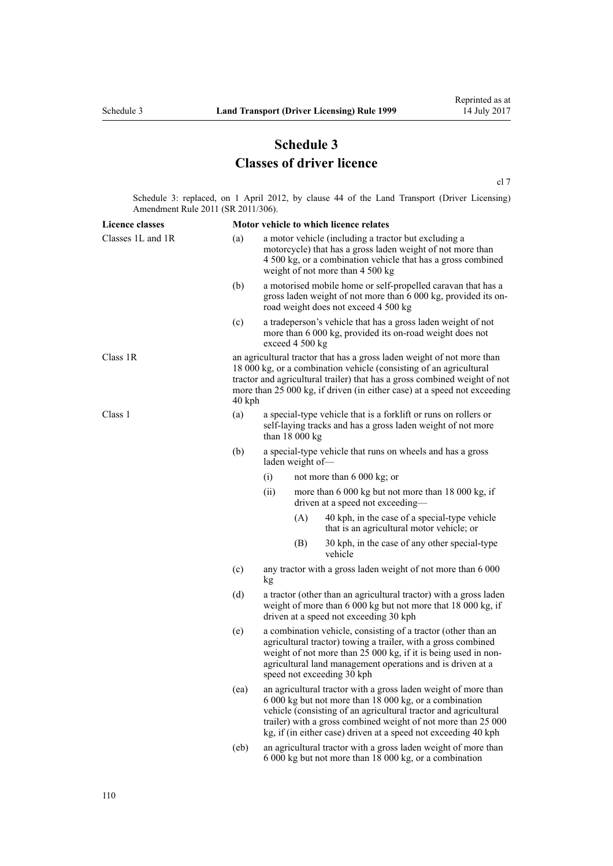# **Schedule 3 Classes of driver licence**

[cl 7](#page-20-0)

Schedule 3: replaced, on 1 April 2012, by [clause 44](http://prd-lgnz-nlb.prd.pco.net.nz/pdflink.aspx?id=DLM3956523) of the Land Transport (Driver Licensing) Amendment Rule 2011 (SR 2011/306).

| <b>Licence classes</b> |          | Motor vehicle to which licence relates                                                                                                                                                                                                                                                                                         |     |                                                                                            |  |
|------------------------|----------|--------------------------------------------------------------------------------------------------------------------------------------------------------------------------------------------------------------------------------------------------------------------------------------------------------------------------------|-----|--------------------------------------------------------------------------------------------|--|
| Classes 1L and 1R      | (a)      | a motor vehicle (including a tractor but excluding a<br>motorcycle) that has a gross laden weight of not more than<br>4 500 kg, or a combination vehicle that has a gross combined<br>weight of not more than 4 500 kg                                                                                                         |     |                                                                                            |  |
|                        | (b)      | a motorised mobile home or self-propelled caravan that has a<br>gross laden weight of not more than 6 000 kg, provided its on-<br>road weight does not exceed 4 500 kg                                                                                                                                                         |     |                                                                                            |  |
|                        | (c)      | a tradeperson's vehicle that has a gross laden weight of not<br>more than 6 000 kg, provided its on-road weight does not<br>exceed 4 500 kg                                                                                                                                                                                    |     |                                                                                            |  |
| Class 1R               | $40$ kph | an agricultural tractor that has a gross laden weight of not more than<br>18 000 kg, or a combination vehicle (consisting of an agricultural<br>tractor and agricultural trailer) that has a gross combined weight of not<br>more than 25 000 kg, if driven (in either case) at a speed not exceeding                          |     |                                                                                            |  |
| Class 1                | (a)      | a special-type vehicle that is a forklift or runs on rollers or<br>self-laying tracks and has a gross laden weight of not more<br>than $18000 kg$                                                                                                                                                                              |     |                                                                                            |  |
|                        | (b)      | a special-type vehicle that runs on wheels and has a gross<br>laden weight of-                                                                                                                                                                                                                                                 |     |                                                                                            |  |
|                        |          | (i)                                                                                                                                                                                                                                                                                                                            |     | not more than $6000 \text{ kg}$ ; or                                                       |  |
|                        |          | (ii)                                                                                                                                                                                                                                                                                                                           |     | more than 6 000 kg but not more than 18 000 kg, if<br>driven at a speed not exceeding-     |  |
|                        |          |                                                                                                                                                                                                                                                                                                                                | (A) | 40 kph, in the case of a special-type vehicle<br>that is an agricultural motor vehicle; or |  |
|                        |          |                                                                                                                                                                                                                                                                                                                                | (B) | 30 kph, in the case of any other special-type<br>vehicle                                   |  |
|                        | (c)      | any tractor with a gross laden weight of not more than 6 000<br>kg                                                                                                                                                                                                                                                             |     |                                                                                            |  |
|                        | (d)      | a tractor (other than an agricultural tractor) with a gross laden<br>weight of more than 6 000 kg but not more that 18 000 kg, if<br>driven at a speed not exceeding 30 kph                                                                                                                                                    |     |                                                                                            |  |
|                        | (e)      | a combination vehicle, consisting of a tractor (other than an<br>agricultural tractor) towing a trailer, with a gross combined<br>weight of not more than 25 000 kg, if it is being used in non-<br>agricultural land management operations and is driven at a<br>speed not exceeding 30 kph                                   |     |                                                                                            |  |
|                        | (ea)     | an agricultural tractor with a gross laden weight of more than<br>6 000 kg but not more than 18 000 kg, or a combination<br>vehicle (consisting of an agricultural tractor and agricultural<br>trailer) with a gross combined weight of not more than 25 000<br>kg, if (in either case) driven at a speed not exceeding 40 kph |     |                                                                                            |  |
|                        | (eb)     | an agricultural tractor with a gross laden weight of more than<br>6 000 kg but not more than 18 000 kg, or a combination                                                                                                                                                                                                       |     |                                                                                            |  |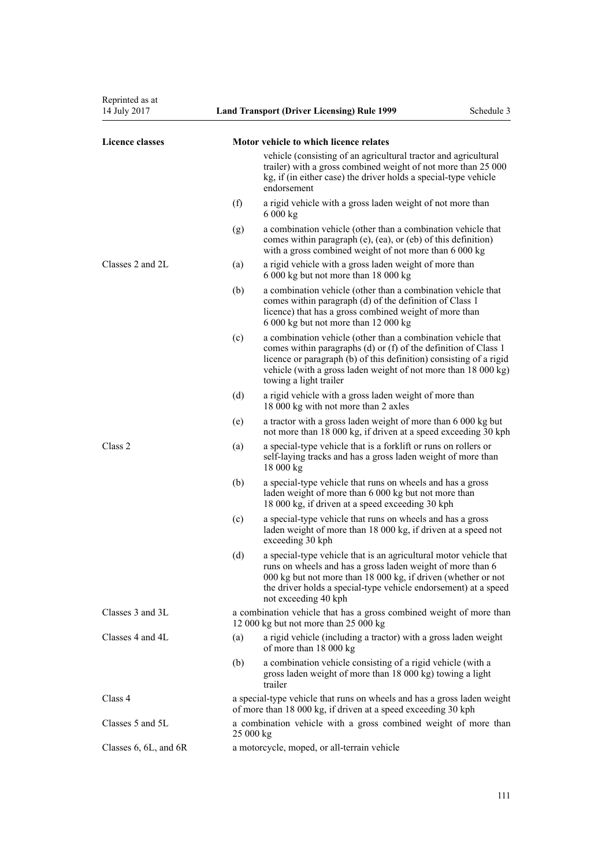| Reprinted as at<br>14 July 2017 |     | <b>Land Transport (Driver Licensing) Rule 1999</b>                                                                                                                                                                                                                                                | Schedule 3 |
|---------------------------------|-----|---------------------------------------------------------------------------------------------------------------------------------------------------------------------------------------------------------------------------------------------------------------------------------------------------|------------|
| <b>Licence classes</b>          |     | Motor vehicle to which licence relates                                                                                                                                                                                                                                                            |            |
|                                 |     | vehicle (consisting of an agricultural tractor and agricultural<br>trailer) with a gross combined weight of not more than 25 000<br>kg, if (in either case) the driver holds a special-type vehicle<br>endorsement                                                                                |            |
|                                 | (f) | a rigid vehicle with a gross laden weight of not more than<br>6 000 kg                                                                                                                                                                                                                            |            |
|                                 | (g) | a combination vehicle (other than a combination vehicle that<br>comes within paragraph (e), (ea), or (eb) of this definition)<br>with a gross combined weight of not more than 6 000 kg                                                                                                           |            |
| Classes 2 and $2L$              | (a) | a rigid vehicle with a gross laden weight of more than<br>6 000 kg but not more than 18 000 kg                                                                                                                                                                                                    |            |
|                                 | (b) | a combination vehicle (other than a combination vehicle that<br>comes within paragraph (d) of the definition of Class 1<br>licence) that has a gross combined weight of more than<br>6 000 kg but not more than 12 000 kg                                                                         |            |
|                                 | (c) | a combination vehicle (other than a combination vehicle that<br>comes within paragraphs (d) or (f) of the definition of Class 1<br>licence or paragraph (b) of this definition) consisting of a rigid<br>vehicle (with a gross laden weight of not more than 18 000 kg)<br>towing a light trailer |            |
|                                 | (d) | a rigid vehicle with a gross laden weight of more than<br>18 000 kg with not more than 2 axles                                                                                                                                                                                                    |            |
|                                 | (e) | a tractor with a gross laden weight of more than 6 000 kg but<br>not more than 18 000 kg, if driven at a speed exceeding 30 kph                                                                                                                                                                   |            |
| Class 2                         | (a) | a special-type vehicle that is a forklift or runs on rollers or<br>self-laying tracks and has a gross laden weight of more than<br>18 000 kg                                                                                                                                                      |            |
|                                 | (b) | a special-type vehicle that runs on wheels and has a gross<br>laden weight of more than 6 000 kg but not more than<br>18 000 kg, if driven at a speed exceeding 30 kph                                                                                                                            |            |
|                                 | (c) | a special-type vehicle that runs on wheels and has a gross<br>laden weight of more than 18 000 kg, if driven at a speed not<br>exceeding 30 kph                                                                                                                                                   |            |
|                                 | (d) | a special-type vehicle that is an agricultural motor vehicle that<br>runs on wheels and has a gross laden weight of more than 6<br>000 kg but not more than 18 000 kg, if driven (whether or not<br>the driver holds a special-type vehicle endorsement) at a speed<br>not exceeding 40 kph       |            |
| Classes 3 and 3L                |     | a combination vehicle that has a gross combined weight of more than<br>12 000 kg but not more than 25 000 kg                                                                                                                                                                                      |            |
| Classes 4 and 4L                | (a) | a rigid vehicle (including a tractor) with a gross laden weight<br>of more than 18 000 kg                                                                                                                                                                                                         |            |
|                                 | (b) | a combination vehicle consisting of a rigid vehicle (with a<br>gross laden weight of more than 18 000 kg) towing a light<br>trailer                                                                                                                                                               |            |
| Class 4                         |     | a special-type vehicle that runs on wheels and has a gross laden weight<br>of more than 18 000 kg, if driven at a speed exceeding 30 kph                                                                                                                                                          |            |
| Classes 5 and 5L                |     | a combination vehicle with a gross combined weight of more than<br>25 000 kg                                                                                                                                                                                                                      |            |
| Classes 6, 6L, and 6R           |     | a motorcycle, moped, or all-terrain vehicle                                                                                                                                                                                                                                                       |            |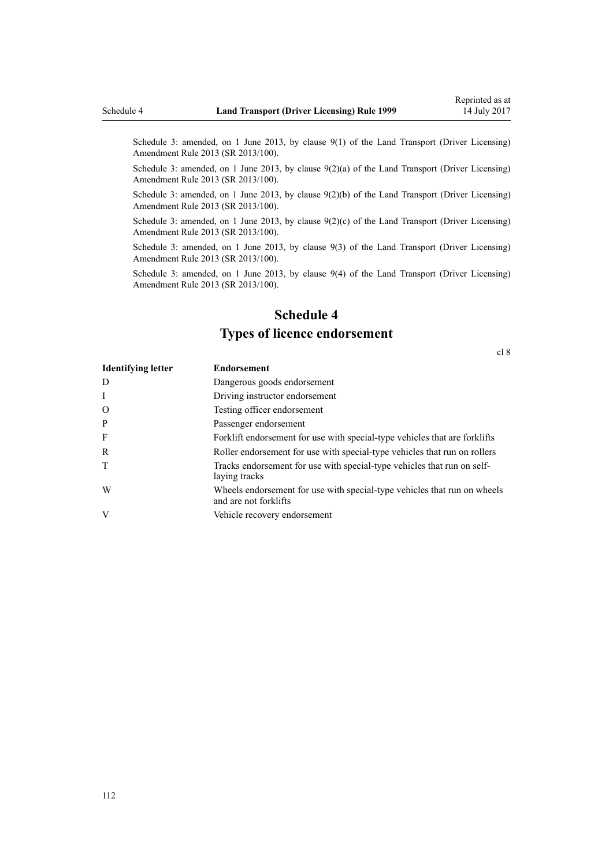Schedule 3: amended, on 1 June 2013, by [clause 9\(1\)](http://prd-lgnz-nlb.prd.pco.net.nz/pdflink.aspx?id=DLM5102246) of the Land Transport (Driver Licensing) Amendment Rule 2013 (SR 2013/100).

Schedule 3: amended, on 1 June 2013, by [clause 9\(2\)\(a\)](http://prd-lgnz-nlb.prd.pco.net.nz/pdflink.aspx?id=DLM5102246) of the Land Transport (Driver Licensing) Amendment Rule 2013 (SR 2013/100).

Schedule 3: amended, on 1 June 2013, by [clause 9\(2\)\(b\)](http://prd-lgnz-nlb.prd.pco.net.nz/pdflink.aspx?id=DLM5102246) of the Land Transport (Driver Licensing) Amendment Rule 2013 (SR 2013/100).

Schedule 3: amended, on 1 June 2013, by clause  $9(2)(c)$  of the Land Transport (Driver Licensing) Amendment Rule 2013 (SR 2013/100).

Schedule 3: amended, on 1 June 2013, by [clause 9\(3\)](http://prd-lgnz-nlb.prd.pco.net.nz/pdflink.aspx?id=DLM5102246) of the Land Transport (Driver Licensing) Amendment Rule 2013 (SR 2013/100).

Schedule 3: amended, on 1 June 2013, by [clause 9\(4\)](http://prd-lgnz-nlb.prd.pco.net.nz/pdflink.aspx?id=DLM5102246) of the Land Transport (Driver Licensing) Amendment Rule 2013 (SR 2013/100).

# **Schedule 4 Types of licence endorsement**

[cl 8](#page-20-0)

| <b>Identifying letter</b> | <b>Endorsement</b>                                                                                |
|---------------------------|---------------------------------------------------------------------------------------------------|
| D                         | Dangerous goods endorsement                                                                       |
| $\mathbf{I}$              | Driving instructor endorsement                                                                    |
| $\Omega$                  | Testing officer endorsement                                                                       |
| P                         | Passenger endorsement                                                                             |
| F                         | Forklift endorsement for use with special-type vehicles that are forklifts                        |
| R                         | Roller endorsement for use with special-type vehicles that run on rollers                         |
| T                         | Tracks endorsement for use with special-type vehicles that run on self-<br>laying tracks          |
| W                         | Wheels endorsement for use with special-type vehicles that run on wheels<br>and are not forklifts |
| V                         | Vehicle recovery endorsement                                                                      |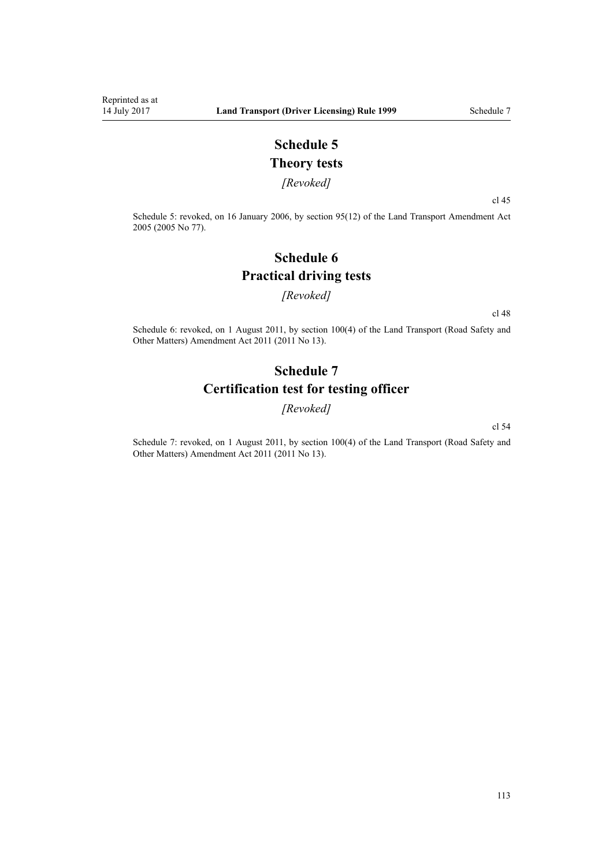# **Schedule 5 Theory tests**

*[Revoked]*

[cl 45](#page-53-0)

Schedule 5: revoked, on 16 January 2006, by [section 95\(12\)](http://prd-lgnz-nlb.prd.pco.net.nz/pdflink.aspx?id=DLM353501) of the Land Transport Amendment Act 2005 (2005 No 77).

# **Schedule 6 Practical driving tests**

#### *[Revoked]*

[cl 48](#page-54-0)

Schedule 6: revoked, on 1 August 2011, by [section 100\(4\)](http://prd-lgnz-nlb.prd.pco.net.nz/pdflink.aspx?id=DLM3231293) of the Land Transport (Road Safety and Other Matters) Amendment Act 2011 (2011 No 13).

## **Schedule 7 Certification test for testing officer**

*[Revoked]*

[cl 54](#page-57-0)

Schedule 7: revoked, on 1 August 2011, by [section 100\(4\)](http://prd-lgnz-nlb.prd.pco.net.nz/pdflink.aspx?id=DLM3231293) of the Land Transport (Road Safety and Other Matters) Amendment Act 2011 (2011 No 13).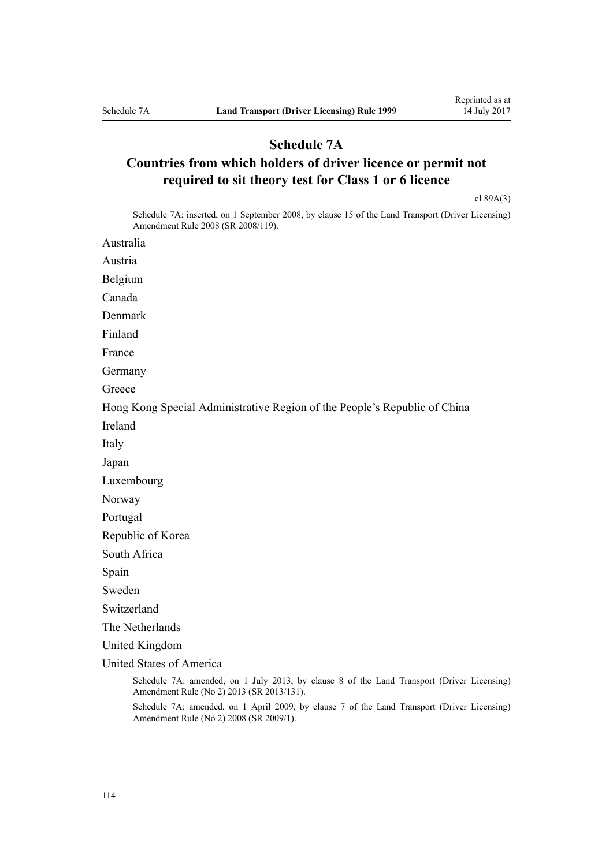### **Schedule 7A**

# **Countries from which holders of driver licence or permit not required to sit theory test for Class 1 or 6 licence**

[cl 89A\(3\)](#page-88-0)

Schedule 7A: inserted, on 1 September 2008, by [clause 15](http://prd-lgnz-nlb.prd.pco.net.nz/pdflink.aspx?id=DLM1317922) of the Land Transport (Driver Licensing) Amendment Rule 2008 (SR 2008/119).

Australia

Austria

Belgium

Canada

Denmark

Finland

France

Germany

**Greece** 

Hong Kong Special Administrative Region of the People's Republic of China

Ireland

Italy

Japan

Luxembourg

Norway

Portugal

Republic of Korea

South Africa

Spain

Sweden

Switzerland

The Netherlands

United Kingdom

United States of America

Schedule 7A: amended, on 1 July 2013, by [clause 8](http://prd-lgnz-nlb.prd.pco.net.nz/pdflink.aspx?id=DLM5159813) of the Land Transport (Driver Licensing) Amendment Rule (No 2) 2013 (SR 2013/131).

Schedule 7A: amended, on 1 April 2009, by [clause 7](http://prd-lgnz-nlb.prd.pco.net.nz/pdflink.aspx?id=DLM1783613) of the Land Transport (Driver Licensing) Amendment Rule (No 2) 2008 (SR 2009/1).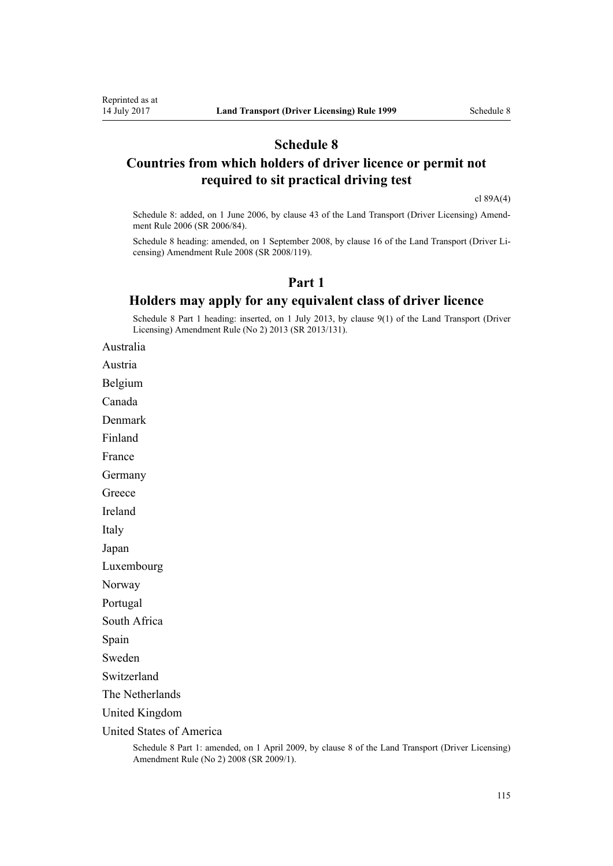## **Schedule 8**

### **Countries from which holders of driver licence or permit not required to sit practical driving test**

[cl 89A\(4\)](#page-88-0)

Schedule 8: added, on 1 June 2006, by [clause 43](http://prd-lgnz-nlb.prd.pco.net.nz/pdflink.aspx?id=DLM376146) of the Land Transport (Driver Licensing) Amendment Rule 2006 (SR 2006/84).

Schedule 8 heading: amended, on 1 September 2008, by [clause 16](http://prd-lgnz-nlb.prd.pco.net.nz/pdflink.aspx?id=DLM1317923) of the Land Transport (Driver Licensing) Amendment Rule 2008 (SR 2008/119).

### **Part 1**

### **Holders may apply for any equivalent class of driver licence**

Schedule 8 Part 1 heading: inserted, on 1 July 2013, by [clause 9\(1\)](http://prd-lgnz-nlb.prd.pco.net.nz/pdflink.aspx?id=DLM5159814) of the Land Transport (Driver Licensing) Amendment Rule (No 2) 2013 (SR 2013/131).

Australia

Austria

Belgium

Canada

Denmark

Finland

France

Germany

**Greece** 

Ireland

Italy

Japan

Luxembourg

Norway

Portugal

South Africa

Spain

Sweden

Switzerland

The Netherlands

United Kingdom

United States of America

Schedule 8 Part 1: amended, on 1 April 2009, by [clause 8](http://prd-lgnz-nlb.prd.pco.net.nz/pdflink.aspx?id=DLM1783614) of the Land Transport (Driver Licensing) Amendment Rule (No 2) 2008 (SR 2009/1).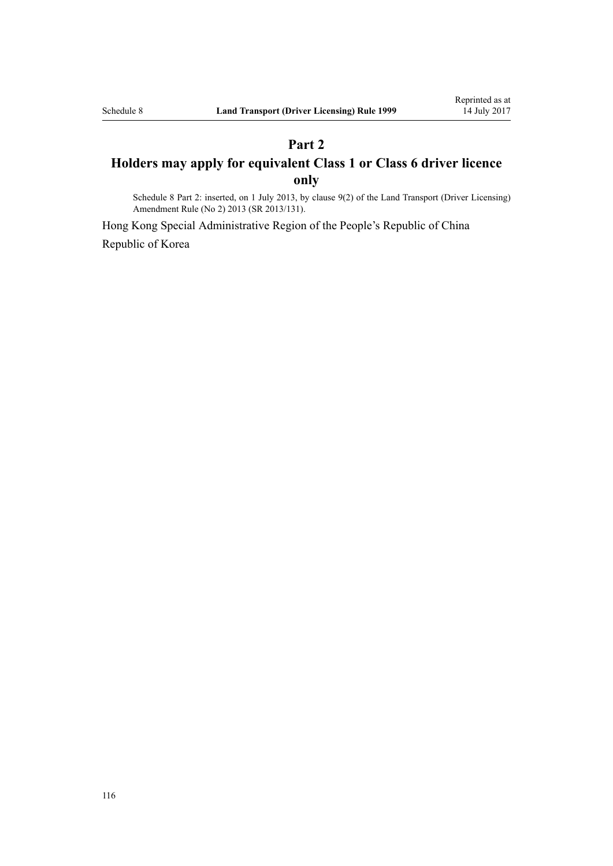# **Part 2 Holders may apply for equivalent Class 1 or Class 6 driver licence only**

Schedule 8 Part 2: inserted, on 1 July 2013, by [clause 9\(2\)](http://prd-lgnz-nlb.prd.pco.net.nz/pdflink.aspx?id=DLM5159814) of the Land Transport (Driver Licensing) Amendment Rule (No 2) 2013 (SR 2013/131).

Hong Kong Special Administrative Region of the People's Republic of China Republic of Korea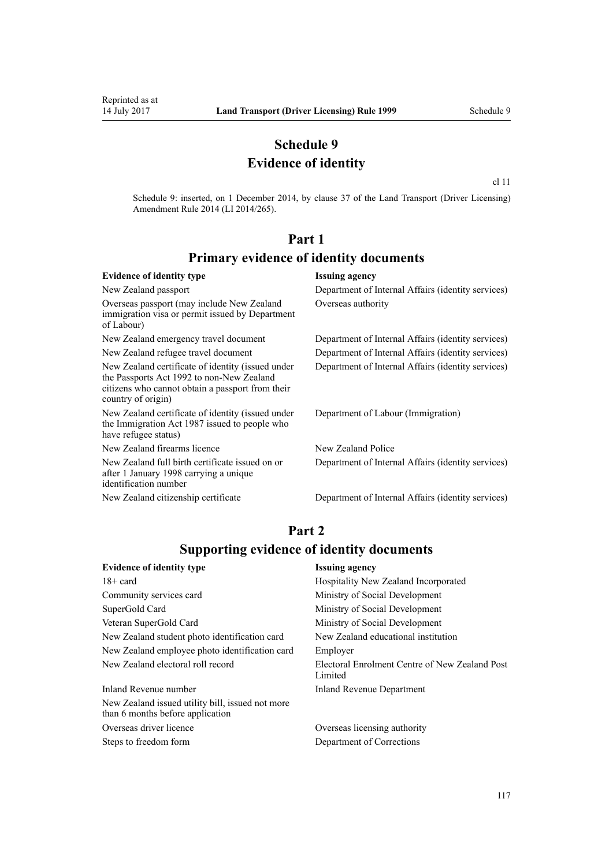### **Schedule 9 Evidence of identity**

[cl 11](http://prd-lgnz-nlb.prd.pco.net.nz/pdflink.aspx?id=DLM6216924)

Schedule 9: inserted, on 1 December 2014, by [clause 37](http://prd-lgnz-nlb.prd.pco.net.nz/pdflink.aspx?id=DLM6216951) of the Land Transport (Driver Licensing) Amendment Rule 2014 (LI 2014/265).

### **Part 1 Primary evidence of identity documents**

#### **Evidence of identity type Issuing agency** New Zealand passport Department of Internal Affairs (identity services) Overseas passport (may include New Zealand immigration visa or permit issued by Department of Labour) Overseas authority New Zealand emergency travel document Department of Internal Affairs (identity services) New Zealand refugee travel document Department of Internal Affairs (identity services) New Zealand certificate of identity (issued under the [Passports Act 1992](http://prd-lgnz-nlb.prd.pco.net.nz/pdflink.aspx?id=DLM277432) to non-New Zealand citizens who cannot obtain a passport from their country of origin) Department of Internal Affairs (identity services) New Zealand certificate of identity (issued under the [Immigration Act 1987](http://prd-lgnz-nlb.prd.pco.net.nz/pdflink.aspx?id=DLM108017) issued to people who have refugee status) Department of Labour (Immigration) New Zealand firearms licence New Zealand Police New Zealand full birth certificate issued on or after 1 January 1998 carrying a unique identification number Department of Internal Affairs (identity services) New Zealand citizenship certificate Department of Internal Affairs (identity services)

### **Part 2 Supporting evidence of identity documents**

| <b>Evidence of identity type</b>                                                     | <b>Issuing agency</b>                                     |
|--------------------------------------------------------------------------------------|-----------------------------------------------------------|
| $18 + \text{card}$                                                                   | Hospitality New Zealand Incorporated                      |
| Community services card                                                              | Ministry of Social Development                            |
| SuperGold Card                                                                       | Ministry of Social Development                            |
| Veteran SuperGold Card                                                               | Ministry of Social Development                            |
| New Zealand student photo identification card                                        | New Zealand educational institution                       |
| New Zealand employee photo identification card                                       | Employer                                                  |
| New Zealand electoral roll record                                                    | Electoral Enrolment Centre of New Zealand Post<br>Limited |
| Inland Revenue number                                                                | <b>Inland Revenue Department</b>                          |
| New Zealand issued utility bill, issued not more<br>than 6 months before application |                                                           |

Steps to freedom form Department of Corrections

Overseas driver licence Overseas licensing authority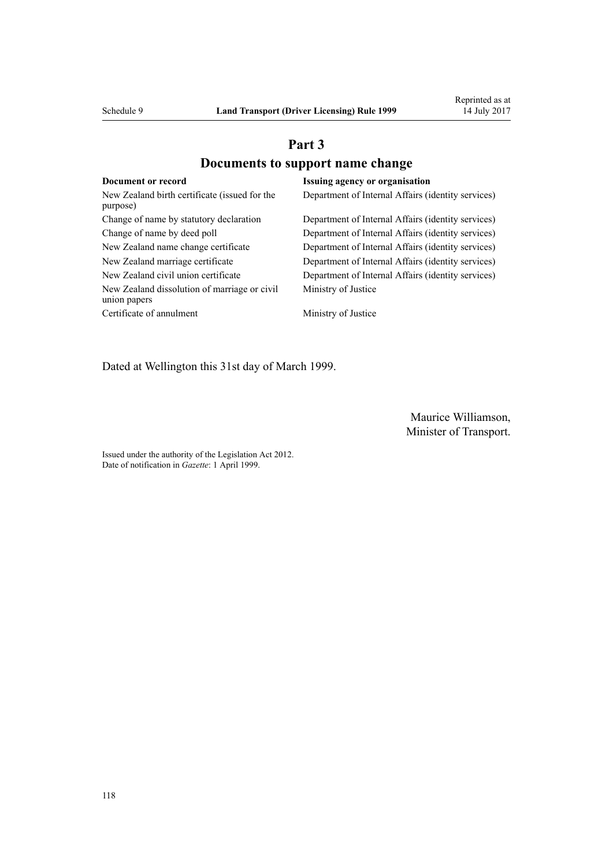# **Part 3 Documents to support name change**

| Document or record                                           | <b>Issuing agency or organisation</b>              |
|--------------------------------------------------------------|----------------------------------------------------|
| New Zealand birth certificate (issued for the<br>purpose)    | Department of Internal Affairs (identity services) |
| Change of name by statutory declaration                      | Department of Internal Affairs (identity services) |
| Change of name by deed poll                                  | Department of Internal Affairs (identity services) |
| New Zealand name change certificate                          | Department of Internal Affairs (identity services) |
| New Zealand marriage certificate                             | Department of Internal Affairs (identity services) |
| New Zealand civil union certificate                          | Department of Internal Affairs (identity services) |
| New Zealand dissolution of marriage or civil<br>union papers | Ministry of Justice                                |
| Certificate of annulment                                     | Ministry of Justice                                |

Dated at Wellington this 31st day of March 1999.

Maurice Williamson, Minister of Transport.

Issued under the authority of the [Legislation Act 2012](http://prd-lgnz-nlb.prd.pco.net.nz/pdflink.aspx?id=DLM2997643). Date of notification in *Gazette*: 1 April 1999.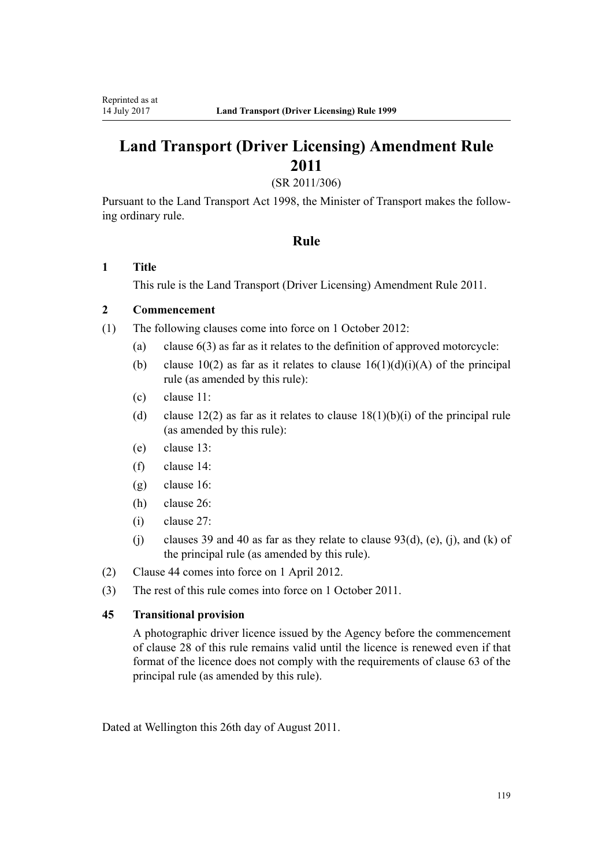# **Land Transport (Driver Licensing) Amendment Rule 2011**

(SR 2011/306)

Pursuant to the Land Transport Act 1998, the Minister of Transport makes the following ordinary rule.

### **Rule**

#### **1 Title**

This rule is the [Land Transport \(Driver Licensing\) Amendment Rule 2011](http://prd-lgnz-nlb.prd.pco.net.nz/pdflink.aspx?id=DLM3956573).

#### **2 Commencement**

(1) The following clauses come into force on 1 October 2012:

- (a) clause 6(3) as far as it relates to the definition of approved motorcycle:
- (b) clause 10(2) as far as it relates to clause  $16(1)(d)(i)(A)$  of the principal rule (as amended by this rule):
- (c) clause 11:
- (d) clause 12(2) as far as it relates to clause  $18(1)(b)(i)$  of the principal rule (as amended by this rule):
- (e) clause 13:
- (f) clause 14:
- (g) clause 16:
- (h) clause 26:
- (i) clause 27:
- (i) clauses 39 and 40 as far as they relate to clause  $93(d)$ , (e), (j), and (k) of the principal rule (as amended by this rule).
- (2) Clause 44 comes into force on 1 April 2012.
- (3) The rest of this rule comes into force on 1 October 2011.

#### **45 Transitional provision**

A photographic driver licence issued by the Agency before the commencement of clause 28 of this rule remains valid until the licence is renewed even if that format of the licence does not comply with the requirements of clause 63 of the principal rule (as amended by this rule).

Dated at Wellington this 26th day of August 2011.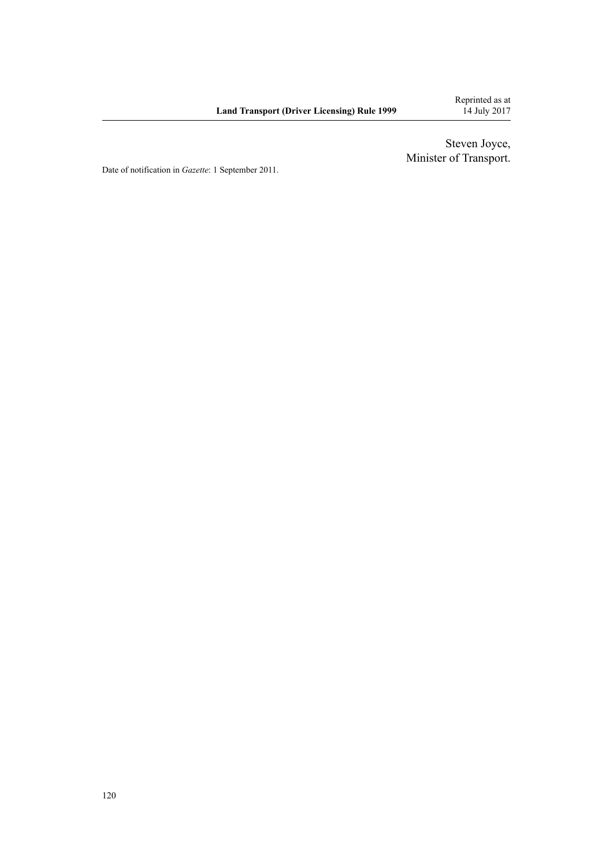Steven Joyce, Minister of Transport.

Date of notification in *Gazette*: 1 September 2011.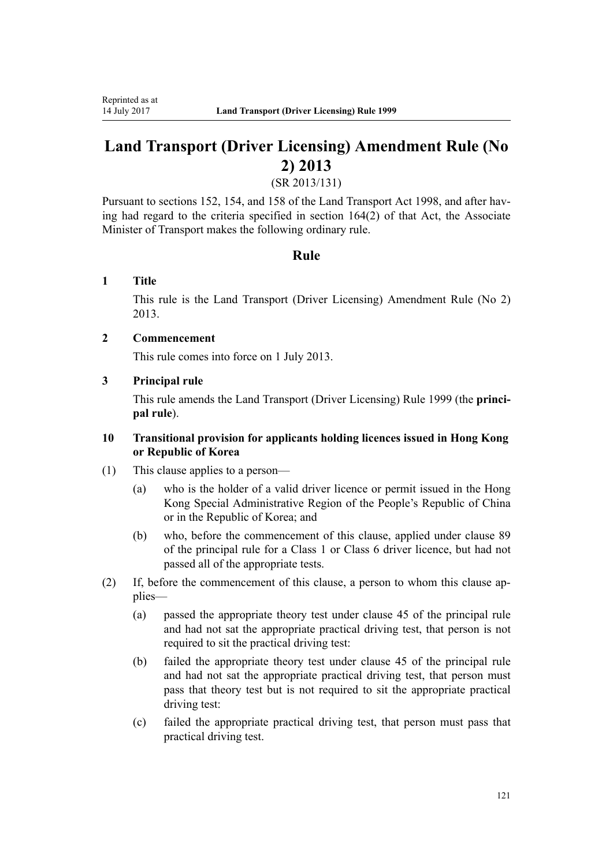# **Land Transport (Driver Licensing) Amendment Rule (No 2) 2013**

(SR 2013/131)

Pursuant to sections 152, 154, and 158 of the Land Transport Act 1998, and after having had regard to the criteria specified in section 164(2) of that Act, the Associate Minister of Transport makes the following ordinary rule.

### **Rule**

#### **1 Title**

This rule is the [Land Transport \(Driver Licensing\) Amendment Rule \(No 2\)](http://prd-lgnz-nlb.prd.pco.net.nz/pdflink.aspx?id=DLM5159800) [2013](http://prd-lgnz-nlb.prd.pco.net.nz/pdflink.aspx?id=DLM5159800).

### **2 Commencement**

This rule comes into force on 1 July 2013.

#### **3 Principal rule**

This rule amends the Land Transport (Driver Licensing) Rule 1999 (the **principal rule**).

#### **10 Transitional provision for applicants holding licences issued in Hong Kong or Republic of Korea**

- (1) This clause applies to a person—
	- (a) who is the holder of a valid driver licence or permit issued in the Hong Kong Special Administrative Region of the People's Republic of China or in the Republic of Korea; and
	- (b) who, before the commencement of this clause, applied under clause 89 of the principal rule for a Class 1 or Class 6 driver licence, but had not passed all of the appropriate tests.
- (2) If, before the commencement of this clause, a person to whom this clause applies—
	- (a) passed the appropriate theory test under clause 45 of the principal rule and had not sat the appropriate practical driving test, that person is not required to sit the practical driving test:
	- (b) failed the appropriate theory test under clause 45 of the principal rule and had not sat the appropriate practical driving test, that person must pass that theory test but is not required to sit the appropriate practical driving test:
	- (c) failed the appropriate practical driving test, that person must pass that practical driving test.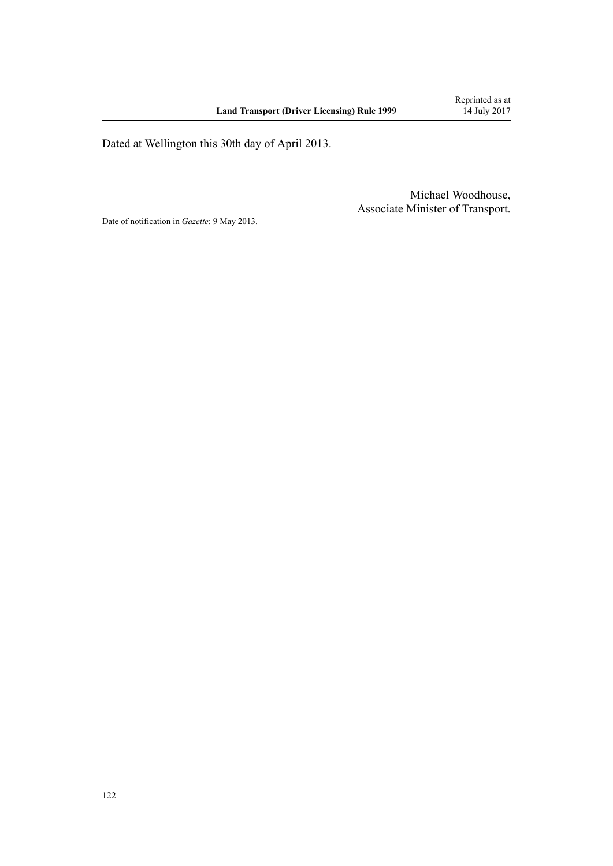Dated at Wellington this 30th day of April 2013.

Michael Woodhouse, Associate Minister of Transport.

Date of notification in *Gazette*: 9 May 2013.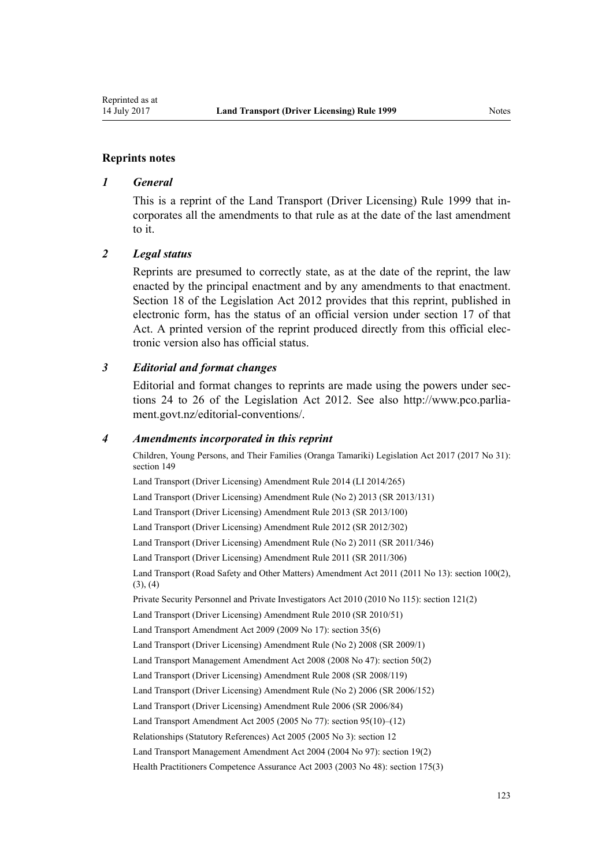#### **Reprints notes**

#### *1 General*

This is a reprint of the Land Transport (Driver Licensing) Rule 1999 that incorporates all the amendments to that rule as at the date of the last amendment to it.

#### *2 Legal status*

Reprints are presumed to correctly state, as at the date of the reprint, the law enacted by the principal enactment and by any amendments to that enactment. [Section 18](http://prd-lgnz-nlb.prd.pco.net.nz/pdflink.aspx?id=DLM2998516) of the Legislation Act 2012 provides that this reprint, published in electronic form, has the status of an official version under [section 17](http://prd-lgnz-nlb.prd.pco.net.nz/pdflink.aspx?id=DLM2998515) of that Act. A printed version of the reprint produced directly from this official electronic version also has official status.

#### *3 Editorial and format changes*

Editorial and format changes to reprints are made using the powers under [sec](http://prd-lgnz-nlb.prd.pco.net.nz/pdflink.aspx?id=DLM2998532)[tions 24 to 26](http://prd-lgnz-nlb.prd.pco.net.nz/pdflink.aspx?id=DLM2998532) of the Legislation Act 2012. See also [http://www.pco.parlia](http://www.pco.parliament.govt.nz/editorial-conventions/)[ment.govt.nz/editorial-conventions/](http://www.pco.parliament.govt.nz/editorial-conventions/).

#### *4 Amendments incorporated in this reprint*

Children, Young Persons, and Their Families (Oranga Tamariki) Legislation Act 2017 (2017 No 31): [section 149](http://prd-lgnz-nlb.prd.pco.net.nz/pdflink.aspx?id=DLM7287401)

[Land Transport \(Driver Licensing\) Amendment Rule 2014](http://prd-lgnz-nlb.prd.pco.net.nz/pdflink.aspx?id=DLM6216900) (LI 2014/265)

[Land Transport \(Driver Licensing\) Amendment Rule \(No 2\) 2013](http://prd-lgnz-nlb.prd.pco.net.nz/pdflink.aspx?id=DLM5159800) (SR 2013/131)

[Land Transport \(Driver Licensing\) Amendment Rule 2013](http://prd-lgnz-nlb.prd.pco.net.nz/pdflink.aspx?id=DLM5102226) (SR 2013/100)

[Land Transport \(Driver Licensing\) Amendment Rule 2012](http://prd-lgnz-nlb.prd.pco.net.nz/pdflink.aspx?id=DLM4773428) (SR 2012/302)

[Land Transport \(Driver Licensing\) Amendment Rule \(No 2\) 2011](http://prd-lgnz-nlb.prd.pco.net.nz/pdflink.aspx?id=DLM4067006) (SR 2011/346)

[Land Transport \(Driver Licensing\) Amendment Rule 2011](http://prd-lgnz-nlb.prd.pco.net.nz/pdflink.aspx?id=DLM3956573) (SR 2011/306)

Land Transport (Road Safety and Other Matters) Amendment Act 2011 (2011 No 13): [section 100\(2\),](http://prd-lgnz-nlb.prd.pco.net.nz/pdflink.aspx?id=DLM3231293)  $(3), (4)$ 

Private Security Personnel and Private Investigators Act 2010 (2010 No 115): [section 121\(2\)](http://prd-lgnz-nlb.prd.pco.net.nz/pdflink.aspx?id=DLM1594656)

[Land Transport \(Driver Licensing\) Amendment Rule 2010](http://prd-lgnz-nlb.prd.pco.net.nz/pdflink.aspx?id=DLM2740170) (SR 2010/51)

Land Transport Amendment Act 2009 (2009 No 17): [section 35\(6\)](http://prd-lgnz-nlb.prd.pco.net.nz/pdflink.aspx?id=DLM2015063)

[Land Transport \(Driver Licensing\) Amendment Rule \(No 2\) 2008](http://prd-lgnz-nlb.prd.pco.net.nz/pdflink.aspx?id=DLM1783600) (SR 2009/1)

Land Transport Management Amendment Act 2008 (2008 No 47): [section 50\(2\)](http://prd-lgnz-nlb.prd.pco.net.nz/pdflink.aspx?id=DLM1313622)

[Land Transport \(Driver Licensing\) Amendment Rule 2008](http://prd-lgnz-nlb.prd.pco.net.nz/pdflink.aspx?id=DLM1317900) (SR 2008/119)

[Land Transport \(Driver Licensing\) Amendment Rule \(No 2\) 2006](http://prd-lgnz-nlb.prd.pco.net.nz/pdflink.aspx?id=DLM386132) (SR 2006/152)

[Land Transport \(Driver Licensing\) Amendment Rule 2006](http://prd-lgnz-nlb.prd.pco.net.nz/pdflink.aspx?id=DLM375672) (SR 2006/84)

Land Transport Amendment Act 2005 (2005 No 77): [section 95\(10\)–\(12\)](http://prd-lgnz-nlb.prd.pco.net.nz/pdflink.aspx?id=DLM353501)

Relationships (Statutory References) Act 2005 (2005 No 3): [section 12](http://prd-lgnz-nlb.prd.pco.net.nz/pdflink.aspx?id=DLM334004)

Land Transport Management Amendment Act 2004 (2004 No 97): [section 19\(2\)](http://prd-lgnz-nlb.prd.pco.net.nz/pdflink.aspx?id=DLM321838)

Health Practitioners Competence Assurance Act 2003 (2003 No 48): [section 175\(3\)](http://prd-lgnz-nlb.prd.pco.net.nz/pdflink.aspx?id=DLM205009)